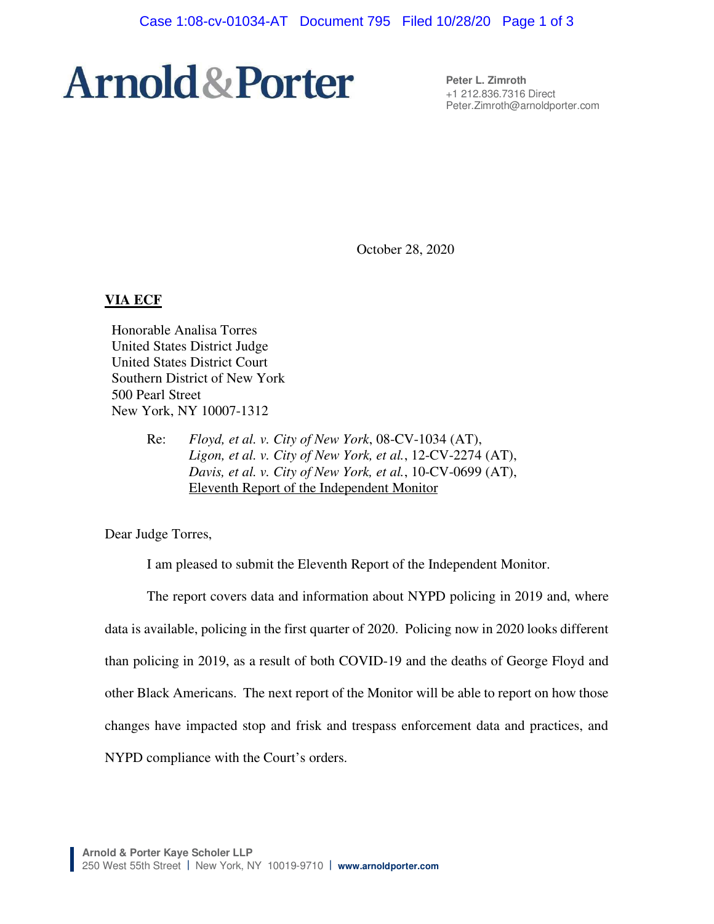# **Arnold & Porter**

**Peter L. Zimroth**  +1 212.836.7316 Direct Peter.Zimroth@arnoldporter.com

October 28, 2020

#### **VIA ECF**

Honorable Analisa Torres United States District Judge United States District Court Southern District of New York 500 Pearl Street New York, NY 10007-1312

> Re: *Floyd, et al. v. City of New York*, 08-CV-1034 (AT), *Ligon, et al. v. City of New York, et al.*, 12-CV-2274 (AT), *Davis, et al. v. City of New York, et al.*, 10-CV-0699 (AT), Eleventh Report of the Independent Monitor

Dear Judge Torres,

I am pleased to submit the Eleventh Report of the Independent Monitor.

The report covers data and information about NYPD policing in 2019 and, where data is available, policing in the first quarter of 2020. Policing now in 2020 looks different than policing in 2019, as a result of both COVID-19 and the deaths of George Floyd and other Black Americans. The next report of the Monitor will be able to report on how those changes have impacted stop and frisk and trespass enforcement data and practices, and NYPD compliance with the Court's orders.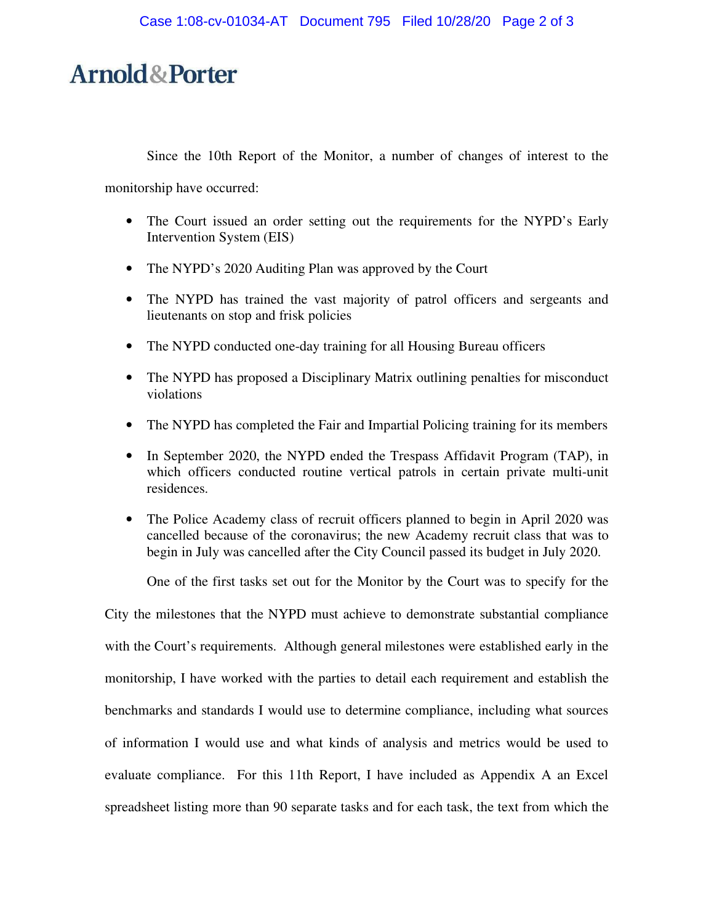## **Arnold&Porter**

Since the 10th Report of the Monitor, a number of changes of interest to the

monitorship have occurred:

- The Court issued an order setting out the requirements for the NYPD's Early Intervention System (EIS)
- The NYPD's 2020 Auditing Plan was approved by the Court
- The NYPD has trained the vast majority of patrol officers and sergeants and lieutenants on stop and frisk policies
- The NYPD conducted one-day training for all Housing Bureau officers
- The NYPD has proposed a Disciplinary Matrix outlining penalties for misconduct violations
- The NYPD has completed the Fair and Impartial Policing training for its members
- In September 2020, the NYPD ended the Trespass Affidavit Program (TAP), in which officers conducted routine vertical patrols in certain private multi-unit residences.
- The Police Academy class of recruit officers planned to begin in April 2020 was cancelled because of the coronavirus; the new Academy recruit class that was to begin in July was cancelled after the City Council passed its budget in July 2020.

One of the first tasks set out for the Monitor by the Court was to specify for the

City the milestones that the NYPD must achieve to demonstrate substantial compliance with the Court's requirements. Although general milestones were established early in the monitorship, I have worked with the parties to detail each requirement and establish the benchmarks and standards I would use to determine compliance, including what sources of information I would use and what kinds of analysis and metrics would be used to evaluate compliance. For this 11th Report, I have included as Appendix A an Excel spreadsheet listing more than 90 separate tasks and for each task, the text from which the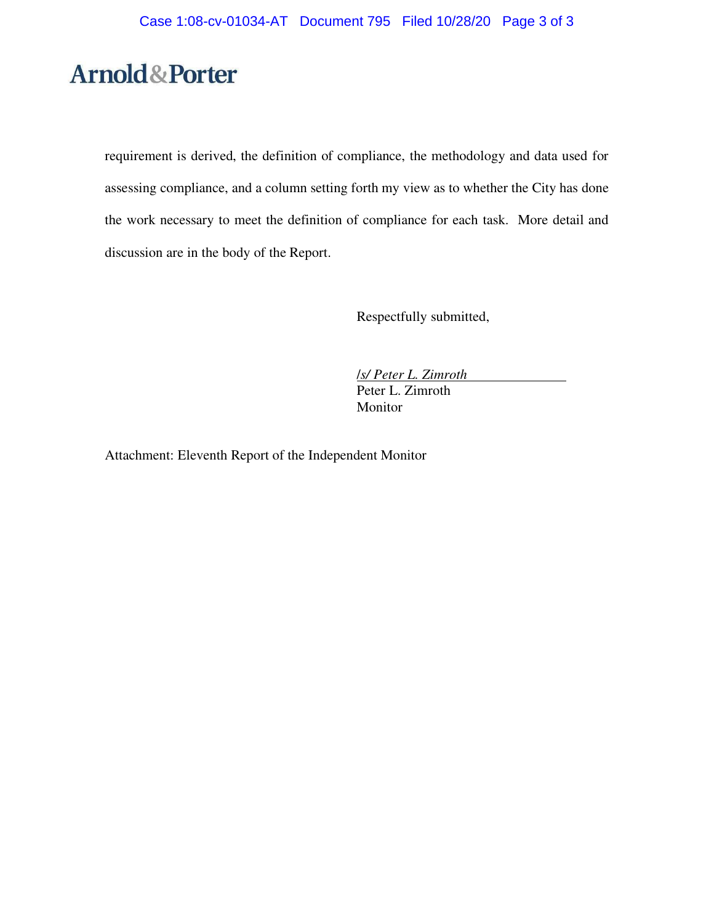# **Arnold&Porter**

requirement is derived, the definition of compliance, the methodology and data used for assessing compliance, and a column setting forth my view as to whether the City has done the work necessary to meet the definition of compliance for each task. More detail and discussion are in the body of the Report.

Respectfully submitted,

/*s/ Peter L. Zimroth* Peter L. Zimroth Monitor

Attachment: Eleventh Report of the Independent Monitor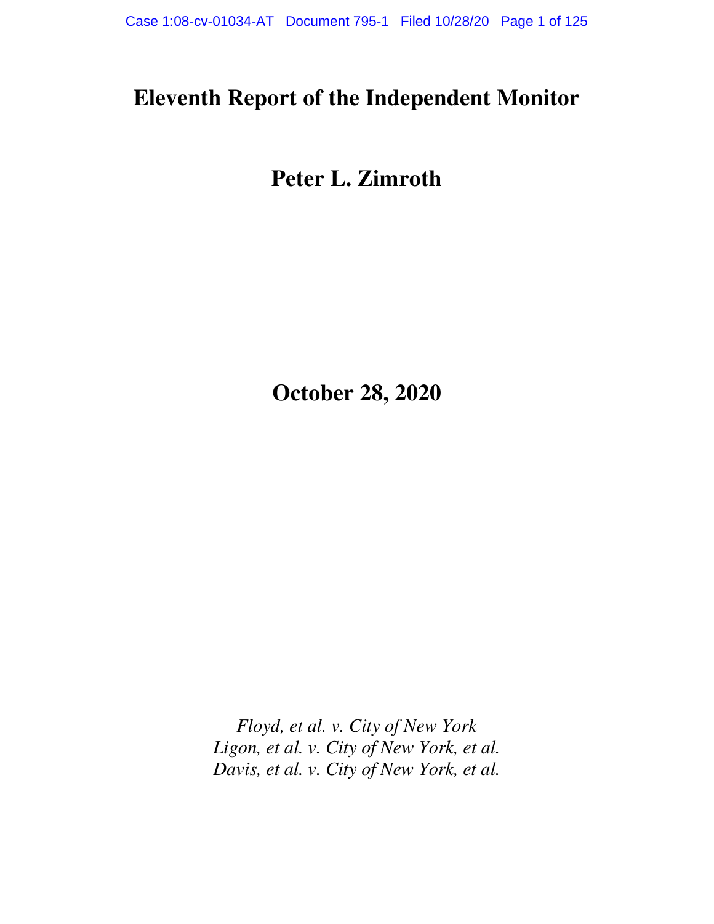### **Eleventh Report of the Independent Monitor**

# **Peter L. Zimroth**

**October 28, 2020** 

*Floyd, et al. v. City of New York Ligon, et al. v. City of New York, et al. Davis, et al. v. City of New York, et al.*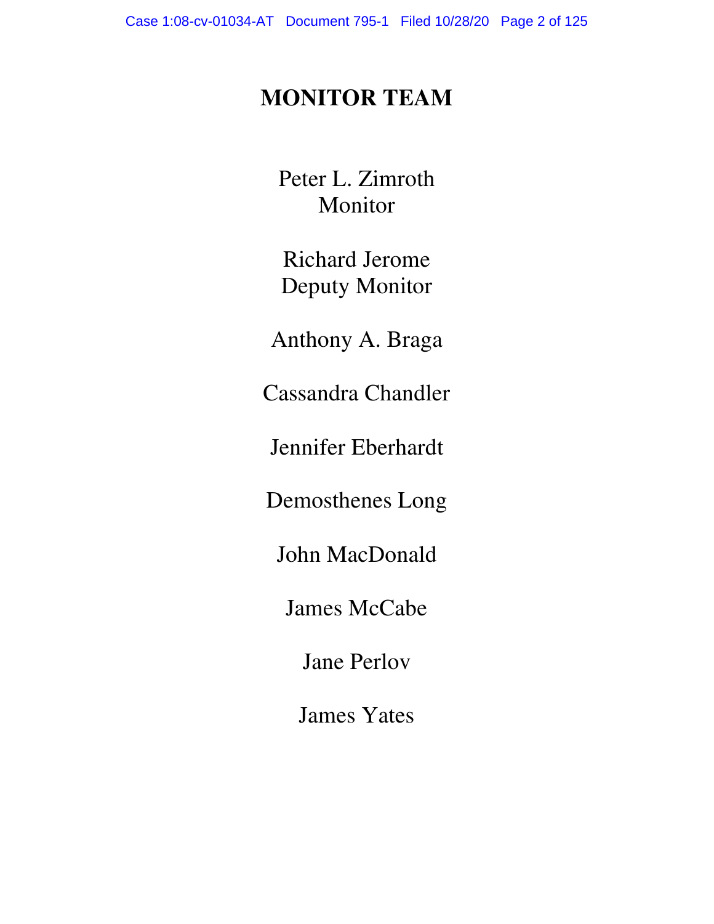### **MONITOR TEAM**

Peter L. Zimroth Monitor

Richard Jerome Deputy Monitor

Anthony A. Braga

Cassandra Chandler

Jennifer Eberhardt

Demosthenes Long

John MacDonald

James McCabe

Jane Perlov

James Yates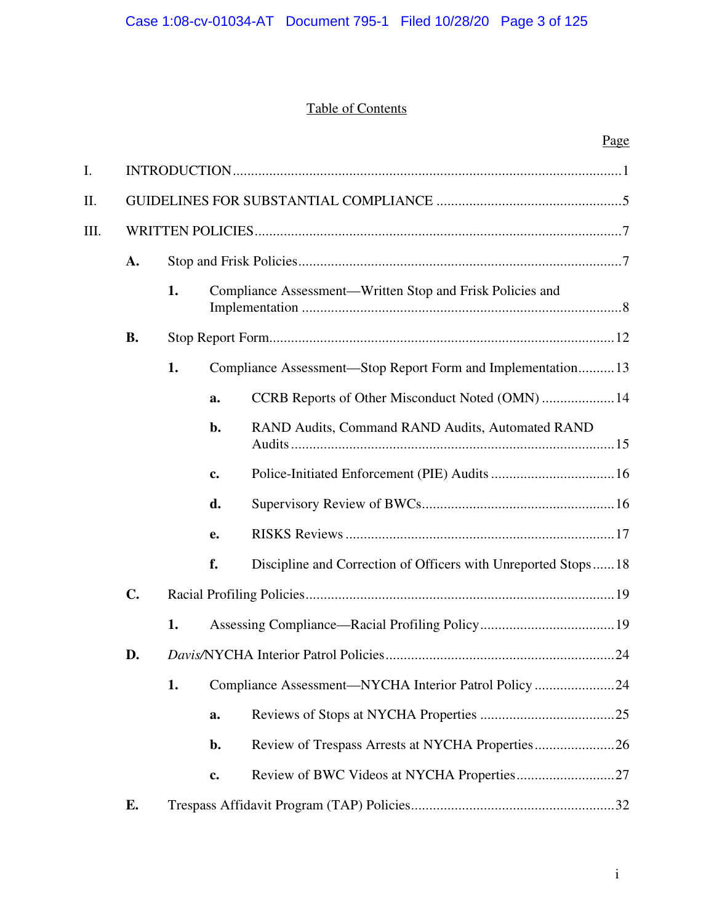### Table of Contents

| I.   |                |    |    |                                                               |  |  |  |  |
|------|----------------|----|----|---------------------------------------------------------------|--|--|--|--|
| II.  |                |    |    |                                                               |  |  |  |  |
| III. |                |    |    |                                                               |  |  |  |  |
|      | $\mathbf{A}$ . |    |    |                                                               |  |  |  |  |
|      |                | 1. |    | Compliance Assessment-Written Stop and Frisk Policies and     |  |  |  |  |
|      | <b>B.</b>      |    |    |                                                               |  |  |  |  |
|      |                | 1. |    | Compliance Assessment-Stop Report Form and Implementation 13  |  |  |  |  |
|      |                |    | a. | CCRB Reports of Other Misconduct Noted (OMN)  14              |  |  |  |  |
|      |                |    | b. | RAND Audits, Command RAND Audits, Automated RAND              |  |  |  |  |
|      |                |    | c. |                                                               |  |  |  |  |
|      |                |    | d. |                                                               |  |  |  |  |
|      |                |    | e. |                                                               |  |  |  |  |
|      |                |    | f. | Discipline and Correction of Officers with Unreported Stops18 |  |  |  |  |
|      | $\mathbf{C}$ . |    |    |                                                               |  |  |  |  |
|      |                | 1. |    |                                                               |  |  |  |  |

| D. |    |             |                                                       |  |  |
|----|----|-------------|-------------------------------------------------------|--|--|
|    | 1. |             | Compliance Assessment—NYCHA Interior Patrol Policy 24 |  |  |
|    |    | a.          |                                                       |  |  |
|    |    | b.          |                                                       |  |  |
|    |    | $c_{\cdot}$ |                                                       |  |  |
| E. |    |             |                                                       |  |  |

Page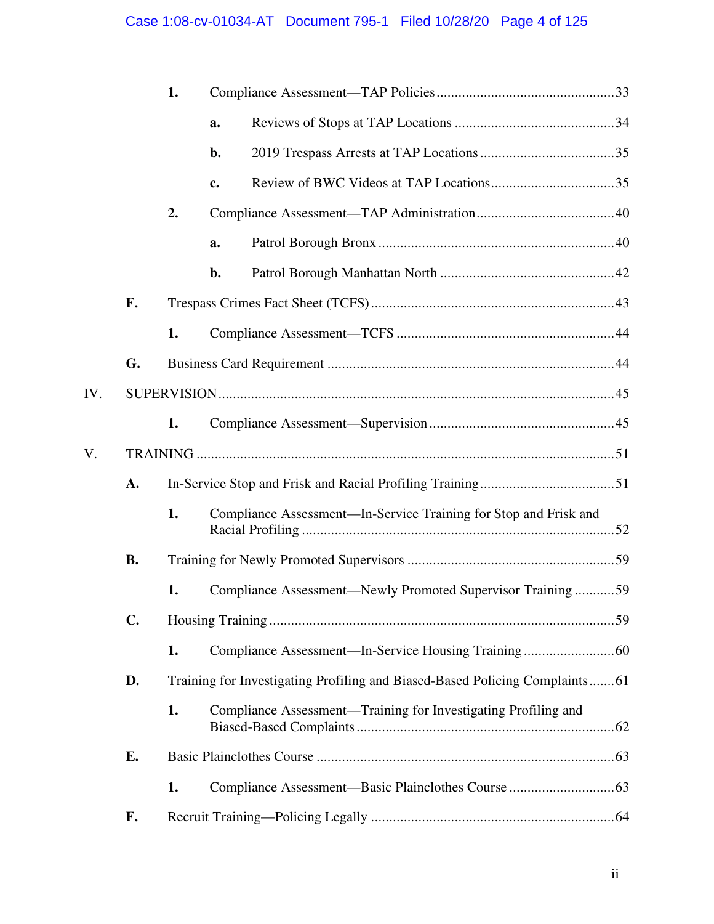### Case 1:08-cv-01034-AT Document 795-1 Filed 10/28/20 Page 4 of 125

|     |                | 1. |    |                                                                             |  |  |  |
|-----|----------------|----|----|-----------------------------------------------------------------------------|--|--|--|
|     |                |    | a. |                                                                             |  |  |  |
|     |                |    | b. |                                                                             |  |  |  |
|     |                |    | c. |                                                                             |  |  |  |
|     |                | 2. |    |                                                                             |  |  |  |
|     |                |    | a. |                                                                             |  |  |  |
|     |                |    | b. |                                                                             |  |  |  |
|     | F.             |    |    |                                                                             |  |  |  |
|     |                | 1. |    |                                                                             |  |  |  |
|     | G.             |    |    |                                                                             |  |  |  |
| IV. |                |    |    |                                                                             |  |  |  |
|     |                | 1. |    |                                                                             |  |  |  |
| V.  |                |    |    |                                                                             |  |  |  |
|     | A.             |    |    |                                                                             |  |  |  |
|     |                | 1. |    | Compliance Assessment-In-Service Training for Stop and Frisk and            |  |  |  |
|     | <b>B.</b>      |    |    |                                                                             |  |  |  |
|     |                | 1. |    | Compliance Assessment-Newly Promoted Supervisor Training  59                |  |  |  |
|     | $\mathbf{C}$ . |    |    |                                                                             |  |  |  |
|     |                | 1. |    |                                                                             |  |  |  |
|     | D.             |    |    | Training for Investigating Profiling and Biased-Based Policing Complaints61 |  |  |  |
|     |                | 1. |    | Compliance Assessment—Training for Investigating Profiling and              |  |  |  |
|     | E.             |    |    |                                                                             |  |  |  |
|     |                | 1. |    |                                                                             |  |  |  |
|     | F.             |    |    |                                                                             |  |  |  |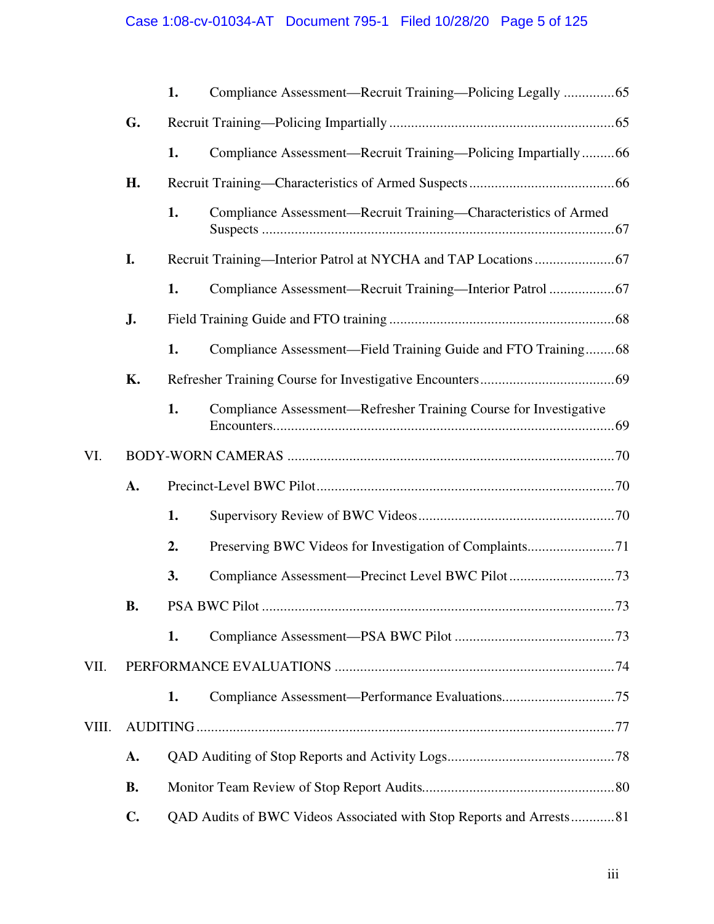|       |           | 1. | Compliance Assessment-Recruit Training-Policing Legally 65          |
|-------|-----------|----|---------------------------------------------------------------------|
|       | G.        |    |                                                                     |
|       |           | 1. | Compliance Assessment—Recruit Training—Policing Impartially66       |
|       | Н.        |    |                                                                     |
|       |           | 1. | Compliance Assessment-Recruit Training-Characteristics of Armed     |
|       | I.        |    |                                                                     |
|       |           | 1. |                                                                     |
|       | J.        |    |                                                                     |
|       |           | 1. | Compliance Assessment—Field Training Guide and FTO Training68       |
|       | <b>K.</b> |    |                                                                     |
|       |           | 1. | Compliance Assessment—Refresher Training Course for Investigative   |
| VI.   |           |    |                                                                     |
|       | A.        |    |                                                                     |
|       |           | 1. |                                                                     |
|       |           | 2. |                                                                     |
|       |           | 3. |                                                                     |
|       | <b>B.</b> |    |                                                                     |
|       |           | 1. |                                                                     |
| VII.  |           |    |                                                                     |
|       |           | 1. |                                                                     |
| VIII. |           |    |                                                                     |
|       | A.        |    |                                                                     |
|       | <b>B.</b> |    |                                                                     |
|       | C.        |    | QAD Audits of BWC Videos Associated with Stop Reports and Arrests81 |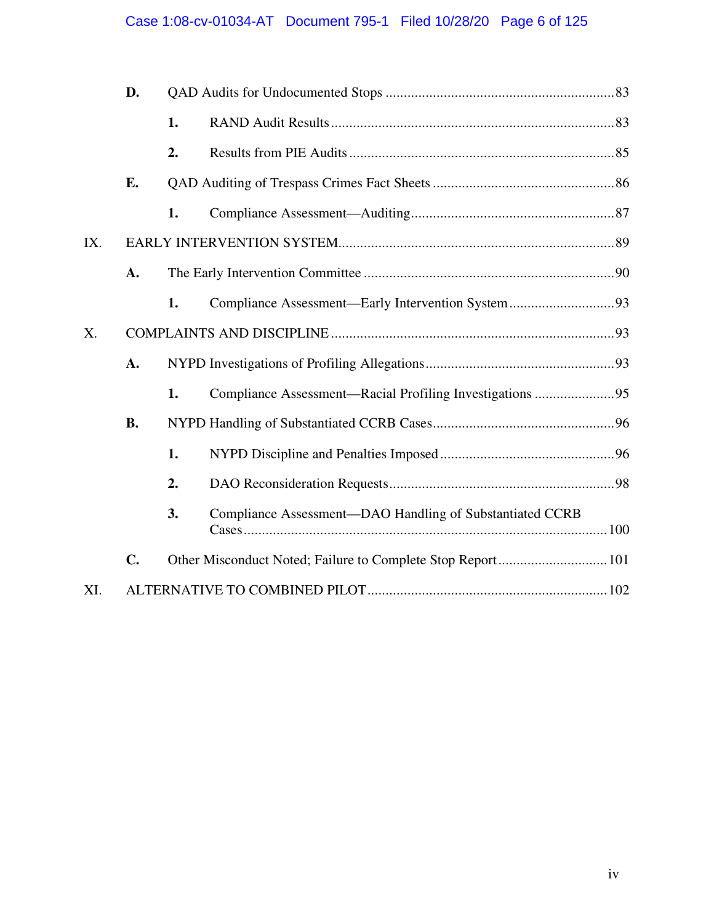### Case 1:08-cv-01034-AT Document 795-1 Filed 10/28/20 Page 6 of 125

|     | D.        |    |                                                          |  |  |
|-----|-----------|----|----------------------------------------------------------|--|--|
|     |           | 1. |                                                          |  |  |
|     |           | 2. |                                                          |  |  |
|     | E.        |    |                                                          |  |  |
|     |           | 1. |                                                          |  |  |
| IX. |           |    |                                                          |  |  |
|     | A.        |    |                                                          |  |  |
|     |           | 1. |                                                          |  |  |
| X.  |           |    |                                                          |  |  |
|     | A.        |    |                                                          |  |  |
|     |           | 1. |                                                          |  |  |
|     | <b>B.</b> |    |                                                          |  |  |
|     |           | 1. |                                                          |  |  |
|     |           | 2. |                                                          |  |  |
|     |           | 3. | Compliance Assessment-DAO Handling of Substantiated CCRB |  |  |
|     | C.        |    |                                                          |  |  |
| XI. |           |    |                                                          |  |  |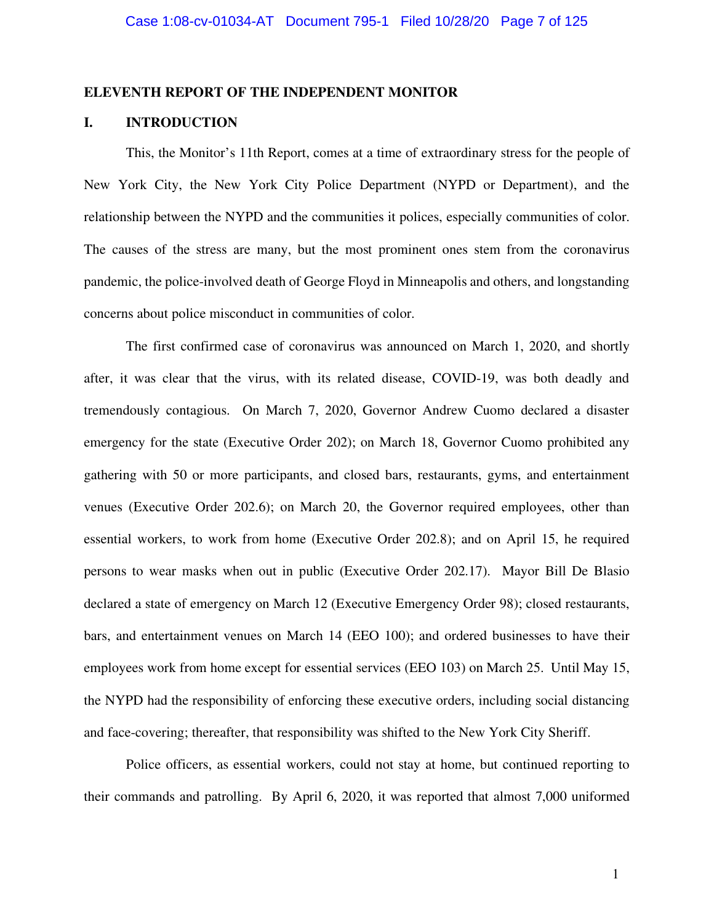#### **ELEVENTH REPORT OF THE INDEPENDENT MONITOR**

#### **I. INTRODUCTION**

This, the Monitor's 11th Report, comes at a time of extraordinary stress for the people of New York City, the New York City Police Department (NYPD or Department), and the relationship between the NYPD and the communities it polices, especially communities of color. The causes of the stress are many, but the most prominent ones stem from the coronavirus pandemic, the police-involved death of George Floyd in Minneapolis and others, and longstanding concerns about police misconduct in communities of color.

The first confirmed case of coronavirus was announced on March 1, 2020, and shortly after, it was clear that the virus, with its related disease, COVID-19, was both deadly and tremendously contagious. On March 7, 2020, Governor Andrew Cuomo declared a disaster emergency for the state (Executive Order 202); on March 18, Governor Cuomo prohibited any gathering with 50 or more participants, and closed bars, restaurants, gyms, and entertainment venues (Executive Order 202.6); on March 20, the Governor required employees, other than essential workers, to work from home (Executive Order 202.8); and on April 15, he required persons to wear masks when out in public (Executive Order 202.17). Mayor Bill De Blasio declared a state of emergency on March 12 (Executive Emergency Order 98); closed restaurants, bars, and entertainment venues on March 14 (EEO 100); and ordered businesses to have their employees work from home except for essential services (EEO 103) on March 25. Until May 15, the NYPD had the responsibility of enforcing these executive orders, including social distancing and face-covering; thereafter, that responsibility was shifted to the New York City Sheriff.

Police officers, as essential workers, could not stay at home, but continued reporting to their commands and patrolling. By April 6, 2020, it was reported that almost 7,000 uniformed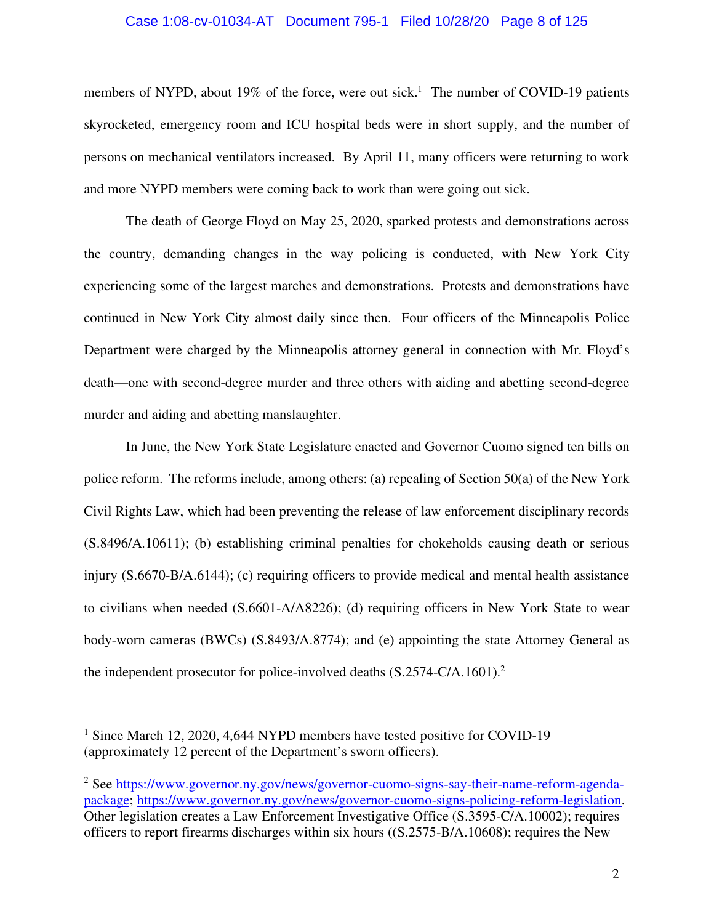#### Case 1:08-cv-01034-AT Document 795-1 Filed 10/28/20 Page 8 of 125

members of NYPD, about 19% of the force, were out sick.<sup>1</sup> The number of COVID-19 patients skyrocketed, emergency room and ICU hospital beds were in short supply, and the number of persons on mechanical ventilators increased. By April 11, many officers were returning to work and more NYPD members were coming back to work than were going out sick.

The death of George Floyd on May 25, 2020, sparked protests and demonstrations across the country, demanding changes in the way policing is conducted, with New York City experiencing some of the largest marches and demonstrations. Protests and demonstrations have continued in New York City almost daily since then. Four officers of the Minneapolis Police Department were charged by the Minneapolis attorney general in connection with Mr. Floyd's death—one with second-degree murder and three others with aiding and abetting second-degree murder and aiding and abetting manslaughter.

In June, the New York State Legislature enacted and Governor Cuomo signed ten bills on police reform. The reforms include, among others: (a) repealing of Section 50(a) of the New York Civil Rights Law, which had been preventing the release of law enforcement disciplinary records (S.8496/A.10611); (b) establishing criminal penalties for chokeholds causing death or serious injury (S.6670-B/A.6144); (c) requiring officers to provide medical and mental health assistance to civilians when needed (S.6601-A/A8226); (d) requiring officers in New York State to wear body-worn cameras (BWCs) (S.8493/A.8774); and (e) appointing the state Attorney General as the independent prosecutor for police-involved deaths  $(S.2574-C/A.1601).$ <sup>2</sup>

<sup>&</sup>lt;sup>1</sup> Since March 12, 2020, 4,644 NYPD members have tested positive for COVID-19 (approximately 12 percent of the Department's sworn officers).

<sup>&</sup>lt;sup>2</sup> See https://www.governor.ny.gov/news/governor-cuomo-signs-say-their-name-reform-agendapackage; https://www.governor.ny.gov/news/governor-cuomo-signs-policing-reform-legislation. Other legislation creates a Law Enforcement Investigative Office (S.3595-C/A.10002); requires officers to report firearms discharges within six hours ((S.2575-B/A.10608); requires the New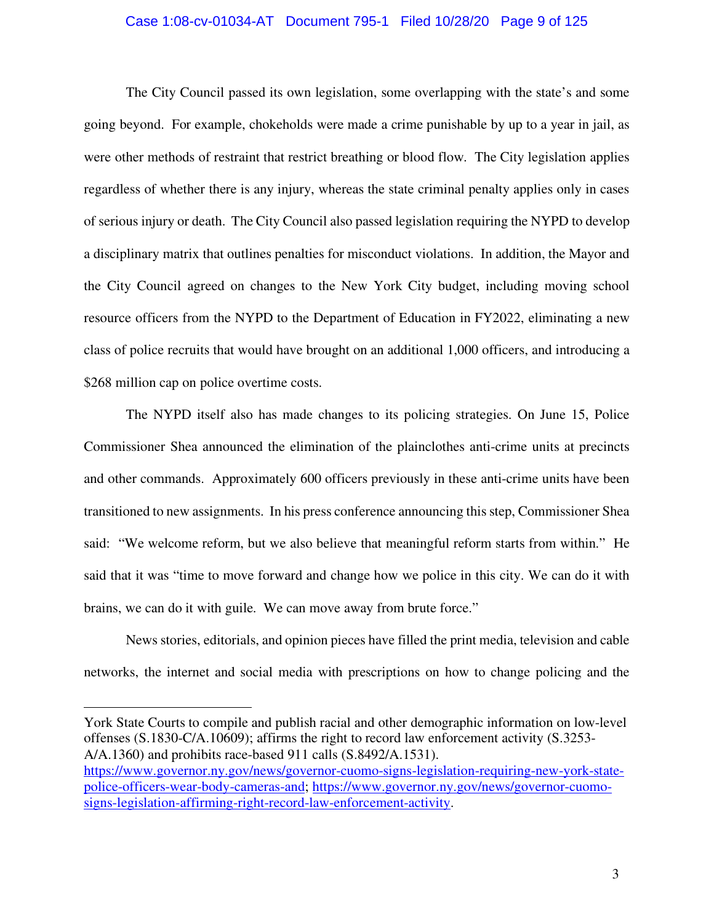#### Case 1:08-cv-01034-AT Document 795-1 Filed 10/28/20 Page 9 of 125

The City Council passed its own legislation, some overlapping with the state's and some going beyond. For example, chokeholds were made a crime punishable by up to a year in jail, as were other methods of restraint that restrict breathing or blood flow. The City legislation applies regardless of whether there is any injury, whereas the state criminal penalty applies only in cases of serious injury or death. The City Council also passed legislation requiring the NYPD to develop a disciplinary matrix that outlines penalties for misconduct violations. In addition, the Mayor and the City Council agreed on changes to the New York City budget, including moving school resource officers from the NYPD to the Department of Education in FY2022, eliminating a new class of police recruits that would have brought on an additional 1,000 officers, and introducing a \$268 million cap on police overtime costs.

The NYPD itself also has made changes to its policing strategies. On June 15, Police Commissioner Shea announced the elimination of the plainclothes anti-crime units at precincts and other commands. Approximately 600 officers previously in these anti-crime units have been transitioned to new assignments. In his press conference announcing this step, Commissioner Shea said: "We welcome reform, but we also believe that meaningful reform starts from within." He said that it was "time to move forward and change how we police in this city. We can do it with brains, we can do it with guile. We can move away from brute force."

News stories, editorials, and opinion pieces have filled the print media, television and cable networks, the internet and social media with prescriptions on how to change policing and the

York State Courts to compile and publish racial and other demographic information on low-level offenses (S.1830-C/A.10609); affirms the right to record law enforcement activity (S.3253- A/A.1360) and prohibits race-based 911 calls (S.8492/A.1531). https://www.governor.ny.gov/news/governor-cuomo-signs-legislation-requiring-new-york-statepolice-officers-wear-body-cameras-and; https://www.governor.ny.gov/news/governor-cuomosigns-legislation-affirming-right-record-law-enforcement-activity.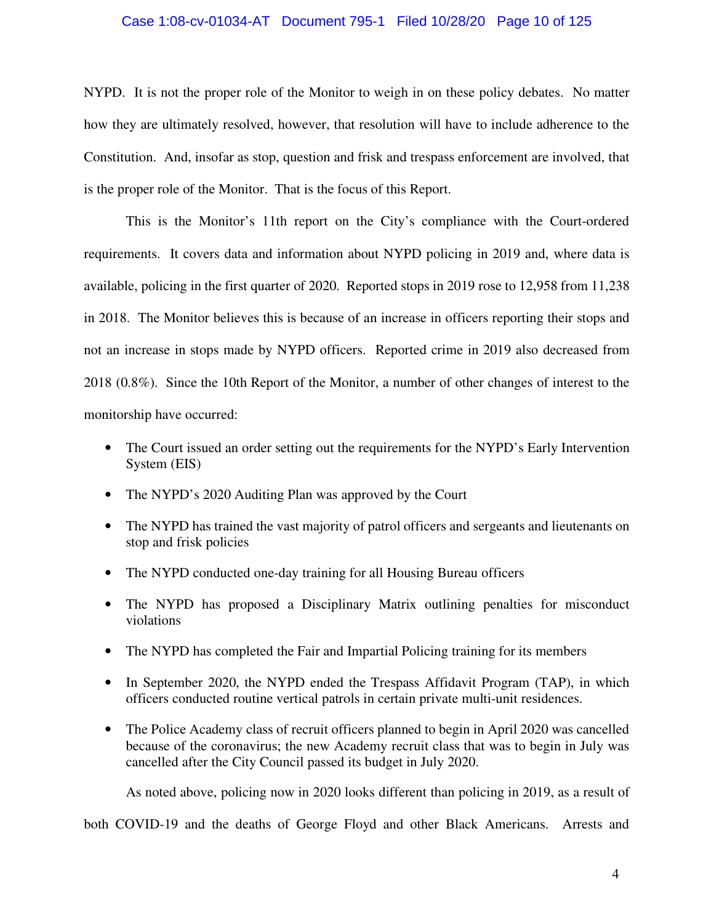#### Case 1:08-cv-01034-AT Document 795-1 Filed 10/28/20 Page 10 of 125

NYPD. It is not the proper role of the Monitor to weigh in on these policy debates. No matter how they are ultimately resolved, however, that resolution will have to include adherence to the Constitution. And, insofar as stop, question and frisk and trespass enforcement are involved, that is the proper role of the Monitor. That is the focus of this Report.

This is the Monitor's 11th report on the City's compliance with the Court-ordered requirements. It covers data and information about NYPD policing in 2019 and, where data is available, policing in the first quarter of 2020. Reported stops in 2019 rose to 12,958 from 11,238 in 2018. The Monitor believes this is because of an increase in officers reporting their stops and not an increase in stops made by NYPD officers. Reported crime in 2019 also decreased from 2018 (0.8%). Since the 10th Report of the Monitor, a number of other changes of interest to the monitorship have occurred:

- The Court issued an order setting out the requirements for the NYPD's Early Intervention System (EIS)
- The NYPD's 2020 Auditing Plan was approved by the Court
- The NYPD has trained the vast majority of patrol officers and sergeants and lieutenants on stop and frisk policies
- The NYPD conducted one-day training for all Housing Bureau officers
- The NYPD has proposed a Disciplinary Matrix outlining penalties for misconduct violations
- The NYPD has completed the Fair and Impartial Policing training for its members
- In September 2020, the NYPD ended the Trespass Affidavit Program (TAP), in which officers conducted routine vertical patrols in certain private multi-unit residences.
- The Police Academy class of recruit officers planned to begin in April 2020 was cancelled because of the coronavirus; the new Academy recruit class that was to begin in July was cancelled after the City Council passed its budget in July 2020.

As noted above, policing now in 2020 looks different than policing in 2019, as a result of

both COVID-19 and the deaths of George Floyd and other Black Americans. Arrests and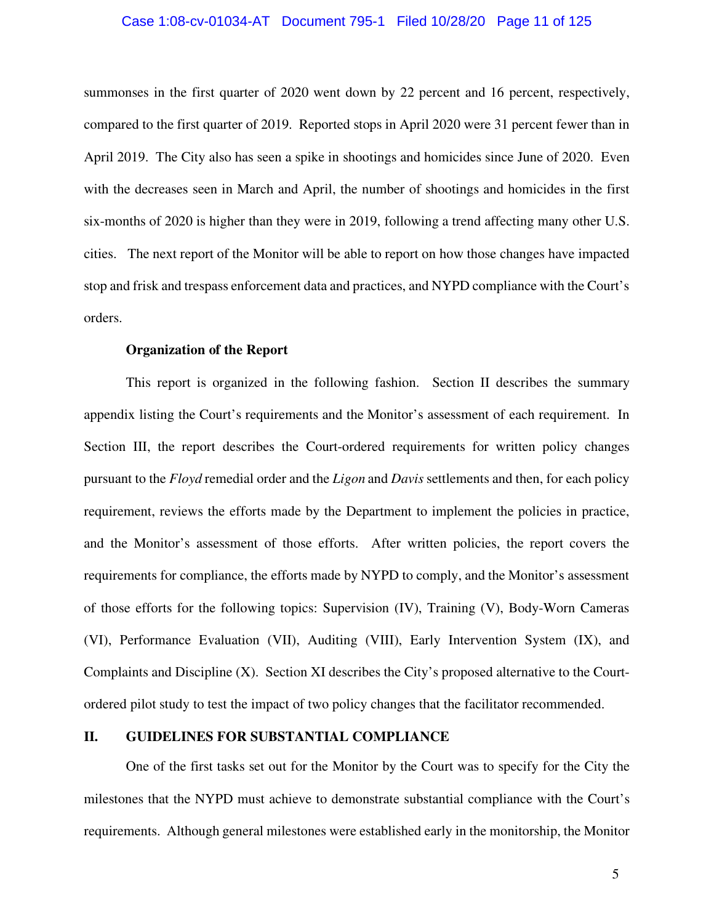#### Case 1:08-cv-01034-AT Document 795-1 Filed 10/28/20 Page 11 of 125

summonses in the first quarter of 2020 went down by 22 percent and 16 percent, respectively, compared to the first quarter of 2019. Reported stops in April 2020 were 31 percent fewer than in April 2019. The City also has seen a spike in shootings and homicides since June of 2020. Even with the decreases seen in March and April, the number of shootings and homicides in the first six-months of 2020 is higher than they were in 2019, following a trend affecting many other U.S. cities. The next report of the Monitor will be able to report on how those changes have impacted stop and frisk and trespass enforcement data and practices, and NYPD compliance with the Court's orders.

#### **Organization of the Report**

This report is organized in the following fashion. Section II describes the summary appendix listing the Court's requirements and the Monitor's assessment of each requirement. In Section III, the report describes the Court-ordered requirements for written policy changes pursuant to the *Floyd* remedial order and the *Ligon* and *Davis* settlements and then, for each policy requirement, reviews the efforts made by the Department to implement the policies in practice, and the Monitor's assessment of those efforts. After written policies, the report covers the requirements for compliance, the efforts made by NYPD to comply, and the Monitor's assessment of those efforts for the following topics: Supervision (IV), Training (V), Body-Worn Cameras (VI), Performance Evaluation (VII), Auditing (VIII), Early Intervention System (IX), and Complaints and Discipline (X). Section XI describes the City's proposed alternative to the Courtordered pilot study to test the impact of two policy changes that the facilitator recommended.

#### **II. GUIDELINES FOR SUBSTANTIAL COMPLIANCE**

One of the first tasks set out for the Monitor by the Court was to specify for the City the milestones that the NYPD must achieve to demonstrate substantial compliance with the Court's requirements. Although general milestones were established early in the monitorship, the Monitor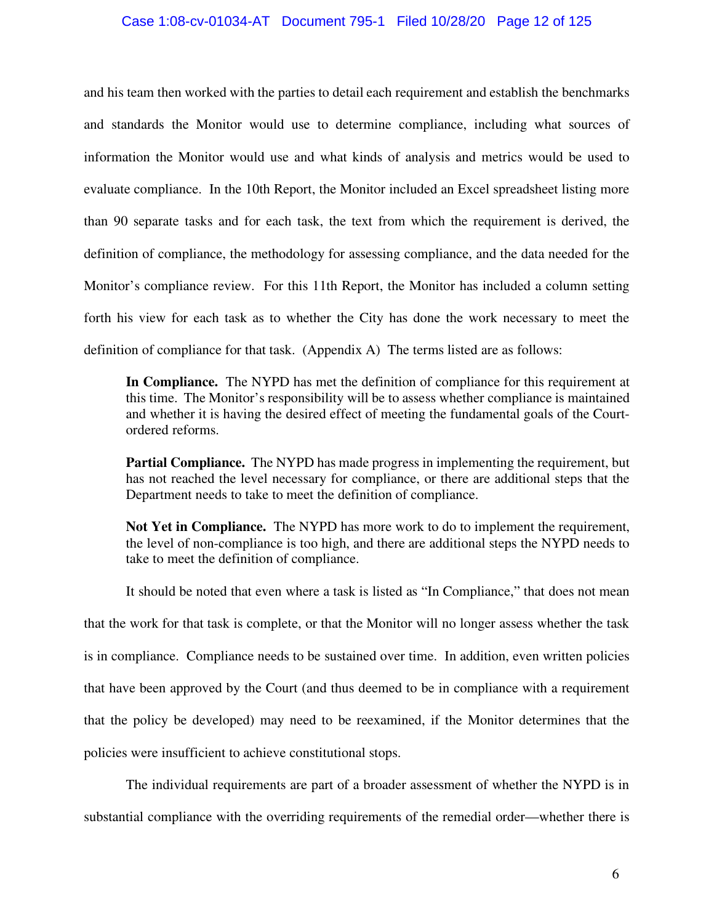#### Case 1:08-cv-01034-AT Document 795-1 Filed 10/28/20 Page 12 of 125

and his team then worked with the parties to detail each requirement and establish the benchmarks and standards the Monitor would use to determine compliance, including what sources of information the Monitor would use and what kinds of analysis and metrics would be used to evaluate compliance. In the 10th Report, the Monitor included an Excel spreadsheet listing more than 90 separate tasks and for each task, the text from which the requirement is derived, the definition of compliance, the methodology for assessing compliance, and the data needed for the Monitor's compliance review. For this 11th Report, the Monitor has included a column setting forth his view for each task as to whether the City has done the work necessary to meet the definition of compliance for that task. (Appendix A) The terms listed are as follows:

**In Compliance.** The NYPD has met the definition of compliance for this requirement at this time. The Monitor's responsibility will be to assess whether compliance is maintained and whether it is having the desired effect of meeting the fundamental goals of the Courtordered reforms.

**Partial Compliance.** The NYPD has made progress in implementing the requirement, but has not reached the level necessary for compliance, or there are additional steps that the Department needs to take to meet the definition of compliance.

**Not Yet in Compliance.** The NYPD has more work to do to implement the requirement, the level of non-compliance is too high, and there are additional steps the NYPD needs to take to meet the definition of compliance.

It should be noted that even where a task is listed as "In Compliance," that does not mean that the work for that task is complete, or that the Monitor will no longer assess whether the task is in compliance. Compliance needs to be sustained over time. In addition, even written policies that have been approved by the Court (and thus deemed to be in compliance with a requirement that the policy be developed) may need to be reexamined, if the Monitor determines that the policies were insufficient to achieve constitutional stops.

The individual requirements are part of a broader assessment of whether the NYPD is in substantial compliance with the overriding requirements of the remedial order—whether there is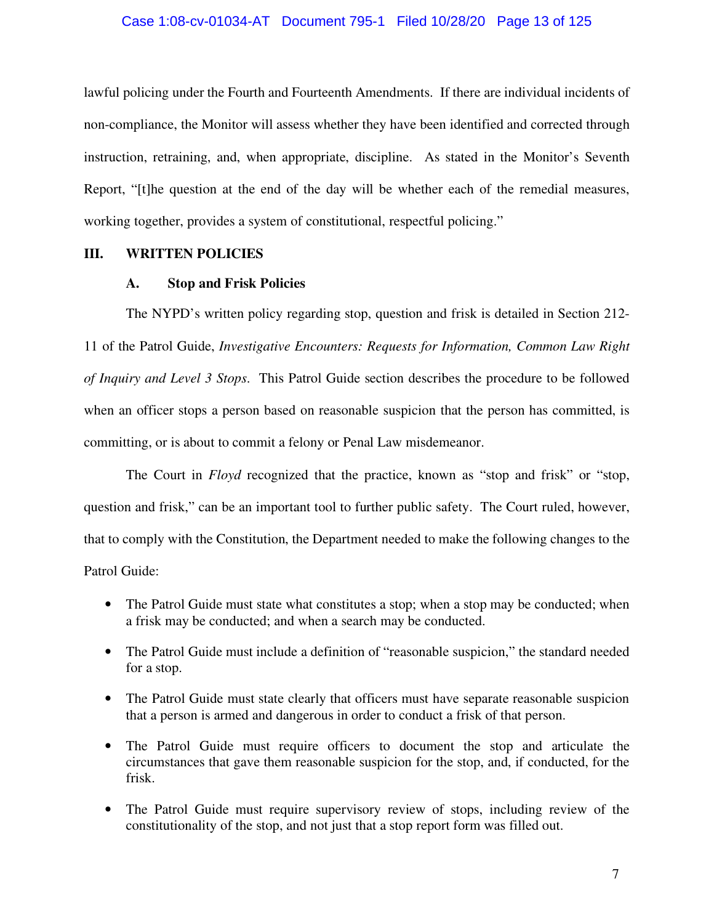#### Case 1:08-cv-01034-AT Document 795-1 Filed 10/28/20 Page 13 of 125

lawful policing under the Fourth and Fourteenth Amendments. If there are individual incidents of non-compliance, the Monitor will assess whether they have been identified and corrected through instruction, retraining, and, when appropriate, discipline. As stated in the Monitor's Seventh Report, "[t]he question at the end of the day will be whether each of the remedial measures, working together, provides a system of constitutional, respectful policing."

#### **III. WRITTEN POLICIES**

#### **A. Stop and Frisk Policies**

The NYPD's written policy regarding stop, question and frisk is detailed in Section 212- 11 of the Patrol Guide, *Investigative Encounters: Requests for Information, Common Law Right of Inquiry and Level 3 Stops*. This Patrol Guide section describes the procedure to be followed when an officer stops a person based on reasonable suspicion that the person has committed, is committing, or is about to commit a felony or Penal Law misdemeanor.

The Court in *Floyd* recognized that the practice, known as "stop and frisk" or "stop, question and frisk," can be an important tool to further public safety. The Court ruled, however, that to comply with the Constitution, the Department needed to make the following changes to the Patrol Guide:

- The Patrol Guide must state what constitutes a stop; when a stop may be conducted; when a frisk may be conducted; and when a search may be conducted.
- The Patrol Guide must include a definition of "reasonable suspicion," the standard needed for a stop.
- The Patrol Guide must state clearly that officers must have separate reasonable suspicion that a person is armed and dangerous in order to conduct a frisk of that person.
- The Patrol Guide must require officers to document the stop and articulate the circumstances that gave them reasonable suspicion for the stop, and, if conducted, for the frisk.
- The Patrol Guide must require supervisory review of stops, including review of the constitutionality of the stop, and not just that a stop report form was filled out.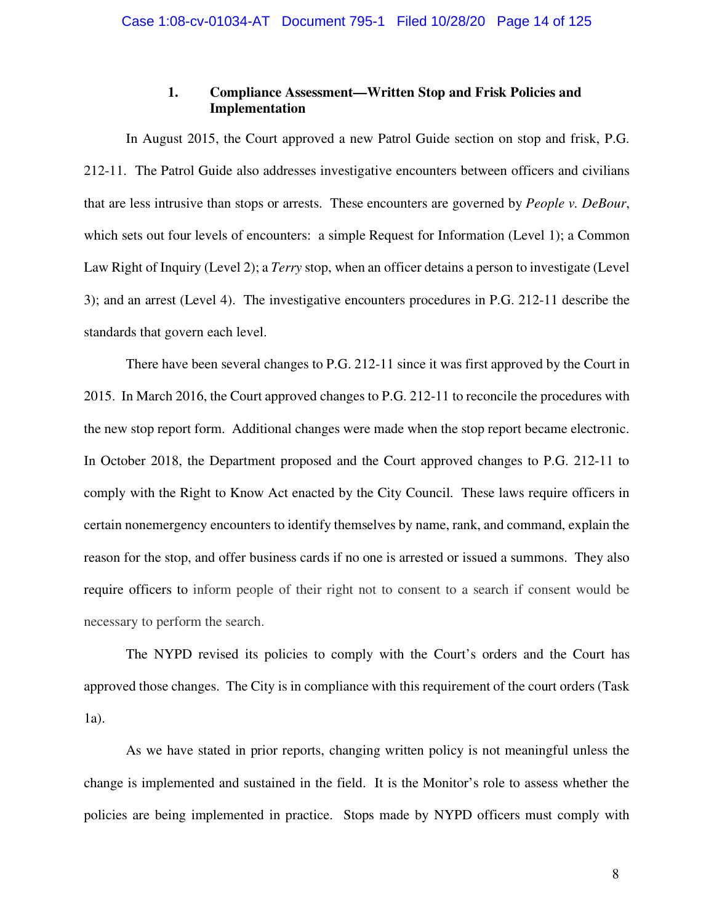#### **1. Compliance Assessment—Written Stop and Frisk Policies and Implementation**

In August 2015, the Court approved a new Patrol Guide section on stop and frisk, P.G. 212-11. The Patrol Guide also addresses investigative encounters between officers and civilians that are less intrusive than stops or arrests. These encounters are governed by *People v. DeBour*, which sets out four levels of encounters: a simple Request for Information (Level 1); a Common Law Right of Inquiry (Level 2); a *Terry* stop, when an officer detains a person to investigate (Level 3); and an arrest (Level 4). The investigative encounters procedures in P.G. 212-11 describe the standards that govern each level.

There have been several changes to P.G. 212-11 since it was first approved by the Court in 2015. In March 2016, the Court approved changes to P.G. 212-11 to reconcile the procedures with the new stop report form. Additional changes were made when the stop report became electronic. In October 2018, the Department proposed and the Court approved changes to P.G. 212-11 to comply with the Right to Know Act enacted by the City Council. These laws require officers in certain nonemergency encounters to identify themselves by name, rank, and command, explain the reason for the stop, and offer business cards if no one is arrested or issued a summons. They also require officers to inform people of their right not to consent to a search if consent would be necessary to perform the search.

The NYPD revised its policies to comply with the Court's orders and the Court has approved those changes. The City is in compliance with this requirement of the court orders (Task 1a).

As we have stated in prior reports, changing written policy is not meaningful unless the change is implemented and sustained in the field. It is the Monitor's role to assess whether the policies are being implemented in practice. Stops made by NYPD officers must comply with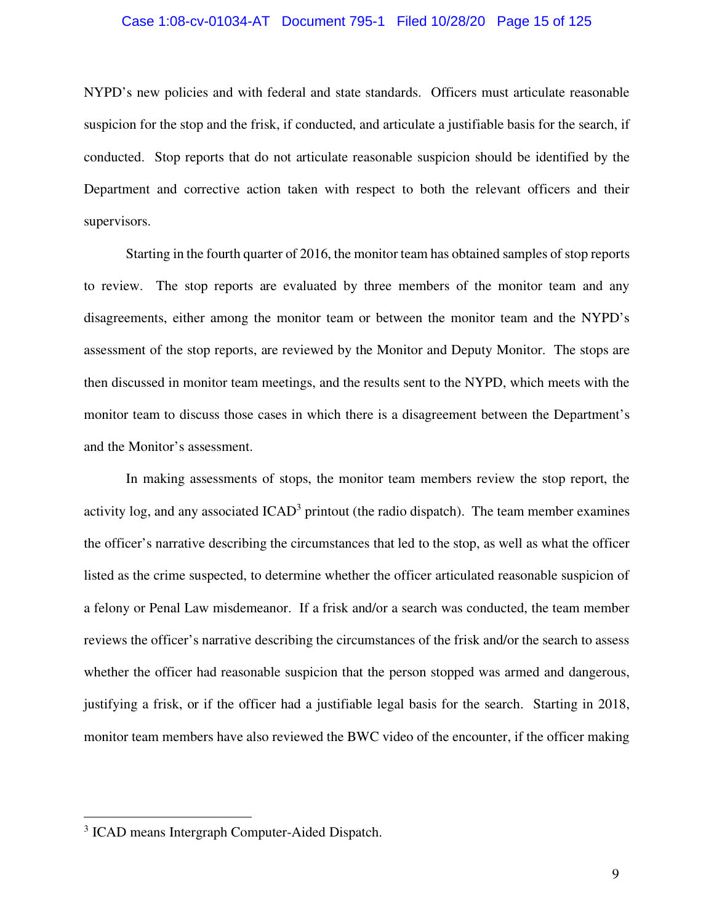#### Case 1:08-cv-01034-AT Document 795-1 Filed 10/28/20 Page 15 of 125

NYPD's new policies and with federal and state standards. Officers must articulate reasonable suspicion for the stop and the frisk, if conducted, and articulate a justifiable basis for the search, if conducted. Stop reports that do not articulate reasonable suspicion should be identified by the Department and corrective action taken with respect to both the relevant officers and their supervisors.

Starting in the fourth quarter of 2016, the monitor team has obtained samples of stop reports to review. The stop reports are evaluated by three members of the monitor team and any disagreements, either among the monitor team or between the monitor team and the NYPD's assessment of the stop reports, are reviewed by the Monitor and Deputy Monitor. The stops are then discussed in monitor team meetings, and the results sent to the NYPD, which meets with the monitor team to discuss those cases in which there is a disagreement between the Department's and the Monitor's assessment.

In making assessments of stops, the monitor team members review the stop report, the activity log, and any associated  $ICAD<sup>3</sup>$  printout (the radio dispatch). The team member examines the officer's narrative describing the circumstances that led to the stop, as well as what the officer listed as the crime suspected, to determine whether the officer articulated reasonable suspicion of a felony or Penal Law misdemeanor. If a frisk and/or a search was conducted, the team member reviews the officer's narrative describing the circumstances of the frisk and/or the search to assess whether the officer had reasonable suspicion that the person stopped was armed and dangerous, justifying a frisk, or if the officer had a justifiable legal basis for the search. Starting in 2018, monitor team members have also reviewed the BWC video of the encounter, if the officer making

<sup>&</sup>lt;sup>3</sup> ICAD means Intergraph Computer-Aided Dispatch.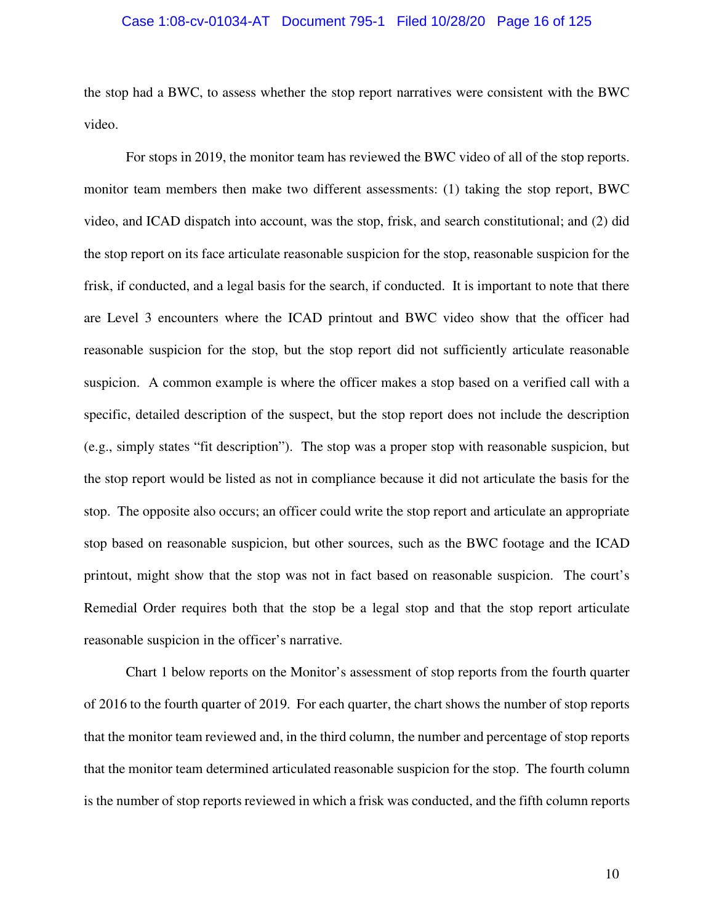#### Case 1:08-cv-01034-AT Document 795-1 Filed 10/28/20 Page 16 of 125

the stop had a BWC, to assess whether the stop report narratives were consistent with the BWC video.

For stops in 2019, the monitor team has reviewed the BWC video of all of the stop reports. monitor team members then make two different assessments: (1) taking the stop report, BWC video, and ICAD dispatch into account, was the stop, frisk, and search constitutional; and (2) did the stop report on its face articulate reasonable suspicion for the stop, reasonable suspicion for the frisk, if conducted, and a legal basis for the search, if conducted. It is important to note that there are Level 3 encounters where the ICAD printout and BWC video show that the officer had reasonable suspicion for the stop, but the stop report did not sufficiently articulate reasonable suspicion. A common example is where the officer makes a stop based on a verified call with a specific, detailed description of the suspect, but the stop report does not include the description (e.g., simply states "fit description"). The stop was a proper stop with reasonable suspicion, but the stop report would be listed as not in compliance because it did not articulate the basis for the stop. The opposite also occurs; an officer could write the stop report and articulate an appropriate stop based on reasonable suspicion, but other sources, such as the BWC footage and the ICAD printout, might show that the stop was not in fact based on reasonable suspicion. The court's Remedial Order requires both that the stop be a legal stop and that the stop report articulate reasonable suspicion in the officer's narrative.

Chart 1 below reports on the Monitor's assessment of stop reports from the fourth quarter of 2016 to the fourth quarter of 2019. For each quarter, the chart shows the number of stop reports that the monitor team reviewed and, in the third column, the number and percentage of stop reports that the monitor team determined articulated reasonable suspicion for the stop. The fourth column is the number of stop reports reviewed in which a frisk was conducted, and the fifth column reports

10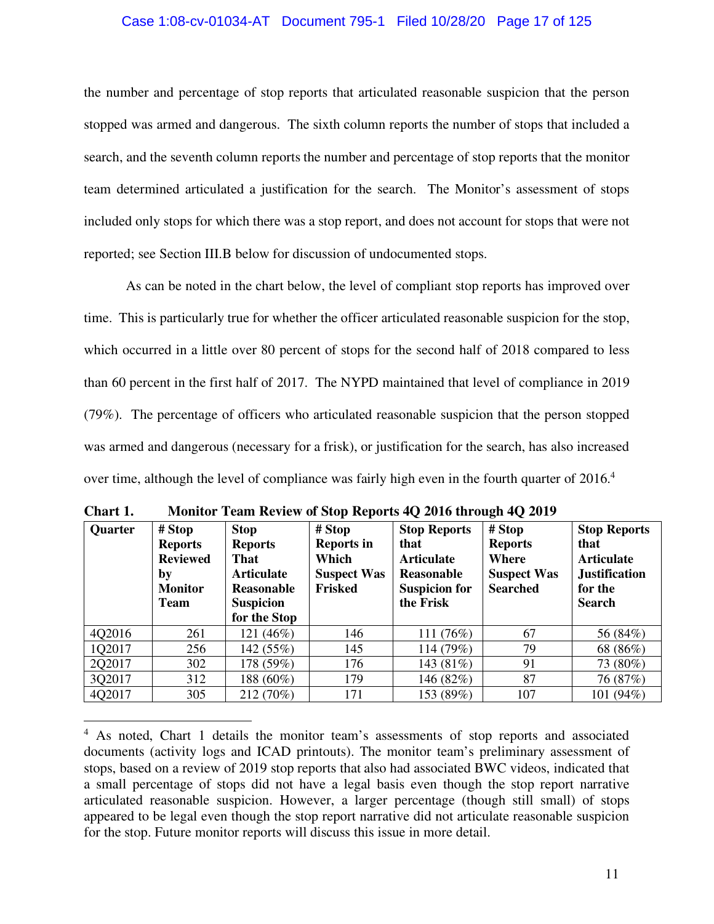#### Case 1:08-cv-01034-AT Document 795-1 Filed 10/28/20 Page 17 of 125

the number and percentage of stop reports that articulated reasonable suspicion that the person stopped was armed and dangerous. The sixth column reports the number of stops that included a search, and the seventh column reports the number and percentage of stop reports that the monitor team determined articulated a justification for the search. The Monitor's assessment of stops included only stops for which there was a stop report, and does not account for stops that were not reported; see Section III.B below for discussion of undocumented stops.

As can be noted in the chart below, the level of compliant stop reports has improved over time. This is particularly true for whether the officer articulated reasonable suspicion for the stop, which occurred in a little over 80 percent of stops for the second half of 2018 compared to less than 60 percent in the first half of 2017. The NYPD maintained that level of compliance in 2019 (79%). The percentage of officers who articulated reasonable suspicion that the person stopped was armed and dangerous (necessary for a frisk), or justification for the search, has also increased over time, although the level of compliance was fairly high even in the fourth quarter of 2016.<sup>4</sup>

| <b>Quarter</b> | # Stop<br><b>Reports</b><br><b>Reviewed</b><br>by<br><b>Monitor</b><br><b>Team</b> | <b>Stop</b><br><b>Reports</b><br>That<br><b>Articulate</b><br>Reasonable<br><b>Suspicion</b><br>for the Stop | # Stop<br><b>Reports in</b><br>Which<br><b>Suspect Was</b><br>Frisked | <b>Stop Reports</b><br>that<br><b>Articulate</b><br><b>Reasonable</b><br><b>Suspicion for</b><br>the Frisk | # Stop<br><b>Reports</b><br>Where<br><b>Suspect Was</b><br><b>Searched</b> | <b>Stop Reports</b><br>that<br><b>Articulate</b><br><b>Justification</b><br>for the<br><b>Search</b> |
|----------------|------------------------------------------------------------------------------------|--------------------------------------------------------------------------------------------------------------|-----------------------------------------------------------------------|------------------------------------------------------------------------------------------------------------|----------------------------------------------------------------------------|------------------------------------------------------------------------------------------------------|
| 4Q2016         | 261                                                                                | 121 (46%)                                                                                                    | 146                                                                   | 111 (76%)                                                                                                  | 67                                                                         | 56 (84%)                                                                                             |
| 1Q2017         | 256                                                                                | 142 (55%)                                                                                                    | 145                                                                   | 114 (79%)                                                                                                  | 79                                                                         | 68 (86%)                                                                                             |
| 2Q2017         | 302                                                                                | 178 (59%)                                                                                                    | 176                                                                   | 143 (81%)                                                                                                  | 91                                                                         | 73 (80%)                                                                                             |
| 3Q2017         | 312                                                                                | 188 (60%)                                                                                                    | 179                                                                   | 146 (82%)                                                                                                  | 87                                                                         | 76 (87%)                                                                                             |
| 4Q2017         | 305                                                                                | 212 (70%)                                                                                                    | 171                                                                   | 153 (89%)                                                                                                  | 107                                                                        | 101 (94%)                                                                                            |

**Chart 1. Monitor Team Review of Stop Reports 4Q 2016 through 4Q 2019** 

<sup>&</sup>lt;sup>4</sup> As noted, Chart 1 details the monitor team's assessments of stop reports and associated documents (activity logs and ICAD printouts). The monitor team's preliminary assessment of stops, based on a review of 2019 stop reports that also had associated BWC videos, indicated that a small percentage of stops did not have a legal basis even though the stop report narrative articulated reasonable suspicion. However, a larger percentage (though still small) of stops appeared to be legal even though the stop report narrative did not articulate reasonable suspicion for the stop. Future monitor reports will discuss this issue in more detail.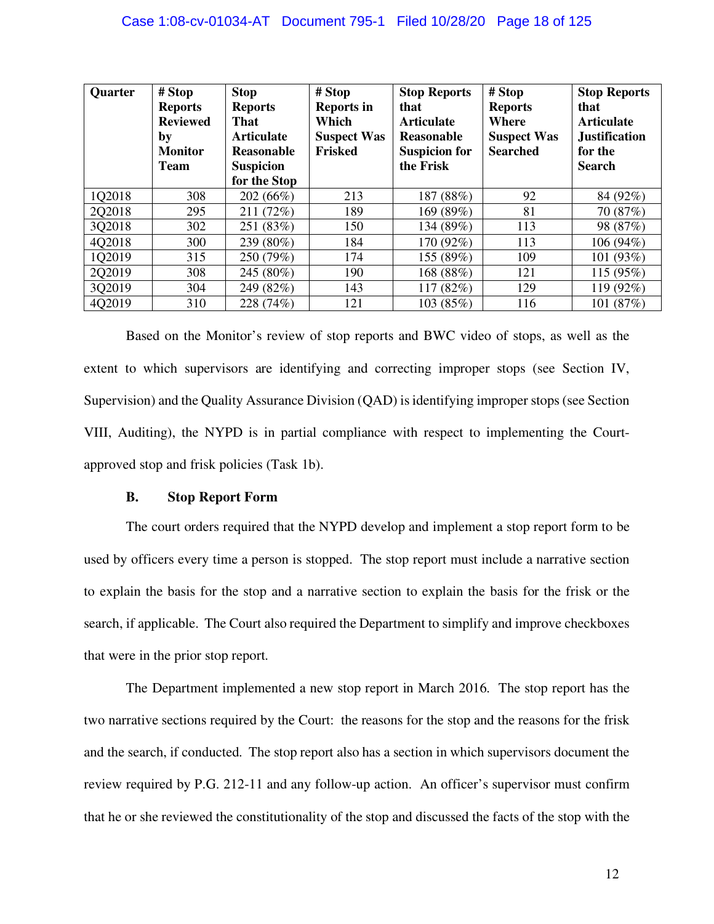| <b>Quarter</b> | # Stop<br><b>Reports</b><br><b>Reviewed</b><br>by<br><b>Monitor</b><br><b>Team</b> | <b>Stop</b><br><b>Reports</b><br><b>That</b><br><b>Articulate</b><br>Reasonable<br><b>Suspicion</b><br>for the Stop | # Stop<br><b>Reports in</b><br>Which<br><b>Suspect Was</b><br>Frisked | <b>Stop Reports</b><br>that<br><b>Articulate</b><br>Reasonable<br><b>Suspicion for</b><br>the Frisk | # Stop<br><b>Reports</b><br>Where<br><b>Suspect Was</b><br><b>Searched</b> | <b>Stop Reports</b><br>that<br><b>Articulate</b><br><b>Justification</b><br>for the<br><b>Search</b> |
|----------------|------------------------------------------------------------------------------------|---------------------------------------------------------------------------------------------------------------------|-----------------------------------------------------------------------|-----------------------------------------------------------------------------------------------------|----------------------------------------------------------------------------|------------------------------------------------------------------------------------------------------|
| 1Q2018         | 308                                                                                | 202 (66%)                                                                                                           | 213                                                                   | 187 (88%)                                                                                           | 92                                                                         | 84 (92%)                                                                                             |
| 2Q2018         | 295                                                                                | 211 (72%)                                                                                                           | 189                                                                   | 169 (89%)                                                                                           | 81                                                                         | 70 (87%)                                                                                             |
| 3Q2018         | 302                                                                                | 251 (83%)                                                                                                           | 150                                                                   | 134 (89%)                                                                                           | 113                                                                        | 98 (87%)                                                                                             |
| 4Q2018         | 300                                                                                | 239 (80%)                                                                                                           | 184                                                                   | 170 (92%)                                                                                           | 113                                                                        | 106 (94%)                                                                                            |
| 1Q2019         | 315                                                                                | 250 (79%)                                                                                                           | 174                                                                   | 155 (89%)                                                                                           | 109                                                                        | 101 (93%)                                                                                            |
| 2Q2019         | 308                                                                                | 245 (80%)                                                                                                           | 190                                                                   | 168 (88%)                                                                                           | 121                                                                        | 115 (95%)                                                                                            |
| 3Q2019         | 304                                                                                | 249 (82%)                                                                                                           | 143                                                                   | 117 (82%)                                                                                           | 129                                                                        | 119 (92%)                                                                                            |
| 4Q2019         | 310                                                                                | 228 (74%)                                                                                                           | 121                                                                   | 103 (85%)                                                                                           | 116                                                                        | 101 (87%)                                                                                            |

Based on the Monitor's review of stop reports and BWC video of stops, as well as the extent to which supervisors are identifying and correcting improper stops (see Section IV, Supervision) and the Quality Assurance Division (QAD) is identifying improper stops (see Section VIII, Auditing), the NYPD is in partial compliance with respect to implementing the Courtapproved stop and frisk policies (Task 1b).

#### **B. Stop Report Form**

The court orders required that the NYPD develop and implement a stop report form to be used by officers every time a person is stopped. The stop report must include a narrative section to explain the basis for the stop and a narrative section to explain the basis for the frisk or the search, if applicable. The Court also required the Department to simplify and improve checkboxes that were in the prior stop report.

The Department implemented a new stop report in March 2016. The stop report has the two narrative sections required by the Court: the reasons for the stop and the reasons for the frisk and the search, if conducted. The stop report also has a section in which supervisors document the review required by P.G. 212-11 and any follow-up action. An officer's supervisor must confirm that he or she reviewed the constitutionality of the stop and discussed the facts of the stop with the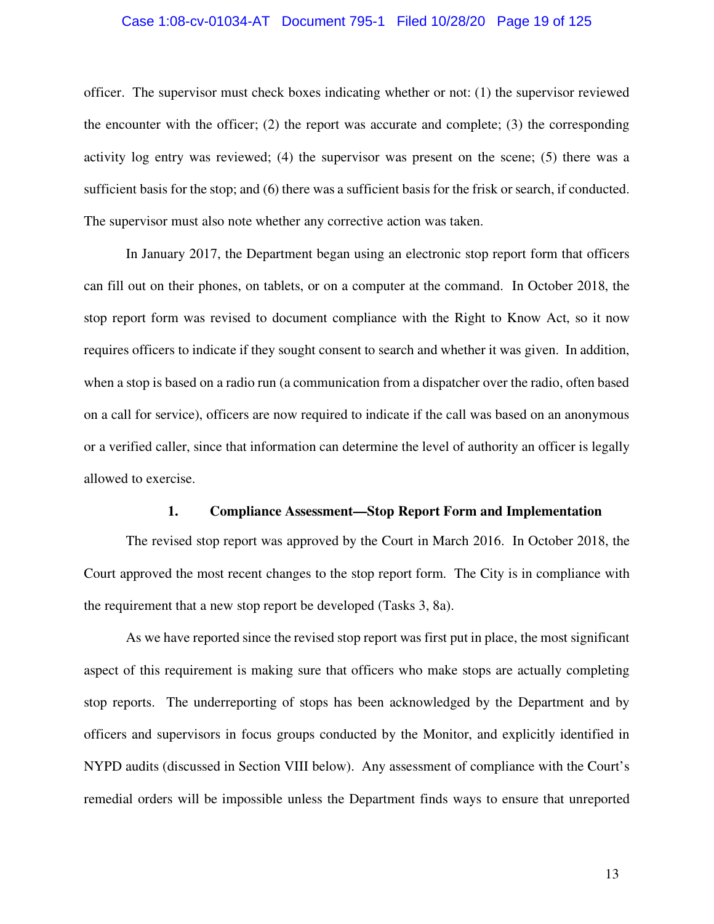#### Case 1:08-cv-01034-AT Document 795-1 Filed 10/28/20 Page 19 of 125

officer. The supervisor must check boxes indicating whether or not: (1) the supervisor reviewed the encounter with the officer;  $(2)$  the report was accurate and complete;  $(3)$  the corresponding activity log entry was reviewed; (4) the supervisor was present on the scene; (5) there was a sufficient basis for the stop; and (6) there was a sufficient basis for the frisk or search, if conducted. The supervisor must also note whether any corrective action was taken.

In January 2017, the Department began using an electronic stop report form that officers can fill out on their phones, on tablets, or on a computer at the command. In October 2018, the stop report form was revised to document compliance with the Right to Know Act, so it now requires officers to indicate if they sought consent to search and whether it was given. In addition, when a stop is based on a radio run (a communication from a dispatcher over the radio, often based on a call for service), officers are now required to indicate if the call was based on an anonymous or a verified caller, since that information can determine the level of authority an officer is legally allowed to exercise.

#### **1. Compliance Assessment—Stop Report Form and Implementation**

The revised stop report was approved by the Court in March 2016. In October 2018, the Court approved the most recent changes to the stop report form. The City is in compliance with the requirement that a new stop report be developed (Tasks 3, 8a).

As we have reported since the revised stop report was first put in place, the most significant aspect of this requirement is making sure that officers who make stops are actually completing stop reports. The underreporting of stops has been acknowledged by the Department and by officers and supervisors in focus groups conducted by the Monitor, and explicitly identified in NYPD audits (discussed in Section VIII below). Any assessment of compliance with the Court's remedial orders will be impossible unless the Department finds ways to ensure that unreported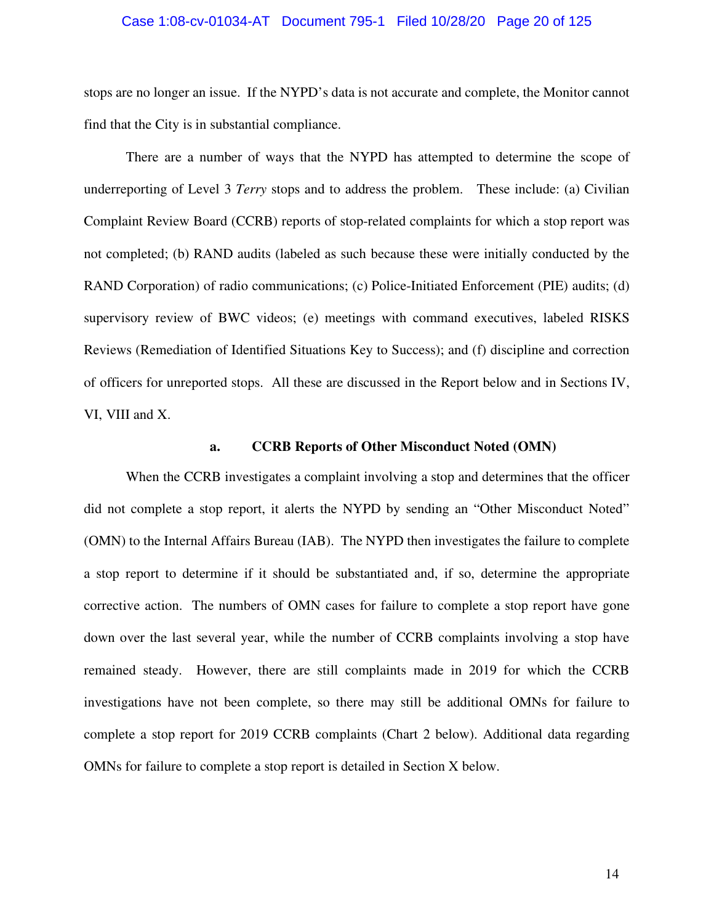#### Case 1:08-cv-01034-AT Document 795-1 Filed 10/28/20 Page 20 of 125

stops are no longer an issue. If the NYPD's data is not accurate and complete, the Monitor cannot find that the City is in substantial compliance.

There are a number of ways that the NYPD has attempted to determine the scope of underreporting of Level 3 *Terry* stops and to address the problem. These include: (a) Civilian Complaint Review Board (CCRB) reports of stop-related complaints for which a stop report was not completed; (b) RAND audits (labeled as such because these were initially conducted by the RAND Corporation) of radio communications; (c) Police-Initiated Enforcement (PIE) audits; (d) supervisory review of BWC videos; (e) meetings with command executives, labeled RISKS Reviews (Remediation of Identified Situations Key to Success); and (f) discipline and correction of officers for unreported stops. All these are discussed in the Report below and in Sections IV, VI, VIII and X.

#### **a. CCRB Reports of Other Misconduct Noted (OMN)**

When the CCRB investigates a complaint involving a stop and determines that the officer did not complete a stop report, it alerts the NYPD by sending an "Other Misconduct Noted" (OMN) to the Internal Affairs Bureau (IAB). The NYPD then investigates the failure to complete a stop report to determine if it should be substantiated and, if so, determine the appropriate corrective action. The numbers of OMN cases for failure to complete a stop report have gone down over the last several year, while the number of CCRB complaints involving a stop have remained steady. However, there are still complaints made in 2019 for which the CCRB investigations have not been complete, so there may still be additional OMNs for failure to complete a stop report for 2019 CCRB complaints (Chart 2 below). Additional data regarding OMNs for failure to complete a stop report is detailed in Section X below.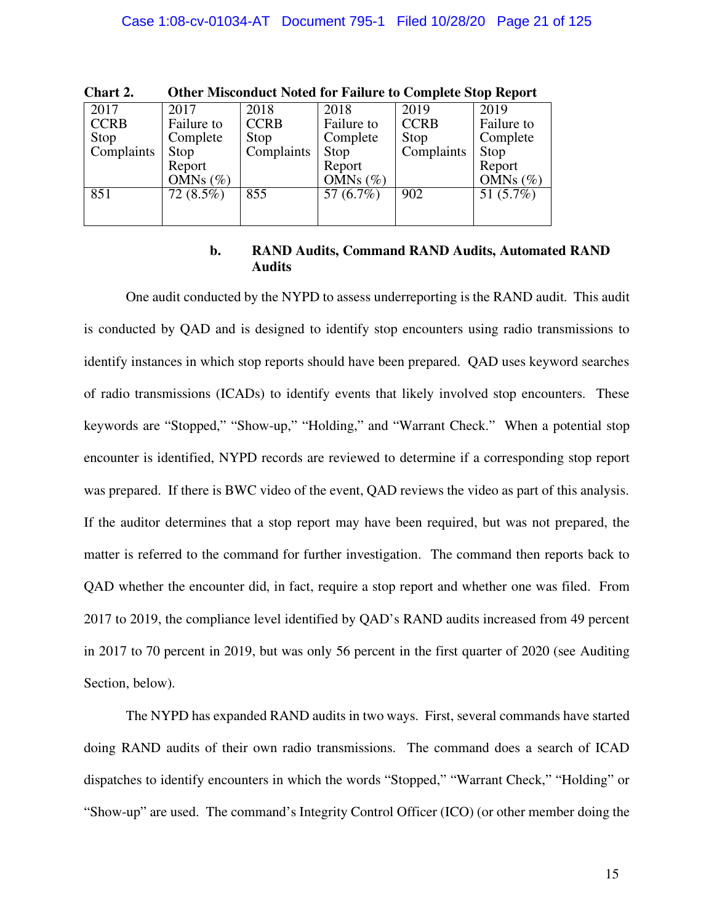| Unart 4.    | Other Misconduct Noted for Failure to Complete Stop Report |             |             |             |             |  |
|-------------|------------------------------------------------------------|-------------|-------------|-------------|-------------|--|
| 2017        | 2017                                                       | 2018        | 2018        | 2019        | 2019        |  |
| <b>CCRB</b> | Failure to                                                 | <b>CCRB</b> | Failure to  | <b>CCRB</b> | Failure to  |  |
| Stop        | Complete                                                   | Stop        | Complete    | Stop        | Complete    |  |
| Complaints  | Stop                                                       | Complaints  | Stop        | Complaints  | Stop        |  |
|             | Report                                                     |             | Report      |             | Report      |  |
|             | OMNs $(\%)$                                                |             | OMNs $(\%)$ |             | OMNs $(\%)$ |  |
| 851         | $72(8.5\%)$                                                | 855         | 57 (6.7%)   | 902         | 51 (5.7%)   |  |
|             |                                                            |             |             |             |             |  |
|             |                                                            |             |             |             |             |  |

**Chart 2. Other Misconduct Noted for Failure to Complete Stop Report** 

#### **b. RAND Audits, Command RAND Audits, Automated RAND Audits**

One audit conducted by the NYPD to assess underreporting is the RAND audit. This audit is conducted by QAD and is designed to identify stop encounters using radio transmissions to identify instances in which stop reports should have been prepared. QAD uses keyword searches of radio transmissions (ICADs) to identify events that likely involved stop encounters. These keywords are "Stopped," "Show-up," "Holding," and "Warrant Check." When a potential stop encounter is identified, NYPD records are reviewed to determine if a corresponding stop report was prepared. If there is BWC video of the event, QAD reviews the video as part of this analysis. If the auditor determines that a stop report may have been required, but was not prepared, the matter is referred to the command for further investigation. The command then reports back to QAD whether the encounter did, in fact, require a stop report and whether one was filed. From 2017 to 2019, the compliance level identified by QAD's RAND audits increased from 49 percent in 2017 to 70 percent in 2019, but was only 56 percent in the first quarter of 2020 (see Auditing Section, below).

The NYPD has expanded RAND audits in two ways. First, several commands have started doing RAND audits of their own radio transmissions. The command does a search of ICAD dispatches to identify encounters in which the words "Stopped," "Warrant Check," "Holding" or "Show-up" are used. The command's Integrity Control Officer (ICO) (or other member doing the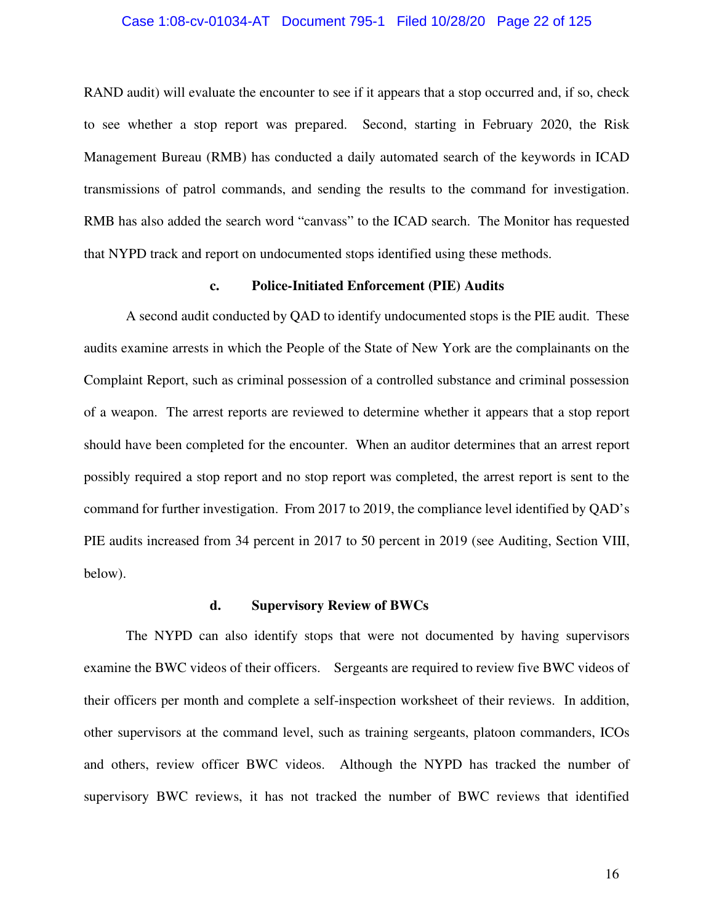#### Case 1:08-cv-01034-AT Document 795-1 Filed 10/28/20 Page 22 of 125

RAND audit) will evaluate the encounter to see if it appears that a stop occurred and, if so, check to see whether a stop report was prepared. Second, starting in February 2020, the Risk Management Bureau (RMB) has conducted a daily automated search of the keywords in ICAD transmissions of patrol commands, and sending the results to the command for investigation. RMB has also added the search word "canvass" to the ICAD search. The Monitor has requested that NYPD track and report on undocumented stops identified using these methods.

#### **c. Police-Initiated Enforcement (PIE) Audits**

A second audit conducted by QAD to identify undocumented stops is the PIE audit. These audits examine arrests in which the People of the State of New York are the complainants on the Complaint Report, such as criminal possession of a controlled substance and criminal possession of a weapon. The arrest reports are reviewed to determine whether it appears that a stop report should have been completed for the encounter. When an auditor determines that an arrest report possibly required a stop report and no stop report was completed, the arrest report is sent to the command for further investigation. From 2017 to 2019, the compliance level identified by QAD's PIE audits increased from 34 percent in 2017 to 50 percent in 2019 (see Auditing, Section VIII, below).

#### **d. Supervisory Review of BWCs**

The NYPD can also identify stops that were not documented by having supervisors examine the BWC videos of their officers. Sergeants are required to review five BWC videos of their officers per month and complete a self-inspection worksheet of their reviews. In addition, other supervisors at the command level, such as training sergeants, platoon commanders, ICOs and others, review officer BWC videos. Although the NYPD has tracked the number of supervisory BWC reviews, it has not tracked the number of BWC reviews that identified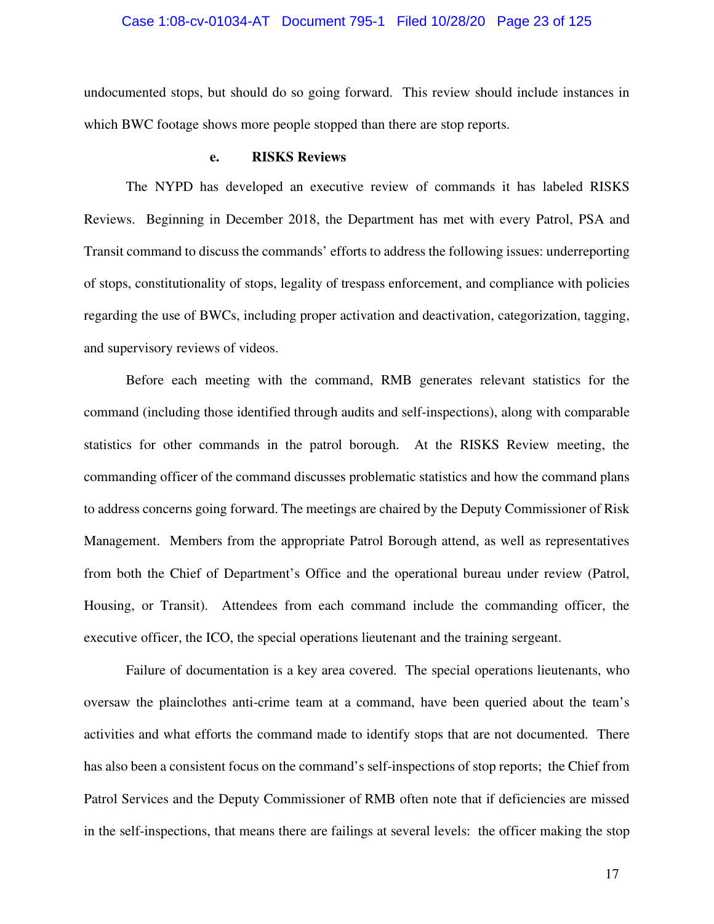#### Case 1:08-cv-01034-AT Document 795-1 Filed 10/28/20 Page 23 of 125

undocumented stops, but should do so going forward. This review should include instances in which BWC footage shows more people stopped than there are stop reports.

#### **e. RISKS Reviews**

The NYPD has developed an executive review of commands it has labeled RISKS Reviews. Beginning in December 2018, the Department has met with every Patrol, PSA and Transit command to discuss the commands' efforts to address the following issues: underreporting of stops, constitutionality of stops, legality of trespass enforcement, and compliance with policies regarding the use of BWCs, including proper activation and deactivation, categorization, tagging, and supervisory reviews of videos.

Before each meeting with the command, RMB generates relevant statistics for the command (including those identified through audits and self-inspections), along with comparable statistics for other commands in the patrol borough. At the RISKS Review meeting, the commanding officer of the command discusses problematic statistics and how the command plans to address concerns going forward. The meetings are chaired by the Deputy Commissioner of Risk Management. Members from the appropriate Patrol Borough attend, as well as representatives from both the Chief of Department's Office and the operational bureau under review (Patrol, Housing, or Transit). Attendees from each command include the commanding officer, the executive officer, the ICO, the special operations lieutenant and the training sergeant.

Failure of documentation is a key area covered. The special operations lieutenants, who oversaw the plainclothes anti-crime team at a command, have been queried about the team's activities and what efforts the command made to identify stops that are not documented. There has also been a consistent focus on the command's self-inspections of stop reports; the Chief from Patrol Services and the Deputy Commissioner of RMB often note that if deficiencies are missed in the self-inspections, that means there are failings at several levels: the officer making the stop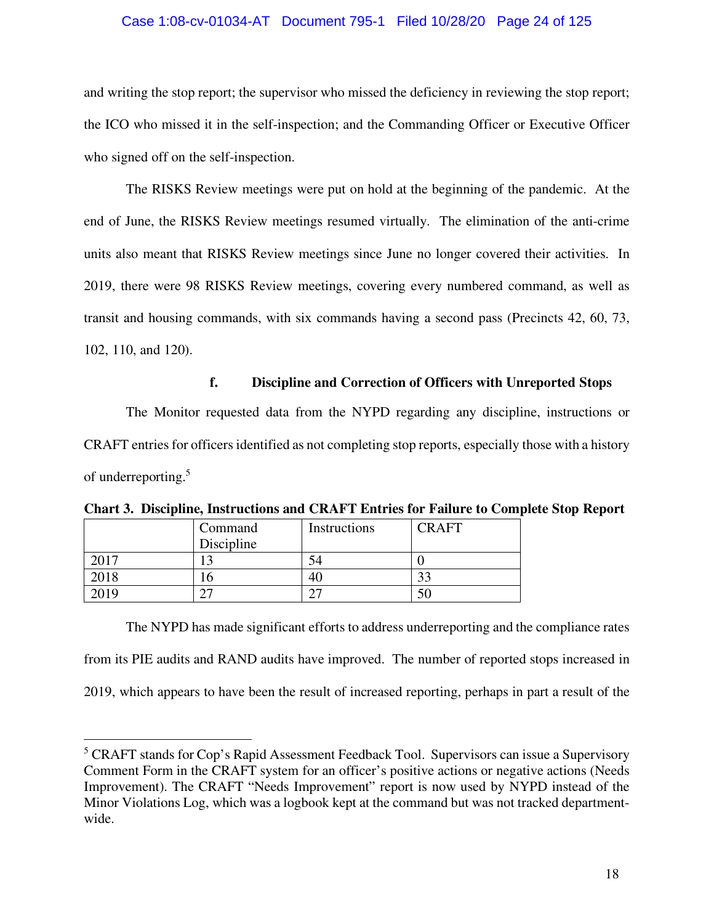#### Case 1:08-cv-01034-AT Document 795-1 Filed 10/28/20 Page 24 of 125

and writing the stop report; the supervisor who missed the deficiency in reviewing the stop report; the ICO who missed it in the self-inspection; and the Commanding Officer or Executive Officer who signed off on the self-inspection.

The RISKS Review meetings were put on hold at the beginning of the pandemic. At the end of June, the RISKS Review meetings resumed virtually. The elimination of the anti-crime units also meant that RISKS Review meetings since June no longer covered their activities. In 2019, there were 98 RISKS Review meetings, covering every numbered command, as well as transit and housing commands, with six commands having a second pass (Precincts 42, 60, 73, 102, 110, and 120).

#### **f. Discipline and Correction of Officers with Unreported Stops**

The Monitor requested data from the NYPD regarding any discipline, instructions or CRAFT entries for officers identified as not completing stop reports, especially those with a history of underreporting.<sup>5</sup>

|      | Command<br>Discipline | Instructions | <b>CRAFT</b> |
|------|-----------------------|--------------|--------------|
| 2017 |                       |              |              |
| 2018 |                       |              | າ^           |
| 2019 |                       |              | 5(           |

**Chart 3. Discipline, Instructions and CRAFT Entries for Failure to Complete Stop Report** 

The NYPD has made significant efforts to address underreporting and the compliance rates from its PIE audits and RAND audits have improved. The number of reported stops increased in 2019, which appears to have been the result of increased reporting, perhaps in part a result of the

<sup>&</sup>lt;sup>5</sup> CRAFT stands for Cop's Rapid Assessment Feedback Tool. Supervisors can issue a Supervisory Comment Form in the CRAFT system for an officer's positive actions or negative actions (Needs Improvement). The CRAFT "Needs Improvement" report is now used by NYPD instead of the Minor Violations Log, which was a logbook kept at the command but was not tracked departmentwide.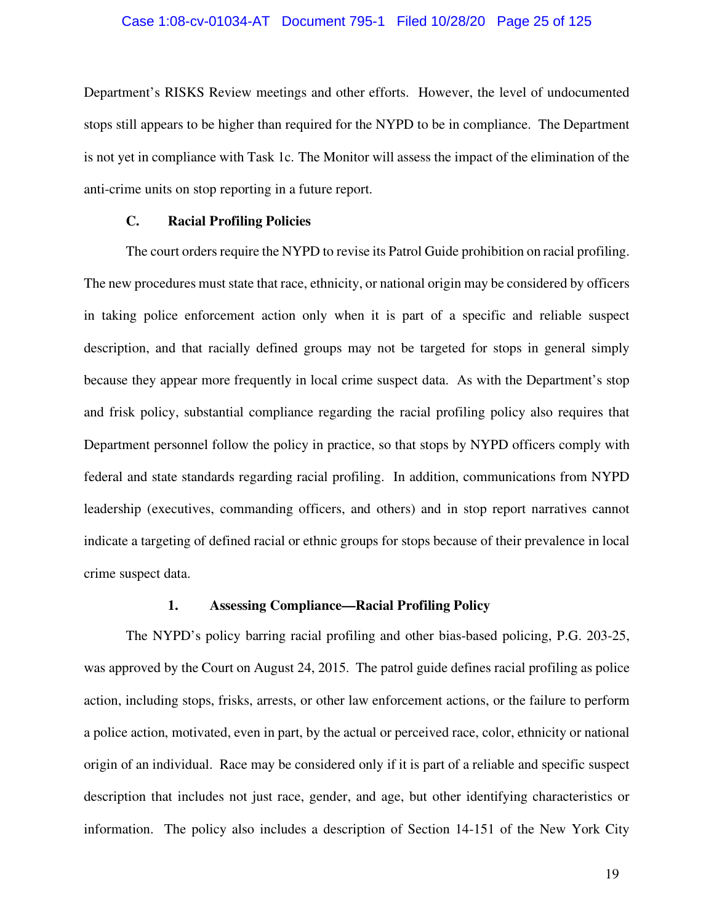#### Case 1:08-cv-01034-AT Document 795-1 Filed 10/28/20 Page 25 of 125

Department's RISKS Review meetings and other efforts. However, the level of undocumented stops still appears to be higher than required for the NYPD to be in compliance. The Department is not yet in compliance with Task 1c. The Monitor will assess the impact of the elimination of the anti-crime units on stop reporting in a future report.

#### **C. Racial Profiling Policies**

The court orders require the NYPD to revise its Patrol Guide prohibition on racial profiling. The new procedures must state that race, ethnicity, or national origin may be considered by officers in taking police enforcement action only when it is part of a specific and reliable suspect description, and that racially defined groups may not be targeted for stops in general simply because they appear more frequently in local crime suspect data. As with the Department's stop and frisk policy, substantial compliance regarding the racial profiling policy also requires that Department personnel follow the policy in practice, so that stops by NYPD officers comply with federal and state standards regarding racial profiling. In addition, communications from NYPD leadership (executives, commanding officers, and others) and in stop report narratives cannot indicate a targeting of defined racial or ethnic groups for stops because of their prevalence in local crime suspect data.

#### **1. Assessing Compliance—Racial Profiling Policy**

The NYPD's policy barring racial profiling and other bias-based policing, P.G. 203-25, was approved by the Court on August 24, 2015. The patrol guide defines racial profiling as police action, including stops, frisks, arrests, or other law enforcement actions, or the failure to perform a police action, motivated, even in part, by the actual or perceived race, color, ethnicity or national origin of an individual. Race may be considered only if it is part of a reliable and specific suspect description that includes not just race, gender, and age, but other identifying characteristics or information. The policy also includes a description of Section 14-151 of the New York City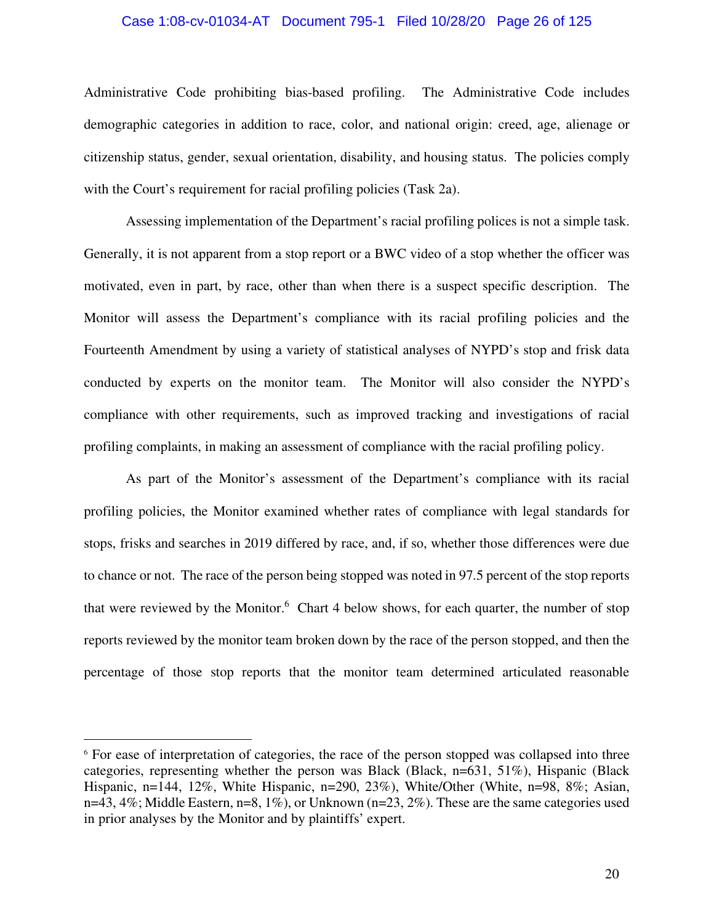#### Case 1:08-cv-01034-AT Document 795-1 Filed 10/28/20 Page 26 of 125

Administrative Code prohibiting bias-based profiling. The Administrative Code includes demographic categories in addition to race, color, and national origin: creed, age, alienage or citizenship status, gender, sexual orientation, disability, and housing status. The policies comply with the Court's requirement for racial profiling policies (Task 2a).

Assessing implementation of the Department's racial profiling polices is not a simple task. Generally, it is not apparent from a stop report or a BWC video of a stop whether the officer was motivated, even in part, by race, other than when there is a suspect specific description. The Monitor will assess the Department's compliance with its racial profiling policies and the Fourteenth Amendment by using a variety of statistical analyses of NYPD's stop and frisk data conducted by experts on the monitor team. The Monitor will also consider the NYPD's compliance with other requirements, such as improved tracking and investigations of racial profiling complaints, in making an assessment of compliance with the racial profiling policy.

As part of the Monitor's assessment of the Department's compliance with its racial profiling policies, the Monitor examined whether rates of compliance with legal standards for stops, frisks and searches in 2019 differed by race, and, if so, whether those differences were due to chance or not. The race of the person being stopped was noted in 97.5 percent of the stop reports that were reviewed by the Monitor.<sup>6</sup> Chart 4 below shows, for each quarter, the number of stop reports reviewed by the monitor team broken down by the race of the person stopped, and then the percentage of those stop reports that the monitor team determined articulated reasonable

<sup>&</sup>lt;sup>6</sup> For ease of interpretation of categories, the race of the person stopped was collapsed into three categories, representing whether the person was Black (Black, n=631, 51%), Hispanic (Black Hispanic, n=144, 12%, White Hispanic, n=290, 23%), White/Other (White, n=98, 8%; Asian, n=43, 4%; Middle Eastern, n=8, 1%), or Unknown (n=23, 2%). These are the same categories used in prior analyses by the Monitor and by plaintiffs' expert.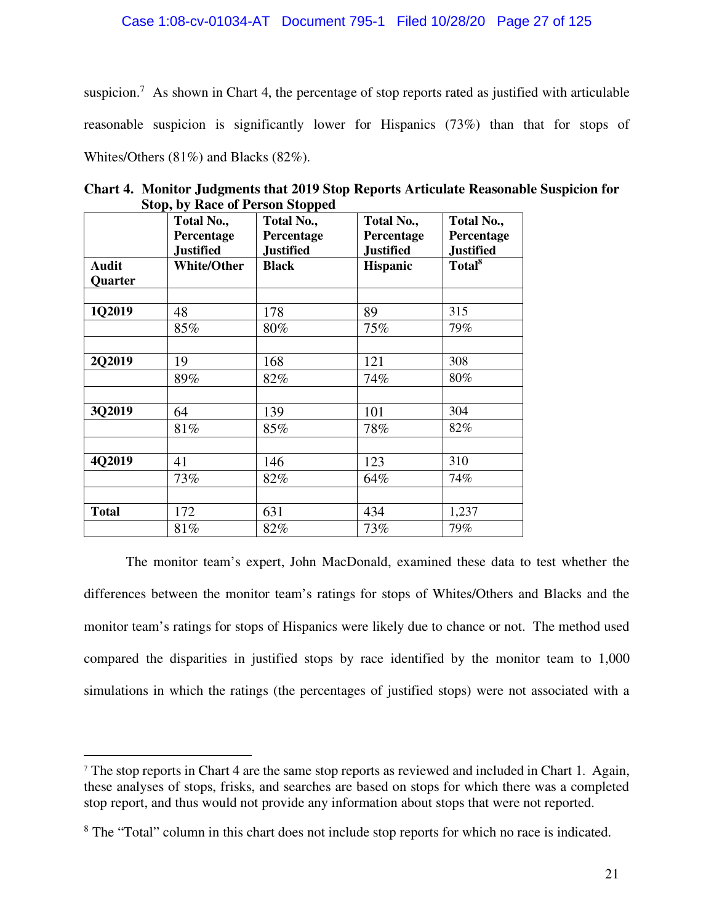suspicion.<sup>7</sup> As shown in Chart 4, the percentage of stop reports rated as justified with articulable reasonable suspicion is significantly lower for Hispanics (73%) than that for stops of Whites/Others (81%) and Blacks (82%).

|              | Total No.,<br>Percentage<br><b>Justified</b> | Total No.,<br>Percentage<br><b>Justified</b> | Total No.,<br>Percentage<br><b>Justified</b> | Total No.,<br>Percentage<br><b>Justified</b> |
|--------------|----------------------------------------------|----------------------------------------------|----------------------------------------------|----------------------------------------------|
| <b>Audit</b> | <b>White/Other</b>                           | <b>Black</b>                                 | <b>Hispanic</b>                              | Total <sup>8</sup>                           |
| Quarter      |                                              |                                              |                                              |                                              |
|              |                                              |                                              |                                              |                                              |
| 1Q2019       | 48                                           | 178                                          | 89                                           | 315                                          |
|              | 85%                                          | 80%                                          | 75%                                          | 79%                                          |
|              |                                              |                                              |                                              |                                              |
| 2Q2019       | 19                                           | 168                                          | 121                                          | 308                                          |
|              | 89%                                          | 82%                                          | 74%                                          | 80%                                          |
| 3Q2019       | 64                                           | 139                                          | 101                                          | 304                                          |
|              | 81%                                          | 85%                                          | 78%                                          | 82%                                          |
| 4Q2019       | 41                                           | 146                                          | 123                                          | 310                                          |
|              | 73%                                          | 82%                                          | 64%                                          | 74%                                          |
|              |                                              |                                              |                                              |                                              |
| <b>Total</b> | 172                                          | 631                                          | 434                                          | 1,237                                        |
|              | 81%                                          | 82%                                          | 73%                                          | 79%                                          |

**Chart 4. Monitor Judgments that 2019 Stop Reports Articulate Reasonable Suspicion for Stop, by Race of Person Stopped** 

The monitor team's expert, John MacDonald, examined these data to test whether the differences between the monitor team's ratings for stops of Whites/Others and Blacks and the monitor team's ratings for stops of Hispanics were likely due to chance or not. The method used compared the disparities in justified stops by race identified by the monitor team to 1,000 simulations in which the ratings (the percentages of justified stops) were not associated with a

<sup>&</sup>lt;sup>7</sup> The stop reports in Chart 4 are the same stop reports as reviewed and included in Chart 1. Again, these analyses of stops, frisks, and searches are based on stops for which there was a completed stop report, and thus would not provide any information about stops that were not reported.

<sup>&</sup>lt;sup>8</sup> The "Total" column in this chart does not include stop reports for which no race is indicated.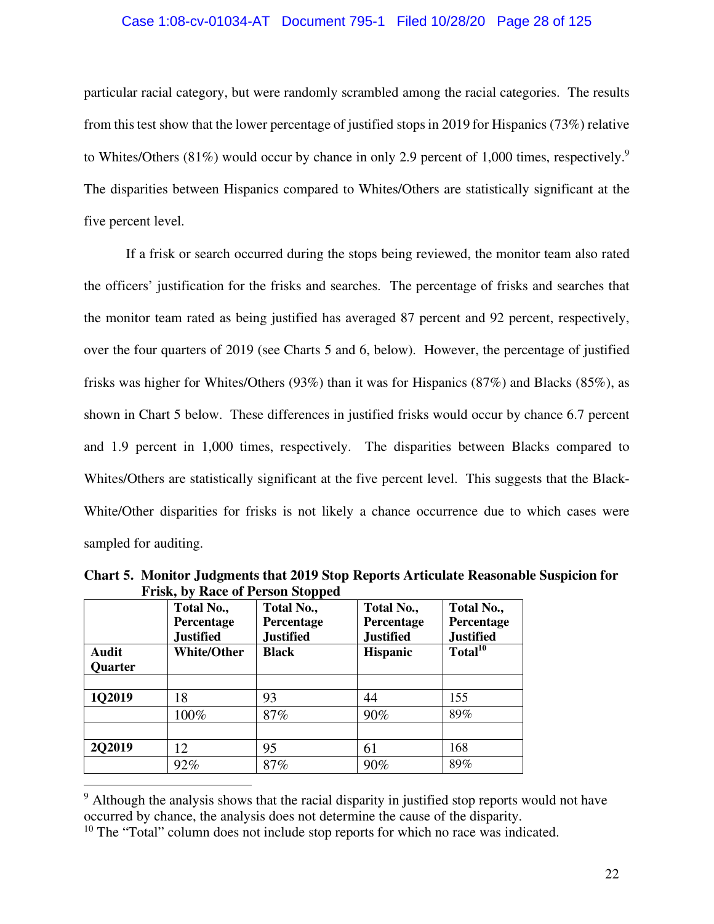#### Case 1:08-cv-01034-AT Document 795-1 Filed 10/28/20 Page 28 of 125

particular racial category, but were randomly scrambled among the racial categories. The results from this test show that the lower percentage of justified stops in 2019 for Hispanics (73%) relative to Whites/Others (81%) would occur by chance in only 2.9 percent of 1,000 times, respectively.<sup>9</sup> The disparities between Hispanics compared to Whites/Others are statistically significant at the five percent level.

If a frisk or search occurred during the stops being reviewed, the monitor team also rated the officers' justification for the frisks and searches. The percentage of frisks and searches that the monitor team rated as being justified has averaged 87 percent and 92 percent, respectively, over the four quarters of 2019 (see Charts 5 and 6, below). However, the percentage of justified frisks was higher for Whites/Others (93%) than it was for Hispanics (87%) and Blacks (85%), as shown in Chart 5 below. These differences in justified frisks would occur by chance 6.7 percent and 1.9 percent in 1,000 times, respectively. The disparities between Blacks compared to Whites/Others are statistically significant at the five percent level. This suggests that the Black-White/Other disparities for frisks is not likely a chance occurrence due to which cases were sampled for auditing.

|                | Total No.,<br>Percentage<br><b>Justified</b> | Total No.,<br>Percentage<br><b>Justified</b> | Total No.,<br>Percentage<br><b>Justified</b> | Total No.,<br>Percentage<br><b>Justified</b> |
|----------------|----------------------------------------------|----------------------------------------------|----------------------------------------------|----------------------------------------------|
| Audit          | <b>White/Other</b>                           | <b>Black</b>                                 | <b>Hispanic</b>                              | Total <sup>10</sup>                          |
| <b>Quarter</b> |                                              |                                              |                                              |                                              |
|                |                                              |                                              |                                              |                                              |
| 102019         | 18                                           | 93                                           | 44                                           | 155                                          |
|                | 100%                                         | 87%                                          | 90%                                          | 89%                                          |
|                |                                              |                                              |                                              |                                              |
| 202019         | 12                                           | 95                                           | 61                                           | 168                                          |
|                | 92%                                          | 87%                                          | 90%                                          | 89%                                          |

**Chart 5. Monitor Judgments that 2019 Stop Reports Articulate Reasonable Suspicion for Frisk, by Race of Person Stopped** 

<sup>&</sup>lt;sup>9</sup> Although the analysis shows that the racial disparity in justified stop reports would not have occurred by chance, the analysis does not determine the cause of the disparity.

 $10$  The "Total" column does not include stop reports for which no race was indicated.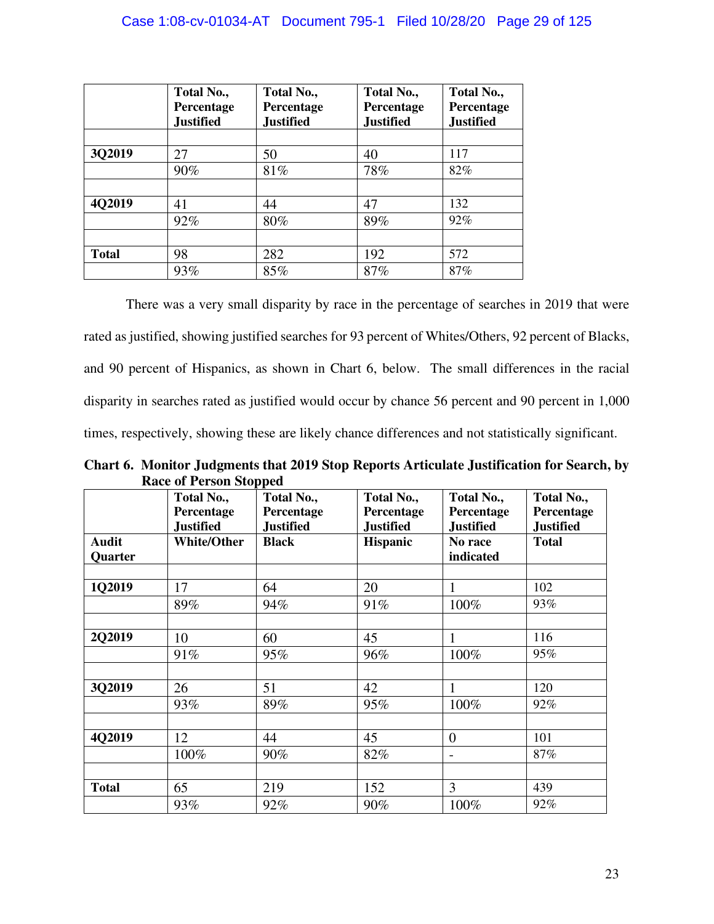#### Case 1:08-cv-01034-AT Document 795-1 Filed 10/28/20 Page 29 of 125

|              | Total No.,<br>Percentage<br><b>Justified</b> | Total No.,<br>Percentage<br><b>Justified</b> | Total No.,<br>Percentage<br><b>Justified</b> | Total No.,<br>Percentage<br><b>Justified</b> |
|--------------|----------------------------------------------|----------------------------------------------|----------------------------------------------|----------------------------------------------|
|              |                                              |                                              |                                              |                                              |
| 3Q2019       | 27                                           | 50                                           | 40                                           | 117                                          |
|              | 90%                                          | 81%                                          | 78%                                          | 82%                                          |
|              |                                              |                                              |                                              |                                              |
| 4Q2019       | 41                                           | 44                                           | 47                                           | 132                                          |
|              | 92%                                          | 80%                                          | 89%                                          | 92%                                          |
|              |                                              |                                              |                                              |                                              |
| <b>Total</b> | 98                                           | 282                                          | 192                                          | 572                                          |
|              | 93%                                          | 85%                                          | 87%                                          | 87%                                          |

There was a very small disparity by race in the percentage of searches in 2019 that were rated as justified, showing justified searches for 93 percent of Whites/Others, 92 percent of Blacks, and 90 percent of Hispanics, as shown in Chart 6, below. The small differences in the racial disparity in searches rated as justified would occur by chance 56 percent and 90 percent in 1,000 times, respectively, showing these are likely chance differences and not statistically significant.

**Chart 6. Monitor Judgments that 2019 Stop Reports Articulate Justification for Search, by Race of Person Stopped** 

|              | Total No.,<br>Percentage<br><b>Justified</b> | $\mathbf{r}$<br>Total No.,<br>Percentage<br><b>Justified</b> | Total No.,<br>Percentage<br><b>Justified</b> | Total No.,<br>Percentage<br><b>Justified</b> | Total No.,<br>Percentage<br><b>Justified</b> |
|--------------|----------------------------------------------|--------------------------------------------------------------|----------------------------------------------|----------------------------------------------|----------------------------------------------|
| <b>Audit</b> | <b>White/Other</b>                           | <b>Black</b>                                                 | <b>Hispanic</b>                              | No race                                      | <b>Total</b>                                 |
| Quarter      |                                              |                                                              |                                              | indicated                                    |                                              |
| 1Q2019       | 17                                           | 64                                                           | 20                                           | $\mathbf{1}$                                 | 102                                          |
|              | 89%                                          | 94%                                                          | 91%                                          | 100%                                         | 93%                                          |
|              |                                              |                                                              |                                              |                                              |                                              |
| 2Q2019       | 10                                           | 60                                                           | 45                                           | $\mathbf{1}$                                 | 116                                          |
|              | 91%                                          | 95%                                                          | 96%                                          | 100%                                         | 95%                                          |
| 3Q2019       | 26                                           | 51                                                           | 42                                           | $\mathbf{1}$                                 | 120                                          |
|              | 93%                                          | 89%                                                          | 95%                                          | 100%                                         | 92%                                          |
|              |                                              |                                                              |                                              |                                              |                                              |
| 4Q2019       | 12                                           | 44                                                           | 45                                           | $\overline{0}$                               | 101                                          |
|              | 100%                                         | 90%                                                          | 82%                                          | $\overline{\phantom{a}}$                     | 87%                                          |
|              |                                              |                                                              |                                              |                                              |                                              |
| <b>Total</b> | 65                                           | 219                                                          | 152                                          | 3                                            | 439                                          |
|              | 93%                                          | 92%                                                          | 90%                                          | 100%                                         | 92%                                          |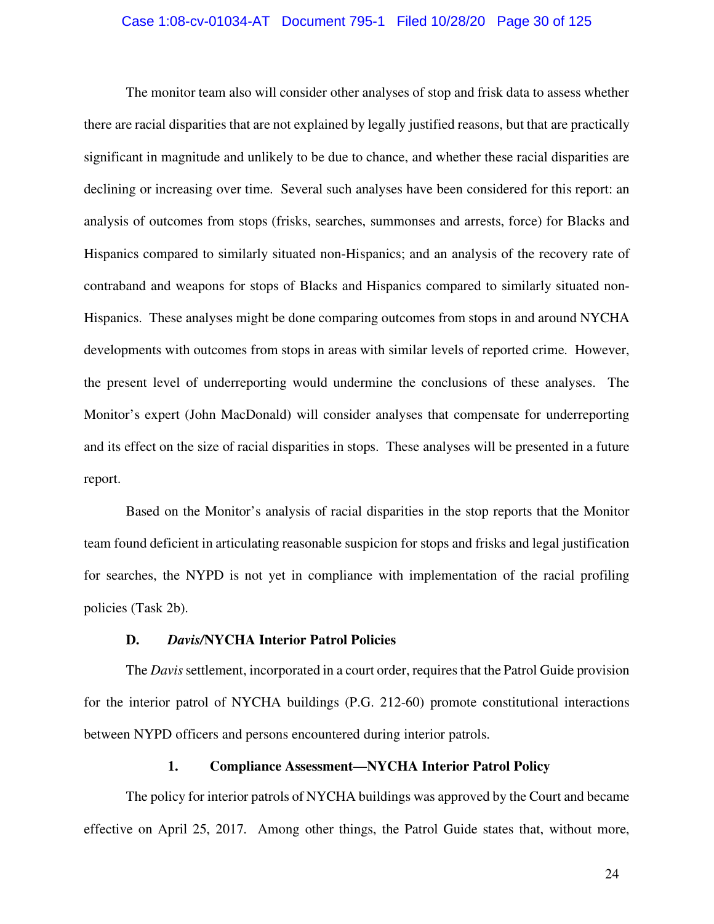#### Case 1:08-cv-01034-AT Document 795-1 Filed 10/28/20 Page 30 of 125

The monitor team also will consider other analyses of stop and frisk data to assess whether there are racial disparities that are not explained by legally justified reasons, but that are practically significant in magnitude and unlikely to be due to chance, and whether these racial disparities are declining or increasing over time. Several such analyses have been considered for this report: an analysis of outcomes from stops (frisks, searches, summonses and arrests, force) for Blacks and Hispanics compared to similarly situated non-Hispanics; and an analysis of the recovery rate of contraband and weapons for stops of Blacks and Hispanics compared to similarly situated non-Hispanics. These analyses might be done comparing outcomes from stops in and around NYCHA developments with outcomes from stops in areas with similar levels of reported crime. However, the present level of underreporting would undermine the conclusions of these analyses. The Monitor's expert (John MacDonald) will consider analyses that compensate for underreporting and its effect on the size of racial disparities in stops. These analyses will be presented in a future report.

Based on the Monitor's analysis of racial disparities in the stop reports that the Monitor team found deficient in articulating reasonable suspicion for stops and frisks and legal justification for searches, the NYPD is not yet in compliance with implementation of the racial profiling policies (Task 2b).

#### **D.** *Davis/***NYCHA Interior Patrol Policies**

The *Davis* settlement, incorporated in a court order, requires that the Patrol Guide provision for the interior patrol of NYCHA buildings (P.G. 212-60) promote constitutional interactions between NYPD officers and persons encountered during interior patrols.

#### **1. Compliance Assessment—NYCHA Interior Patrol Policy**

The policy for interior patrols of NYCHA buildings was approved by the Court and became effective on April 25, 2017. Among other things, the Patrol Guide states that, without more,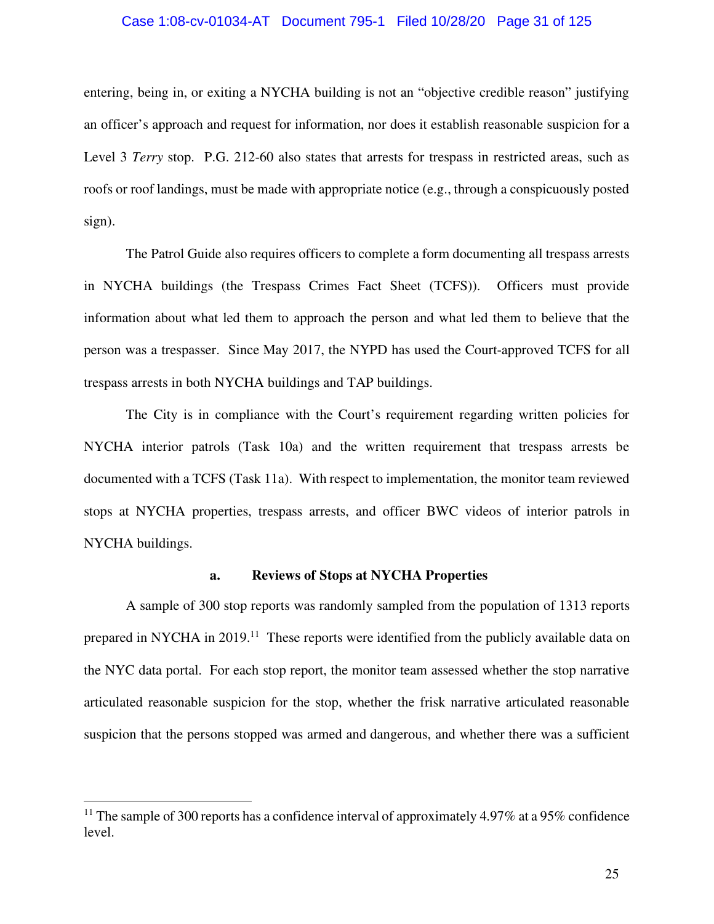#### Case 1:08-cv-01034-AT Document 795-1 Filed 10/28/20 Page 31 of 125

entering, being in, or exiting a NYCHA building is not an "objective credible reason" justifying an officer's approach and request for information, nor does it establish reasonable suspicion for a Level 3 *Terry* stop. P.G. 212-60 also states that arrests for trespass in restricted areas, such as roofs or roof landings, must be made with appropriate notice (e.g., through a conspicuously posted sign).

The Patrol Guide also requires officers to complete a form documenting all trespass arrests in NYCHA buildings (the Trespass Crimes Fact Sheet (TCFS)). Officers must provide information about what led them to approach the person and what led them to believe that the person was a trespasser. Since May 2017, the NYPD has used the Court-approved TCFS for all trespass arrests in both NYCHA buildings and TAP buildings.

The City is in compliance with the Court's requirement regarding written policies for NYCHA interior patrols (Task 10a) and the written requirement that trespass arrests be documented with a TCFS (Task 11a). With respect to implementation, the monitor team reviewed stops at NYCHA properties, trespass arrests, and officer BWC videos of interior patrols in NYCHA buildings.

#### **a. Reviews of Stops at NYCHA Properties**

A sample of 300 stop reports was randomly sampled from the population of 1313 reports prepared in NYCHA in 2019.<sup>11</sup> These reports were identified from the publicly available data on the NYC data portal. For each stop report, the monitor team assessed whether the stop narrative articulated reasonable suspicion for the stop, whether the frisk narrative articulated reasonable suspicion that the persons stopped was armed and dangerous, and whether there was a sufficient

<sup>&</sup>lt;sup>11</sup> The sample of 300 reports has a confidence interval of approximately 4.97% at a 95% confidence level.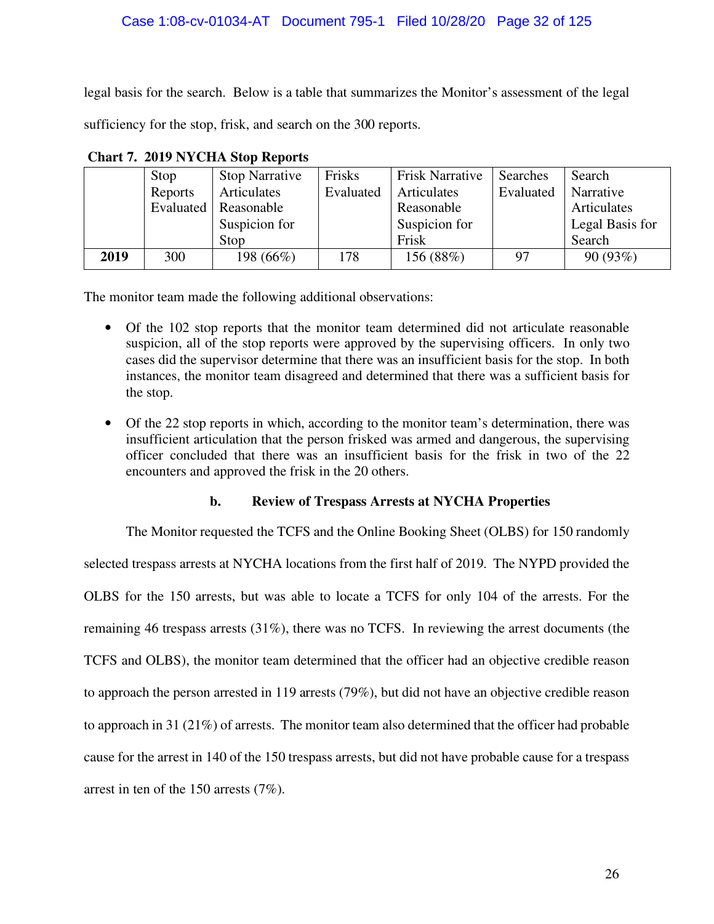#### Case 1:08-cv-01034-AT Document 795-1 Filed 10/28/20 Page 32 of 125

legal basis for the search. Below is a table that summarizes the Monitor's assessment of the legal sufficiency for the stop, frisk, and search on the 300 reports.

|      | Stop    | <b>Stop Narrative</b>  | Frisks    | <b>Frisk Narrative</b> | Searches  | Search          |
|------|---------|------------------------|-----------|------------------------|-----------|-----------------|
|      | Reports | Articulates            | Evaluated | Articulates            | Evaluated | Narrative       |
|      |         | Evaluated   Reasonable |           | Reasonable             |           | Articulates     |
|      |         | Suspicion for          |           | Suspicion for          |           | Legal Basis for |
|      |         | Stop                   |           | Frisk                  |           | Search          |
| 2019 | 300     | 198 (66%)              | 178       | 156 (88%)              | 97        | 90 (93%)        |

**Chart 7. 2019 NYCHA Stop Reports** 

The monitor team made the following additional observations:

- Of the 102 stop reports that the monitor team determined did not articulate reasonable suspicion, all of the stop reports were approved by the supervising officers. In only two cases did the supervisor determine that there was an insufficient basis for the stop. In both instances, the monitor team disagreed and determined that there was a sufficient basis for the stop.
- Of the 22 stop reports in which, according to the monitor team's determination, there was insufficient articulation that the person frisked was armed and dangerous, the supervising officer concluded that there was an insufficient basis for the frisk in two of the 22 encounters and approved the frisk in the 20 others.

#### **b. Review of Trespass Arrests at NYCHA Properties**

The Monitor requested the TCFS and the Online Booking Sheet (OLBS) for 150 randomly

selected trespass arrests at NYCHA locations from the first half of 2019. The NYPD provided the OLBS for the 150 arrests, but was able to locate a TCFS for only 104 of the arrests. For the remaining 46 trespass arrests (31%), there was no TCFS. In reviewing the arrest documents (the TCFS and OLBS), the monitor team determined that the officer had an objective credible reason to approach the person arrested in 119 arrests (79%), but did not have an objective credible reason to approach in 31 (21%) of arrests. The monitor team also determined that the officer had probable cause for the arrest in 140 of the 150 trespass arrests, but did not have probable cause for a trespass arrest in ten of the 150 arrests (7%).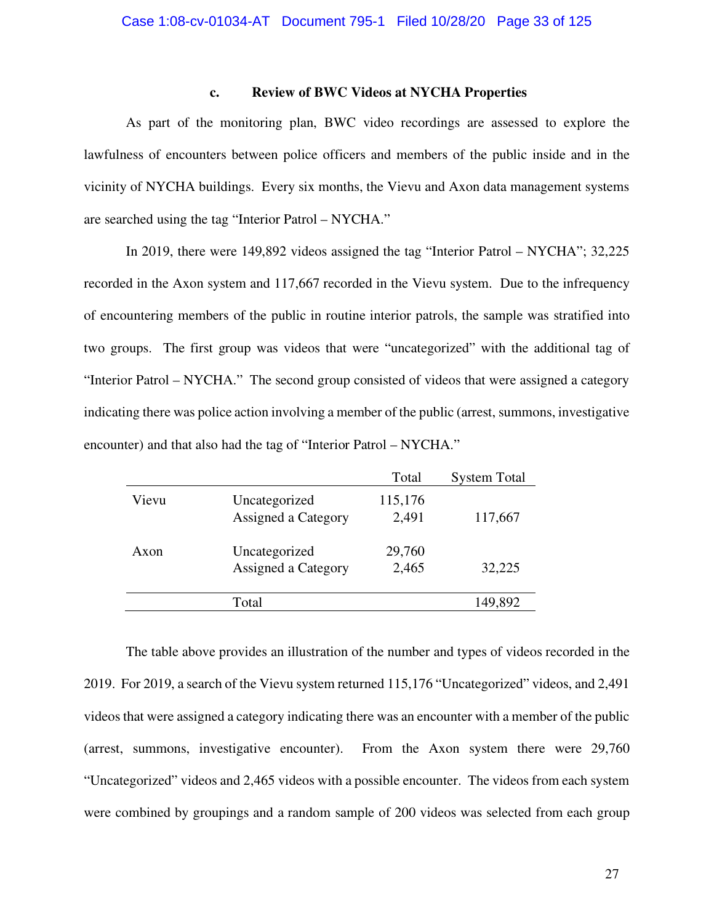#### **c. Review of BWC Videos at NYCHA Properties**

As part of the monitoring plan, BWC video recordings are assessed to explore the lawfulness of encounters between police officers and members of the public inside and in the vicinity of NYCHA buildings. Every six months, the Vievu and Axon data management systems are searched using the tag "Interior Patrol – NYCHA."

In 2019, there were 149,892 videos assigned the tag "Interior Patrol – NYCHA"; 32,225 recorded in the Axon system and 117,667 recorded in the Vievu system. Due to the infrequency of encountering members of the public in routine interior patrols, the sample was stratified into two groups. The first group was videos that were "uncategorized" with the additional tag of "Interior Patrol – NYCHA." The second group consisted of videos that were assigned a category indicating there was police action involving a member of the public (arrest, summons, investigative encounter) and that also had the tag of "Interior Patrol – NYCHA."

|       |                                      | Total            | <b>System Total</b> |
|-------|--------------------------------------|------------------|---------------------|
| Vievu | Uncategorized<br>Assigned a Category | 115,176<br>2,491 | 117,667             |
| Axon  | Uncategorized<br>Assigned a Category | 29,760<br>2,465  | 32,225              |
|       | Total                                |                  | 149,892             |
|       |                                      |                  |                     |

The table above provides an illustration of the number and types of videos recorded in the 2019. For 2019, a search of the Vievu system returned 115,176 "Uncategorized" videos, and 2,491 videos that were assigned a category indicating there was an encounter with a member of the public (arrest, summons, investigative encounter). From the Axon system there were 29,760 "Uncategorized" videos and 2,465 videos with a possible encounter. The videos from each system were combined by groupings and a random sample of 200 videos was selected from each group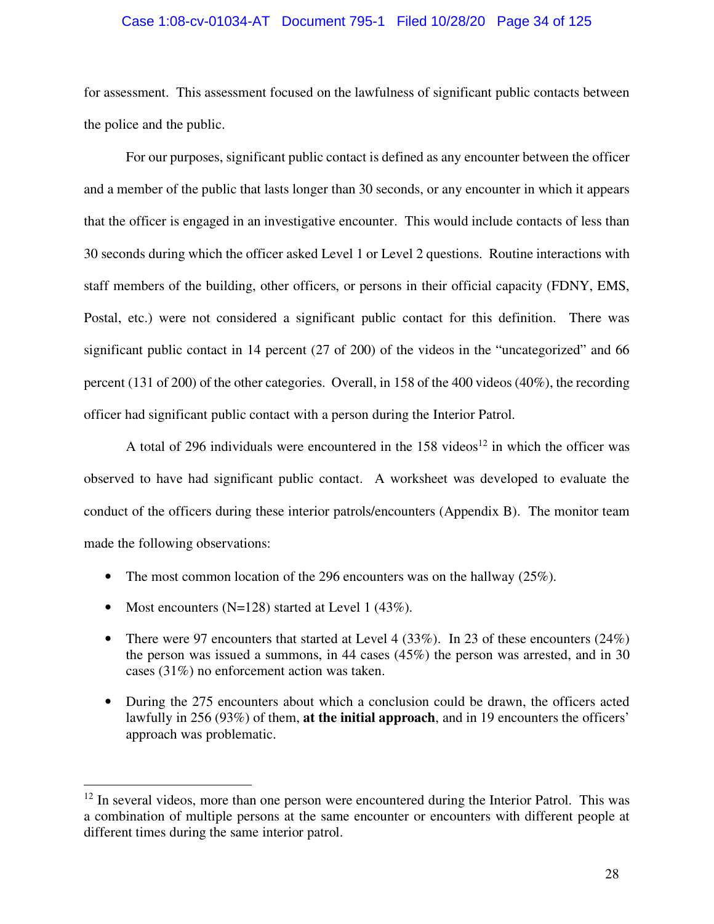#### Case 1:08-cv-01034-AT Document 795-1 Filed 10/28/20 Page 34 of 125

for assessment. This assessment focused on the lawfulness of significant public contacts between the police and the public.

For our purposes, significant public contact is defined as any encounter between the officer and a member of the public that lasts longer than 30 seconds, or any encounter in which it appears that the officer is engaged in an investigative encounter. This would include contacts of less than 30 seconds during which the officer asked Level 1 or Level 2 questions. Routine interactions with staff members of the building, other officers, or persons in their official capacity (FDNY, EMS, Postal, etc.) were not considered a significant public contact for this definition. There was significant public contact in 14 percent (27 of 200) of the videos in the "uncategorized" and 66 percent (131 of 200) of the other categories. Overall, in 158 of the 400 videos (40%), the recording officer had significant public contact with a person during the Interior Patrol.

A total of 296 individuals were encountered in the  $158$  videos<sup>12</sup> in which the officer was observed to have had significant public contact. A worksheet was developed to evaluate the conduct of the officers during these interior patrols/encounters (Appendix B). The monitor team made the following observations:

- The most common location of the 296 encounters was on the hallway (25%).
- Most encounters (N=128) started at Level 1 (43%).
- There were 97 encounters that started at Level 4 (33%). In 23 of these encounters (24%) the person was issued a summons, in 44 cases (45%) the person was arrested, and in 30 cases (31%) no enforcement action was taken.
- During the 275 encounters about which a conclusion could be drawn, the officers acted lawfully in 256 (93%) of them, **at the initial approach**, and in 19 encounters the officers' approach was problematic.

<sup>&</sup>lt;sup>12</sup> In several videos, more than one person were encountered during the Interior Patrol. This was a combination of multiple persons at the same encounter or encounters with different people at different times during the same interior patrol.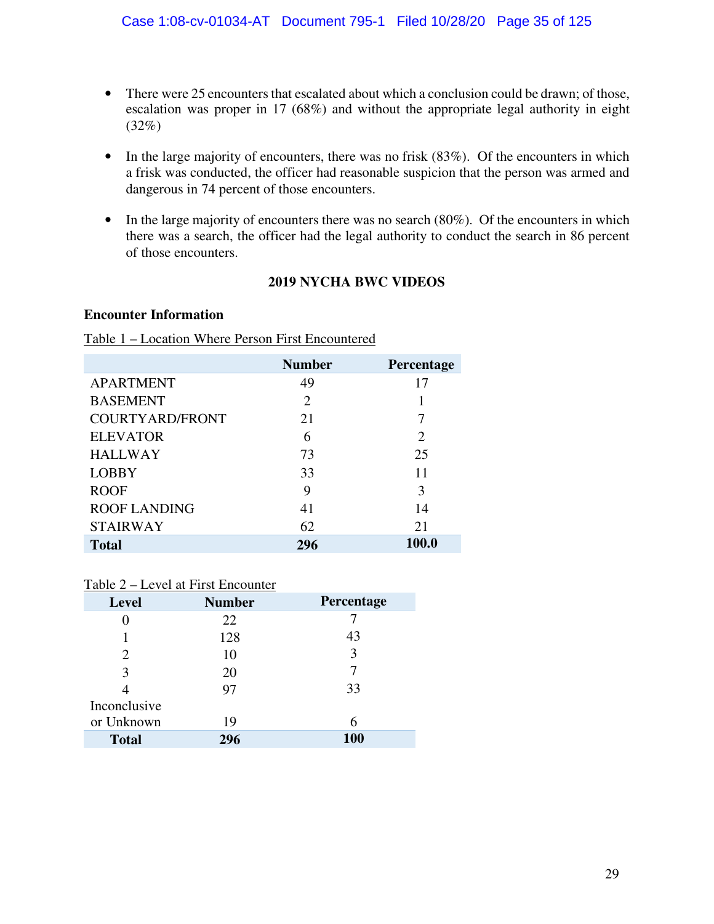- There were 25 encounters that escalated about which a conclusion could be drawn; of those, escalation was proper in 17 (68%) and without the appropriate legal authority in eight  $(32\%)$
- In the large majority of encounters, there was no frisk (83%). Of the encounters in which a frisk was conducted, the officer had reasonable suspicion that the person was armed and dangerous in 74 percent of those encounters.
- In the large majority of encounters there was no search (80%). Of the encounters in which there was a search, the officer had the legal authority to conduct the search in 86 percent of those encounters.

# **2019 NYCHA BWC VIDEOS**

## **Encounter Information**

## Table 1 – Location Where Person First Encountered

|                        | <b>Number</b>  | Percentage                  |
|------------------------|----------------|-----------------------------|
| <b>APARTMENT</b>       | 49             | 17                          |
| <b>BASEMENT</b>        | $\overline{2}$ |                             |
| <b>COURTYARD/FRONT</b> | 21             | 7                           |
| <b>ELEVATOR</b>        | 6              | $\mathcal{D}_{\mathcal{L}}$ |
| <b>HALLWAY</b>         | 73             | 25                          |
| <b>LOBBY</b>           | 33             | 11                          |
| <b>ROOF</b>            | 9              | 3                           |
| <b>ROOF LANDING</b>    | 41             | 14                          |
| <b>STAIRWAY</b>        | 62             | 21                          |
| <b>Total</b>           | 296            | 100.0                       |

## Table 2 – Level at First Encounter

| <b>Level</b> | <b>Number</b> | Percentage |
|--------------|---------------|------------|
|              | 22            |            |
|              | 128           | 43         |
|              | 10            | 3          |
| 3            | 20            |            |
|              | 97            | 33         |
| Inconclusive |               |            |
| or Unknown   | 19            | 6          |
| <b>Total</b> | 296           | 100        |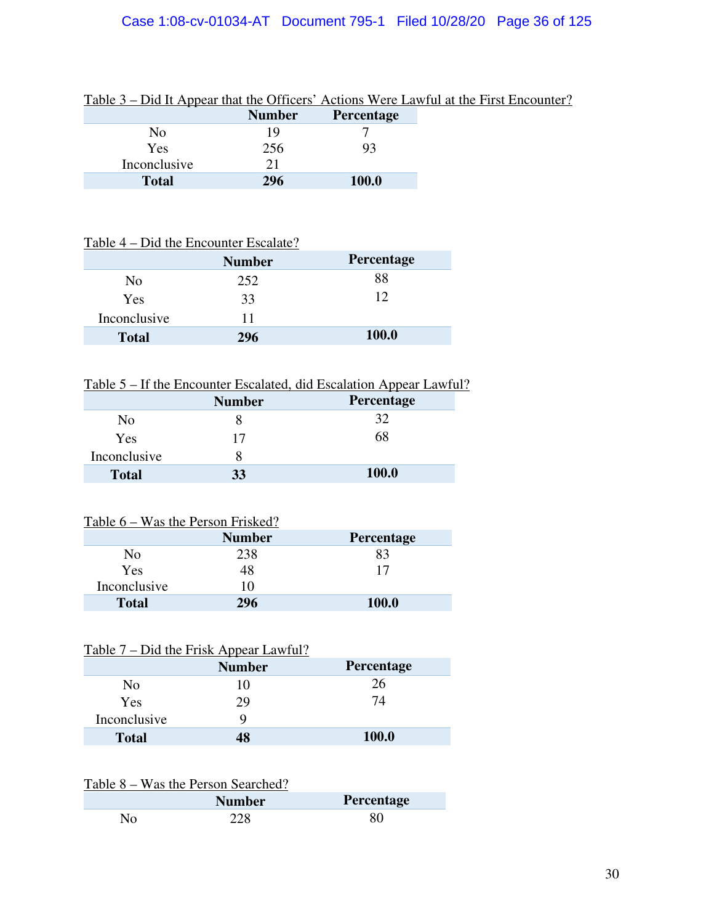# Case 1:08-cv-01034-AT Document 795-1 Filed 10/28/20 Page 36 of 125

| Table $3 - D1d$ It Appear that the Officers Actions were Lawful at the First Encount |               |                   |
|--------------------------------------------------------------------------------------|---------------|-------------------|
|                                                                                      | <b>Number</b> | <b>Percentage</b> |
| No                                                                                   |               |                   |
| Yes                                                                                  | 256           | 93                |
| Inconclusive                                                                         | 21            |                   |
| <b>Total</b>                                                                         | 296           | 100.0             |

## Table 3 – Did It Appear that the Officers' Actions Were Lawful at the First Encounter?

## Table 4 – Did the Encounter Escalate?

|              | <b>Number</b> | <b>Percentage</b> |
|--------------|---------------|-------------------|
| No           | 252           | 88                |
| Yes          | 33            | 12                |
| Inconclusive | 11            |                   |
| <b>Total</b> | 296           | 100.0             |

# Table 5 – If the Encounter Escalated, did Escalation Appear Lawful?

|              | <b>Number</b> | Percentage |
|--------------|---------------|------------|
| No           |               | 32         |
| Yes          | 17            | 68         |
| Inconclusive |               |            |
| <b>Total</b> | 33            | 100.0      |

# Table 6 – Was the Person Frisked?

|              | <b>Number</b> | <b>Percentage</b> |
|--------------|---------------|-------------------|
| No           | 238           | 83                |
| Yes          | 48            | 17                |
| Inconclusive | 10            |                   |
| <b>Total</b> | 296           | <b>100.0</b>      |
|              |               |                   |

# Table 7 – Did the Frisk Appear Lawful?

|              | <b>Number</b> | <b>Percentage</b> |
|--------------|---------------|-------------------|
| No           | 10            | 26                |
| Yes          | 29            | 74                |
| Inconclusive | y             |                   |
| <b>Total</b> | 48            | <b>100.0</b>      |

# Table 8 – Was the Person Searched?

| <b>Number</b> | <b>Percentage</b> |
|---------------|-------------------|
|               |                   |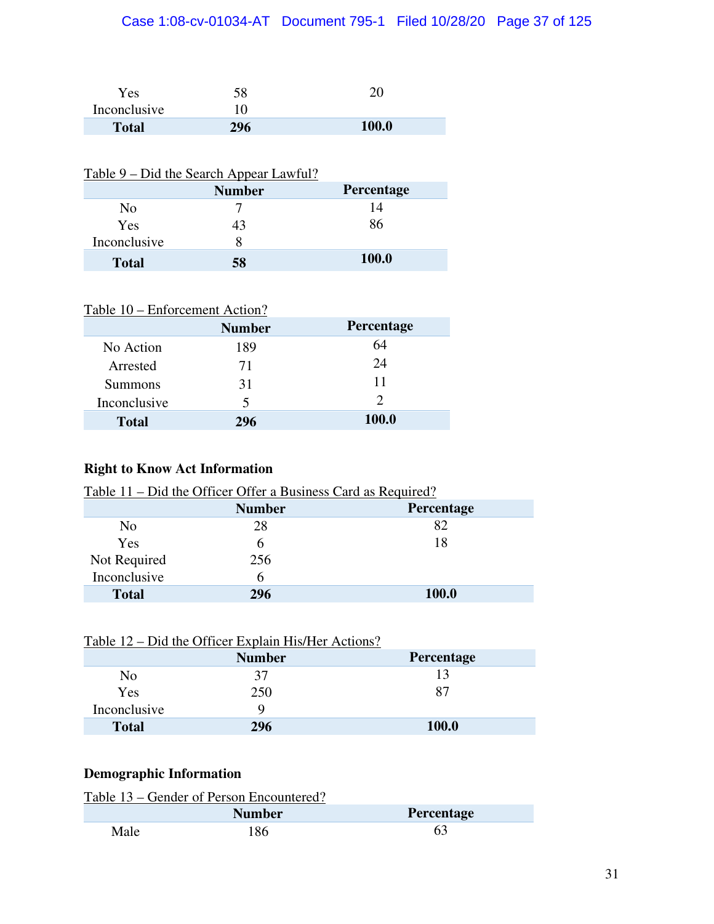# Case 1:08-cv-01034-AT Document 795-1 Filed 10/28/20 Page 37 of 125

| Yes.         | 58  |              |
|--------------|-----|--------------|
| Inconclusive |     |              |
| <b>Total</b> | 296 | <b>100.0</b> |

# Table 9 – Did the Search Appear Lawful?

|              | <b>Number</b> | Percentage   |
|--------------|---------------|--------------|
| No           |               | 14           |
| Yes          | 43            | 86           |
| Inconclusive |               |              |
| <b>Total</b> | 58            | <b>100.0</b> |

| Table 10 – Enforcement Action? |  |
|--------------------------------|--|
|                                |  |

| <b>Number</b> | <b>Percentage</b> |
|---------------|-------------------|
| 189           | 64                |
| 71            | 24                |
| 31            | 11                |
| 5             | $\mathcal{D}$     |
| 296           | <b>100.0</b>      |
|               |                   |

# **Right to Know Act Information**

| <u>Table 11 – Did the Officer Offer a Business Card as Required?</u> |               |              |  |
|----------------------------------------------------------------------|---------------|--------------|--|
|                                                                      | <b>Number</b> | Percentage   |  |
| No                                                                   | 28            | 82           |  |
| <b>Yes</b>                                                           | h             | 18           |  |
| Not Required                                                         | 256           |              |  |
| Inconclusive                                                         | h             |              |  |
| <b>Total</b>                                                         | 296           | <b>100.0</b> |  |

| <u>Table 12 – Did the Officer Explain His/Her Actions?</u> |               |                   |  |
|------------------------------------------------------------|---------------|-------------------|--|
|                                                            | <b>Number</b> | <b>Percentage</b> |  |
| N <sub>0</sub>                                             | 37            | 13                |  |
| Yes                                                        | 250           | 87                |  |
| Inconclusive                                               |               |                   |  |
| <b>Total</b>                                               | 296           | <b>100.0</b>      |  |

# **Demographic Information**

|      | Table 13 – Gender of Person Encountered? |                   |  |
|------|------------------------------------------|-------------------|--|
|      | <b>Number</b>                            | <b>Percentage</b> |  |
| Male | 186                                      | 63                |  |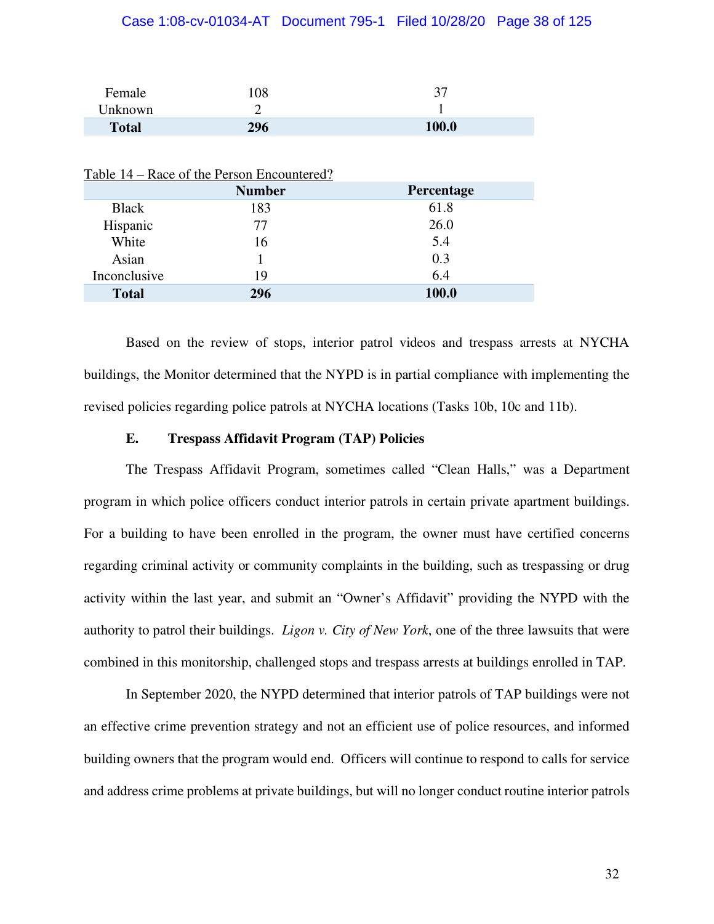### Case 1:08-cv-01034-AT Document 795-1 Filed 10/28/20 Page 38 of 125

| Female       | 108 | $\mathcal{L}$ |
|--------------|-----|---------------|
| Unknown      |     |               |
| <b>Total</b> | 296 | 100.0         |

|              | Table 14 – Race of the Person Encountered? |            |
|--------------|--------------------------------------------|------------|
|              | <b>Number</b>                              | Percentage |
| <b>Black</b> | 183                                        | 61.8       |
| Hispanic     | 77                                         | 26.0       |
| White        | 16                                         | 5.4        |
| Asian        |                                            | 0.3        |
| Inconclusive | 19                                         | 6.4        |
| <b>Total</b> | 296                                        | 100.0      |

Based on the review of stops, interior patrol videos and trespass arrests at NYCHA buildings, the Monitor determined that the NYPD is in partial compliance with implementing the revised policies regarding police patrols at NYCHA locations (Tasks 10b, 10c and 11b).

#### **E. Trespass Affidavit Program (TAP) Policies**

The Trespass Affidavit Program, sometimes called "Clean Halls," was a Department program in which police officers conduct interior patrols in certain private apartment buildings. For a building to have been enrolled in the program, the owner must have certified concerns regarding criminal activity or community complaints in the building, such as trespassing or drug activity within the last year, and submit an "Owner's Affidavit" providing the NYPD with the authority to patrol their buildings. *Ligon v. City of New York*, one of the three lawsuits that were combined in this monitorship, challenged stops and trespass arrests at buildings enrolled in TAP.

In September 2020, the NYPD determined that interior patrols of TAP buildings were not an effective crime prevention strategy and not an efficient use of police resources, and informed building owners that the program would end. Officers will continue to respond to calls for service and address crime problems at private buildings, but will no longer conduct routine interior patrols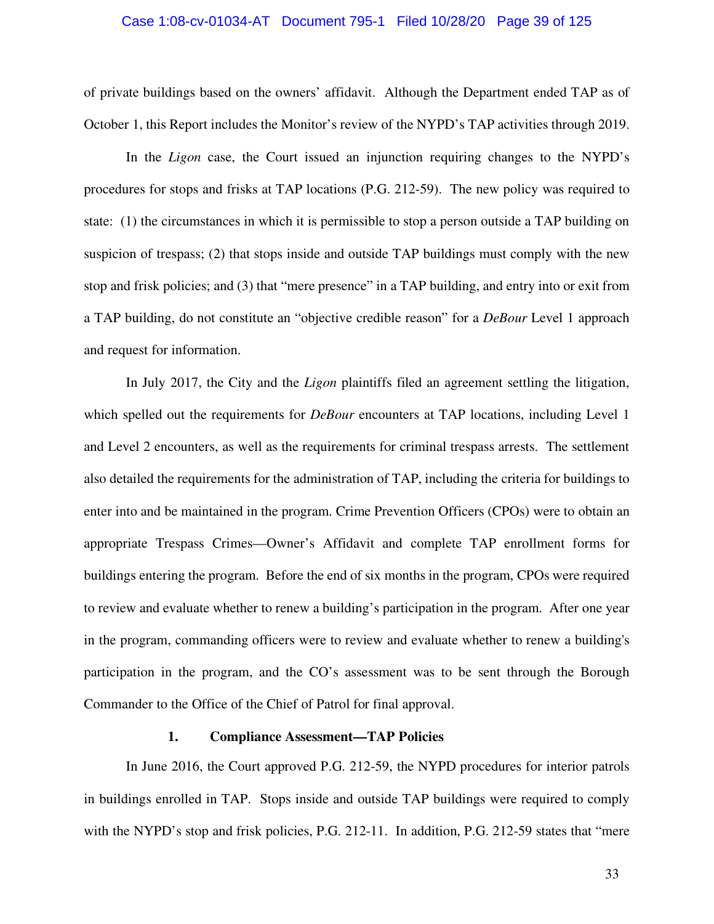#### Case 1:08-cv-01034-AT Document 795-1 Filed 10/28/20 Page 39 of 125

of private buildings based on the owners' affidavit. Although the Department ended TAP as of October 1, this Report includes the Monitor's review of the NYPD's TAP activities through 2019.

In the *Ligon* case, the Court issued an injunction requiring changes to the NYPD's procedures for stops and frisks at TAP locations (P.G. 212-59). The new policy was required to state: (1) the circumstances in which it is permissible to stop a person outside a TAP building on suspicion of trespass; (2) that stops inside and outside TAP buildings must comply with the new stop and frisk policies; and (3) that "mere presence" in a TAP building, and entry into or exit from a TAP building, do not constitute an "objective credible reason" for a *DeBour* Level 1 approach and request for information.

In July 2017, the City and the *Ligon* plaintiffs filed an agreement settling the litigation, which spelled out the requirements for *DeBour* encounters at TAP locations, including Level 1 and Level 2 encounters, as well as the requirements for criminal trespass arrests. The settlement also detailed the requirements for the administration of TAP, including the criteria for buildings to enter into and be maintained in the program. Crime Prevention Officers (CPOs) were to obtain an appropriate Trespass Crimes—Owner's Affidavit and complete TAP enrollment forms for buildings entering the program. Before the end of six months in the program, CPOs were required to review and evaluate whether to renew a building's participation in the program. After one year in the program, commanding officers were to review and evaluate whether to renew a building's participation in the program, and the CO's assessment was to be sent through the Borough Commander to the Office of the Chief of Patrol for final approval.

#### **1. Compliance Assessment—TAP Policies**

In June 2016, the Court approved P.G. 212-59, the NYPD procedures for interior patrols in buildings enrolled in TAP. Stops inside and outside TAP buildings were required to comply with the NYPD's stop and frisk policies, P.G. 212-11. In addition, P.G. 212-59 states that "mere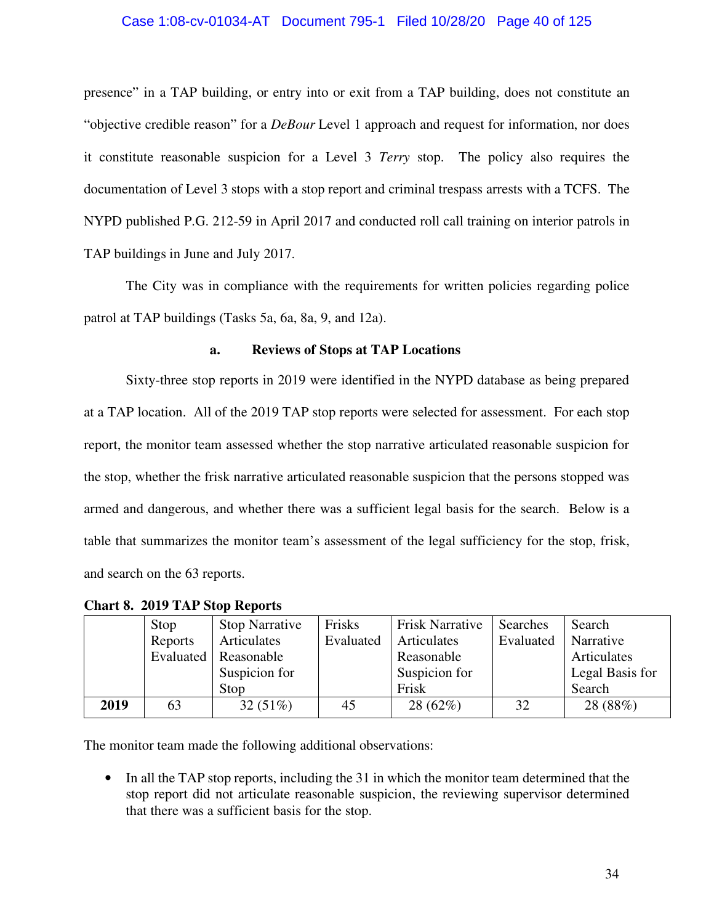### Case 1:08-cv-01034-AT Document 795-1 Filed 10/28/20 Page 40 of 125

presence" in a TAP building, or entry into or exit from a TAP building, does not constitute an "objective credible reason" for a *DeBour* Level 1 approach and request for information, nor does it constitute reasonable suspicion for a Level 3 *Terry* stop. The policy also requires the documentation of Level 3 stops with a stop report and criminal trespass arrests with a TCFS. The NYPD published P.G. 212-59 in April 2017 and conducted roll call training on interior patrols in TAP buildings in June and July 2017.

The City was in compliance with the requirements for written policies regarding police patrol at TAP buildings (Tasks 5a, 6a, 8a, 9, and 12a).

### **a. Reviews of Stops at TAP Locations**

Sixty-three stop reports in 2019 were identified in the NYPD database as being prepared at a TAP location. All of the 2019 TAP stop reports were selected for assessment. For each stop report, the monitor team assessed whether the stop narrative articulated reasonable suspicion for the stop, whether the frisk narrative articulated reasonable suspicion that the persons stopped was armed and dangerous, and whether there was a sufficient legal basis for the search. Below is a table that summarizes the monitor team's assessment of the legal sufficiency for the stop, frisk, and search on the 63 reports.

|      | Stop      | <b>Stop Narrative</b> | Frisks    | <b>Frisk Narrative</b> | Searches  | Search          |
|------|-----------|-----------------------|-----------|------------------------|-----------|-----------------|
|      | Reports   | Articulates           | Evaluated | Articulates            | Evaluated | Narrative       |
|      | Evaluated | Reasonable            |           | Reasonable             |           | Articulates     |
|      |           | Suspicion for         |           | Suspicion for          |           | Legal Basis for |
|      |           | Stop                  |           | Frisk                  |           | Search          |
| 2019 | 63        | $32(51\%)$            | 45        | 28(62%)                | 32        | 28 (88%)        |

|  |  |  |  | <b>Chart 8. 2019 TAP Stop Reports</b> |
|--|--|--|--|---------------------------------------|
|--|--|--|--|---------------------------------------|

The monitor team made the following additional observations:

• In all the TAP stop reports, including the 31 in which the monitor team determined that the stop report did not articulate reasonable suspicion, the reviewing supervisor determined that there was a sufficient basis for the stop.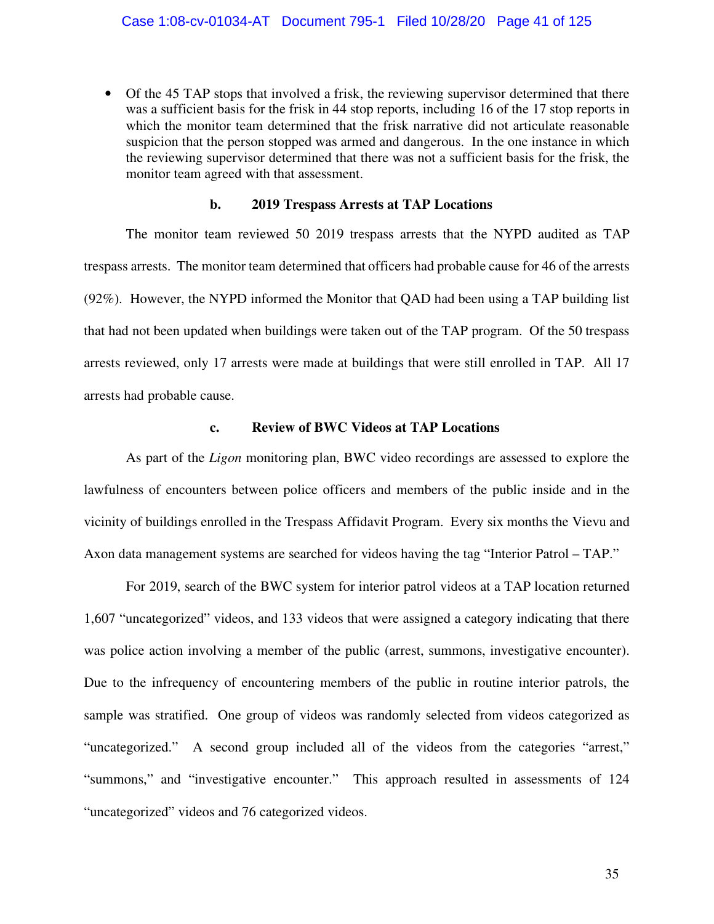• Of the 45 TAP stops that involved a frisk, the reviewing supervisor determined that there was a sufficient basis for the frisk in 44 stop reports, including 16 of the 17 stop reports in which the monitor team determined that the frisk narrative did not articulate reasonable suspicion that the person stopped was armed and dangerous. In the one instance in which the reviewing supervisor determined that there was not a sufficient basis for the frisk, the monitor team agreed with that assessment.

#### **b. 2019 Trespass Arrests at TAP Locations**

The monitor team reviewed 50 2019 trespass arrests that the NYPD audited as TAP trespass arrests. The monitor team determined that officers had probable cause for 46 of the arrests (92%). However, the NYPD informed the Monitor that QAD had been using a TAP building list that had not been updated when buildings were taken out of the TAP program. Of the 50 trespass arrests reviewed, only 17 arrests were made at buildings that were still enrolled in TAP. All 17 arrests had probable cause.

#### **c. Review of BWC Videos at TAP Locations**

As part of the *Ligon* monitoring plan, BWC video recordings are assessed to explore the lawfulness of encounters between police officers and members of the public inside and in the vicinity of buildings enrolled in the Trespass Affidavit Program. Every six months the Vievu and Axon data management systems are searched for videos having the tag "Interior Patrol – TAP."

For 2019, search of the BWC system for interior patrol videos at a TAP location returned 1,607 "uncategorized" videos, and 133 videos that were assigned a category indicating that there was police action involving a member of the public (arrest, summons, investigative encounter). Due to the infrequency of encountering members of the public in routine interior patrols, the sample was stratified. One group of videos was randomly selected from videos categorized as "uncategorized." A second group included all of the videos from the categories "arrest," "summons," and "investigative encounter." This approach resulted in assessments of 124 "uncategorized" videos and 76 categorized videos.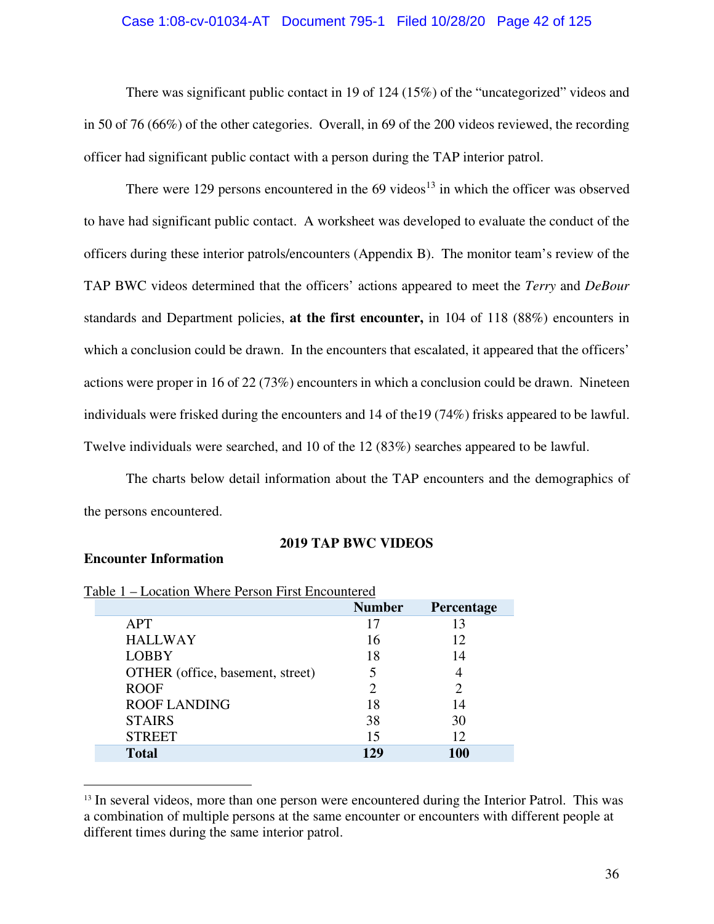#### Case 1:08-cv-01034-AT Document 795-1 Filed 10/28/20 Page 42 of 125

There was significant public contact in 19 of 124 (15%) of the "uncategorized" videos and in 50 of 76 (66%) of the other categories. Overall, in 69 of the 200 videos reviewed, the recording officer had significant public contact with a person during the TAP interior patrol.

There were 129 persons encountered in the  $69$  videos<sup>13</sup> in which the officer was observed to have had significant public contact. A worksheet was developed to evaluate the conduct of the officers during these interior patrols/encounters (Appendix B). The monitor team's review of the TAP BWC videos determined that the officers' actions appeared to meet the *Terry* and *DeBour*  standards and Department policies, **at the first encounter,** in 104 of 118 (88%) encounters in which a conclusion could be drawn. In the encounters that escalated, it appeared that the officers' actions were proper in 16 of 22 (73%) encounters in which a conclusion could be drawn. Nineteen individuals were frisked during the encounters and 14 of the19 (74%) frisks appeared to be lawful. Twelve individuals were searched, and 10 of the 12 (83%) searches appeared to be lawful.

The charts below detail information about the TAP encounters and the demographics of the persons encountered.

## **2019 TAP BWC VIDEOS**

## **Encounter Information**

| able 1 – Location Where Person First Encountered |               |            |  |
|--------------------------------------------------|---------------|------------|--|
|                                                  | <b>Number</b> | Percentage |  |
| APT                                              | 17            | 13         |  |
| <b>HALLWAY</b>                                   | 16            | 12         |  |
| <b>LOBBY</b>                                     | 18            | 14         |  |
| OTHER (office, basement, street)                 |               |            |  |
| <b>ROOF</b>                                      |               |            |  |
| <b>ROOF LANDING</b>                              | 18            | 14         |  |
| <b>STAIRS</b>                                    | 38            | 30         |  |
| <b>STREET</b>                                    | 15            | 12         |  |
| <b>Total</b>                                     | 129           | <b>100</b> |  |
|                                                  |               |            |  |

| Table 1 – Location Where Person First Encountered |  |
|---------------------------------------------------|--|
|                                                   |  |

<sup>&</sup>lt;sup>13</sup> In several videos, more than one person were encountered during the Interior Patrol. This was a combination of multiple persons at the same encounter or encounters with different people at different times during the same interior patrol.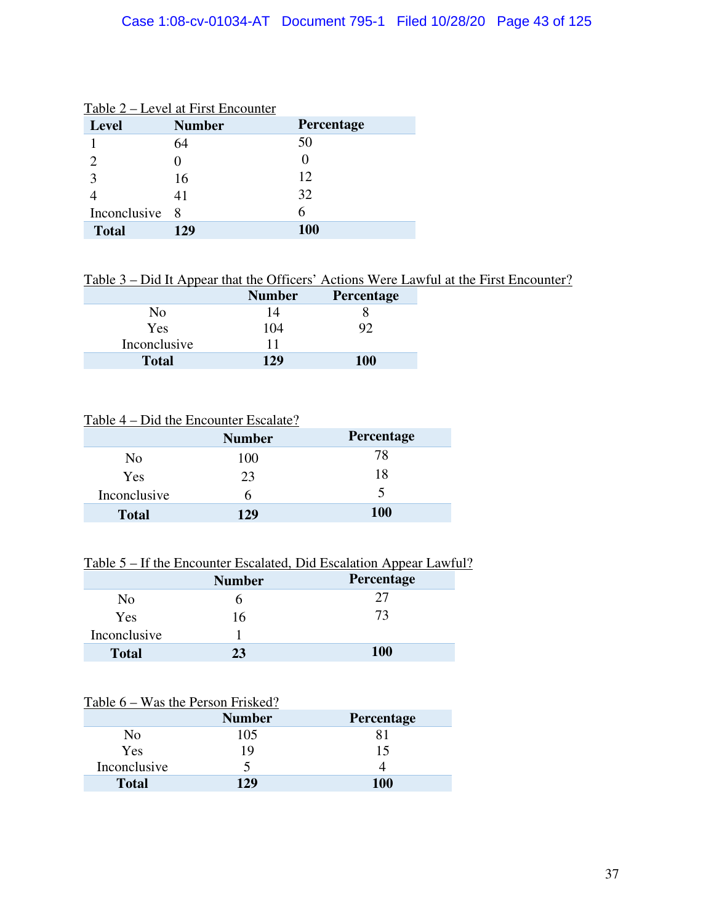| <b>Level</b>   | <b>Number</b> | Percentage |
|----------------|---------------|------------|
|                | 64            | 50         |
|                |               |            |
| 3              | 16            | 12         |
|                | 41            | 32         |
| Inconclusive 8 |               | 6          |
| <b>Total</b>   | 129           | <b>100</b> |

### Table 2 – Level at First Encounter

Table 3 – Did It Appear that the Officers' Actions Were Lawful at the First Encounter?

|              | <b>Number</b> | Percentage |
|--------------|---------------|------------|
| Nο           | 14            |            |
| Yes          | 104           |            |
| Inconclusive | 11            |            |
| <b>Total</b> | 129           | <b>100</b> |

# Table 4 – Did the Encounter Escalate?

|              | <b>Number</b> | Percentage |
|--------------|---------------|------------|
| No           | 100           | 78         |
| Yes          | 23            | 18         |
| Inconclusive | h             | ↖          |
| <b>Total</b> | 129           | <b>100</b> |

# Table 5 – If the Encounter Escalated, Did Escalation Appear Lawful?

|              | <b>Number</b> | Percentage |
|--------------|---------------|------------|
| No           |               | フフ         |
| Yes          | 16            | 73         |
| Inconclusive |               |            |
| <b>Total</b> | 23            | <b>100</b> |

## Table 6 – Was the Person Frisked?

|              | <b>Number</b> | Percentage |
|--------------|---------------|------------|
| No           | 105           |            |
| Yes          | 19            | 15         |
| Inconclusive |               |            |
| <b>Total</b> | 129           | 100        |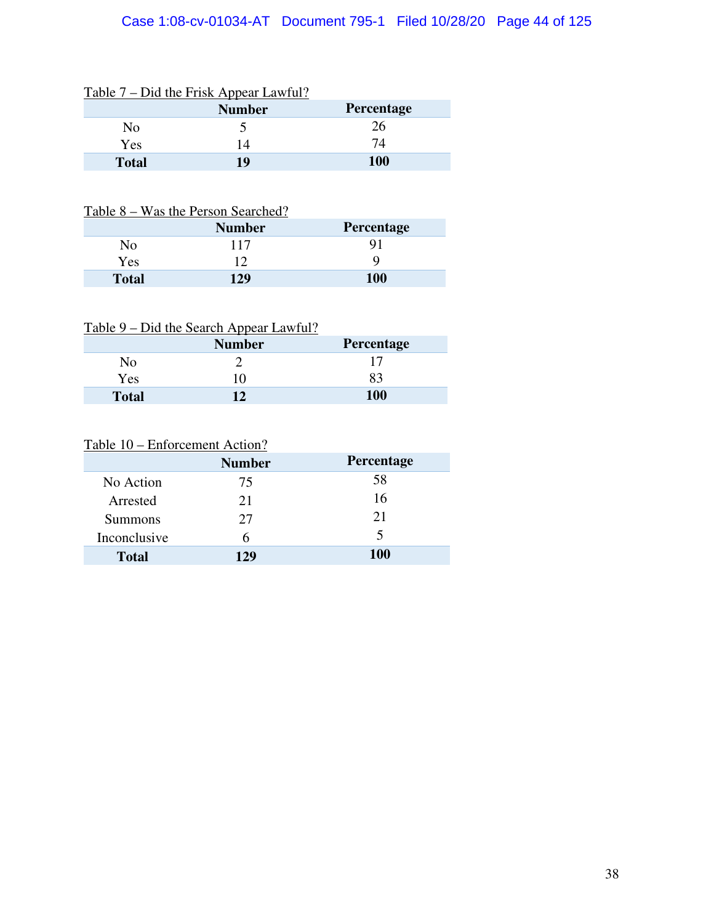# Case 1:08-cv-01034-AT Document 795-1 Filed 10/28/20 Page 44 of 125

|              | Table 7 – Did the Frisk Appear Lawful?<br><b>Number</b> | <b>Percentage</b> |
|--------------|---------------------------------------------------------|-------------------|
| No           |                                                         | 26                |
| Yes          | 14                                                      | 74                |
| <b>Total</b> | 10                                                      | 100               |

# $T$  11.7 – D'1.4 –  $T$  – 1.1.8 –  $T$  – 6.10

## Table 8 – Was the Person Searched?

|              | <b>Number</b> | Percentage |
|--------------|---------------|------------|
| Nο           |               |            |
| <b>Yes</b>   | 1 າ           |            |
| <b>Total</b> | $129 -$       | 100        |

|              | <b>Number</b> | Percentage |
|--------------|---------------|------------|
| No           |               |            |
| <b>Yes</b>   | 10            | 83         |
| <b>Total</b> | 17            | 100        |

# Table 10 – Enforcement Action?

|                | <b>Number</b> | Percentage |
|----------------|---------------|------------|
| No Action      | 75            | 58         |
| Arrested       | 21            | 16         |
| <b>Summons</b> | 27            | 21         |
| Inconclusive   | h             | 5          |
| <b>Total</b>   | 129           | <b>100</b> |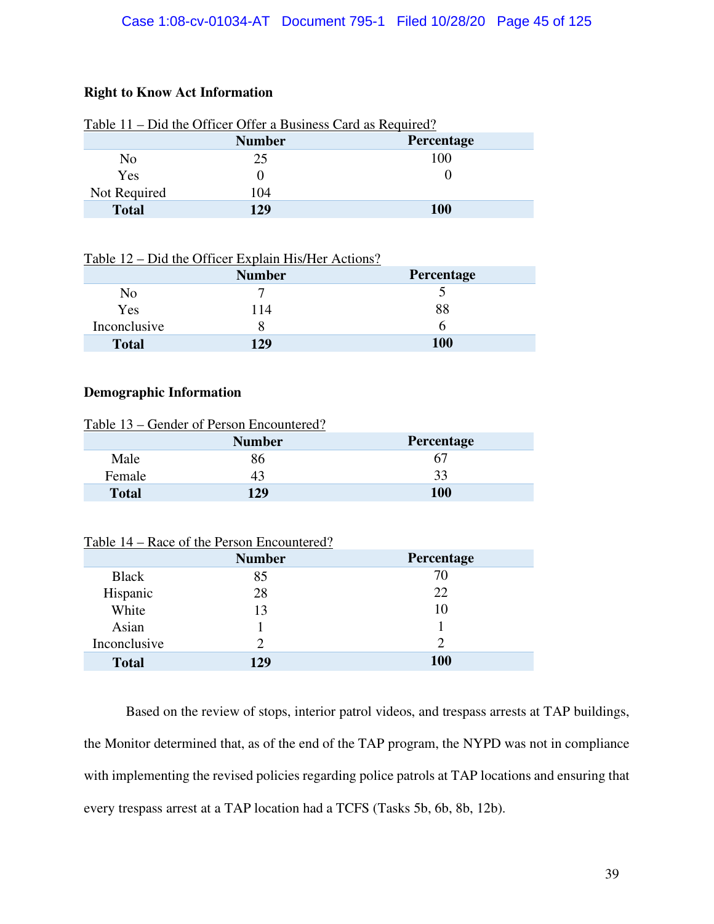# **Right to Know Act Information**

|                | <b>Number</b> | Percentage |
|----------------|---------------|------------|
| N <sub>0</sub> | 25            | 100        |
| Yes            |               |            |
| Not Required   | 104           |            |
| <b>Total</b>   | 129           | <b>100</b> |

## Table 11 – Did the Officer Offer a Business Card as Required?

|  | Table 12 – Did the Officer Explain His/Her Actions? |
|--|-----------------------------------------------------|
|  |                                                     |

|              | <b>Number</b> | Percentage |
|--------------|---------------|------------|
| No           |               |            |
| Yes          | 14            | 88         |
| Inconclusive |               |            |
| <b>Total</b> | 129           | <b>100</b> |

### **Demographic Information**

| Table 13 – Gender of Person Encountered? |               |                   |
|------------------------------------------|---------------|-------------------|
|                                          | <b>Number</b> | <b>Percentage</b> |
| Male                                     | 86            | 67                |
| Female                                   | 43            | 33                |
| <b>Total</b>                             | 129           | <b>100</b>        |

Table 14 – Race of the Person Encountered?

|              | <b>Number</b> | Percentage |
|--------------|---------------|------------|
| <b>Black</b> | 85            | 70         |
| Hispanic     | 28            | 22         |
| White        | 13            | 10         |
| Asian        |               |            |
| Inconclusive |               | 2          |
| <b>Total</b> | 129           | <b>100</b> |

Based on the review of stops, interior patrol videos, and trespass arrests at TAP buildings, the Monitor determined that, as of the end of the TAP program, the NYPD was not in compliance with implementing the revised policies regarding police patrols at TAP locations and ensuring that every trespass arrest at a TAP location had a TCFS (Tasks 5b, 6b, 8b, 12b).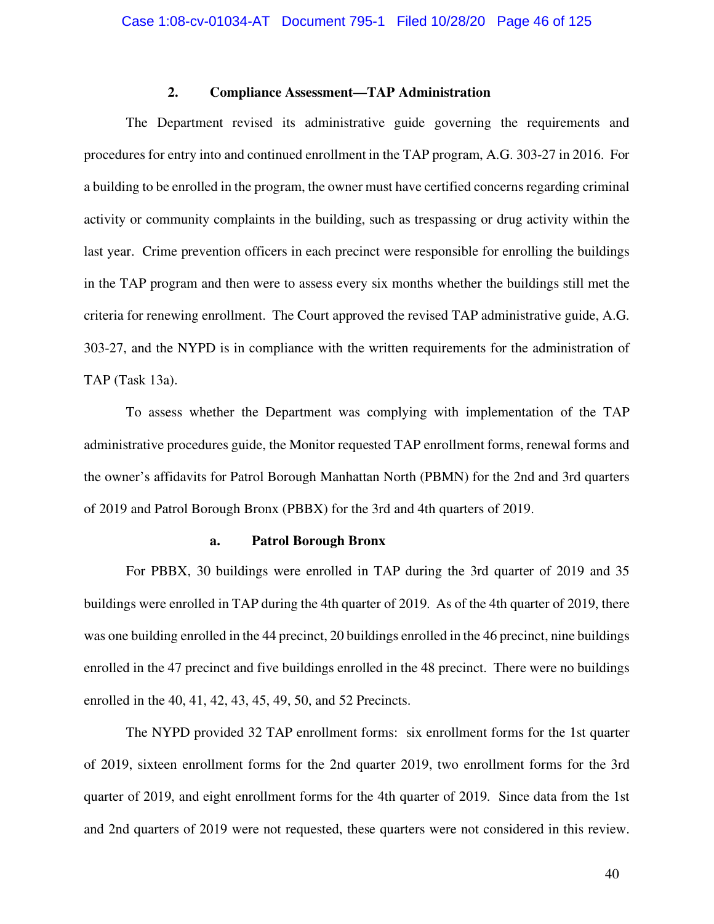### **2. Compliance Assessment—TAP Administration**

The Department revised its administrative guide governing the requirements and procedures for entry into and continued enrollment in the TAP program, A.G. 303-27 in 2016. For a building to be enrolled in the program, the owner must have certified concerns regarding criminal activity or community complaints in the building, such as trespassing or drug activity within the last year. Crime prevention officers in each precinct were responsible for enrolling the buildings in the TAP program and then were to assess every six months whether the buildings still met the criteria for renewing enrollment. The Court approved the revised TAP administrative guide, A.G. 303-27, and the NYPD is in compliance with the written requirements for the administration of TAP (Task 13a).

To assess whether the Department was complying with implementation of the TAP administrative procedures guide, the Monitor requested TAP enrollment forms, renewal forms and the owner's affidavits for Patrol Borough Manhattan North (PBMN) for the 2nd and 3rd quarters of 2019 and Patrol Borough Bronx (PBBX) for the 3rd and 4th quarters of 2019.

#### **a. Patrol Borough Bronx**

For PBBX, 30 buildings were enrolled in TAP during the 3rd quarter of 2019 and 35 buildings were enrolled in TAP during the 4th quarter of 2019. As of the 4th quarter of 2019, there was one building enrolled in the 44 precinct, 20 buildings enrolled in the 46 precinct, nine buildings enrolled in the 47 precinct and five buildings enrolled in the 48 precinct. There were no buildings enrolled in the 40, 41, 42, 43, 45, 49, 50, and 52 Precincts.

The NYPD provided 32 TAP enrollment forms: six enrollment forms for the 1st quarter of 2019, sixteen enrollment forms for the 2nd quarter 2019, two enrollment forms for the 3rd quarter of 2019, and eight enrollment forms for the 4th quarter of 2019. Since data from the 1st and 2nd quarters of 2019 were not requested, these quarters were not considered in this review.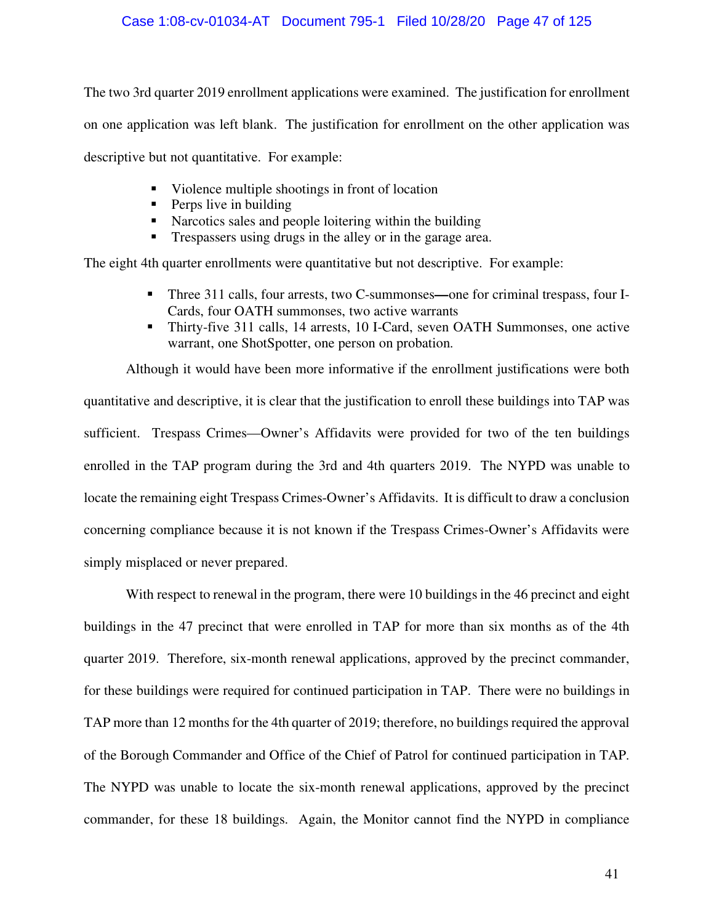The two 3rd quarter 2019 enrollment applications were examined. The justification for enrollment on one application was left blank. The justification for enrollment on the other application was descriptive but not quantitative. For example:

- Violence multiple shootings in front of location
- $\blacksquare$  Perps live in building
- Narcotics sales and people loitering within the building
- **Trespassers using drugs in the alley or in the garage area.**

The eight 4th quarter enrollments were quantitative but not descriptive. For example:

- Three 311 calls, four arrests, two C-summonses—one for criminal trespass, four I-Cards, four OATH summonses, two active warrants
- Thirty-five 311 calls, 14 arrests, 10 I-Card, seven OATH Summonses, one active warrant, one ShotSpotter, one person on probation.

Although it would have been more informative if the enrollment justifications were both quantitative and descriptive, it is clear that the justification to enroll these buildings into TAP was sufficient. Trespass Crimes—Owner's Affidavits were provided for two of the ten buildings enrolled in the TAP program during the 3rd and 4th quarters 2019. The NYPD was unable to locate the remaining eight Trespass Crimes-Owner's Affidavits. It is difficult to draw a conclusion concerning compliance because it is not known if the Trespass Crimes-Owner's Affidavits were simply misplaced or never prepared.

With respect to renewal in the program, there were 10 buildings in the 46 precinct and eight buildings in the 47 precinct that were enrolled in TAP for more than six months as of the 4th quarter 2019. Therefore, six-month renewal applications, approved by the precinct commander, for these buildings were required for continued participation in TAP. There were no buildings in TAP more than 12 months for the 4th quarter of 2019; therefore, no buildings required the approval of the Borough Commander and Office of the Chief of Patrol for continued participation in TAP. The NYPD was unable to locate the six-month renewal applications, approved by the precinct commander, for these 18 buildings. Again, the Monitor cannot find the NYPD in compliance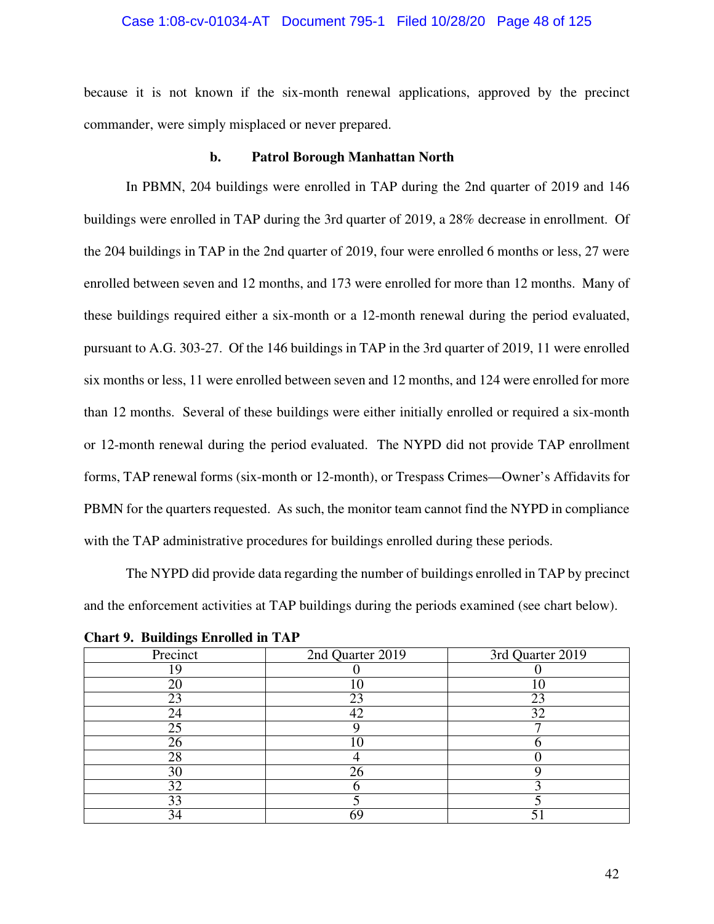#### Case 1:08-cv-01034-AT Document 795-1 Filed 10/28/20 Page 48 of 125

because it is not known if the six-month renewal applications, approved by the precinct commander, were simply misplaced or never prepared.

#### **b. Patrol Borough Manhattan North**

In PBMN, 204 buildings were enrolled in TAP during the 2nd quarter of 2019 and 146 buildings were enrolled in TAP during the 3rd quarter of 2019, a 28% decrease in enrollment. Of the 204 buildings in TAP in the 2nd quarter of 2019, four were enrolled 6 months or less, 27 were enrolled between seven and 12 months, and 173 were enrolled for more than 12 months. Many of these buildings required either a six-month or a 12-month renewal during the period evaluated, pursuant to A.G. 303-27. Of the 146 buildings in TAP in the 3rd quarter of 2019, 11 were enrolled six months or less, 11 were enrolled between seven and 12 months, and 124 were enrolled for more than 12 months. Several of these buildings were either initially enrolled or required a six-month or 12-month renewal during the period evaluated. The NYPD did not provide TAP enrollment forms, TAP renewal forms (six-month or 12-month), or Trespass Crimes—Owner's Affidavits for PBMN for the quarters requested. As such, the monitor team cannot find the NYPD in compliance with the TAP administrative procedures for buildings enrolled during these periods.

The NYPD did provide data regarding the number of buildings enrolled in TAP by precinct and the enforcement activities at TAP buildings during the periods examined (see chart below).

| Precinct | 2nd Quarter 2019 | 3rd Quarter 2019 |
|----------|------------------|------------------|
|          |                  |                  |
| 20       |                  |                  |
| 23       | 23               | 23               |
| 24       |                  | 32               |
| 25       |                  |                  |
| 26       |                  |                  |
| 28       |                  |                  |
| 30       | 26               |                  |
| 32       |                  |                  |
| 33       |                  |                  |
| 34       |                  |                  |

**Chart 9. Buildings Enrolled in TAP**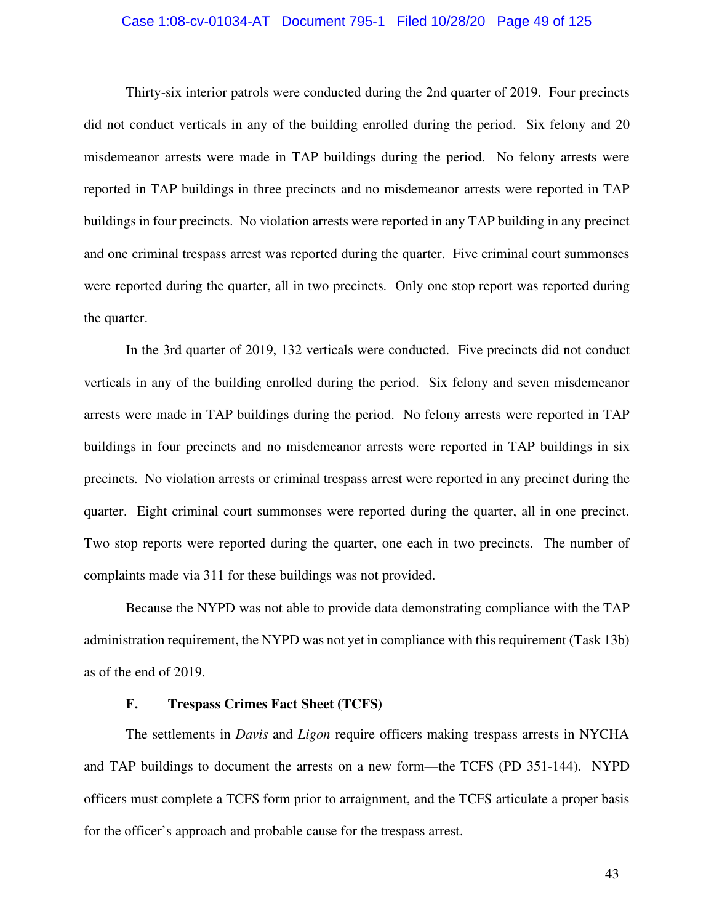#### Case 1:08-cv-01034-AT Document 795-1 Filed 10/28/20 Page 49 of 125

Thirty-six interior patrols were conducted during the 2nd quarter of 2019. Four precincts did not conduct verticals in any of the building enrolled during the period. Six felony and 20 misdemeanor arrests were made in TAP buildings during the period. No felony arrests were reported in TAP buildings in three precincts and no misdemeanor arrests were reported in TAP buildings in four precincts. No violation arrests were reported in any TAP building in any precinct and one criminal trespass arrest was reported during the quarter. Five criminal court summonses were reported during the quarter, all in two precincts. Only one stop report was reported during the quarter.

In the 3rd quarter of 2019, 132 verticals were conducted. Five precincts did not conduct verticals in any of the building enrolled during the period. Six felony and seven misdemeanor arrests were made in TAP buildings during the period. No felony arrests were reported in TAP buildings in four precincts and no misdemeanor arrests were reported in TAP buildings in six precincts. No violation arrests or criminal trespass arrest were reported in any precinct during the quarter. Eight criminal court summonses were reported during the quarter, all in one precinct. Two stop reports were reported during the quarter, one each in two precincts. The number of complaints made via 311 for these buildings was not provided.

Because the NYPD was not able to provide data demonstrating compliance with the TAP administration requirement, the NYPD was not yet in compliance with this requirement (Task 13b) as of the end of 2019.

#### **F. Trespass Crimes Fact Sheet (TCFS)**

The settlements in *Davis* and *Ligon* require officers making trespass arrests in NYCHA and TAP buildings to document the arrests on a new form—the TCFS (PD 351-144). NYPD officers must complete a TCFS form prior to arraignment, and the TCFS articulate a proper basis for the officer's approach and probable cause for the trespass arrest.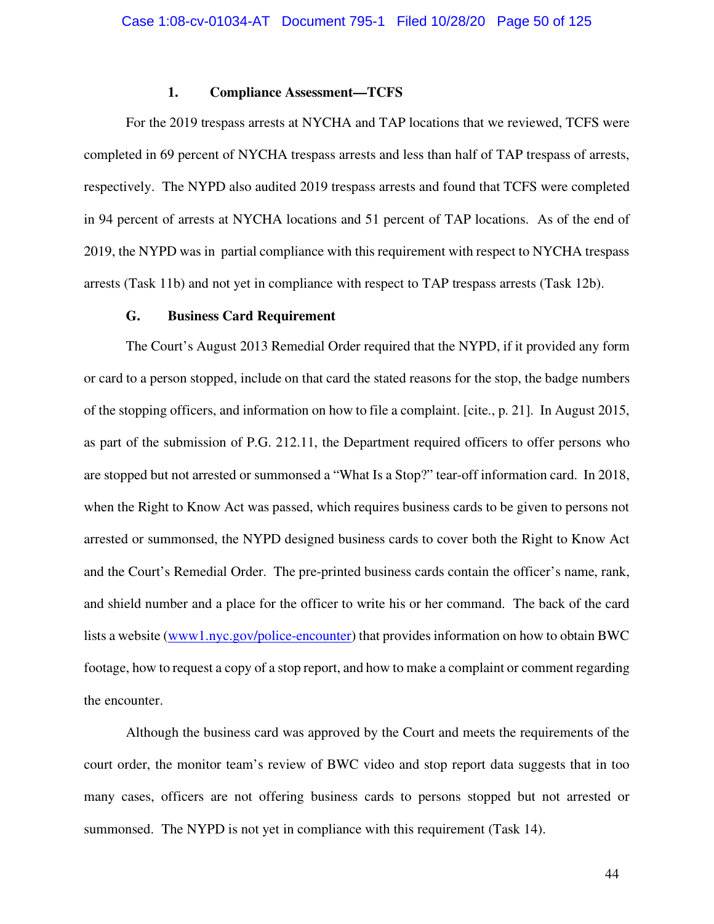### **1. Compliance Assessment—TCFS**

For the 2019 trespass arrests at NYCHA and TAP locations that we reviewed, TCFS were completed in 69 percent of NYCHA trespass arrests and less than half of TAP trespass of arrests, respectively. The NYPD also audited 2019 trespass arrests and found that TCFS were completed in 94 percent of arrests at NYCHA locations and 51 percent of TAP locations. As of the end of 2019, the NYPD was in partial compliance with this requirement with respect to NYCHA trespass arrests (Task 11b) and not yet in compliance with respect to TAP trespass arrests (Task 12b).

### **G. Business Card Requirement**

The Court's August 2013 Remedial Order required that the NYPD, if it provided any form or card to a person stopped, include on that card the stated reasons for the stop, the badge numbers of the stopping officers, and information on how to file a complaint. [cite., p. 21]. In August 2015, as part of the submission of P.G. 212.11, the Department required officers to offer persons who are stopped but not arrested or summonsed a "What Is a Stop?" tear-off information card. In 2018, when the Right to Know Act was passed, which requires business cards to be given to persons not arrested or summonsed, the NYPD designed business cards to cover both the Right to Know Act and the Court's Remedial Order. The pre-printed business cards contain the officer's name, rank, and shield number and a place for the officer to write his or her command. The back of the card lists a website (www1.nyc.gov/police-encounter) that provides information on how to obtain BWC footage, how to request a copy of a stop report, and how to make a complaint or comment regarding the encounter.

Although the business card was approved by the Court and meets the requirements of the court order, the monitor team's review of BWC video and stop report data suggests that in too many cases, officers are not offering business cards to persons stopped but not arrested or summonsed. The NYPD is not yet in compliance with this requirement (Task 14).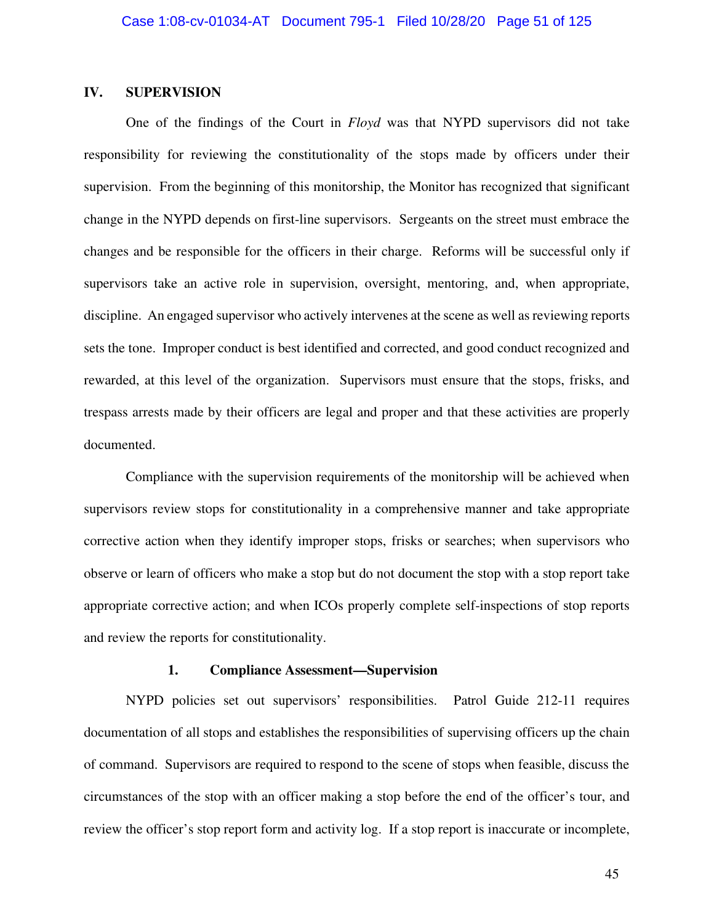## **IV. SUPERVISION**

One of the findings of the Court in *Floyd* was that NYPD supervisors did not take responsibility for reviewing the constitutionality of the stops made by officers under their supervision. From the beginning of this monitorship, the Monitor has recognized that significant change in the NYPD depends on first-line supervisors. Sergeants on the street must embrace the changes and be responsible for the officers in their charge. Reforms will be successful only if supervisors take an active role in supervision, oversight, mentoring, and, when appropriate, discipline. An engaged supervisor who actively intervenes at the scene as well as reviewing reports sets the tone. Improper conduct is best identified and corrected, and good conduct recognized and rewarded, at this level of the organization. Supervisors must ensure that the stops, frisks, and trespass arrests made by their officers are legal and proper and that these activities are properly documented.

Compliance with the supervision requirements of the monitorship will be achieved when supervisors review stops for constitutionality in a comprehensive manner and take appropriate corrective action when they identify improper stops, frisks or searches; when supervisors who observe or learn of officers who make a stop but do not document the stop with a stop report take appropriate corrective action; and when ICOs properly complete self-inspections of stop reports and review the reports for constitutionality.

#### **1. Compliance Assessment—Supervision**

NYPD policies set out supervisors' responsibilities. Patrol Guide 212-11 requires documentation of all stops and establishes the responsibilities of supervising officers up the chain of command. Supervisors are required to respond to the scene of stops when feasible, discuss the circumstances of the stop with an officer making a stop before the end of the officer's tour, and review the officer's stop report form and activity log. If a stop report is inaccurate or incomplete,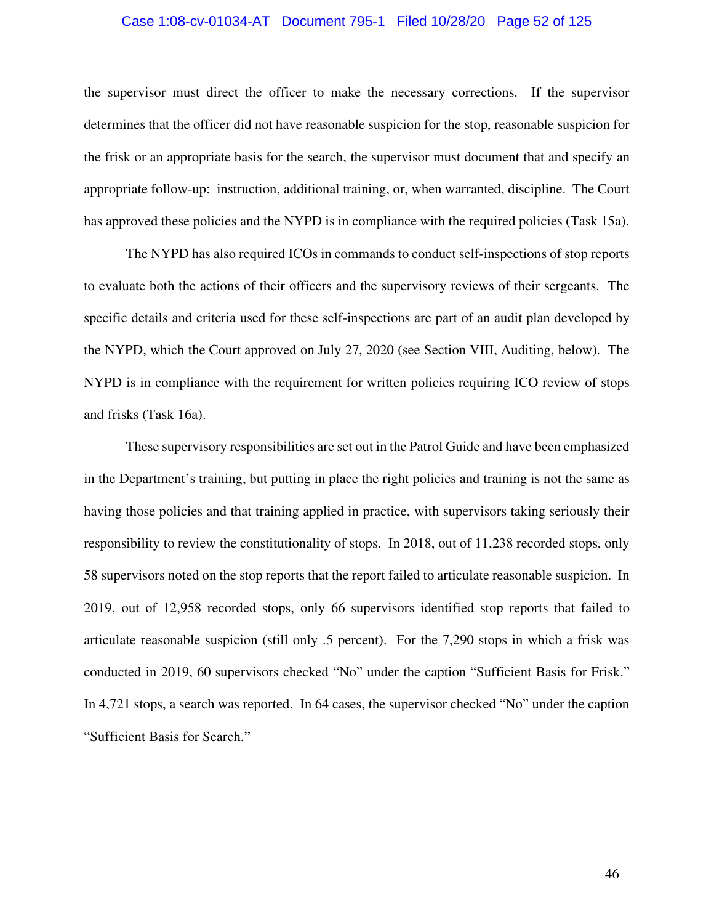#### Case 1:08-cv-01034-AT Document 795-1 Filed 10/28/20 Page 52 of 125

the supervisor must direct the officer to make the necessary corrections. If the supervisor determines that the officer did not have reasonable suspicion for the stop, reasonable suspicion for the frisk or an appropriate basis for the search, the supervisor must document that and specify an appropriate follow-up: instruction, additional training, or, when warranted, discipline. The Court has approved these policies and the NYPD is in compliance with the required policies (Task 15a).

The NYPD has also required ICOs in commands to conduct self-inspections of stop reports to evaluate both the actions of their officers and the supervisory reviews of their sergeants. The specific details and criteria used for these self-inspections are part of an audit plan developed by the NYPD, which the Court approved on July 27, 2020 (see Section VIII, Auditing, below). The NYPD is in compliance with the requirement for written policies requiring ICO review of stops and frisks (Task 16a).

These supervisory responsibilities are set out in the Patrol Guide and have been emphasized in the Department's training, but putting in place the right policies and training is not the same as having those policies and that training applied in practice, with supervisors taking seriously their responsibility to review the constitutionality of stops. In 2018, out of 11,238 recorded stops, only 58 supervisors noted on the stop reports that the report failed to articulate reasonable suspicion. In 2019, out of 12,958 recorded stops, only 66 supervisors identified stop reports that failed to articulate reasonable suspicion (still only .5 percent). For the 7,290 stops in which a frisk was conducted in 2019, 60 supervisors checked "No" under the caption "Sufficient Basis for Frisk." In 4,721 stops, a search was reported. In 64 cases, the supervisor checked "No" under the caption "Sufficient Basis for Search."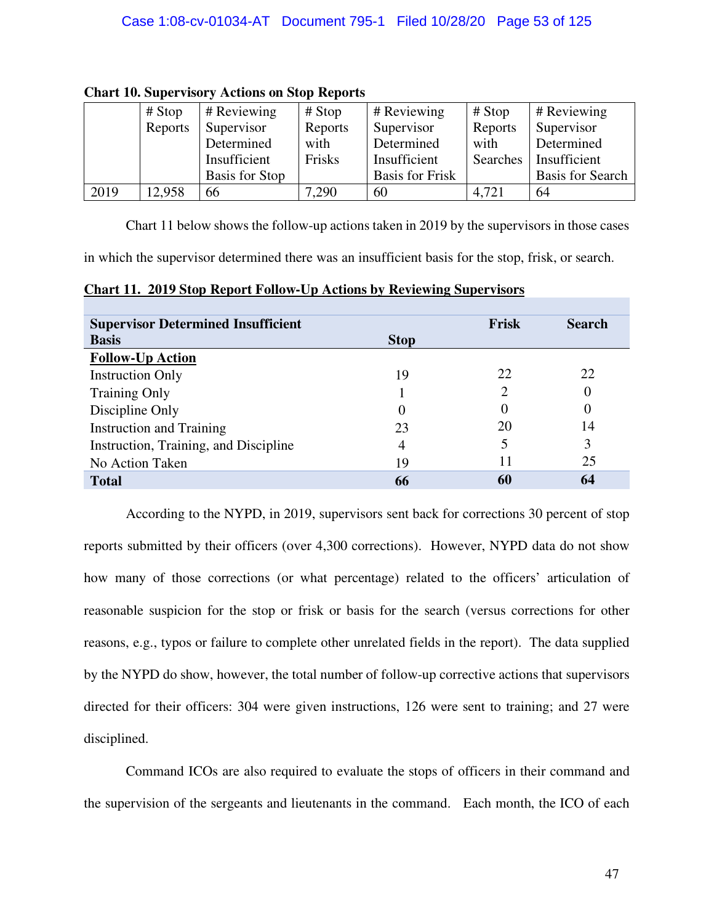|      | $# \n  Stop$ | # Reviewing           | # Stop  | # Reviewing            | # Stop   | # Reviewing             |
|------|--------------|-----------------------|---------|------------------------|----------|-------------------------|
|      | Reports      | Supervisor            | Reports | Supervisor             | Reports  | Supervisor              |
|      |              | Determined            | with    | Determined             | with     | Determined              |
|      |              | Insufficient          | Frisks  | Insufficient           | Searches | Insufficient            |
|      |              | <b>Basis for Stop</b> |         | <b>Basis for Frisk</b> |          | <b>Basis for Search</b> |
| 2019 | 12,958       | 66                    | 7,290   | 60                     | 4,721    | 64                      |

## **Chart 10. Supervisory Actions on Stop Reports**

Chart 11 below shows the follow-up actions taken in 2019 by the supervisors in those cases

in which the supervisor determined there was an insufficient basis for the stop, frisk, or search.

**Chart 11. 2019 Stop Report Follow-Up Actions by Reviewing Supervisors** 

| <b>Supervisor Determined Insufficient</b> |             | Frisk | <b>Search</b> |
|-------------------------------------------|-------------|-------|---------------|
| <b>Basis</b>                              | <b>Stop</b> |       |               |
| <b>Follow-Up Action</b>                   |             |       |               |
| <b>Instruction Only</b>                   | 19          | 22    | 22            |
| <b>Training Only</b>                      |             |       |               |
| Discipline Only                           | $\theta$    |       | $\theta$      |
| <b>Instruction and Training</b>           | 23          | 20    | 14            |
| Instruction, Training, and Discipline     | 4           |       | 3             |
| No Action Taken                           | 19          | 11    | 25            |
| <b>Total</b>                              | 66          | 60    | 64            |

According to the NYPD, in 2019, supervisors sent back for corrections 30 percent of stop reports submitted by their officers (over 4,300 corrections). However, NYPD data do not show how many of those corrections (or what percentage) related to the officers' articulation of reasonable suspicion for the stop or frisk or basis for the search (versus corrections for other reasons, e.g., typos or failure to complete other unrelated fields in the report). The data supplied by the NYPD do show, however, the total number of follow-up corrective actions that supervisors directed for their officers: 304 were given instructions, 126 were sent to training; and 27 were disciplined.

Command ICOs are also required to evaluate the stops of officers in their command and the supervision of the sergeants and lieutenants in the command. Each month, the ICO of each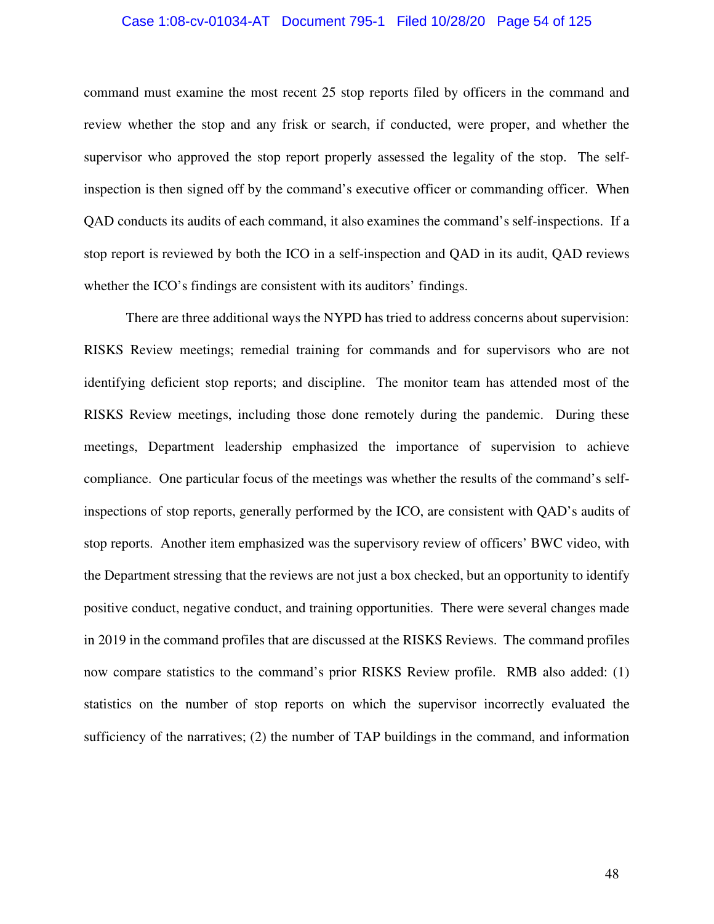#### Case 1:08-cv-01034-AT Document 795-1 Filed 10/28/20 Page 54 of 125

command must examine the most recent 25 stop reports filed by officers in the command and review whether the stop and any frisk or search, if conducted, were proper, and whether the supervisor who approved the stop report properly assessed the legality of the stop. The selfinspection is then signed off by the command's executive officer or commanding officer. When QAD conducts its audits of each command, it also examines the command's self-inspections. If a stop report is reviewed by both the ICO in a self-inspection and QAD in its audit, QAD reviews whether the ICO's findings are consistent with its auditors' findings.

There are three additional ways the NYPD has tried to address concerns about supervision: RISKS Review meetings; remedial training for commands and for supervisors who are not identifying deficient stop reports; and discipline. The monitor team has attended most of the RISKS Review meetings, including those done remotely during the pandemic. During these meetings, Department leadership emphasized the importance of supervision to achieve compliance. One particular focus of the meetings was whether the results of the command's selfinspections of stop reports, generally performed by the ICO, are consistent with QAD's audits of stop reports. Another item emphasized was the supervisory review of officers' BWC video, with the Department stressing that the reviews are not just a box checked, but an opportunity to identify positive conduct, negative conduct, and training opportunities. There were several changes made in 2019 in the command profiles that are discussed at the RISKS Reviews. The command profiles now compare statistics to the command's prior RISKS Review profile. RMB also added: (1) statistics on the number of stop reports on which the supervisor incorrectly evaluated the sufficiency of the narratives; (2) the number of TAP buildings in the command, and information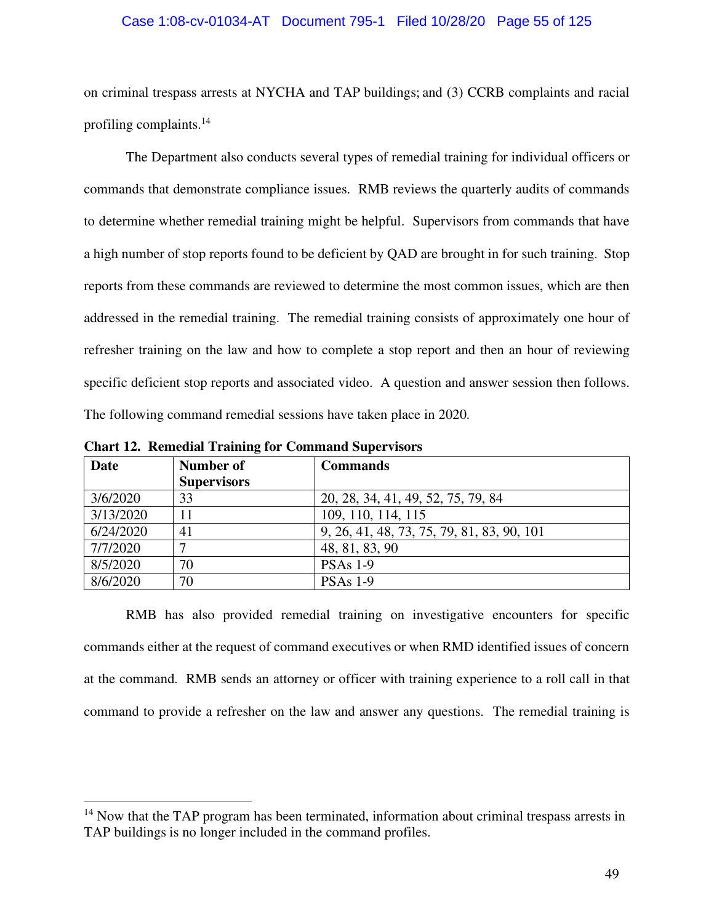#### Case 1:08-cv-01034-AT Document 795-1 Filed 10/28/20 Page 55 of 125

on criminal trespass arrests at NYCHA and TAP buildings; and (3) CCRB complaints and racial profiling complaints.<sup>14</sup>

The Department also conducts several types of remedial training for individual officers or commands that demonstrate compliance issues. RMB reviews the quarterly audits of commands to determine whether remedial training might be helpful. Supervisors from commands that have a high number of stop reports found to be deficient by QAD are brought in for such training. Stop reports from these commands are reviewed to determine the most common issues, which are then addressed in the remedial training. The remedial training consists of approximately one hour of refresher training on the law and how to complete a stop report and then an hour of reviewing specific deficient stop reports and associated video. A question and answer session then follows. The following command remedial sessions have taken place in 2020.

| <b>Date</b> | Number of          | <b>Commands</b>                            |
|-------------|--------------------|--------------------------------------------|
|             | <b>Supervisors</b> |                                            |
| 3/6/2020    | 33                 | 20, 28, 34, 41, 49, 52, 75, 79, 84         |
| 3/13/2020   | 11                 | 109, 110, 114, 115                         |
| 6/24/2020   | 41                 | 9, 26, 41, 48, 73, 75, 79, 81, 83, 90, 101 |
| 7/7/2020    |                    | 48, 81, 83, 90                             |
| 8/5/2020    | 70                 | <b>PSAs 1-9</b>                            |
| 8/6/2020    | 70                 | <b>PSAs 1-9</b>                            |

**Chart 12. Remedial Training for Command Supervisors** 

RMB has also provided remedial training on investigative encounters for specific commands either at the request of command executives or when RMD identified issues of concern at the command. RMB sends an attorney or officer with training experience to a roll call in that command to provide a refresher on the law and answer any questions. The remedial training is

 $14$  Now that the TAP program has been terminated, information about criminal trespass arrests in TAP buildings is no longer included in the command profiles.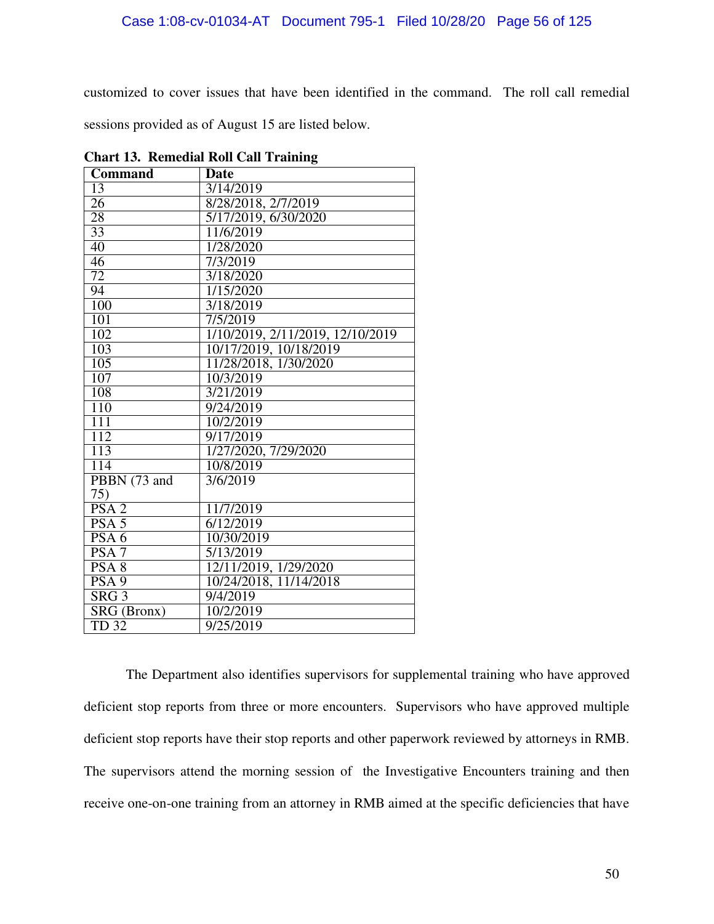customized to cover issues that have been identified in the command. The roll call remedial sessions provided as of August 15 are listed below.

| <b>Command</b>      | <b>Date</b>                      |
|---------------------|----------------------------------|
| 13                  | 3/14/2019                        |
| 26                  | 8/28/2018, 2/7/2019              |
| $\overline{28}$     | 5/17/2019, 6/30/2020             |
| 33                  | 11/6/2019                        |
| 40                  | $1/28/\overline{2020}$           |
| $\overline{46}$     | 7/3/2019                         |
| 72                  | $3/\overline{18/2020}$           |
| 94                  | 1/15/2020                        |
| 100                 | $\frac{3}{18}{2019}$             |
| $\overline{101}$    | 7/5/2019                         |
| 102                 | 1/10/2019, 2/11/2019, 12/10/2019 |
| 103                 | 10/17/2019, 10/18/2019           |
| $\overline{105}$    | 11/28/2018, 1/30/2020            |
| 107                 | 10/3/2019                        |
| 108                 | 3/21/2019                        |
| 110                 | 9/24/2019                        |
| $\overline{111}$    | 10/2/2019                        |
| 112                 | 9/17/2019                        |
| 113                 | 1/27/2020, 7/29/2020             |
| 114                 | 10/8/2019                        |
| PBBN (73 and        | 3/6/2019                         |
| 75)                 |                                  |
| PSA <sub>2</sub>    | 11/7/2019                        |
| PSA <sub>5</sub>    | 6/12/2019                        |
| PSA6                | 10/30/2019                       |
| $\overline{PSA 7}$  | 5/13/2019                        |
| PSA <sub>8</sub>    | 12/11/2019, 1/29/2020            |
| PSA <sub>9</sub>    | 10/24/2018, 11/14/2018           |
| $S \overline{RG} 3$ | 9/4/2019                         |
| SRG (Bronx)         | 10/2/2019                        |
| <b>TD 32</b>        | 9/25/2019                        |

**Chart 13. Remedial Roll Call Training** 

The Department also identifies supervisors for supplemental training who have approved deficient stop reports from three or more encounters. Supervisors who have approved multiple deficient stop reports have their stop reports and other paperwork reviewed by attorneys in RMB. The supervisors attend the morning session of the Investigative Encounters training and then receive one-on-one training from an attorney in RMB aimed at the specific deficiencies that have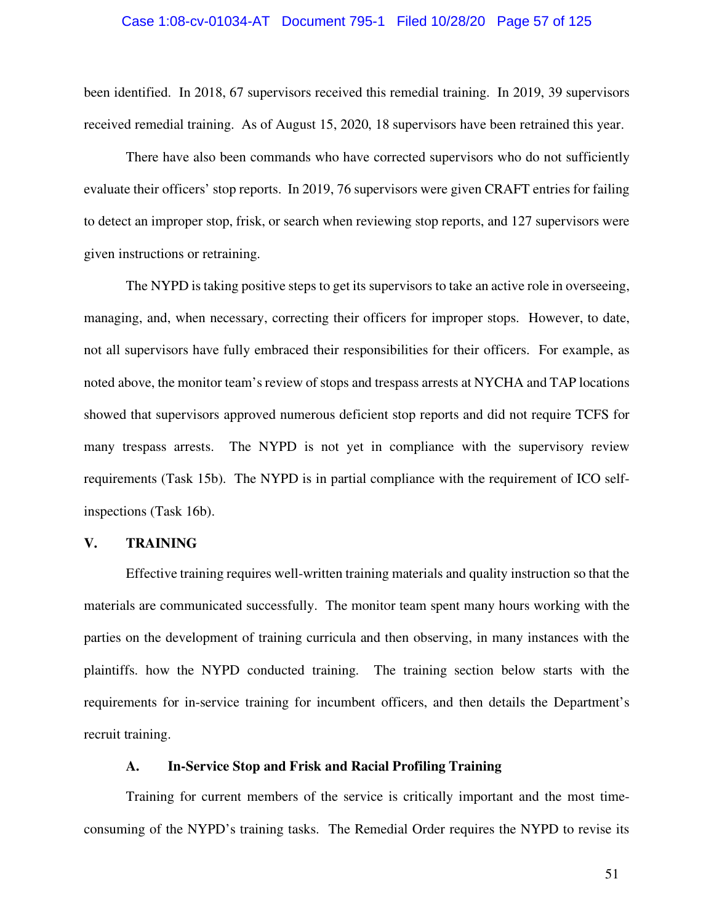#### Case 1:08-cv-01034-AT Document 795-1 Filed 10/28/20 Page 57 of 125

been identified. In 2018, 67 supervisors received this remedial training. In 2019, 39 supervisors received remedial training. As of August 15, 2020, 18 supervisors have been retrained this year.

There have also been commands who have corrected supervisors who do not sufficiently evaluate their officers' stop reports. In 2019, 76 supervisors were given CRAFT entries for failing to detect an improper stop, frisk, or search when reviewing stop reports, and 127 supervisors were given instructions or retraining.

The NYPD is taking positive steps to get its supervisors to take an active role in overseeing, managing, and, when necessary, correcting their officers for improper stops. However, to date, not all supervisors have fully embraced their responsibilities for their officers. For example, as noted above, the monitor team's review of stops and trespass arrests at NYCHA and TAP locations showed that supervisors approved numerous deficient stop reports and did not require TCFS for many trespass arrests. The NYPD is not yet in compliance with the supervisory review requirements (Task 15b). The NYPD is in partial compliance with the requirement of ICO selfinspections (Task 16b).

#### **V. TRAINING**

Effective training requires well-written training materials and quality instruction so that the materials are communicated successfully. The monitor team spent many hours working with the parties on the development of training curricula and then observing, in many instances with the plaintiffs. how the NYPD conducted training. The training section below starts with the requirements for in-service training for incumbent officers, and then details the Department's recruit training.

## **A. In-Service Stop and Frisk and Racial Profiling Training**

Training for current members of the service is critically important and the most timeconsuming of the NYPD's training tasks. The Remedial Order requires the NYPD to revise its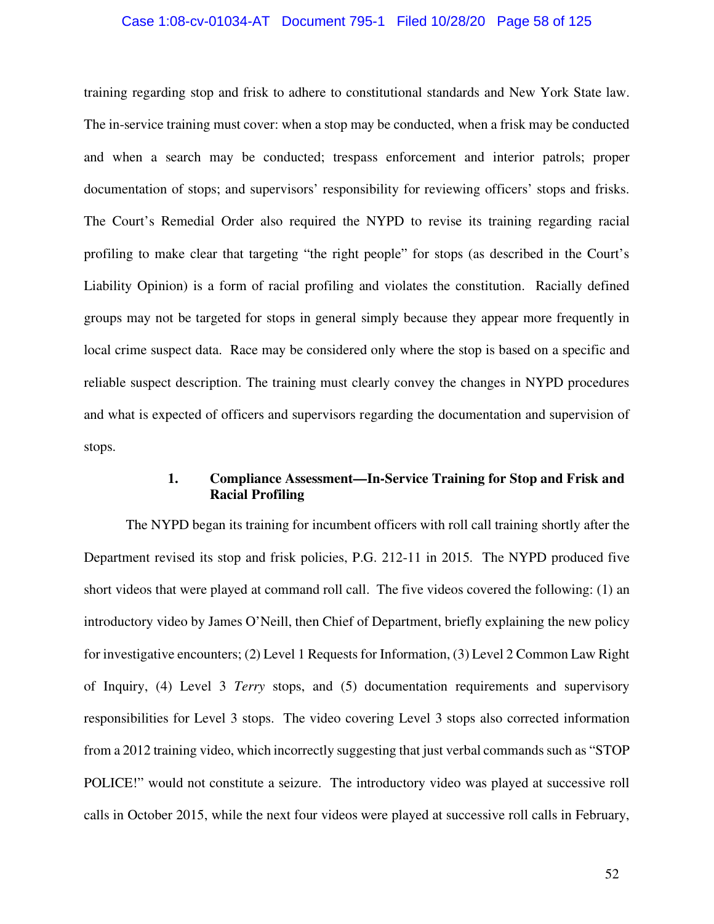#### Case 1:08-cv-01034-AT Document 795-1 Filed 10/28/20 Page 58 of 125

training regarding stop and frisk to adhere to constitutional standards and New York State law. The in-service training must cover: when a stop may be conducted, when a frisk may be conducted and when a search may be conducted; trespass enforcement and interior patrols; proper documentation of stops; and supervisors' responsibility for reviewing officers' stops and frisks. The Court's Remedial Order also required the NYPD to revise its training regarding racial profiling to make clear that targeting "the right people" for stops (as described in the Court's Liability Opinion) is a form of racial profiling and violates the constitution. Racially defined groups may not be targeted for stops in general simply because they appear more frequently in local crime suspect data. Race may be considered only where the stop is based on a specific and reliable suspect description. The training must clearly convey the changes in NYPD procedures and what is expected of officers and supervisors regarding the documentation and supervision of stops.

## **1. Compliance Assessment—In-Service Training for Stop and Frisk and Racial Profiling**

The NYPD began its training for incumbent officers with roll call training shortly after the Department revised its stop and frisk policies, P.G. 212-11 in 2015. The NYPD produced five short videos that were played at command roll call. The five videos covered the following: (1) an introductory video by James O'Neill, then Chief of Department, briefly explaining the new policy for investigative encounters; (2) Level 1 Requests for Information, (3) Level 2 Common Law Right of Inquiry, (4) Level 3 *Terry* stops, and (5) documentation requirements and supervisory responsibilities for Level 3 stops. The video covering Level 3 stops also corrected information from a 2012 training video, which incorrectly suggesting that just verbal commands such as "STOP POLICE!" would not constitute a seizure. The introductory video was played at successive roll calls in October 2015, while the next four videos were played at successive roll calls in February,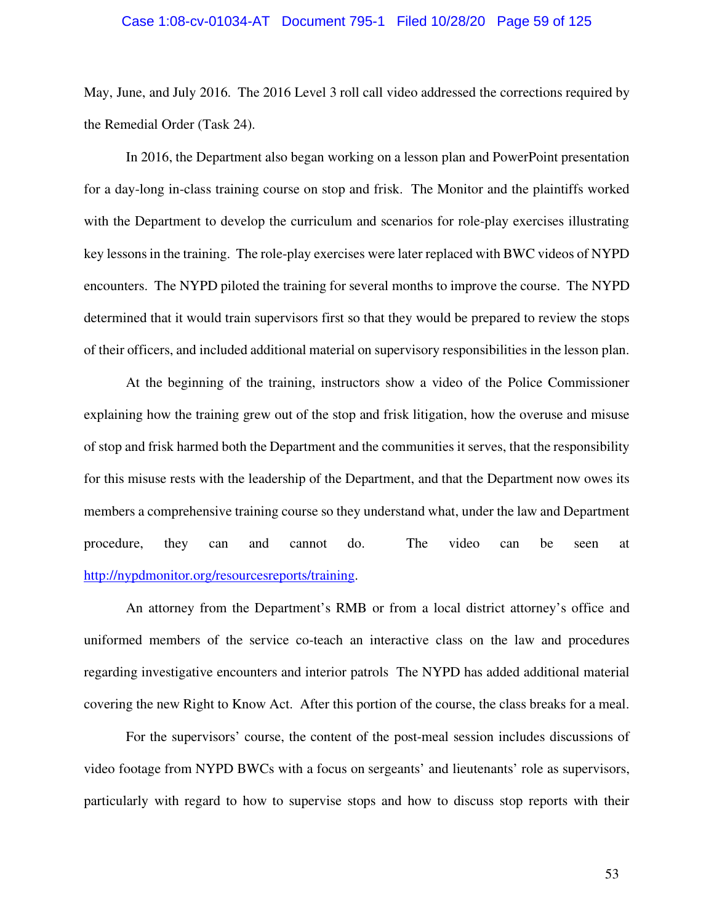#### Case 1:08-cv-01034-AT Document 795-1 Filed 10/28/20 Page 59 of 125

May, June, and July 2016. The 2016 Level 3 roll call video addressed the corrections required by the Remedial Order (Task 24).

In 2016, the Department also began working on a lesson plan and PowerPoint presentation for a day-long in-class training course on stop and frisk. The Monitor and the plaintiffs worked with the Department to develop the curriculum and scenarios for role-play exercises illustrating key lessons in the training. The role-play exercises were later replaced with BWC videos of NYPD encounters. The NYPD piloted the training for several months to improve the course. The NYPD determined that it would train supervisors first so that they would be prepared to review the stops of their officers, and included additional material on supervisory responsibilities in the lesson plan.

At the beginning of the training, instructors show a video of the Police Commissioner explaining how the training grew out of the stop and frisk litigation, how the overuse and misuse of stop and frisk harmed both the Department and the communities it serves, that the responsibility for this misuse rests with the leadership of the Department, and that the Department now owes its members a comprehensive training course so they understand what, under the law and Department procedure, they can and cannot do. The video can be seen at http://nypdmonitor.org/resourcesreports/training.

An attorney from the Department's RMB or from a local district attorney's office and uniformed members of the service co-teach an interactive class on the law and procedures regarding investigative encounters and interior patrols The NYPD has added additional material covering the new Right to Know Act. After this portion of the course, the class breaks for a meal.

For the supervisors' course, the content of the post-meal session includes discussions of video footage from NYPD BWCs with a focus on sergeants' and lieutenants' role as supervisors, particularly with regard to how to supervise stops and how to discuss stop reports with their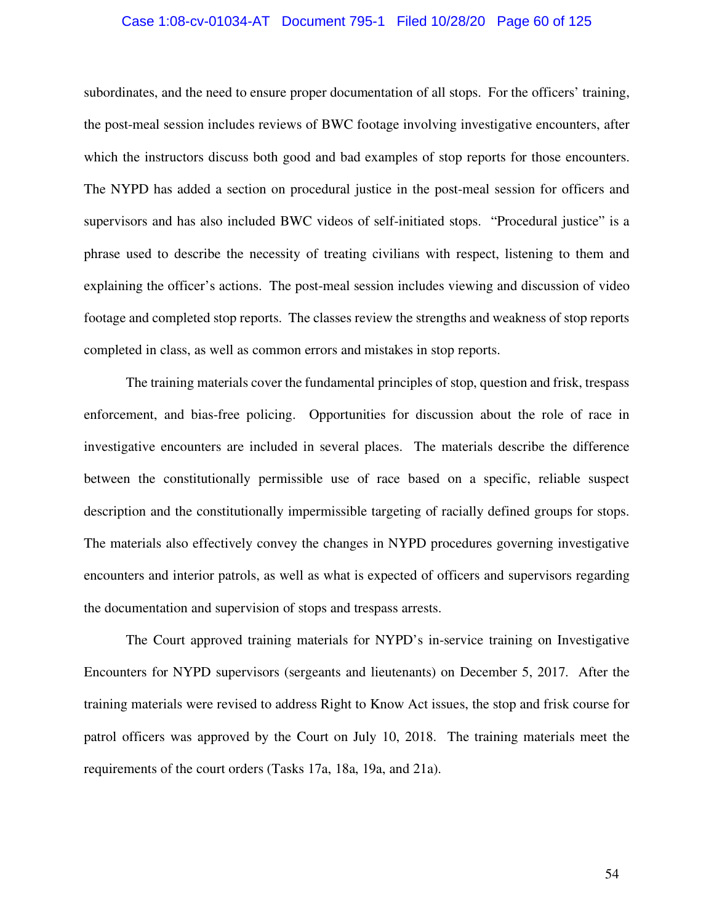#### Case 1:08-cv-01034-AT Document 795-1 Filed 10/28/20 Page 60 of 125

subordinates, and the need to ensure proper documentation of all stops. For the officers' training, the post-meal session includes reviews of BWC footage involving investigative encounters, after which the instructors discuss both good and bad examples of stop reports for those encounters. The NYPD has added a section on procedural justice in the post-meal session for officers and supervisors and has also included BWC videos of self-initiated stops. "Procedural justice" is a phrase used to describe the necessity of treating civilians with respect, listening to them and explaining the officer's actions. The post-meal session includes viewing and discussion of video footage and completed stop reports. The classes review the strengths and weakness of stop reports completed in class, as well as common errors and mistakes in stop reports.

The training materials cover the fundamental principles of stop, question and frisk, trespass enforcement, and bias-free policing. Opportunities for discussion about the role of race in investigative encounters are included in several places. The materials describe the difference between the constitutionally permissible use of race based on a specific, reliable suspect description and the constitutionally impermissible targeting of racially defined groups for stops. The materials also effectively convey the changes in NYPD procedures governing investigative encounters and interior patrols, as well as what is expected of officers and supervisors regarding the documentation and supervision of stops and trespass arrests.

The Court approved training materials for NYPD's in-service training on Investigative Encounters for NYPD supervisors (sergeants and lieutenants) on December 5, 2017. After the training materials were revised to address Right to Know Act issues, the stop and frisk course for patrol officers was approved by the Court on July 10, 2018. The training materials meet the requirements of the court orders (Tasks 17a, 18a, 19a, and 21a).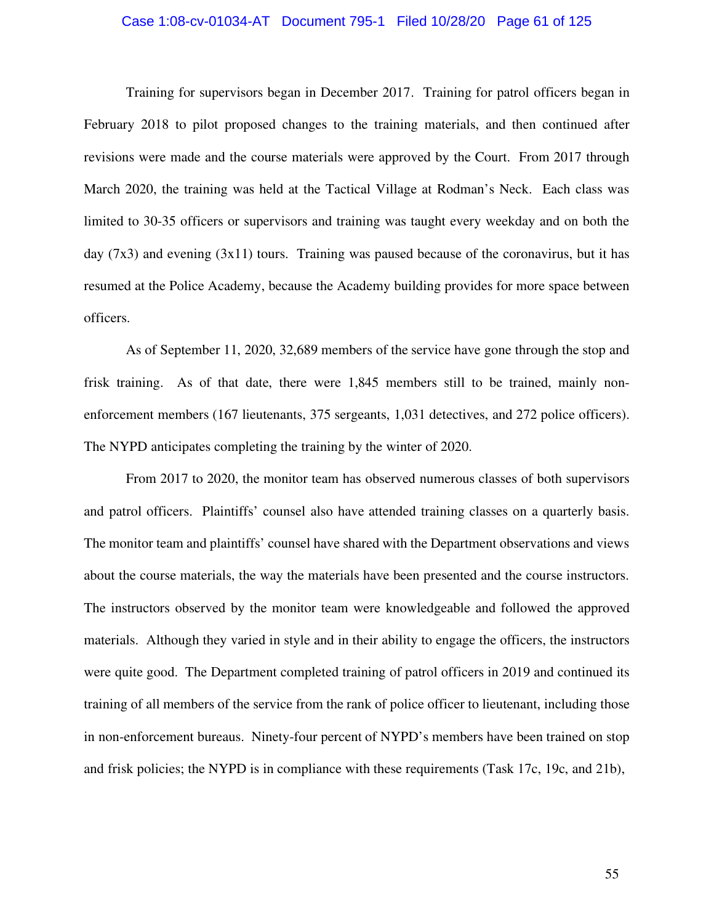#### Case 1:08-cv-01034-AT Document 795-1 Filed 10/28/20 Page 61 of 125

Training for supervisors began in December 2017. Training for patrol officers began in February 2018 to pilot proposed changes to the training materials, and then continued after revisions were made and the course materials were approved by the Court. From 2017 through March 2020, the training was held at the Tactical Village at Rodman's Neck. Each class was limited to 30-35 officers or supervisors and training was taught every weekday and on both the day  $(7x3)$  and evening  $(3x11)$  tours. Training was paused because of the coronavirus, but it has resumed at the Police Academy, because the Academy building provides for more space between officers.

As of September 11, 2020, 32,689 members of the service have gone through the stop and frisk training. As of that date, there were 1,845 members still to be trained, mainly nonenforcement members (167 lieutenants, 375 sergeants, 1,031 detectives, and 272 police officers). The NYPD anticipates completing the training by the winter of 2020.

From 2017 to 2020, the monitor team has observed numerous classes of both supervisors and patrol officers. Plaintiffs' counsel also have attended training classes on a quarterly basis. The monitor team and plaintiffs' counsel have shared with the Department observations and views about the course materials, the way the materials have been presented and the course instructors. The instructors observed by the monitor team were knowledgeable and followed the approved materials. Although they varied in style and in their ability to engage the officers, the instructors were quite good. The Department completed training of patrol officers in 2019 and continued its training of all members of the service from the rank of police officer to lieutenant, including those in non-enforcement bureaus. Ninety-four percent of NYPD's members have been trained on stop and frisk policies; the NYPD is in compliance with these requirements (Task 17c, 19c, and 21b),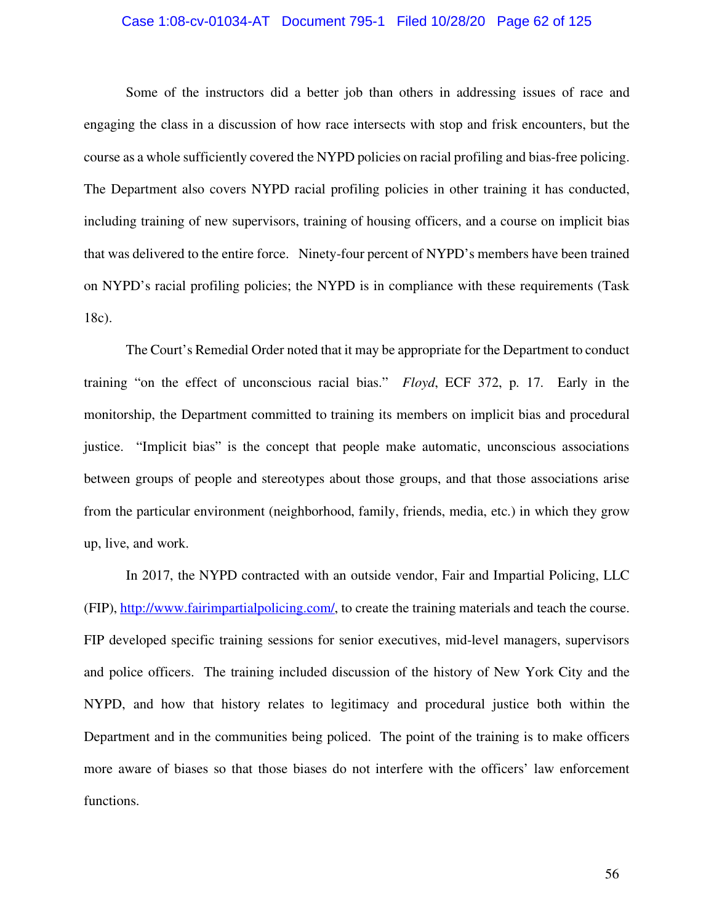#### Case 1:08-cv-01034-AT Document 795-1 Filed 10/28/20 Page 62 of 125

Some of the instructors did a better job than others in addressing issues of race and engaging the class in a discussion of how race intersects with stop and frisk encounters, but the course as a whole sufficiently covered the NYPD policies on racial profiling and bias-free policing. The Department also covers NYPD racial profiling policies in other training it has conducted, including training of new supervisors, training of housing officers, and a course on implicit bias that was delivered to the entire force. Ninety-four percent of NYPD's members have been trained on NYPD's racial profiling policies; the NYPD is in compliance with these requirements (Task 18c).

The Court's Remedial Order noted that it may be appropriate for the Department to conduct training "on the effect of unconscious racial bias." *Floyd*, ECF 372, p. 17. Early in the monitorship, the Department committed to training its members on implicit bias and procedural justice. "Implicit bias" is the concept that people make automatic, unconscious associations between groups of people and stereotypes about those groups, and that those associations arise from the particular environment (neighborhood, family, friends, media, etc.) in which they grow up, live, and work.

In 2017, the NYPD contracted with an outside vendor, Fair and Impartial Policing, LLC (FIP), http://www.fairimpartialpolicing.com/, to create the training materials and teach the course. FIP developed specific training sessions for senior executives, mid-level managers, supervisors and police officers. The training included discussion of the history of New York City and the NYPD, and how that history relates to legitimacy and procedural justice both within the Department and in the communities being policed. The point of the training is to make officers more aware of biases so that those biases do not interfere with the officers' law enforcement functions.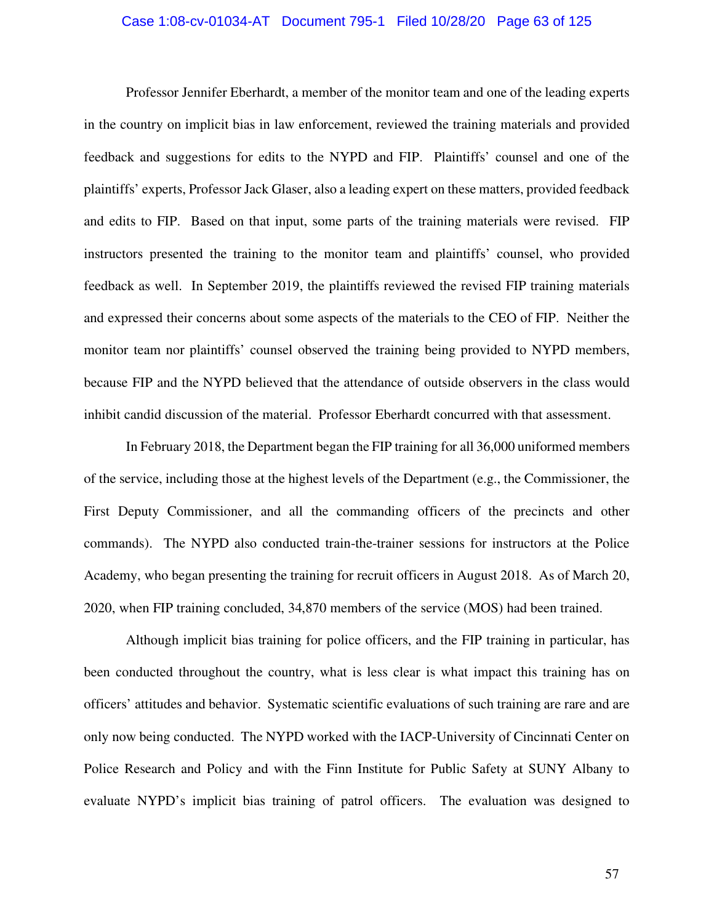#### Case 1:08-cv-01034-AT Document 795-1 Filed 10/28/20 Page 63 of 125

Professor Jennifer Eberhardt, a member of the monitor team and one of the leading experts in the country on implicit bias in law enforcement, reviewed the training materials and provided feedback and suggestions for edits to the NYPD and FIP. Plaintiffs' counsel and one of the plaintiffs' experts, Professor Jack Glaser, also a leading expert on these matters, provided feedback and edits to FIP. Based on that input, some parts of the training materials were revised. FIP instructors presented the training to the monitor team and plaintiffs' counsel, who provided feedback as well. In September 2019, the plaintiffs reviewed the revised FIP training materials and expressed their concerns about some aspects of the materials to the CEO of FIP. Neither the monitor team nor plaintiffs' counsel observed the training being provided to NYPD members, because FIP and the NYPD believed that the attendance of outside observers in the class would inhibit candid discussion of the material. Professor Eberhardt concurred with that assessment.

In February 2018, the Department began the FIP training for all 36,000 uniformed members of the service, including those at the highest levels of the Department (e.g., the Commissioner, the First Deputy Commissioner, and all the commanding officers of the precincts and other commands). The NYPD also conducted train-the-trainer sessions for instructors at the Police Academy, who began presenting the training for recruit officers in August 2018. As of March 20, 2020, when FIP training concluded, 34,870 members of the service (MOS) had been trained.

Although implicit bias training for police officers, and the FIP training in particular, has been conducted throughout the country, what is less clear is what impact this training has on officers' attitudes and behavior. Systematic scientific evaluations of such training are rare and are only now being conducted. The NYPD worked with the IACP-University of Cincinnati Center on Police Research and Policy and with the Finn Institute for Public Safety at SUNY Albany to evaluate NYPD's implicit bias training of patrol officers. The evaluation was designed to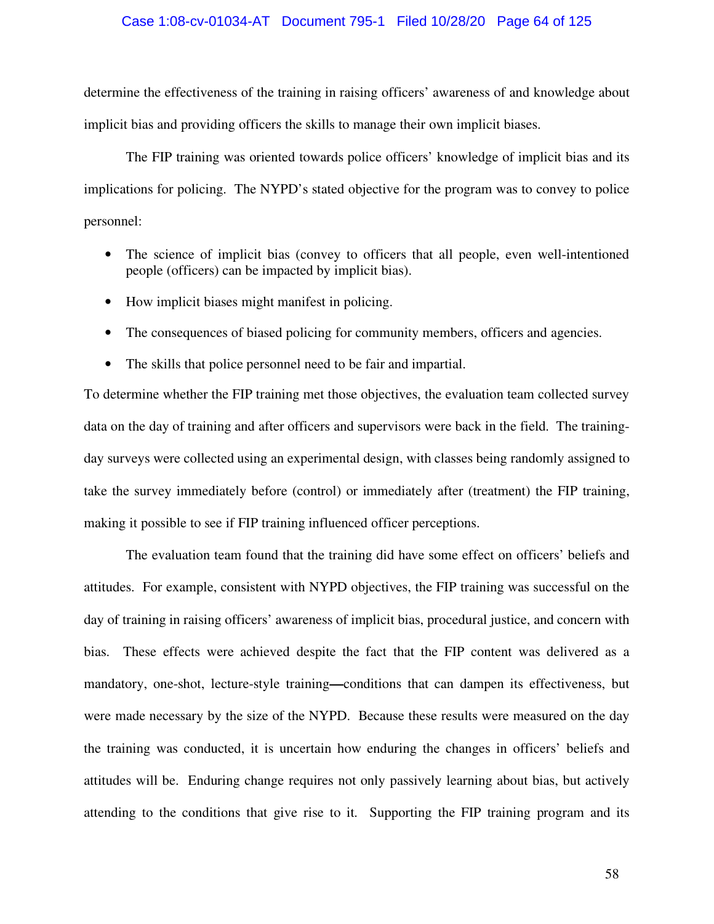#### Case 1:08-cv-01034-AT Document 795-1 Filed 10/28/20 Page 64 of 125

determine the effectiveness of the training in raising officers' awareness of and knowledge about implicit bias and providing officers the skills to manage their own implicit biases.

The FIP training was oriented towards police officers' knowledge of implicit bias and its implications for policing. The NYPD's stated objective for the program was to convey to police personnel:

- The science of implicit bias (convey to officers that all people, even well-intentioned people (officers) can be impacted by implicit bias).
- How implicit biases might manifest in policing.
- The consequences of biased policing for community members, officers and agencies.
- The skills that police personnel need to be fair and impartial.

To determine whether the FIP training met those objectives, the evaluation team collected survey data on the day of training and after officers and supervisors were back in the field. The trainingday surveys were collected using an experimental design, with classes being randomly assigned to take the survey immediately before (control) or immediately after (treatment) the FIP training, making it possible to see if FIP training influenced officer perceptions.

The evaluation team found that the training did have some effect on officers' beliefs and attitudes. For example, consistent with NYPD objectives, the FIP training was successful on the day of training in raising officers' awareness of implicit bias, procedural justice, and concern with bias. These effects were achieved despite the fact that the FIP content was delivered as a mandatory, one-shot, lecture-style training**—**conditions that can dampen its effectiveness, but were made necessary by the size of the NYPD. Because these results were measured on the day the training was conducted, it is uncertain how enduring the changes in officers' beliefs and attitudes will be. Enduring change requires not only passively learning about bias, but actively attending to the conditions that give rise to it. Supporting the FIP training program and its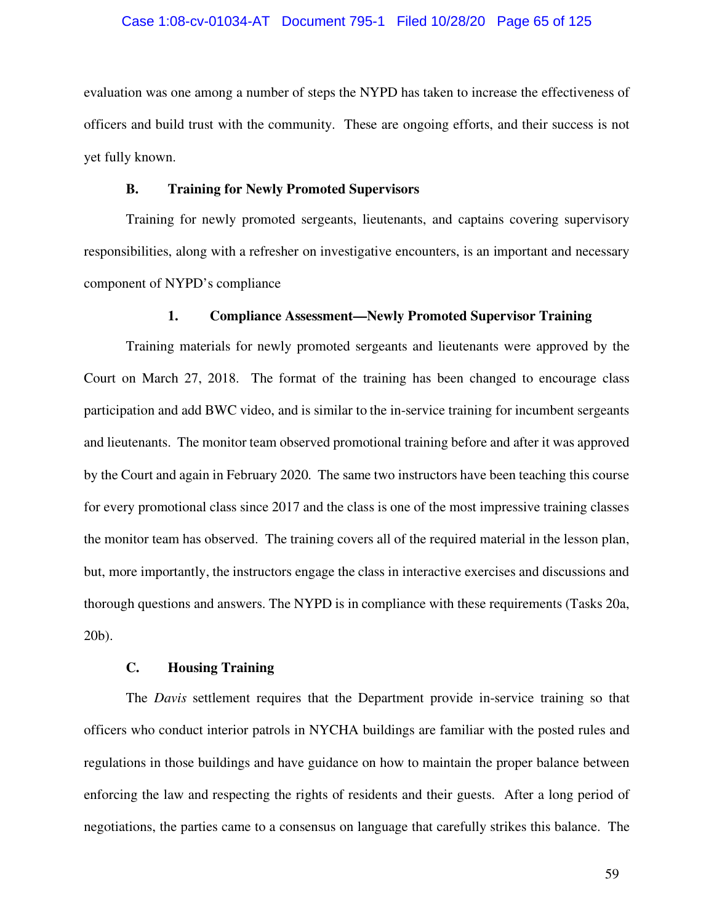#### Case 1:08-cv-01034-AT Document 795-1 Filed 10/28/20 Page 65 of 125

evaluation was one among a number of steps the NYPD has taken to increase the effectiveness of officers and build trust with the community. These are ongoing efforts, and their success is not yet fully known.

#### **B. Training for Newly Promoted Supervisors**

Training for newly promoted sergeants, lieutenants, and captains covering supervisory responsibilities, along with a refresher on investigative encounters, is an important and necessary component of NYPD's compliance

### **1. Compliance Assessment—Newly Promoted Supervisor Training**

Training materials for newly promoted sergeants and lieutenants were approved by the Court on March 27, 2018. The format of the training has been changed to encourage class participation and add BWC video, and is similar to the in-service training for incumbent sergeants and lieutenants. The monitor team observed promotional training before and after it was approved by the Court and again in February 2020. The same two instructors have been teaching this course for every promotional class since 2017 and the class is one of the most impressive training classes the monitor team has observed. The training covers all of the required material in the lesson plan, but, more importantly, the instructors engage the class in interactive exercises and discussions and thorough questions and answers. The NYPD is in compliance with these requirements (Tasks 20a, 20b).

## **C. Housing Training**

The *Davis* settlement requires that the Department provide in-service training so that officers who conduct interior patrols in NYCHA buildings are familiar with the posted rules and regulations in those buildings and have guidance on how to maintain the proper balance between enforcing the law and respecting the rights of residents and their guests. After a long period of negotiations, the parties came to a consensus on language that carefully strikes this balance. The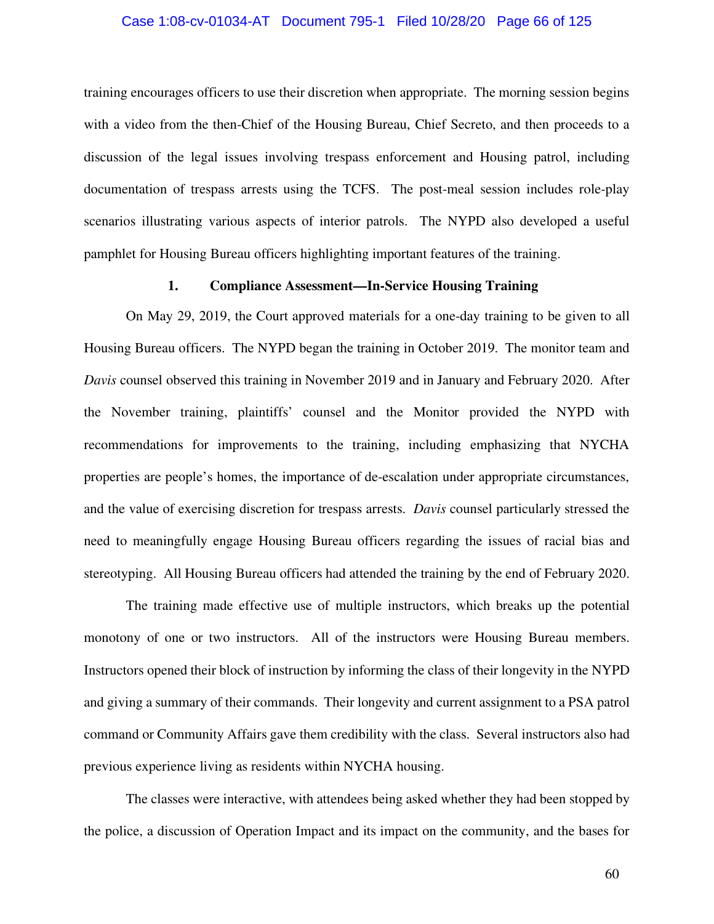#### Case 1:08-cv-01034-AT Document 795-1 Filed 10/28/20 Page 66 of 125

training encourages officers to use their discretion when appropriate. The morning session begins with a video from the then-Chief of the Housing Bureau, Chief Secreto, and then proceeds to a discussion of the legal issues involving trespass enforcement and Housing patrol, including documentation of trespass arrests using the TCFS. The post-meal session includes role-play scenarios illustrating various aspects of interior patrols. The NYPD also developed a useful pamphlet for Housing Bureau officers highlighting important features of the training.

#### **1. Compliance Assessment—In-Service Housing Training**

On May 29, 2019, the Court approved materials for a one-day training to be given to all Housing Bureau officers. The NYPD began the training in October 2019. The monitor team and *Davis* counsel observed this training in November 2019 and in January and February 2020. After the November training, plaintiffs' counsel and the Monitor provided the NYPD with recommendations for improvements to the training, including emphasizing that NYCHA properties are people's homes, the importance of de-escalation under appropriate circumstances, and the value of exercising discretion for trespass arrests. *Davis* counsel particularly stressed the need to meaningfully engage Housing Bureau officers regarding the issues of racial bias and stereotyping. All Housing Bureau officers had attended the training by the end of February 2020.

The training made effective use of multiple instructors, which breaks up the potential monotony of one or two instructors. All of the instructors were Housing Bureau members. Instructors opened their block of instruction by informing the class of their longevity in the NYPD and giving a summary of their commands. Their longevity and current assignment to a PSA patrol command or Community Affairs gave them credibility with the class. Several instructors also had previous experience living as residents within NYCHA housing.

The classes were interactive, with attendees being asked whether they had been stopped by the police, a discussion of Operation Impact and its impact on the community, and the bases for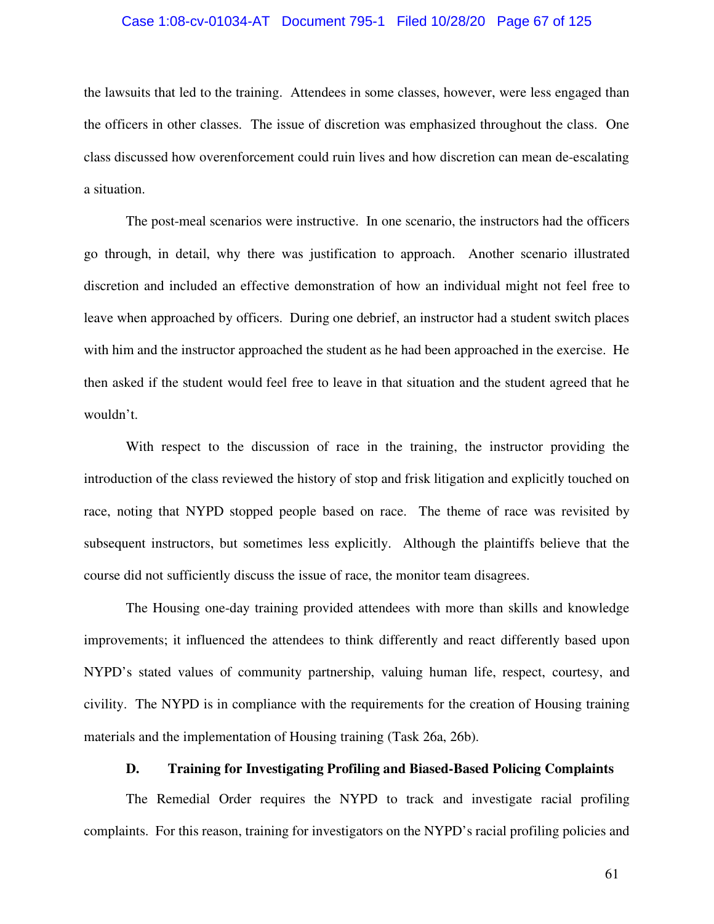#### Case 1:08-cv-01034-AT Document 795-1 Filed 10/28/20 Page 67 of 125

the lawsuits that led to the training. Attendees in some classes, however, were less engaged than the officers in other classes. The issue of discretion was emphasized throughout the class. One class discussed how overenforcement could ruin lives and how discretion can mean de-escalating a situation.

The post-meal scenarios were instructive. In one scenario, the instructors had the officers go through, in detail, why there was justification to approach. Another scenario illustrated discretion and included an effective demonstration of how an individual might not feel free to leave when approached by officers. During one debrief, an instructor had a student switch places with him and the instructor approached the student as he had been approached in the exercise. He then asked if the student would feel free to leave in that situation and the student agreed that he wouldn't.

With respect to the discussion of race in the training, the instructor providing the introduction of the class reviewed the history of stop and frisk litigation and explicitly touched on race, noting that NYPD stopped people based on race. The theme of race was revisited by subsequent instructors, but sometimes less explicitly. Although the plaintiffs believe that the course did not sufficiently discuss the issue of race, the monitor team disagrees.

The Housing one-day training provided attendees with more than skills and knowledge improvements; it influenced the attendees to think differently and react differently based upon NYPD's stated values of community partnership, valuing human life, respect, courtesy, and civility. The NYPD is in compliance with the requirements for the creation of Housing training materials and the implementation of Housing training (Task 26a, 26b).

#### **D. Training for Investigating Profiling and Biased-Based Policing Complaints**

The Remedial Order requires the NYPD to track and investigate racial profiling complaints. For this reason, training for investigators on the NYPD's racial profiling policies and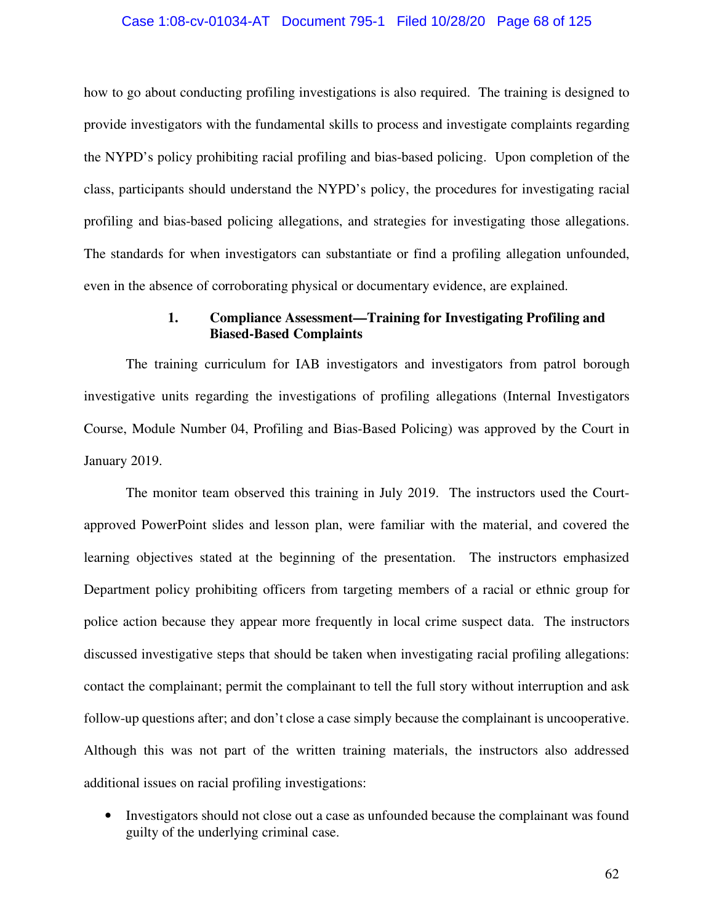#### Case 1:08-cv-01034-AT Document 795-1 Filed 10/28/20 Page 68 of 125

how to go about conducting profiling investigations is also required. The training is designed to provide investigators with the fundamental skills to process and investigate complaints regarding the NYPD's policy prohibiting racial profiling and bias-based policing. Upon completion of the class, participants should understand the NYPD's policy, the procedures for investigating racial profiling and bias-based policing allegations, and strategies for investigating those allegations. The standards for when investigators can substantiate or find a profiling allegation unfounded, even in the absence of corroborating physical or documentary evidence, are explained.

## **1. Compliance Assessment—Training for Investigating Profiling and Biased-Based Complaints**

The training curriculum for IAB investigators and investigators from patrol borough investigative units regarding the investigations of profiling allegations (Internal Investigators Course, Module Number 04, Profiling and Bias-Based Policing) was approved by the Court in January 2019.

The monitor team observed this training in July 2019. The instructors used the Courtapproved PowerPoint slides and lesson plan, were familiar with the material, and covered the learning objectives stated at the beginning of the presentation. The instructors emphasized Department policy prohibiting officers from targeting members of a racial or ethnic group for police action because they appear more frequently in local crime suspect data. The instructors discussed investigative steps that should be taken when investigating racial profiling allegations: contact the complainant; permit the complainant to tell the full story without interruption and ask follow-up questions after; and don't close a case simply because the complainant is uncooperative. Although this was not part of the written training materials, the instructors also addressed additional issues on racial profiling investigations:

• Investigators should not close out a case as unfounded because the complainant was found guilty of the underlying criminal case.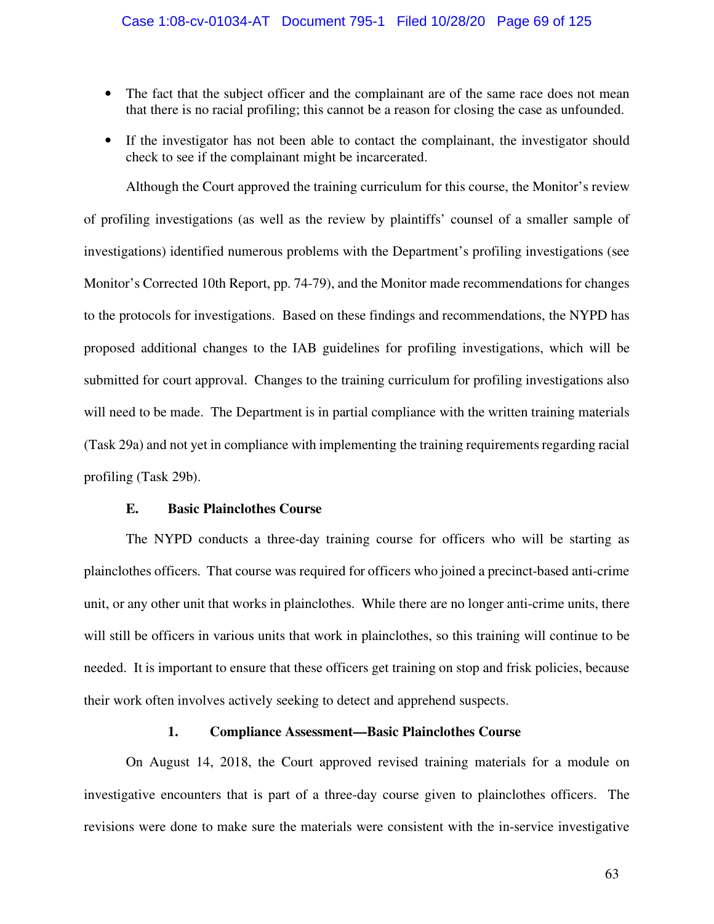- The fact that the subject officer and the complainant are of the same race does not mean that there is no racial profiling; this cannot be a reason for closing the case as unfounded.
- If the investigator has not been able to contact the complainant, the investigator should check to see if the complainant might be incarcerated.

Although the Court approved the training curriculum for this course, the Monitor's review of profiling investigations (as well as the review by plaintiffs' counsel of a smaller sample of investigations) identified numerous problems with the Department's profiling investigations (see Monitor's Corrected 10th Report, pp. 74-79), and the Monitor made recommendations for changes to the protocols for investigations. Based on these findings and recommendations, the NYPD has proposed additional changes to the IAB guidelines for profiling investigations, which will be submitted for court approval. Changes to the training curriculum for profiling investigations also will need to be made. The Department is in partial compliance with the written training materials (Task 29a) and not yet in compliance with implementing the training requirements regarding racial profiling (Task 29b).

### **E. Basic Plainclothes Course**

The NYPD conducts a three-day training course for officers who will be starting as plainclothes officers. That course was required for officers who joined a precinct-based anti-crime unit, or any other unit that works in plainclothes. While there are no longer anti-crime units, there will still be officers in various units that work in plainclothes, so this training will continue to be needed. It is important to ensure that these officers get training on stop and frisk policies, because their work often involves actively seeking to detect and apprehend suspects.

### **1. Compliance Assessment—Basic Plainclothes Course**

On August 14, 2018, the Court approved revised training materials for a module on investigative encounters that is part of a three-day course given to plainclothes officers. The revisions were done to make sure the materials were consistent with the in-service investigative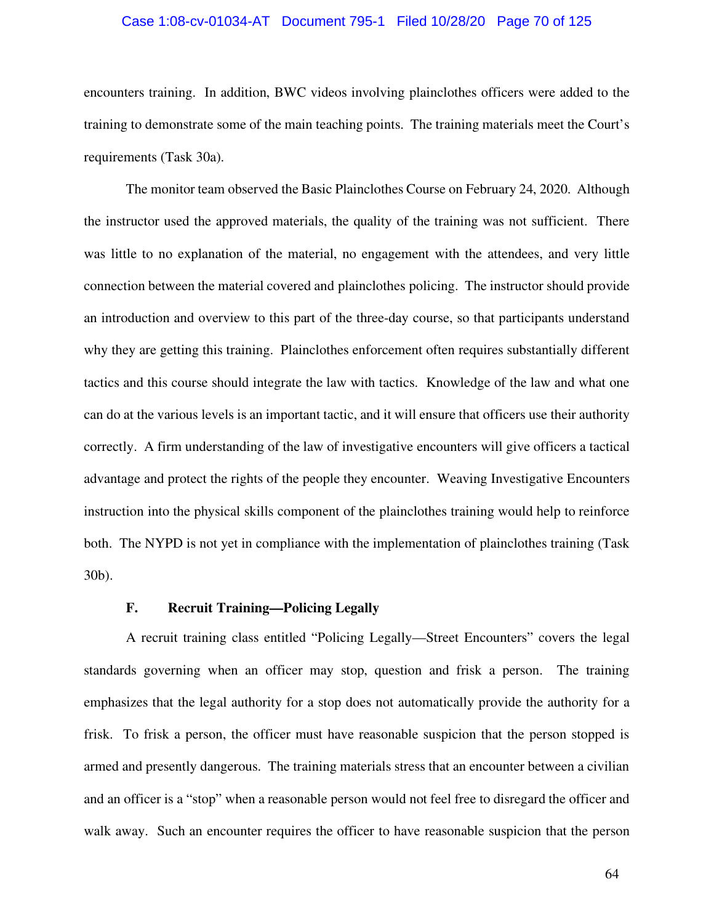### Case 1:08-cv-01034-AT Document 795-1 Filed 10/28/20 Page 70 of 125

encounters training. In addition, BWC videos involving plainclothes officers were added to the training to demonstrate some of the main teaching points. The training materials meet the Court's requirements (Task 30a).

The monitor team observed the Basic Plainclothes Course on February 24, 2020. Although the instructor used the approved materials, the quality of the training was not sufficient. There was little to no explanation of the material, no engagement with the attendees, and very little connection between the material covered and plainclothes policing. The instructor should provide an introduction and overview to this part of the three-day course, so that participants understand why they are getting this training. Plainclothes enforcement often requires substantially different tactics and this course should integrate the law with tactics. Knowledge of the law and what one can do at the various levels is an important tactic, and it will ensure that officers use their authority correctly. A firm understanding of the law of investigative encounters will give officers a tactical advantage and protect the rights of the people they encounter. Weaving Investigative Encounters instruction into the physical skills component of the plainclothes training would help to reinforce both. The NYPD is not yet in compliance with the implementation of plainclothes training (Task 30b).

### **F. Recruit Training—Policing Legally**

A recruit training class entitled "Policing Legally—Street Encounters" covers the legal standards governing when an officer may stop, question and frisk a person. The training emphasizes that the legal authority for a stop does not automatically provide the authority for a frisk. To frisk a person, the officer must have reasonable suspicion that the person stopped is armed and presently dangerous. The training materials stress that an encounter between a civilian and an officer is a "stop" when a reasonable person would not feel free to disregard the officer and walk away. Such an encounter requires the officer to have reasonable suspicion that the person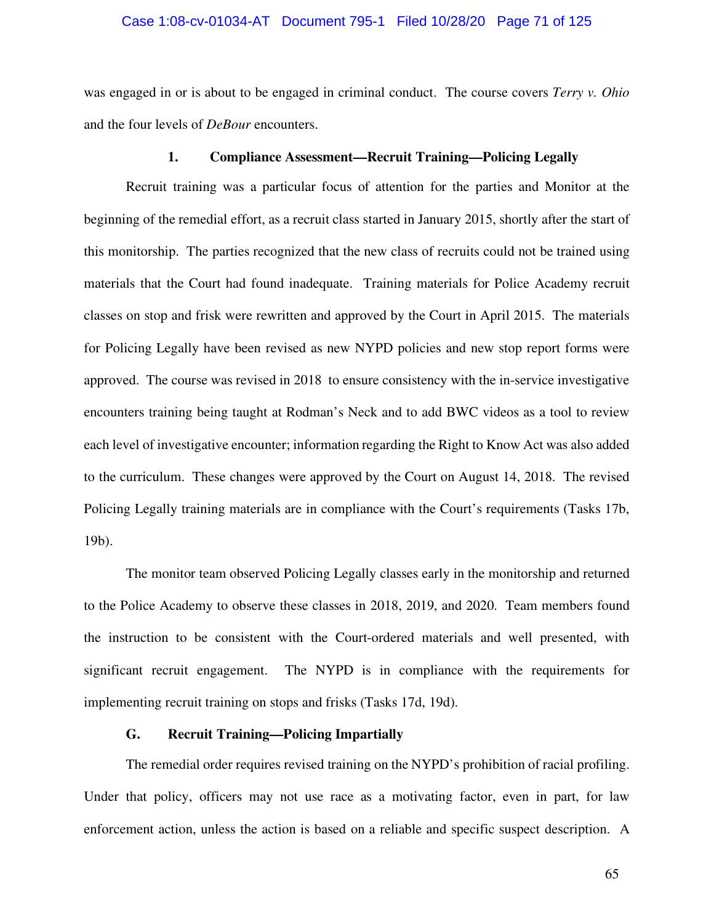### Case 1:08-cv-01034-AT Document 795-1 Filed 10/28/20 Page 71 of 125

was engaged in or is about to be engaged in criminal conduct. The course covers *Terry v. Ohio*  and the four levels of *DeBour* encounters.

#### **1. Compliance Assessment—Recruit Training—Policing Legally**

Recruit training was a particular focus of attention for the parties and Monitor at the beginning of the remedial effort, as a recruit class started in January 2015, shortly after the start of this monitorship. The parties recognized that the new class of recruits could not be trained using materials that the Court had found inadequate. Training materials for Police Academy recruit classes on stop and frisk were rewritten and approved by the Court in April 2015. The materials for Policing Legally have been revised as new NYPD policies and new stop report forms were approved. The course was revised in 2018 to ensure consistency with the in-service investigative encounters training being taught at Rodman's Neck and to add BWC videos as a tool to review each level of investigative encounter; information regarding the Right to Know Act was also added to the curriculum. These changes were approved by the Court on August 14, 2018. The revised Policing Legally training materials are in compliance with the Court's requirements (Tasks 17b, 19b).

The monitor team observed Policing Legally classes early in the monitorship and returned to the Police Academy to observe these classes in 2018, 2019, and 2020. Team members found the instruction to be consistent with the Court-ordered materials and well presented, with significant recruit engagement. The NYPD is in compliance with the requirements for implementing recruit training on stops and frisks (Tasks 17d, 19d).

# **G. Recruit Training—Policing Impartially**

The remedial order requires revised training on the NYPD's prohibition of racial profiling. Under that policy, officers may not use race as a motivating factor, even in part, for law enforcement action, unless the action is based on a reliable and specific suspect description. A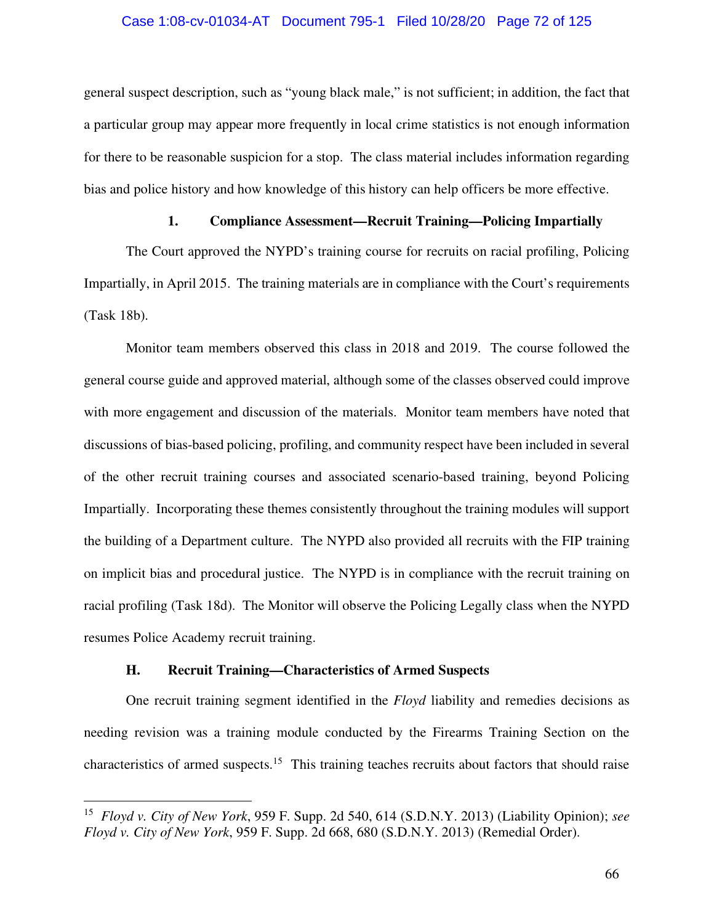### Case 1:08-cv-01034-AT Document 795-1 Filed 10/28/20 Page 72 of 125

general suspect description, such as "young black male," is not sufficient; in addition, the fact that a particular group may appear more frequently in local crime statistics is not enough information for there to be reasonable suspicion for a stop. The class material includes information regarding bias and police history and how knowledge of this history can help officers be more effective.

# **1. Compliance Assessment—Recruit Training—Policing Impartially**

The Court approved the NYPD's training course for recruits on racial profiling, Policing Impartially, in April 2015. The training materials are in compliance with the Court's requirements (Task 18b).

Monitor team members observed this class in 2018 and 2019. The course followed the general course guide and approved material, although some of the classes observed could improve with more engagement and discussion of the materials. Monitor team members have noted that discussions of bias-based policing, profiling, and community respect have been included in several of the other recruit training courses and associated scenario-based training, beyond Policing Impartially. Incorporating these themes consistently throughout the training modules will support the building of a Department culture. The NYPD also provided all recruits with the FIP training on implicit bias and procedural justice. The NYPD is in compliance with the recruit training on racial profiling (Task 18d). The Monitor will observe the Policing Legally class when the NYPD resumes Police Academy recruit training.

# **H. Recruit Training—Characteristics of Armed Suspects**

One recruit training segment identified in the *Floyd* liability and remedies decisions as needing revision was a training module conducted by the Firearms Training Section on the characteristics of armed suspects.<sup>15</sup> This training teaches recruits about factors that should raise

<sup>15</sup> *Floyd v. City of New York*, 959 F. Supp. 2d 540, 614 (S.D.N.Y. 2013) (Liability Opinion); *see Floyd v. City of New York*, 959 F. Supp. 2d 668, 680 (S.D.N.Y. 2013) (Remedial Order).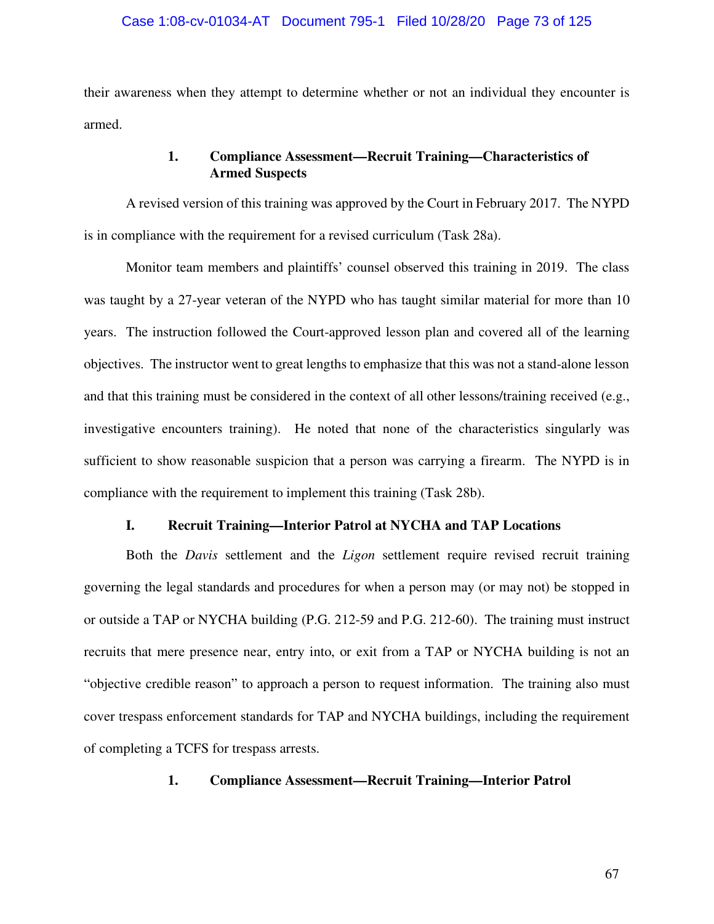### Case 1:08-cv-01034-AT Document 795-1 Filed 10/28/20 Page 73 of 125

their awareness when they attempt to determine whether or not an individual they encounter is armed.

# **1. Compliance Assessment—Recruit Training—Characteristics of Armed Suspects**

A revised version of this training was approved by the Court in February 2017. The NYPD is in compliance with the requirement for a revised curriculum (Task 28a).

Monitor team members and plaintiffs' counsel observed this training in 2019. The class was taught by a 27-year veteran of the NYPD who has taught similar material for more than 10 years. The instruction followed the Court-approved lesson plan and covered all of the learning objectives. The instructor went to great lengths to emphasize that this was not a stand-alone lesson and that this training must be considered in the context of all other lessons/training received (e.g., investigative encounters training). He noted that none of the characteristics singularly was sufficient to show reasonable suspicion that a person was carrying a firearm. The NYPD is in compliance with the requirement to implement this training (Task 28b).

### **I. Recruit Training—Interior Patrol at NYCHA and TAP Locations**

Both the *Davis* settlement and the *Ligon* settlement require revised recruit training governing the legal standards and procedures for when a person may (or may not) be stopped in or outside a TAP or NYCHA building (P.G. 212-59 and P.G. 212-60). The training must instruct recruits that mere presence near, entry into, or exit from a TAP or NYCHA building is not an "objective credible reason" to approach a person to request information. The training also must cover trespass enforcement standards for TAP and NYCHA buildings, including the requirement of completing a TCFS for trespass arrests.

# **1. Compliance Assessment—Recruit Training—Interior Patrol**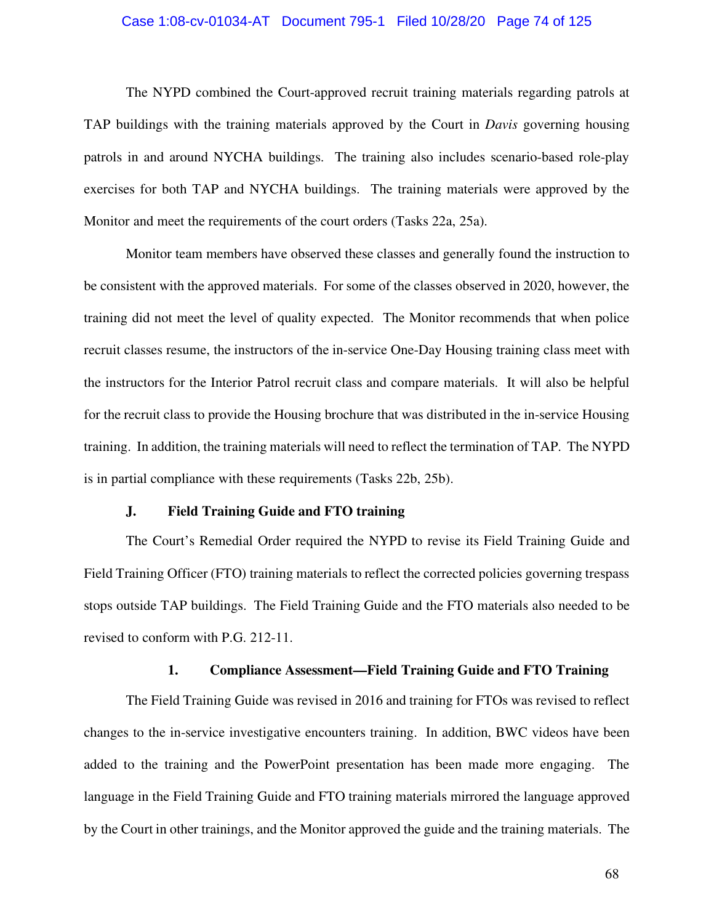### Case 1:08-cv-01034-AT Document 795-1 Filed 10/28/20 Page 74 of 125

The NYPD combined the Court-approved recruit training materials regarding patrols at TAP buildings with the training materials approved by the Court in *Davis* governing housing patrols in and around NYCHA buildings. The training also includes scenario-based role-play exercises for both TAP and NYCHA buildings. The training materials were approved by the Monitor and meet the requirements of the court orders (Tasks 22a, 25a).

Monitor team members have observed these classes and generally found the instruction to be consistent with the approved materials. For some of the classes observed in 2020, however, the training did not meet the level of quality expected. The Monitor recommends that when police recruit classes resume, the instructors of the in-service One-Day Housing training class meet with the instructors for the Interior Patrol recruit class and compare materials. It will also be helpful for the recruit class to provide the Housing brochure that was distributed in the in-service Housing training. In addition, the training materials will need to reflect the termination of TAP. The NYPD is in partial compliance with these requirements (Tasks 22b, 25b).

### **J. Field Training Guide and FTO training**

The Court's Remedial Order required the NYPD to revise its Field Training Guide and Field Training Officer (FTO) training materials to reflect the corrected policies governing trespass stops outside TAP buildings. The Field Training Guide and the FTO materials also needed to be revised to conform with P.G. 212-11.

### **1. Compliance Assessment—Field Training Guide and FTO Training**

The Field Training Guide was revised in 2016 and training for FTOs was revised to reflect changes to the in-service investigative encounters training. In addition, BWC videos have been added to the training and the PowerPoint presentation has been made more engaging. The language in the Field Training Guide and FTO training materials mirrored the language approved by the Court in other trainings, and the Monitor approved the guide and the training materials. The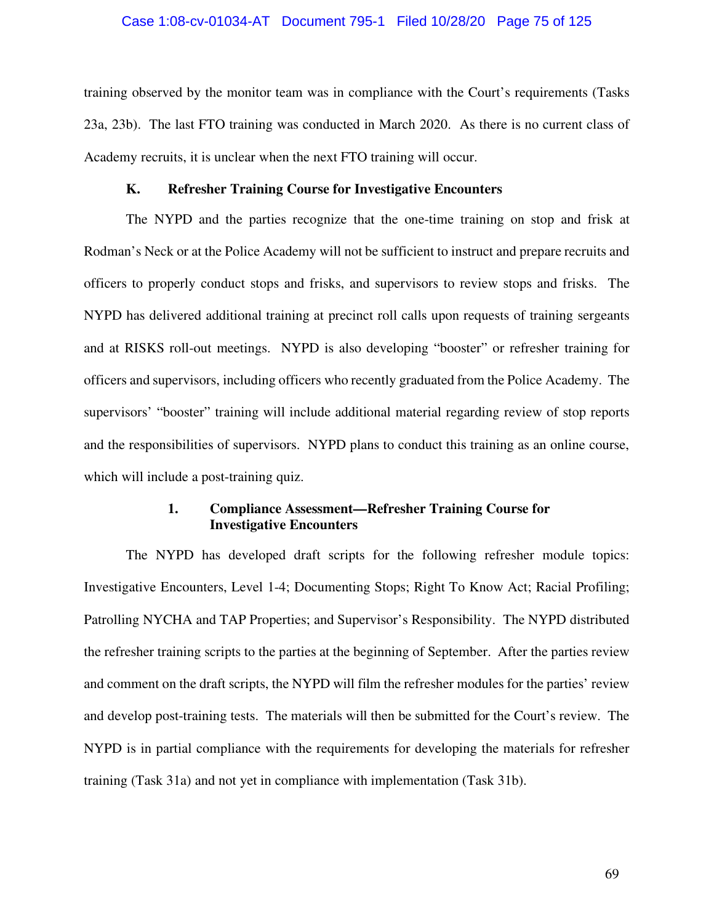### Case 1:08-cv-01034-AT Document 795-1 Filed 10/28/20 Page 75 of 125

training observed by the monitor team was in compliance with the Court's requirements (Tasks 23a, 23b). The last FTO training was conducted in March 2020. As there is no current class of Academy recruits, it is unclear when the next FTO training will occur.

### **K. Refresher Training Course for Investigative Encounters**

The NYPD and the parties recognize that the one-time training on stop and frisk at Rodman's Neck or at the Police Academy will not be sufficient to instruct and prepare recruits and officers to properly conduct stops and frisks, and supervisors to review stops and frisks. The NYPD has delivered additional training at precinct roll calls upon requests of training sergeants and at RISKS roll-out meetings. NYPD is also developing "booster" or refresher training for officers and supervisors, including officers who recently graduated from the Police Academy. The supervisors' "booster" training will include additional material regarding review of stop reports and the responsibilities of supervisors. NYPD plans to conduct this training as an online course, which will include a post-training quiz.

# **1. Compliance Assessment—Refresher Training Course for Investigative Encounters**

The NYPD has developed draft scripts for the following refresher module topics: Investigative Encounters, Level 1-4; Documenting Stops; Right To Know Act; Racial Profiling; Patrolling NYCHA and TAP Properties; and Supervisor's Responsibility. The NYPD distributed the refresher training scripts to the parties at the beginning of September. After the parties review and comment on the draft scripts, the NYPD will film the refresher modules for the parties' review and develop post-training tests. The materials will then be submitted for the Court's review. The NYPD is in partial compliance with the requirements for developing the materials for refresher training (Task 31a) and not yet in compliance with implementation (Task 31b).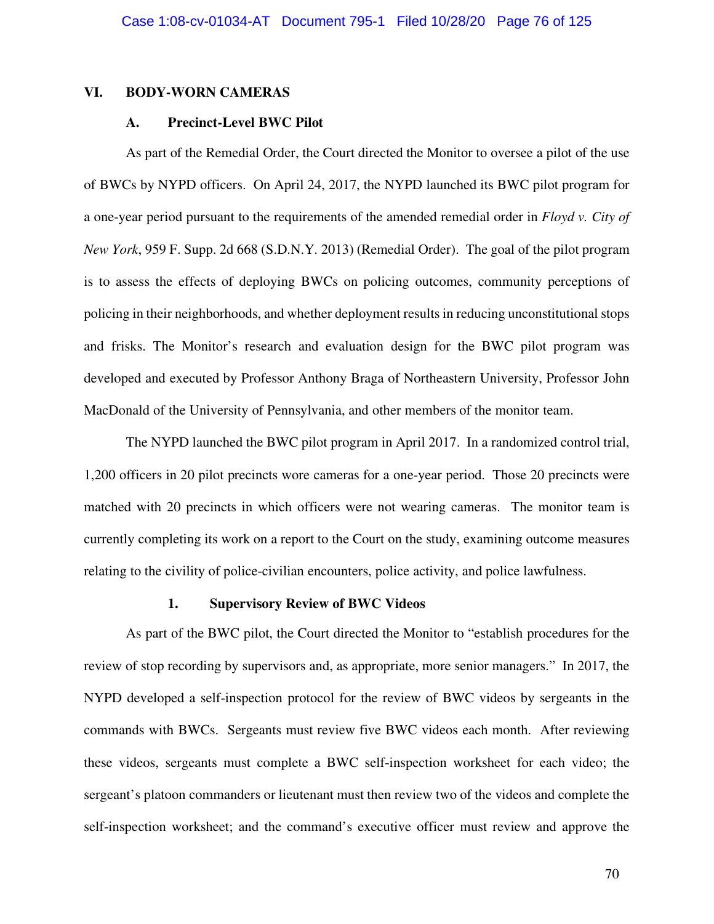### **VI. BODY-WORN CAMERAS**

### **A. Precinct-Level BWC Pilot**

As part of the Remedial Order, the Court directed the Monitor to oversee a pilot of the use of BWCs by NYPD officers. On April 24, 2017, the NYPD launched its BWC pilot program for a one-year period pursuant to the requirements of the amended remedial order in *Floyd v. City of New York*, 959 F. Supp. 2d 668 (S.D.N.Y. 2013) (Remedial Order). The goal of the pilot program is to assess the effects of deploying BWCs on policing outcomes, community perceptions of policing in their neighborhoods, and whether deployment results in reducing unconstitutional stops and frisks. The Monitor's research and evaluation design for the BWC pilot program was developed and executed by Professor Anthony Braga of Northeastern University, Professor John MacDonald of the University of Pennsylvania, and other members of the monitor team.

The NYPD launched the BWC pilot program in April 2017. In a randomized control trial, 1,200 officers in 20 pilot precincts wore cameras for a one-year period. Those 20 precincts were matched with 20 precincts in which officers were not wearing cameras. The monitor team is currently completing its work on a report to the Court on the study, examining outcome measures relating to the civility of police-civilian encounters, police activity, and police lawfulness.

# **1. Supervisory Review of BWC Videos**

As part of the BWC pilot, the Court directed the Monitor to "establish procedures for the review of stop recording by supervisors and, as appropriate, more senior managers." In 2017, the NYPD developed a self-inspection protocol for the review of BWC videos by sergeants in the commands with BWCs. Sergeants must review five BWC videos each month. After reviewing these videos, sergeants must complete a BWC self-inspection worksheet for each video; the sergeant's platoon commanders or lieutenant must then review two of the videos and complete the self-inspection worksheet; and the command's executive officer must review and approve the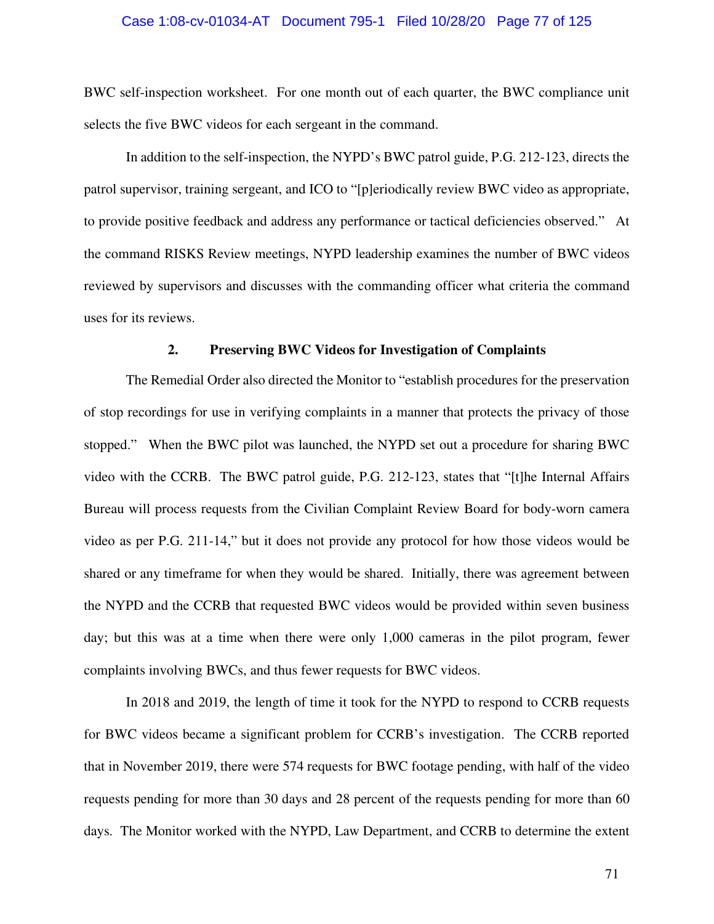### Case 1:08-cv-01034-AT Document 795-1 Filed 10/28/20 Page 77 of 125

BWC self-inspection worksheet. For one month out of each quarter, the BWC compliance unit selects the five BWC videos for each sergeant in the command.

In addition to the self-inspection, the NYPD's BWC patrol guide, P.G. 212-123, directs the patrol supervisor, training sergeant, and ICO to "[p]eriodically review BWC video as appropriate, to provide positive feedback and address any performance or tactical deficiencies observed." At the command RISKS Review meetings, NYPD leadership examines the number of BWC videos reviewed by supervisors and discusses with the commanding officer what criteria the command uses for its reviews.

#### **2. Preserving BWC Videos for Investigation of Complaints**

The Remedial Order also directed the Monitor to "establish procedures for the preservation of stop recordings for use in verifying complaints in a manner that protects the privacy of those stopped." When the BWC pilot was launched, the NYPD set out a procedure for sharing BWC video with the CCRB. The BWC patrol guide, P.G. 212-123, states that "[t]he Internal Affairs Bureau will process requests from the Civilian Complaint Review Board for body-worn camera video as per P.G. 211-14," but it does not provide any protocol for how those videos would be shared or any timeframe for when they would be shared. Initially, there was agreement between the NYPD and the CCRB that requested BWC videos would be provided within seven business day; but this was at a time when there were only 1,000 cameras in the pilot program, fewer complaints involving BWCs, and thus fewer requests for BWC videos.

In 2018 and 2019, the length of time it took for the NYPD to respond to CCRB requests for BWC videos became a significant problem for CCRB's investigation. The CCRB reported that in November 2019, there were 574 requests for BWC footage pending, with half of the video requests pending for more than 30 days and 28 percent of the requests pending for more than 60 days. The Monitor worked with the NYPD, Law Department, and CCRB to determine the extent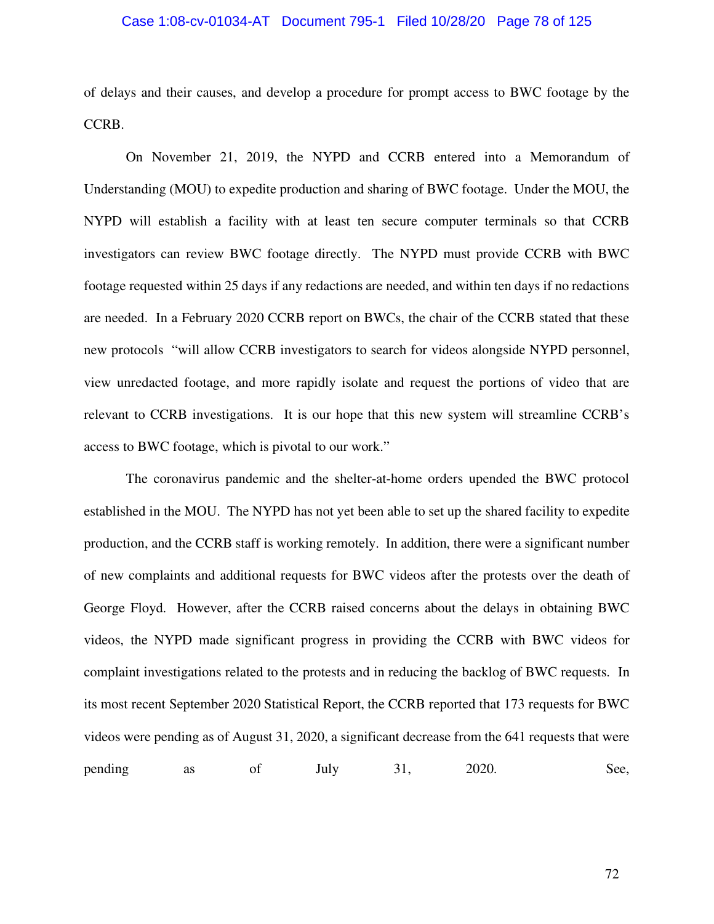### Case 1:08-cv-01034-AT Document 795-1 Filed 10/28/20 Page 78 of 125

of delays and their causes, and develop a procedure for prompt access to BWC footage by the CCRB.

On November 21, 2019, the NYPD and CCRB entered into a Memorandum of Understanding (MOU) to expedite production and sharing of BWC footage. Under the MOU, the NYPD will establish a facility with at least ten secure computer terminals so that CCRB investigators can review BWC footage directly. The NYPD must provide CCRB with BWC footage requested within 25 days if any redactions are needed, and within ten days if no redactions are needed. In a February 2020 CCRB report on BWCs, the chair of the CCRB stated that these new protocols "will allow CCRB investigators to search for videos alongside NYPD personnel, view unredacted footage, and more rapidly isolate and request the portions of video that are relevant to CCRB investigations. It is our hope that this new system will streamline CCRB's access to BWC footage, which is pivotal to our work."

The coronavirus pandemic and the shelter-at-home orders upended the BWC protocol established in the MOU. The NYPD has not yet been able to set up the shared facility to expedite production, and the CCRB staff is working remotely. In addition, there were a significant number of new complaints and additional requests for BWC videos after the protests over the death of George Floyd. However, after the CCRB raised concerns about the delays in obtaining BWC videos, the NYPD made significant progress in providing the CCRB with BWC videos for complaint investigations related to the protests and in reducing the backlog of BWC requests. In its most recent September 2020 Statistical Report, the CCRB reported that 173 requests for BWC videos were pending as of August 31, 2020, a significant decrease from the 641 requests that were pending as of July 31, 2020. See,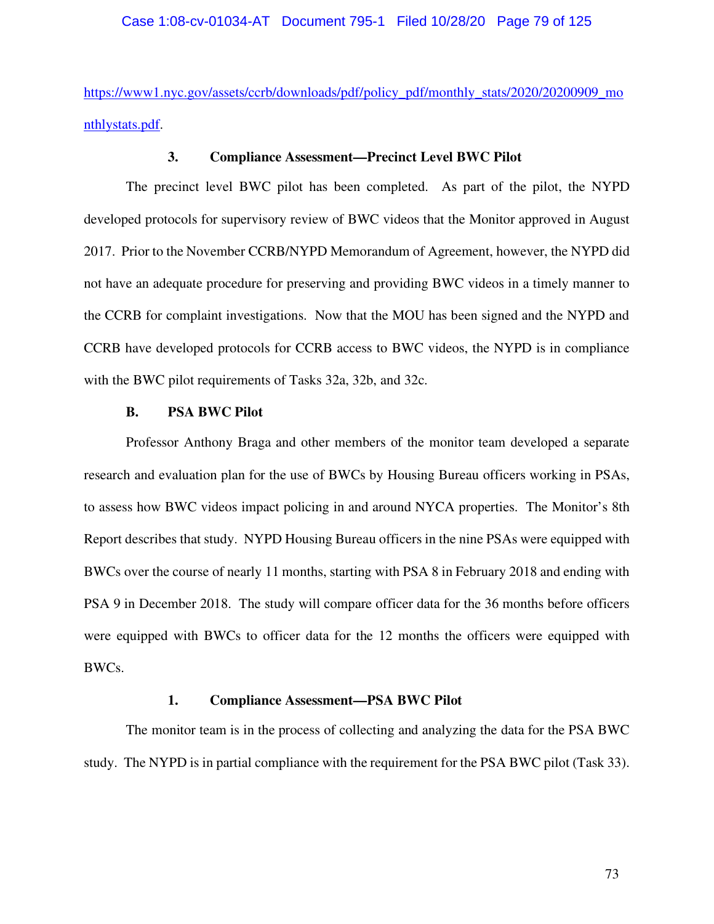https://www1.nyc.gov/assets/ccrb/downloads/pdf/policy\_pdf/monthly\_stats/2020/20200909\_mo nthlystats.pdf.

### **3. Compliance Assessment—Precinct Level BWC Pilot**

The precinct level BWC pilot has been completed. As part of the pilot, the NYPD developed protocols for supervisory review of BWC videos that the Monitor approved in August 2017. Prior to the November CCRB/NYPD Memorandum of Agreement, however, the NYPD did not have an adequate procedure for preserving and providing BWC videos in a timely manner to the CCRB for complaint investigations. Now that the MOU has been signed and the NYPD and CCRB have developed protocols for CCRB access to BWC videos, the NYPD is in compliance with the BWC pilot requirements of Tasks 32a, 32b, and 32c.

# **B. PSA BWC Pilot**

Professor Anthony Braga and other members of the monitor team developed a separate research and evaluation plan for the use of BWCs by Housing Bureau officers working in PSAs, to assess how BWC videos impact policing in and around NYCA properties. The Monitor's 8th Report describes that study. NYPD Housing Bureau officers in the nine PSAs were equipped with BWCs over the course of nearly 11 months, starting with PSA 8 in February 2018 and ending with PSA 9 in December 2018. The study will compare officer data for the 36 months before officers were equipped with BWCs to officer data for the 12 months the officers were equipped with BWCs.

# **1. Compliance Assessment—PSA BWC Pilot**

The monitor team is in the process of collecting and analyzing the data for the PSA BWC study. The NYPD is in partial compliance with the requirement for the PSA BWC pilot (Task 33).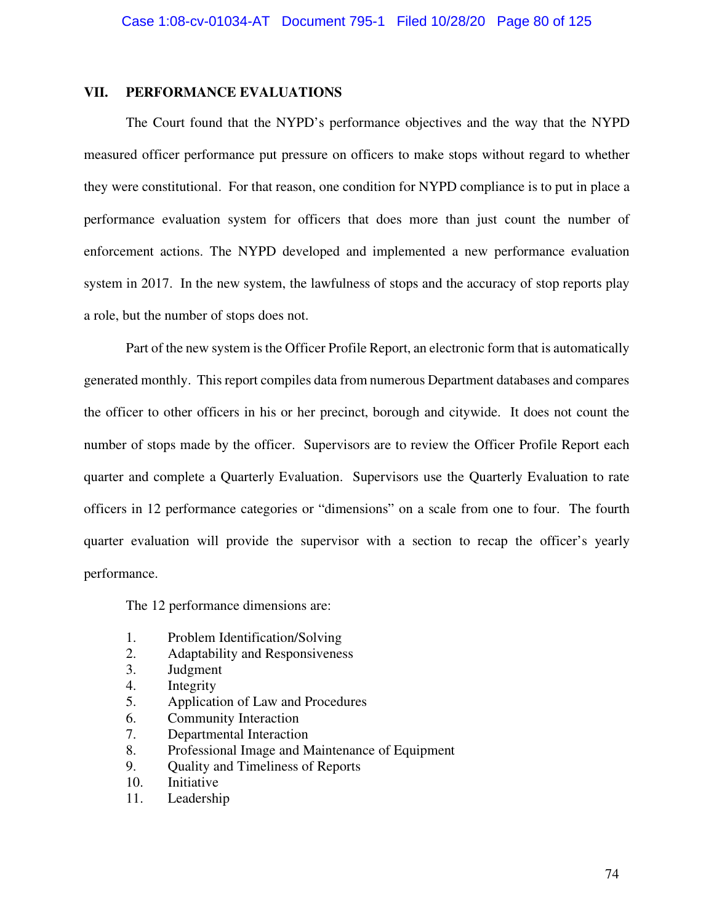# **VII. PERFORMANCE EVALUATIONS**

The Court found that the NYPD's performance objectives and the way that the NYPD measured officer performance put pressure on officers to make stops without regard to whether they were constitutional. For that reason, one condition for NYPD compliance is to put in place a performance evaluation system for officers that does more than just count the number of enforcement actions. The NYPD developed and implemented a new performance evaluation system in 2017. In the new system, the lawfulness of stops and the accuracy of stop reports play a role, but the number of stops does not.

Part of the new system is the Officer Profile Report, an electronic form that is automatically generated monthly. This report compiles data from numerous Department databases and compares the officer to other officers in his or her precinct, borough and citywide. It does not count the number of stops made by the officer. Supervisors are to review the Officer Profile Report each quarter and complete a Quarterly Evaluation. Supervisors use the Quarterly Evaluation to rate officers in 12 performance categories or "dimensions" on a scale from one to four. The fourth quarter evaluation will provide the supervisor with a section to recap the officer's yearly performance.

The 12 performance dimensions are:

- 1. Problem Identification/Solving
- 2. Adaptability and Responsiveness
- 3. Judgment
- 4. Integrity
- 5. Application of Law and Procedures
- 6. Community Interaction
- 7. Departmental Interaction
- 8. Professional Image and Maintenance of Equipment
- 9. Quality and Timeliness of Reports
- 10. Initiative
- 11. Leadership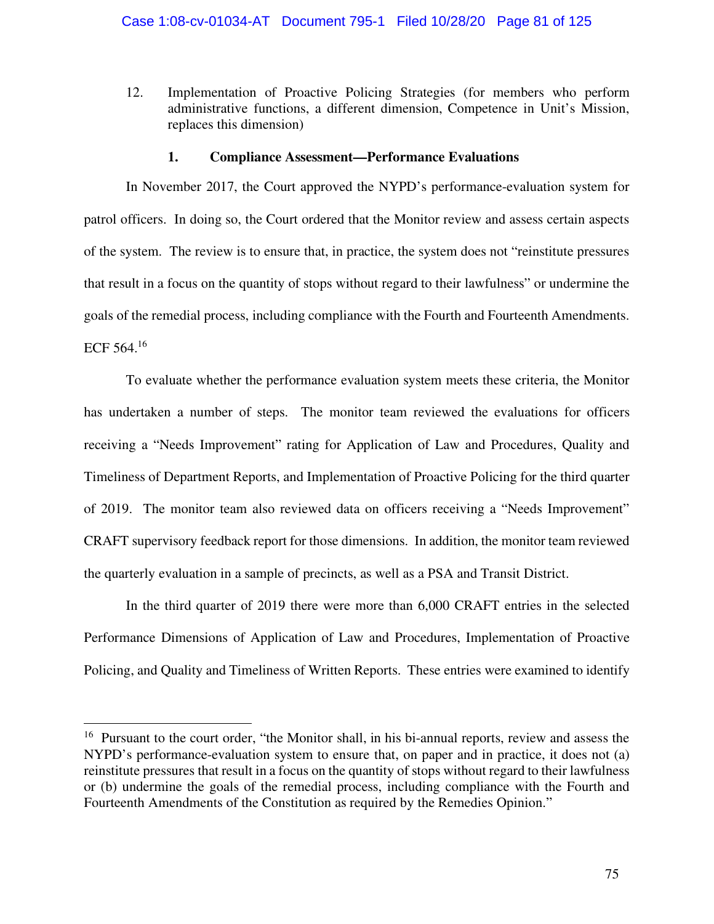12. Implementation of Proactive Policing Strategies (for members who perform administrative functions, a different dimension, Competence in Unit's Mission, replaces this dimension)

#### **1. Compliance Assessment—Performance Evaluations**

In November 2017, the Court approved the NYPD's performance-evaluation system for patrol officers. In doing so, the Court ordered that the Monitor review and assess certain aspects of the system. The review is to ensure that, in practice, the system does not "reinstitute pressures that result in a focus on the quantity of stops without regard to their lawfulness" or undermine the goals of the remedial process, including compliance with the Fourth and Fourteenth Amendments. ECF 564. $16$ 

To evaluate whether the performance evaluation system meets these criteria, the Monitor has undertaken a number of steps. The monitor team reviewed the evaluations for officers receiving a "Needs Improvement" rating for Application of Law and Procedures, Quality and Timeliness of Department Reports, and Implementation of Proactive Policing for the third quarter of 2019. The monitor team also reviewed data on officers receiving a "Needs Improvement" CRAFT supervisory feedback report for those dimensions. In addition, the monitor team reviewed the quarterly evaluation in a sample of precincts, as well as a PSA and Transit District.

In the third quarter of 2019 there were more than 6,000 CRAFT entries in the selected Performance Dimensions of Application of Law and Procedures, Implementation of Proactive Policing, and Quality and Timeliness of Written Reports. These entries were examined to identify

<sup>&</sup>lt;sup>16</sup> Pursuant to the court order, "the Monitor shall, in his bi-annual reports, review and assess the NYPD's performance-evaluation system to ensure that, on paper and in practice, it does not (a) reinstitute pressures that result in a focus on the quantity of stops without regard to their lawfulness or (b) undermine the goals of the remedial process, including compliance with the Fourth and Fourteenth Amendments of the Constitution as required by the Remedies Opinion."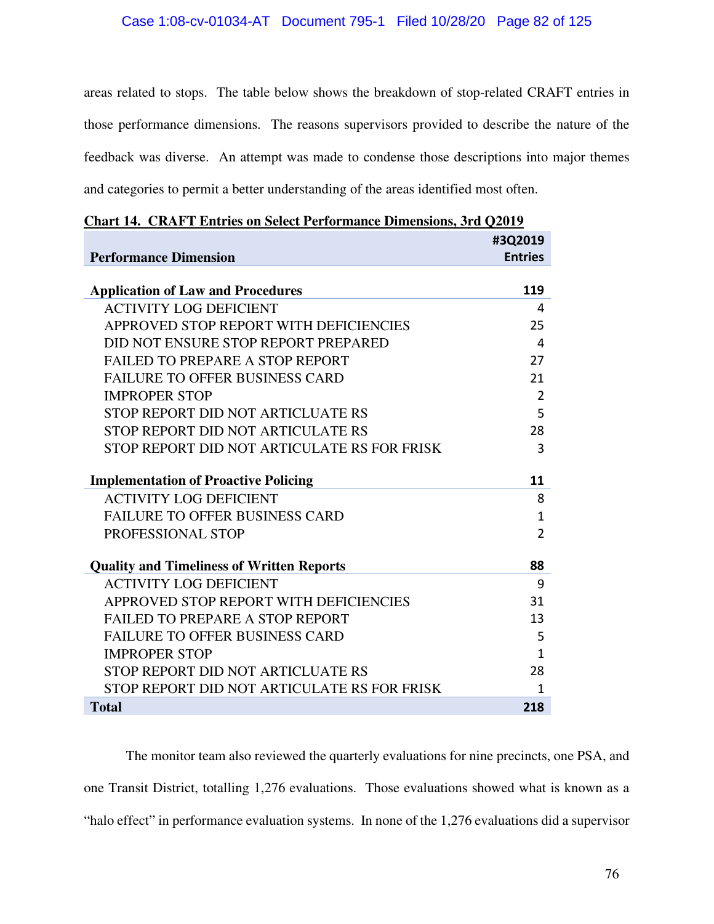# Case 1:08-cv-01034-AT Document 795-1 Filed 10/28/20 Page 82 of 125

areas related to stops. The table below shows the breakdown of stop-related CRAFT entries in those performance dimensions. The reasons supervisors provided to describe the nature of the feedback was diverse. An attempt was made to condense those descriptions into major themes and categories to permit a better understanding of the areas identified most often.

| <b>Performance Dimension</b>                     | #3Q2019<br><b>Entries</b> |
|--------------------------------------------------|---------------------------|
| <b>Application of Law and Procedures</b>         | 119                       |
| <b>ACTIVITY LOG DEFICIENT</b>                    | 4                         |
| APPROVED STOP REPORT WITH DEFICIENCIES           | 25                        |
| DID NOT ENSURE STOP REPORT PREPARED              | 4                         |
| <b>FAILED TO PREPARE A STOP REPORT</b>           | 27                        |
| <b>FAILURE TO OFFER BUSINESS CARD</b>            | 21                        |
| <b>IMPROPER STOP</b>                             | $\overline{2}$            |
| STOP REPORT DID NOT ARTICLUATE RS                | 5                         |
| STOP REPORT DID NOT ARTICULATE RS                | 28                        |
| STOP REPORT DID NOT ARTICULATE RS FOR FRISK      | 3                         |
| <b>Implementation of Proactive Policing</b>      | 11                        |
| <b>ACTIVITY LOG DEFICIENT</b>                    | 8                         |
| <b>FAILURE TO OFFER BUSINESS CARD</b>            | $\mathbf 1$               |
| PROFESSIONAL STOP                                | $\overline{2}$            |
| <b>Quality and Timeliness of Written Reports</b> | 88                        |
| <b>ACTIVITY LOG DEFICIENT</b>                    | 9                         |
| APPROVED STOP REPORT WITH DEFICIENCIES           | 31                        |
| <b>FAILED TO PREPARE A STOP REPORT</b>           | 13                        |
| <b>FAILURE TO OFFER BUSINESS CARD</b>            | 5                         |
| <b>IMPROPER STOP</b>                             | $\mathbf{1}$              |
| STOP REPORT DID NOT ARTICLUATE RS                | 28                        |
| STOP REPORT DID NOT ARTICULATE RS FOR FRISK      | 1                         |
| <b>Total</b>                                     | 218                       |

|  |  | <b>Chart 14. CRAFT Entries on Select Performance Dimensions, 3rd Q2019</b> |  |  |
|--|--|----------------------------------------------------------------------------|--|--|
|  |  |                                                                            |  |  |

The monitor team also reviewed the quarterly evaluations for nine precincts, one PSA, and one Transit District, totalling 1,276 evaluations. Those evaluations showed what is known as a "halo effect" in performance evaluation systems. In none of the 1,276 evaluations did a supervisor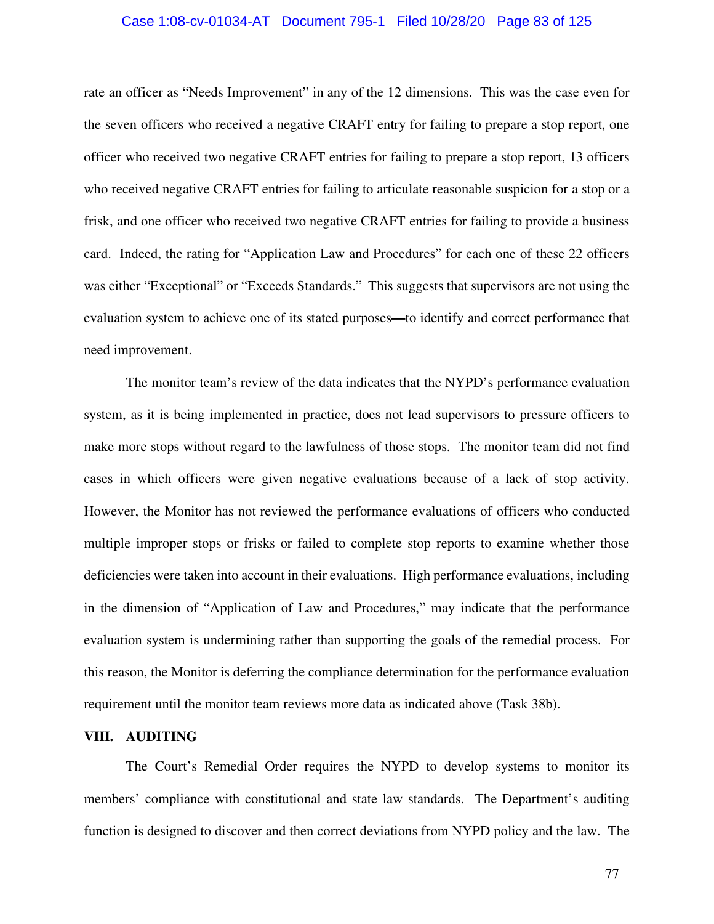### Case 1:08-cv-01034-AT Document 795-1 Filed 10/28/20 Page 83 of 125

rate an officer as "Needs Improvement" in any of the 12 dimensions. This was the case even for the seven officers who received a negative CRAFT entry for failing to prepare a stop report, one officer who received two negative CRAFT entries for failing to prepare a stop report, 13 officers who received negative CRAFT entries for failing to articulate reasonable suspicion for a stop or a frisk, and one officer who received two negative CRAFT entries for failing to provide a business card. Indeed, the rating for "Application Law and Procedures" for each one of these 22 officers was either "Exceptional" or "Exceeds Standards." This suggests that supervisors are not using the evaluation system to achieve one of its stated purposes**—**to identify and correct performance that need improvement.

The monitor team's review of the data indicates that the NYPD's performance evaluation system, as it is being implemented in practice, does not lead supervisors to pressure officers to make more stops without regard to the lawfulness of those stops. The monitor team did not find cases in which officers were given negative evaluations because of a lack of stop activity. However, the Monitor has not reviewed the performance evaluations of officers who conducted multiple improper stops or frisks or failed to complete stop reports to examine whether those deficiencies were taken into account in their evaluations. High performance evaluations, including in the dimension of "Application of Law and Procedures," may indicate that the performance evaluation system is undermining rather than supporting the goals of the remedial process. For this reason, the Monitor is deferring the compliance determination for the performance evaluation requirement until the monitor team reviews more data as indicated above (Task 38b).

#### **VIII. AUDITING**

The Court's Remedial Order requires the NYPD to develop systems to monitor its members' compliance with constitutional and state law standards. The Department's auditing function is designed to discover and then correct deviations from NYPD policy and the law. The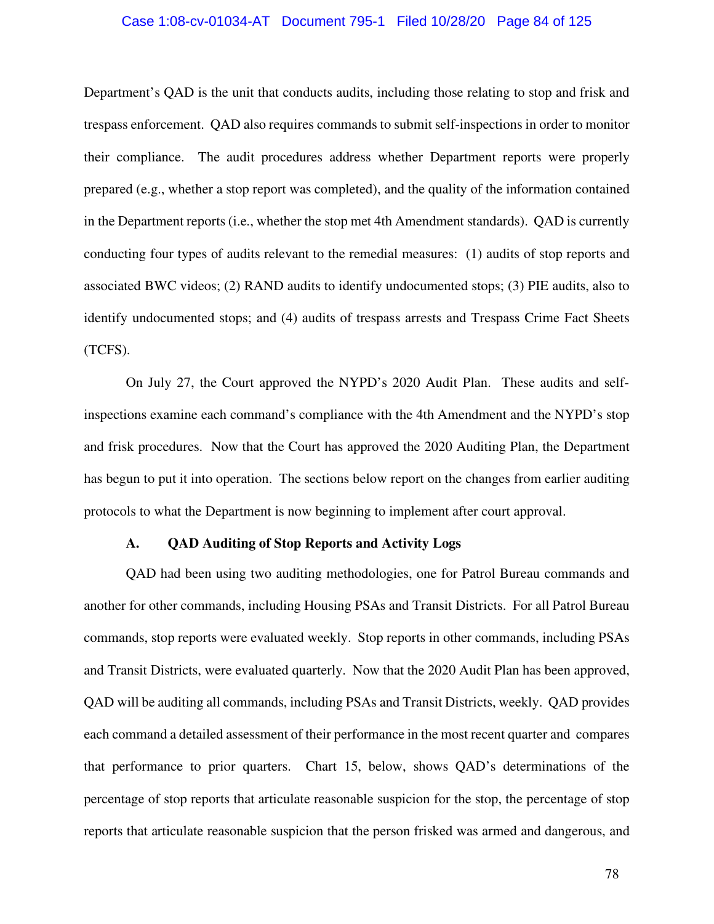#### Case 1:08-cv-01034-AT Document 795-1 Filed 10/28/20 Page 84 of 125

Department's QAD is the unit that conducts audits, including those relating to stop and frisk and trespass enforcement. QAD also requires commands to submit self-inspections in order to monitor their compliance. The audit procedures address whether Department reports were properly prepared (e.g., whether a stop report was completed), and the quality of the information contained in the Department reports (i.e., whether the stop met 4th Amendment standards). QAD is currently conducting four types of audits relevant to the remedial measures: (1) audits of stop reports and associated BWC videos; (2) RAND audits to identify undocumented stops; (3) PIE audits, also to identify undocumented stops; and (4) audits of trespass arrests and Trespass Crime Fact Sheets (TCFS).

On July 27, the Court approved the NYPD's 2020 Audit Plan. These audits and selfinspections examine each command's compliance with the 4th Amendment and the NYPD's stop and frisk procedures.Now that the Court has approved the 2020 Auditing Plan, the Department has begun to put it into operation. The sections below report on the changes from earlier auditing protocols to what the Department is now beginning to implement after court approval.

### **A. QAD Auditing of Stop Reports and Activity Logs**

QAD had been using two auditing methodologies, one for Patrol Bureau commands and another for other commands, including Housing PSAs and Transit Districts. For all Patrol Bureau commands, stop reports were evaluated weekly. Stop reports in other commands, including PSAs and Transit Districts, were evaluated quarterly. Now that the 2020 Audit Plan has been approved, QAD will be auditing all commands, including PSAs and Transit Districts, weekly. QAD provides each command a detailed assessment of their performance in the most recent quarter and compares that performance to prior quarters. Chart 15, below, shows QAD's determinations of the percentage of stop reports that articulate reasonable suspicion for the stop, the percentage of stop reports that articulate reasonable suspicion that the person frisked was armed and dangerous, and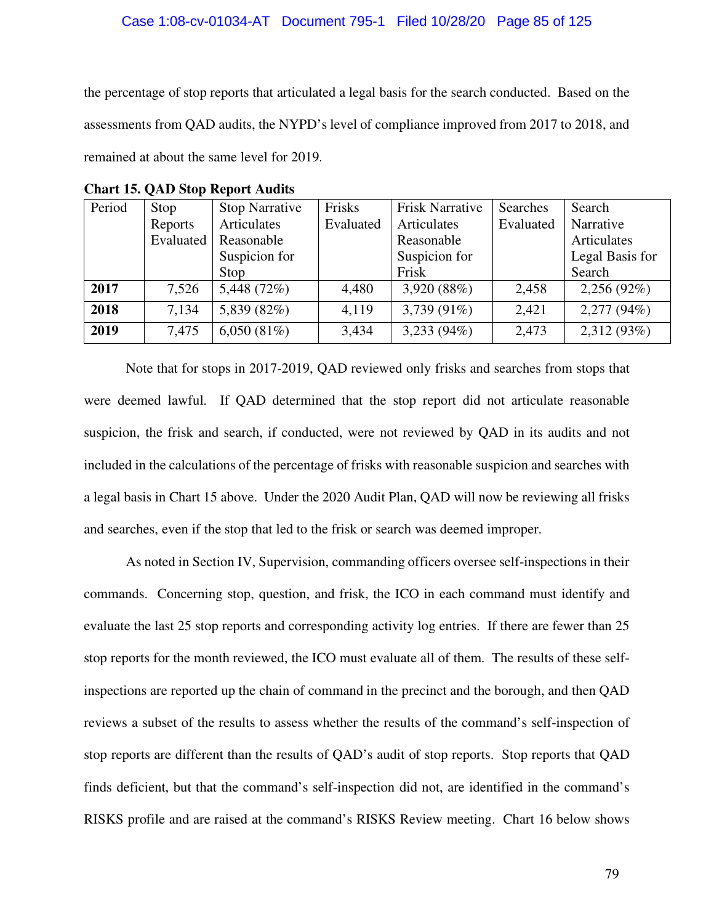the percentage of stop reports that articulated a legal basis for the search conducted. Based on the assessments from QAD audits, the NYPD's level of compliance improved from 2017 to 2018, and remained at about the same level for 2019.

| Period | Stop      | <b>Stop Narrative</b> | Frisks    | <b>Frisk Narrative</b> | Searches  | Search          |  |  |  |
|--------|-----------|-----------------------|-----------|------------------------|-----------|-----------------|--|--|--|
|        | Reports   | Articulates           | Evaluated | Articulates            | Evaluated | Narrative       |  |  |  |
|        | Evaluated | Reasonable            |           | Reasonable             |           | Articulates     |  |  |  |
|        |           | Suspicion for         |           | Suspicion for          |           | Legal Basis for |  |  |  |
|        |           | Stop                  |           | Frisk                  |           | Search          |  |  |  |
| 2017   | 7,526     | 5,448 (72%)           | 4,480     | 3,920 (88%)            | 2,458     | 2,256(92%)      |  |  |  |
| 2018   | 7,134     | 5,839 (82%)           | 4,119     | 3,739 (91%)            | 2,421     | 2,277(94%)      |  |  |  |
| 2019   | 7,475     | 6,050(81%)            | 3,434     | 3,233(94%)             | 2,473     | 2,312 (93%)     |  |  |  |

**Chart 15. QAD Stop Report Audits** 

Note that for stops in 2017-2019, QAD reviewed only frisks and searches from stops that were deemed lawful. If QAD determined that the stop report did not articulate reasonable suspicion, the frisk and search, if conducted, were not reviewed by QAD in its audits and not included in the calculations of the percentage of frisks with reasonable suspicion and searches with a legal basis in Chart 15 above. Under the 2020 Audit Plan, QAD will now be reviewing all frisks and searches, even if the stop that led to the frisk or search was deemed improper.

As noted in Section IV, Supervision, commanding officers oversee self-inspections in their commands. Concerning stop, question, and frisk, the ICO in each command must identify and evaluate the last 25 stop reports and corresponding activity log entries. If there are fewer than 25 stop reports for the month reviewed, the ICO must evaluate all of them. The results of these selfinspections are reported up the chain of command in the precinct and the borough, and then QAD reviews a subset of the results to assess whether the results of the command's self-inspection of stop reports are different than the results of QAD's audit of stop reports. Stop reports that QAD finds deficient, but that the command's self-inspection did not, are identified in the command's RISKS profile and are raised at the command's RISKS Review meeting. Chart 16 below shows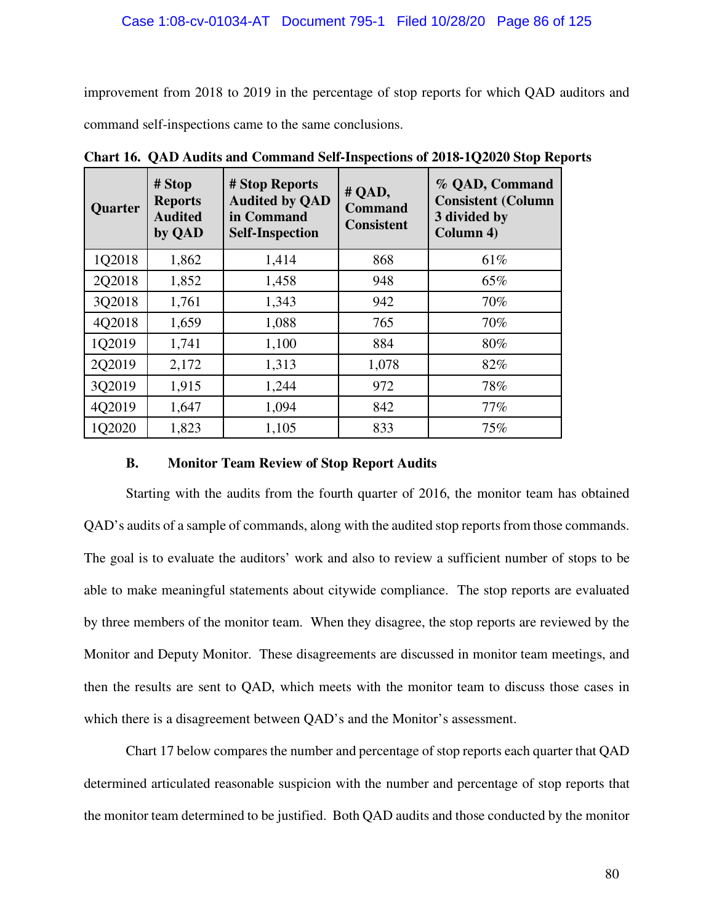improvement from 2018 to 2019 in the percentage of stop reports for which QAD auditors and command self-inspections came to the same conclusions.

| Quarter | # Stop<br><b>Reports</b><br><b>Audited</b><br>by QAD | # Stop Reports<br><b>Audited by QAD</b><br>in Command<br><b>Self-Inspection</b> | # QAD,<br><b>Command</b><br><b>Consistent</b> | % QAD, Command<br><b>Consistent (Column</b><br>3 divided by<br>Column 4) |
|---------|------------------------------------------------------|---------------------------------------------------------------------------------|-----------------------------------------------|--------------------------------------------------------------------------|
| 1Q2018  | 1,862                                                | 1,414                                                                           | 868                                           | 61%                                                                      |
| 2Q2018  | 1,852                                                | 1,458                                                                           | 948                                           | 65%                                                                      |
| 3Q2018  | 1,761                                                | 1,343                                                                           | 942                                           | 70%                                                                      |
| 4Q2018  | 1,659                                                | 1,088                                                                           | 765                                           | 70%                                                                      |
| 1Q2019  | 1,741                                                | 1,100                                                                           | 884                                           | 80%                                                                      |
| 2Q2019  | 2,172                                                | 1,313                                                                           | 1,078                                         | 82%                                                                      |
| 3Q2019  | 1,915                                                | 1,244                                                                           | 972                                           | 78%                                                                      |
| 4Q2019  | 1,647                                                | 1,094                                                                           | 842                                           | 77%                                                                      |
| 1Q2020  | 1,823                                                | 1,105                                                                           | 833                                           | 75%                                                                      |

**Chart 16. QAD Audits and Command Self-Inspections of 2018-1Q2020 Stop Reports** 

# **B. Monitor Team Review of Stop Report Audits**

Starting with the audits from the fourth quarter of 2016, the monitor team has obtained QAD's audits of a sample of commands, along with the audited stop reports from those commands. The goal is to evaluate the auditors' work and also to review a sufficient number of stops to be able to make meaningful statements about citywide compliance. The stop reports are evaluated by three members of the monitor team. When they disagree, the stop reports are reviewed by the Monitor and Deputy Monitor. These disagreements are discussed in monitor team meetings, and then the results are sent to QAD, which meets with the monitor team to discuss those cases in which there is a disagreement between QAD's and the Monitor's assessment.

Chart 17 below compares the number and percentage of stop reports each quarter that QAD determined articulated reasonable suspicion with the number and percentage of stop reports that the monitor team determined to be justified. Both QAD audits and those conducted by the monitor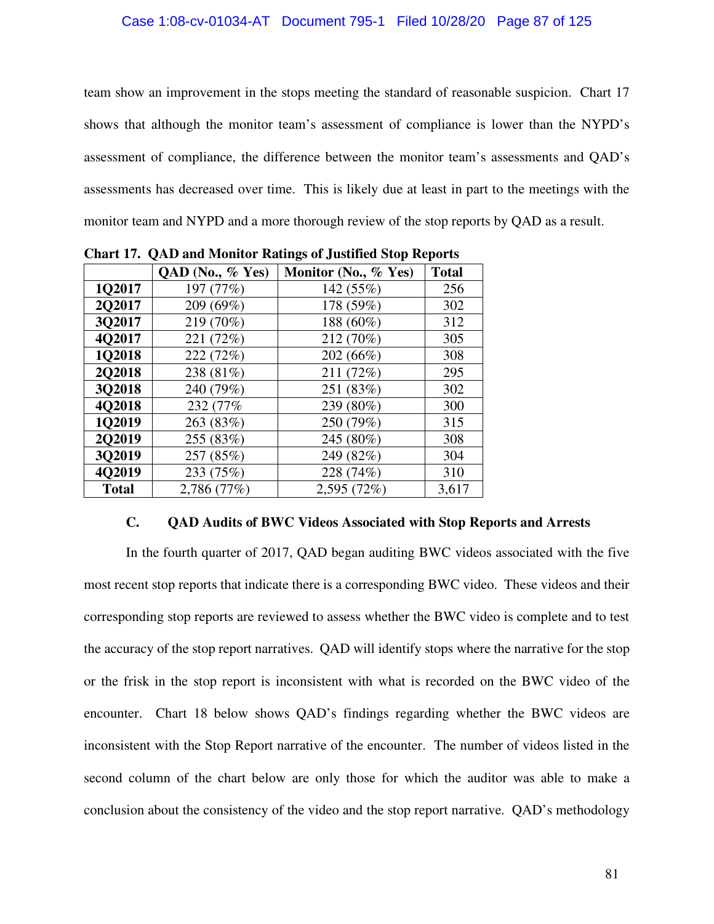team show an improvement in the stops meeting the standard of reasonable suspicion. Chart 17 shows that although the monitor team's assessment of compliance is lower than the NYPD's assessment of compliance, the difference between the monitor team's assessments and QAD's assessments has decreased over time. This is likely due at least in part to the meetings with the monitor team and NYPD and a more thorough review of the stop reports by QAD as a result.

|              | QAD (No., % Yes) | Monitor (No., % Yes) | <b>Total</b> |
|--------------|------------------|----------------------|--------------|
| 1Q2017       | 197 (77%)        | 142 (55%)            | 256          |
| 2Q2017       | 209 (69%)        | 178 (59%)            | 302          |
| 3Q2017       | 219 (70%)        | 188 (60%)            | 312          |
| 4Q2017       | 221 (72%)        | 212 (70%)            | 305          |
| 1Q2018       | 222 (72%)        | 202 (66%)            | 308          |
| 2Q2018       | 238 (81%)        | 211 (72%)            | 295          |
| 302018       | 240 (79%)        | 251 (83%)            | 302          |
| 4Q2018       | 232 (77%)        | 239 (80%)            | 300          |
| 102019       | 263 (83%)        | 250 (79%)            | 315          |
| 202019       | 255 (83%)        | 245 (80%)            | 308          |
| 3Q2019       | 257 (85%)        | 249 (82%)            | 304          |
| 4Q2019       | 233 (75%)        | 228 (74%)            | 310          |
| <b>Total</b> | 2,786 (77%)      | 2,595 (72%)          | 3,617        |

**Chart 17. QAD and Monitor Ratings of Justified Stop Reports** 

# **C. QAD Audits of BWC Videos Associated with Stop Reports and Arrests**

In the fourth quarter of 2017, QAD began auditing BWC videos associated with the five most recent stop reports that indicate there is a corresponding BWC video. These videos and their corresponding stop reports are reviewed to assess whether the BWC video is complete and to test the accuracy of the stop report narratives. QAD will identify stops where the narrative for the stop or the frisk in the stop report is inconsistent with what is recorded on the BWC video of the encounter. Chart 18 below shows QAD's findings regarding whether the BWC videos are inconsistent with the Stop Report narrative of the encounter. The number of videos listed in the second column of the chart below are only those for which the auditor was able to make a conclusion about the consistency of the video and the stop report narrative. QAD's methodology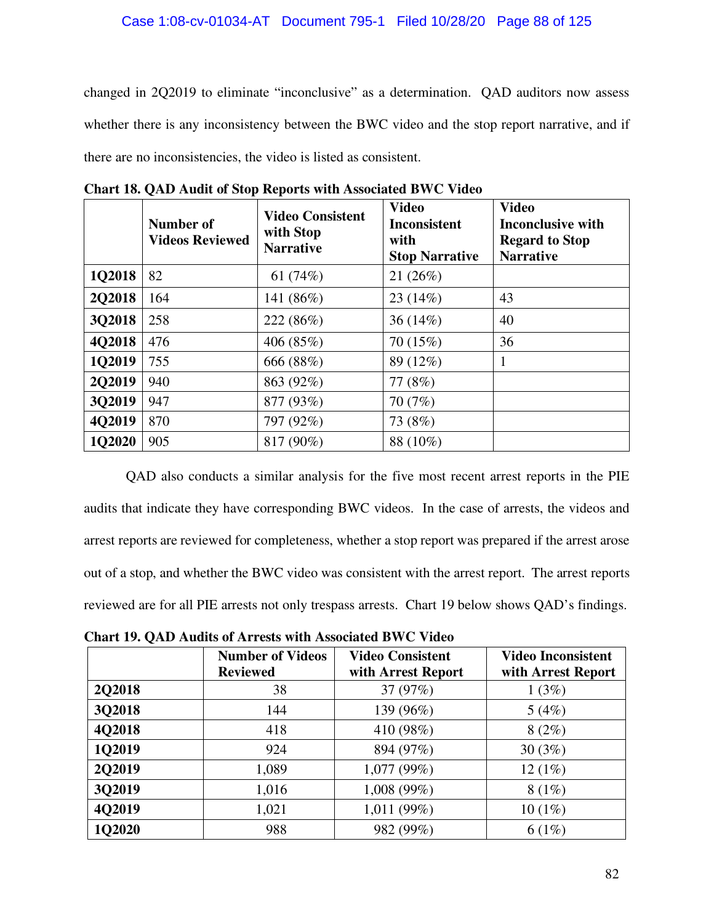# Case 1:08-cv-01034-AT Document 795-1 Filed 10/28/20 Page 88 of 125

changed in 2Q2019 to eliminate "inconclusive" as a determination. QAD auditors now assess whether there is any inconsistency between the BWC video and the stop report narrative, and if there are no inconsistencies, the video is listed as consistent.

|               | Number of<br><b>Videos Reviewed</b> | <b>Video Consistent</b><br>with Stop<br><b>Narrative</b> | <b>Video</b><br><b>Inconsistent</b><br>with<br><b>Stop Narrative</b> | <b>Video</b><br><b>Inconclusive with</b><br><b>Regard to Stop</b><br><b>Narrative</b> |
|---------------|-------------------------------------|----------------------------------------------------------|----------------------------------------------------------------------|---------------------------------------------------------------------------------------|
| 1Q2018        | 82                                  | 61 $(74%)$                                               | 21(26%)                                                              |                                                                                       |
| <b>2Q2018</b> | 164                                 | 141 (86%)                                                | 23(14%)                                                              | 43                                                                                    |
| 3Q2018        | 258                                 | 222 (86%)                                                | 36 $(14\%)$                                                          | 40                                                                                    |
| 4Q2018        | 476                                 | 406 (85%)                                                | 70 (15%)                                                             | 36                                                                                    |
| 102019        | 755                                 | 666 (88%)                                                | 89 (12%)                                                             | 1                                                                                     |
| 2Q2019        | 940                                 | 863 (92%)                                                | 77 (8%)                                                              |                                                                                       |
| 302019        | 947                                 | 877 (93%)                                                | 70(7%)                                                               |                                                                                       |
| 4Q2019        | 870                                 | 797 (92%)                                                | 73 (8%)                                                              |                                                                                       |
| <b>1Q2020</b> | 905                                 | 817 (90%)                                                | 88 (10%)                                                             |                                                                                       |

**Chart 18. QAD Audit of Stop Reports with Associated BWC Video** 

QAD also conducts a similar analysis for the five most recent arrest reports in the PIE audits that indicate they have corresponding BWC videos. In the case of arrests, the videos and arrest reports are reviewed for completeness, whether a stop report was prepared if the arrest arose out of a stop, and whether the BWC video was consistent with the arrest report. The arrest reports reviewed are for all PIE arrests not only trespass arrests. Chart 19 below shows QAD's findings.

**Chart 19. QAD Audits of Arrests with Associated BWC Video** 

|               | <b>Number of Videos</b><br><b>Reviewed</b> | <b>Video Consistent</b><br>with Arrest Report | <b>Video Inconsistent</b><br>with Arrest Report |
|---------------|--------------------------------------------|-----------------------------------------------|-------------------------------------------------|
| <b>2Q2018</b> | 38                                         | 37 (97%)                                      | 1(3%)                                           |
| 3Q2018        | 144                                        | 139 (96%)                                     | 5(4%)                                           |
| 4Q2018        | 418                                        | 410 (98%)                                     | 8(2%)                                           |
| 1Q2019        | 924                                        | 894 (97%)                                     | 30(3%)                                          |
| 2Q2019        | 1,089                                      | 1,077(99%)                                    | 12(1%)                                          |
| 3Q2019        | 1,016                                      | 1,008 (99%)                                   | 8(1%)                                           |
| 4Q2019        | 1,021                                      | 1,011 (99%)                                   | $10(1\%)$                                       |
| 1Q2020        | 988                                        | 982 (99%)                                     | 6(1%)                                           |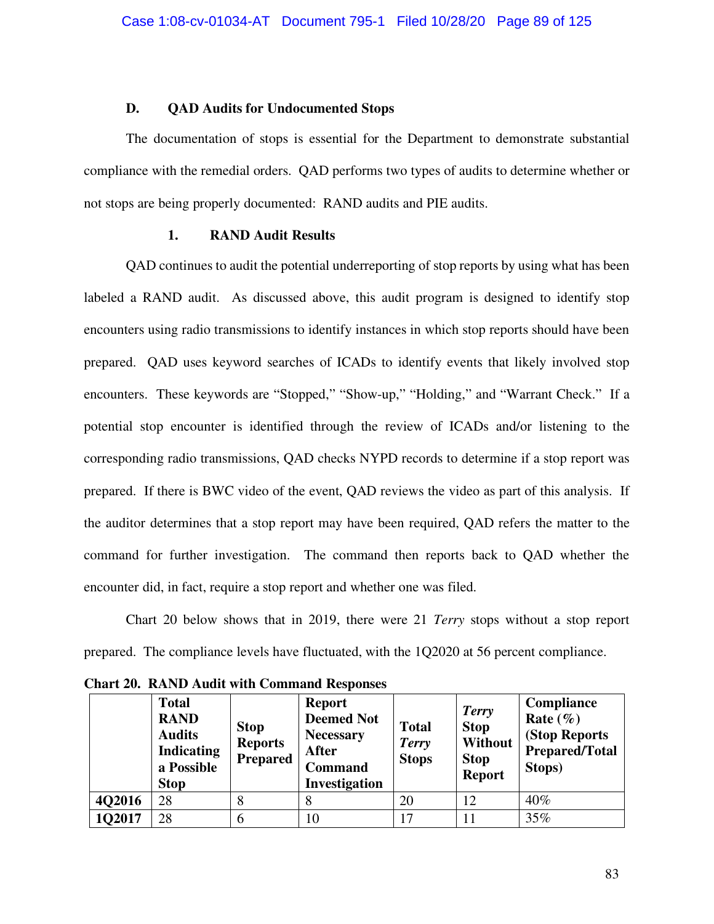### **D. QAD Audits for Undocumented Stops**

The documentation of stops is essential for the Department to demonstrate substantial compliance with the remedial orders. QAD performs two types of audits to determine whether or not stops are being properly documented: RAND audits and PIE audits.

# **1. RAND Audit Results**

QAD continues to audit the potential underreporting of stop reports by using what has been labeled a RAND audit. As discussed above, this audit program is designed to identify stop encounters using radio transmissions to identify instances in which stop reports should have been prepared. QAD uses keyword searches of ICADs to identify events that likely involved stop encounters. These keywords are "Stopped," "Show-up," "Holding," and "Warrant Check." If a potential stop encounter is identified through the review of ICADs and/or listening to the corresponding radio transmissions, QAD checks NYPD records to determine if a stop report was prepared. If there is BWC video of the event, QAD reviews the video as part of this analysis. If the auditor determines that a stop report may have been required, QAD refers the matter to the command for further investigation. The command then reports back to QAD whether the encounter did, in fact, require a stop report and whether one was filed.

Chart 20 below shows that in 2019, there were 21 *Terry* stops without a stop report prepared. The compliance levels have fluctuated, with the 1Q2020 at 56 percent compliance.

|        | <b>Total</b><br><b>RAND</b><br><b>Audits</b><br><b>Indicating</b><br>a Possible<br><b>Stop</b> | <b>Stop</b><br><b>Reports</b><br><b>Prepared</b> | <b>Report</b><br><b>Deemed Not</b><br><b>Necessary</b><br><b>After</b><br><b>Command</b><br>Investigation | <b>Total</b><br><b>Terry</b><br><b>Stops</b> | <b>Terry</b><br><b>Stop</b><br><b>Without</b><br><b>Stop</b><br><b>Report</b> | Compliance<br>Rate $(\%)$<br>(Stop Reports<br><b>Prepared/Total</b><br>Stops) |
|--------|------------------------------------------------------------------------------------------------|--------------------------------------------------|-----------------------------------------------------------------------------------------------------------|----------------------------------------------|-------------------------------------------------------------------------------|-------------------------------------------------------------------------------|
| 4Q2016 | 28                                                                                             | 8                                                | 8                                                                                                         | 20                                           | 12                                                                            | $40\%$                                                                        |
| 1Q2017 | 28                                                                                             | 6                                                | 10                                                                                                        | 17                                           |                                                                               | 35%                                                                           |

**Chart 20. RAND Audit with Command Responses**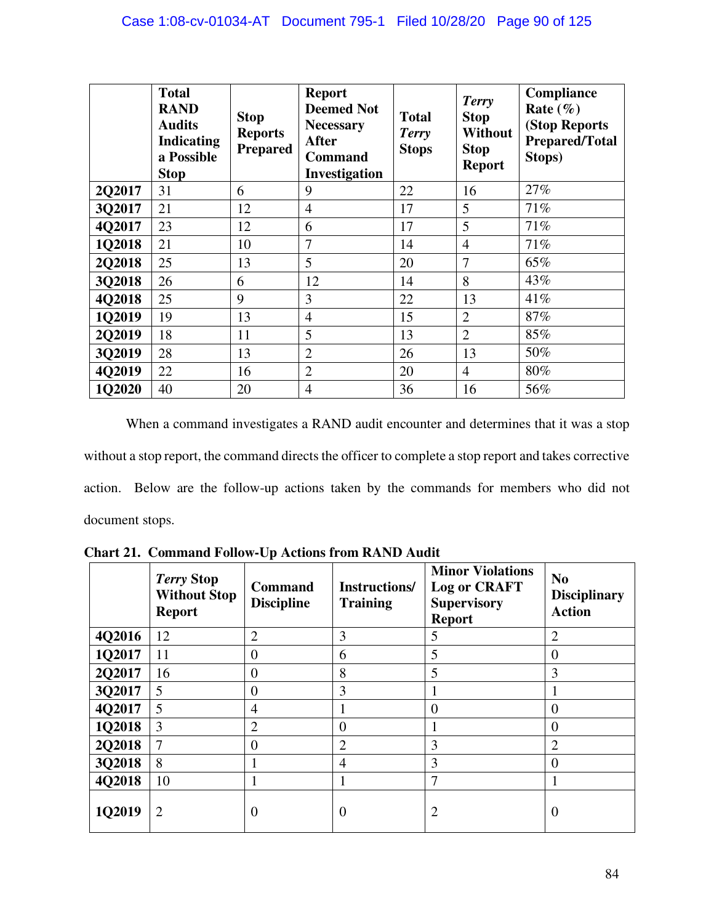|        | <b>Total</b><br><b>RAND</b><br><b>Audits</b><br><b>Indicating</b><br>a Possible<br><b>Stop</b> | <b>Stop</b><br><b>Reports</b><br><b>Prepared</b> | <b>Report</b><br><b>Deemed Not</b><br><b>Necessary</b><br><b>After</b><br><b>Command</b><br>Investigation | <b>Total</b><br><b>Terry</b><br><b>Stops</b> | Terry<br><b>Stop</b><br><b>Without</b><br><b>Stop</b><br><b>Report</b> | Compliance<br>Rate $(\% )$<br>(Stop Reports<br><b>Prepared/Total</b><br>Stops) |
|--------|------------------------------------------------------------------------------------------------|--------------------------------------------------|-----------------------------------------------------------------------------------------------------------|----------------------------------------------|------------------------------------------------------------------------|--------------------------------------------------------------------------------|
| 2Q2017 | 31                                                                                             | 6                                                | 9                                                                                                         | 22                                           | 16                                                                     | 27%                                                                            |
| 3Q2017 | 21                                                                                             | 12                                               | $\overline{4}$                                                                                            | 17                                           | 5                                                                      | 71%                                                                            |
| 4Q2017 | 23                                                                                             | 12                                               | 6                                                                                                         | 17                                           | 5                                                                      | 71%                                                                            |
| 1Q2018 | 21                                                                                             | 10                                               | 7                                                                                                         | 14                                           | $\overline{4}$                                                         | 71%                                                                            |
| 2Q2018 | 25                                                                                             | 13                                               | 5                                                                                                         | 20                                           | 7                                                                      | 65%                                                                            |
| 3Q2018 | 26                                                                                             | 6                                                | 12                                                                                                        | 14                                           | 8                                                                      | 43%                                                                            |
| 4Q2018 | 25                                                                                             | 9                                                | 3                                                                                                         | 22                                           | 13                                                                     | 41\%                                                                           |
| 1Q2019 | 19                                                                                             | 13                                               | 4                                                                                                         | 15                                           | $\overline{2}$                                                         | 87%                                                                            |
| 2Q2019 | 18                                                                                             | 11                                               | 5                                                                                                         | 13                                           | $\overline{2}$                                                         | 85%                                                                            |
| 3Q2019 | 28                                                                                             | 13                                               | $\overline{2}$                                                                                            | 26                                           | 13                                                                     | 50%                                                                            |
| 4Q2019 | 22                                                                                             | 16                                               | $\overline{2}$                                                                                            | 20                                           | $\overline{4}$                                                         | 80%                                                                            |
| 1Q2020 | 40                                                                                             | 20                                               | 4                                                                                                         | 36                                           | 16                                                                     | 56%                                                                            |

When a command investigates a RAND audit encounter and determines that it was a stop without a stop report, the command directs the officer to complete a stop report and takes corrective action. Below are the follow-up actions taken by the commands for members who did not document stops.

|        | <b>Terry Stop</b><br><b>Without Stop</b><br><b>Report</b> | <b>Command</b><br><b>Discipline</b> | <b>Instructions/</b><br><b>Training</b> | <b>Minor Violations</b><br><b>Log or CRAFT</b><br><b>Supervisory</b><br><b>Report</b> | N <sub>0</sub><br><b>Disciplinary</b><br><b>Action</b> |
|--------|-----------------------------------------------------------|-------------------------------------|-----------------------------------------|---------------------------------------------------------------------------------------|--------------------------------------------------------|
| 4Q2016 | 12                                                        | $\overline{2}$                      | 3                                       | 5                                                                                     | $\overline{2}$                                         |
| 1Q2017 | 11                                                        | $\overline{0}$                      | 6                                       | 5                                                                                     | $\theta$                                               |
| 2Q2017 | 16                                                        | $\overline{0}$                      | 8                                       | 5                                                                                     | 3                                                      |
| 3Q2017 | 5                                                         | $\overline{0}$                      | 3                                       |                                                                                       |                                                        |
| 4Q2017 | 5                                                         | 4                                   |                                         | $\Omega$                                                                              | $\Omega$                                               |
| 1Q2018 | 3                                                         | $\overline{2}$                      | $\Omega$                                |                                                                                       | $\Omega$                                               |
| 2Q2018 | 7                                                         | $\overline{0}$                      | $\overline{2}$                          | 3                                                                                     | $\overline{2}$                                         |
| 3Q2018 | 8                                                         |                                     | $\overline{4}$                          | 3                                                                                     | $\theta$                                               |
| 4Q2018 | 10                                                        |                                     |                                         |                                                                                       |                                                        |
| 1Q2019 | $\overline{2}$                                            | $\theta$                            | U                                       | 2                                                                                     | O                                                      |

**Chart 21. Command Follow-Up Actions from RAND Audit**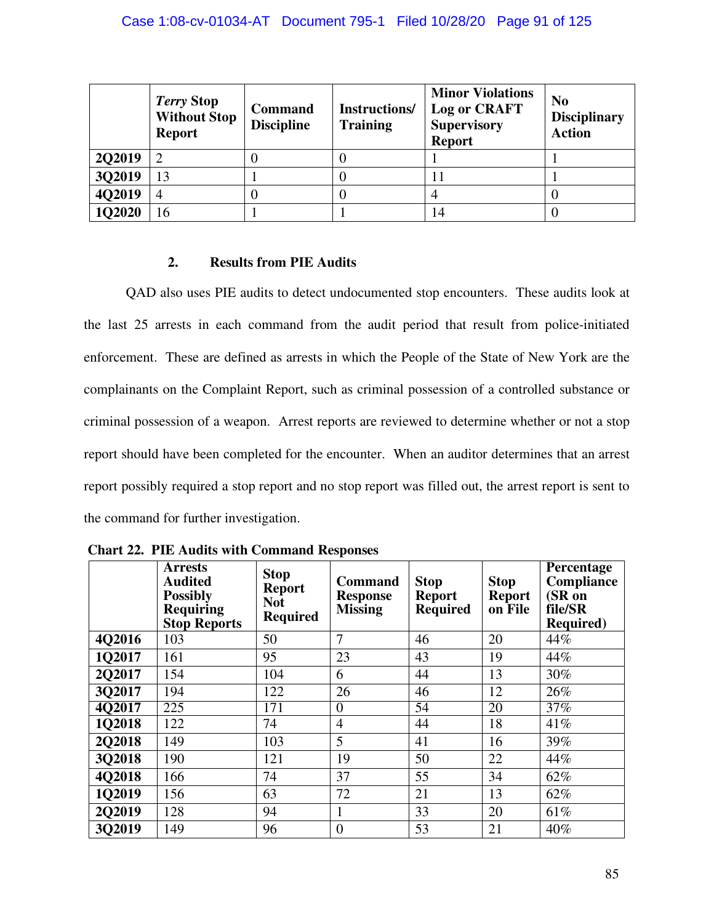|               | Terry Stop<br><b>Without Stop</b><br><b>Report</b> | <b>Command</b><br><b>Discipline</b> | Instructions/<br><b>Training</b> | <b>Minor Violations</b><br><b>Log or CRAFT</b><br><b>Supervisory</b><br><b>Report</b> | N <sub>0</sub><br><b>Disciplinary</b><br><b>Action</b> |
|---------------|----------------------------------------------------|-------------------------------------|----------------------------------|---------------------------------------------------------------------------------------|--------------------------------------------------------|
| <b>2Q2019</b> | ∍                                                  |                                     |                                  |                                                                                       |                                                        |
| 3Q2019        | 13                                                 |                                     |                                  | Ħ                                                                                     |                                                        |
| 4Q2019        | 4                                                  |                                     |                                  |                                                                                       |                                                        |
| 1Q2020        | 16                                                 |                                     |                                  | 14                                                                                    |                                                        |

# **2. Results from PIE Audits**

QAD also uses PIE audits to detect undocumented stop encounters. These audits look at the last 25 arrests in each command from the audit period that result from police-initiated enforcement. These are defined as arrests in which the People of the State of New York are the complainants on the Complaint Report, such as criminal possession of a controlled substance or criminal possession of a weapon. Arrest reports are reviewed to determine whether or not a stop report should have been completed for the encounter. When an auditor determines that an arrest report possibly required a stop report and no stop report was filled out, the arrest report is sent to the command for further investigation.

|        | <b>Arrests</b><br><b>Audited</b><br><b>Possibly</b><br><b>Requiring</b><br><b>Stop Reports</b> | <b>Stop</b><br><b>Report</b><br><b>Not</b><br><b>Required</b> | <b>Command</b><br><b>Response</b><br><b>Missing</b> | <b>Stop</b><br><b>Report</b><br><b>Required</b> | <b>Stop</b><br><b>Report</b><br>on File | Percentage<br>Compliance<br>(SR on<br>file/SR<br><b>Required</b> ) |
|--------|------------------------------------------------------------------------------------------------|---------------------------------------------------------------|-----------------------------------------------------|-------------------------------------------------|-----------------------------------------|--------------------------------------------------------------------|
| 4Q2016 | 103                                                                                            | 50                                                            | 7                                                   | 46                                              | 20                                      | 44%                                                                |
| 1Q2017 | 161                                                                                            | 95                                                            | 23                                                  | 43                                              | 19                                      | 44%                                                                |
| 2Q2017 | 154                                                                                            | 104                                                           | 6                                                   | 44                                              | 13                                      | 30%                                                                |
| 3Q2017 | 194                                                                                            | 122                                                           | 26                                                  | 46                                              | 12                                      | 26%                                                                |
| 4Q2017 | $\overline{225}$                                                                               | 171                                                           | $\overline{0}$                                      | 54                                              | 20                                      | 37%                                                                |
| 1Q2018 | 122                                                                                            | 74                                                            | $\overline{4}$                                      | 44                                              | 18                                      | 41%                                                                |
| 2Q2018 | 149                                                                                            | 103                                                           | 5                                                   | 41                                              | 16                                      | 39%                                                                |
| 3Q2018 | 190                                                                                            | 121                                                           | 19                                                  | 50                                              | 22                                      | 44%                                                                |
| 4Q2018 | 166                                                                                            | 74                                                            | 37                                                  | 55                                              | 34                                      | 62%                                                                |
| 1Q2019 | 156                                                                                            | 63                                                            | 72                                                  | 21                                              | 13                                      | 62%                                                                |
| 2Q2019 | 128                                                                                            | 94                                                            | 1                                                   | 33                                              | 20                                      | 61%                                                                |
| 3Q2019 | 149                                                                                            | 96                                                            | $\overline{0}$                                      | 53                                              | 21                                      | 40%                                                                |

 **Chart 22. PIE Audits with Command Responses**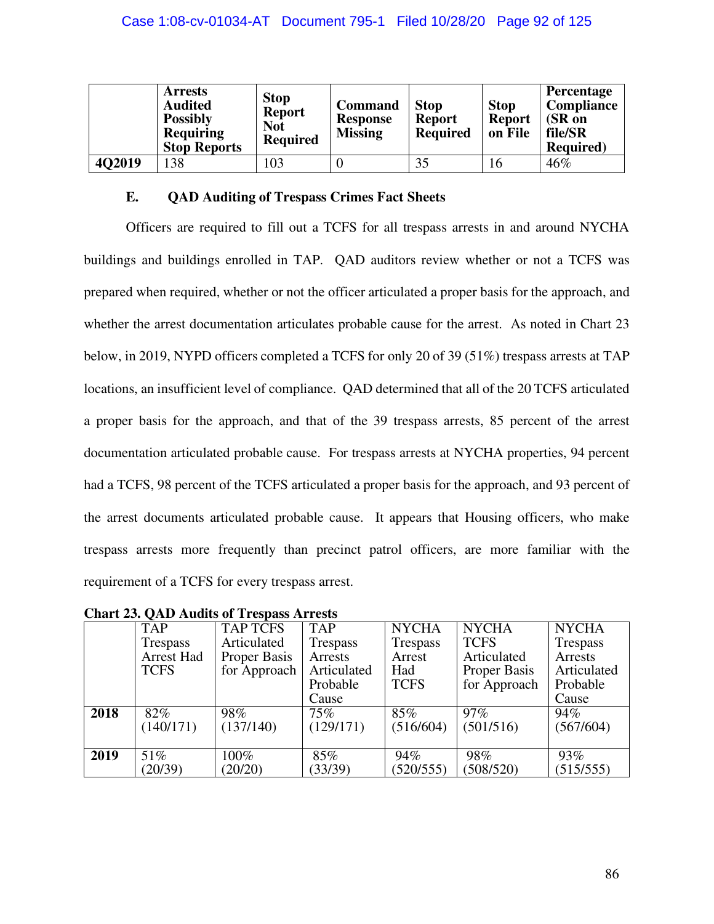|        | <b>Arrests</b><br><b>Audited</b><br><b>Possibly</b><br><b>Requiring</b><br><b>Stop Reports</b> | <b>Stop</b><br><b>Report</b><br><b>Not</b><br><b>Required</b> | <b>Command</b><br><b>Response</b><br><b>Missing</b> | <b>Stop</b><br><b>Report</b><br><b>Required</b> | <b>Stop</b><br><b>Report</b><br>on File | Percentage<br><b>Compliance</b><br>(SR on<br>file/SR<br><b>Required</b> ) |
|--------|------------------------------------------------------------------------------------------------|---------------------------------------------------------------|-----------------------------------------------------|-------------------------------------------------|-----------------------------------------|---------------------------------------------------------------------------|
| 4Q2019 | 138                                                                                            | 103                                                           |                                                     | 35                                              | 16                                      | 46%                                                                       |

# **E. QAD Auditing of Trespass Crimes Fact Sheets**

Officers are required to fill out a TCFS for all trespass arrests in and around NYCHA buildings and buildings enrolled in TAP. QAD auditors review whether or not a TCFS was prepared when required, whether or not the officer articulated a proper basis for the approach, and whether the arrest documentation articulates probable cause for the arrest. As noted in Chart 23 below, in 2019, NYPD officers completed a TCFS for only 20 of 39 (51%) trespass arrests at TAP locations, an insufficient level of compliance. QAD determined that all of the 20 TCFS articulated a proper basis for the approach, and that of the 39 trespass arrests, 85 percent of the arrest documentation articulated probable cause. For trespass arrests at NYCHA properties, 94 percent had a TCFS, 98 percent of the TCFS articulated a proper basis for the approach, and 93 percent of the arrest documents articulated probable cause. It appears that Housing officers, who make trespass arrests more frequently than precinct patrol officers, are more familiar with the requirement of a TCFS for every trespass arrest.

|      | <b>TAP</b>        | <b>TAP TCFS</b> | <b>TAP</b>  | <b>NYCHA</b>    | <b>NYCHA</b> | <b>NYCHA</b> |
|------|-------------------|-----------------|-------------|-----------------|--------------|--------------|
|      | Trespass          | Articulated     | Trespass    | <b>Trespass</b> | <b>TCFS</b>  | Trespass     |
|      | <b>Arrest Had</b> | Proper Basis    | Arrests     | Arrest          | Articulated  | Arrests      |
|      | <b>TCFS</b>       | for Approach    | Articulated | Had             | Proper Basis | Articulated  |
|      |                   |                 | Probable    | <b>TCFS</b>     | for Approach | Probable     |
|      |                   |                 | Cause       |                 |              | Cause        |
| 2018 | 82%               | 98%             | $75\%$      | 85%             | $97\%$       | 94%          |
|      | (140/171)         | (137/140)       | (129/171)   | (516/604)       | (501/516)    | (567/604)    |
|      |                   |                 |             |                 |              |              |
| 2019 | 51%               | 100%            | 85%         | 94%             | 98%          | 93%          |
|      | (20/39)           | (20/20)         | (33/39)     | (520/555)       | (508/520)    | (515/555)    |

**Chart 23. QAD Audits of Trespass Arrests**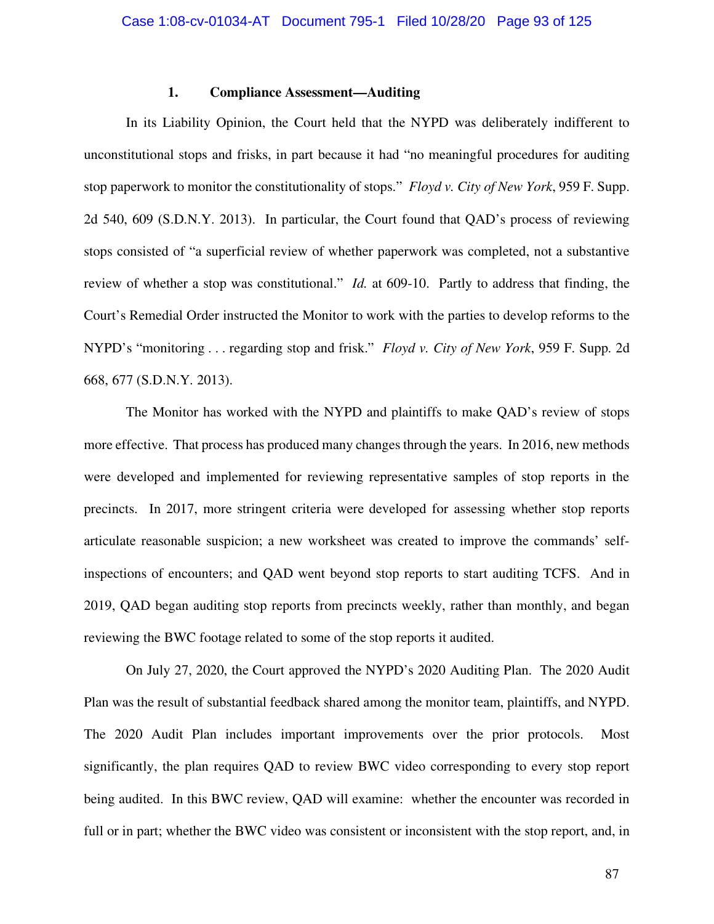# **1. Compliance Assessment—Auditing**

In its Liability Opinion, the Court held that the NYPD was deliberately indifferent to unconstitutional stops and frisks, in part because it had "no meaningful procedures for auditing stop paperwork to monitor the constitutionality of stops." *Floyd v. City of New York*, 959 F. Supp. 2d 540, 609 (S.D.N.Y. 2013). In particular, the Court found that QAD's process of reviewing stops consisted of "a superficial review of whether paperwork was completed, not a substantive review of whether a stop was constitutional." *Id.* at 609-10. Partly to address that finding, the Court's Remedial Order instructed the Monitor to work with the parties to develop reforms to the NYPD's "monitoring . . . regarding stop and frisk." *Floyd v. City of New York*, 959 F. Supp. 2d 668, 677 (S.D.N.Y. 2013).

The Monitor has worked with the NYPD and plaintiffs to make QAD's review of stops more effective. That process has produced many changes through the years. In 2016, new methods were developed and implemented for reviewing representative samples of stop reports in the precincts. In 2017, more stringent criteria were developed for assessing whether stop reports articulate reasonable suspicion; a new worksheet was created to improve the commands' selfinspections of encounters; and QAD went beyond stop reports to start auditing TCFS. And in 2019, QAD began auditing stop reports from precincts weekly, rather than monthly, and began reviewing the BWC footage related to some of the stop reports it audited.

On July 27, 2020, the Court approved the NYPD's 2020 Auditing Plan. The 2020 Audit Plan was the result of substantial feedback shared among the monitor team, plaintiffs, and NYPD. The 2020 Audit Plan includes important improvements over the prior protocols. Most significantly, the plan requires QAD to review BWC video corresponding to every stop report being audited. In this BWC review, QAD will examine: whether the encounter was recorded in full or in part; whether the BWC video was consistent or inconsistent with the stop report, and, in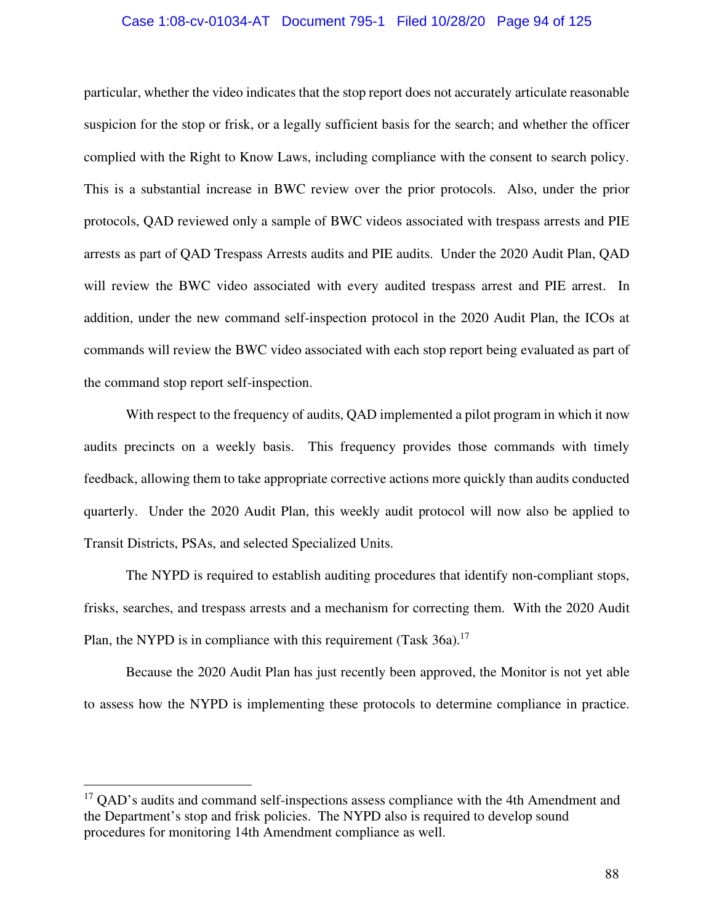### Case 1:08-cv-01034-AT Document 795-1 Filed 10/28/20 Page 94 of 125

particular, whether the video indicates that the stop report does not accurately articulate reasonable suspicion for the stop or frisk, or a legally sufficient basis for the search; and whether the officer complied with the Right to Know Laws, including compliance with the consent to search policy. This is a substantial increase in BWC review over the prior protocols. Also, under the prior protocols, QAD reviewed only a sample of BWC videos associated with trespass arrests and PIE arrests as part of QAD Trespass Arrests audits and PIE audits. Under the 2020 Audit Plan, QAD will review the BWC video associated with every audited trespass arrest and PIE arrest. In addition, under the new command self-inspection protocol in the 2020 Audit Plan, the ICOs at commands will review the BWC video associated with each stop report being evaluated as part of the command stop report self-inspection.

With respect to the frequency of audits, QAD implemented a pilot program in which it now audits precincts on a weekly basis. This frequency provides those commands with timely feedback, allowing them to take appropriate corrective actions more quickly than audits conducted quarterly. Under the 2020 Audit Plan, this weekly audit protocol will now also be applied to Transit Districts, PSAs, and selected Specialized Units.

The NYPD is required to establish auditing procedures that identify non-compliant stops, frisks, searches, and trespass arrests and a mechanism for correcting them. With the 2020 Audit Plan, the NYPD is in compliance with this requirement (Task  $36a$ ).<sup>17</sup>

Because the 2020 Audit Plan has just recently been approved, the Monitor is not yet able to assess how the NYPD is implementing these protocols to determine compliance in practice.

<sup>&</sup>lt;sup>17</sup> QAD's audits and command self-inspections assess compliance with the 4th Amendment and the Department's stop and frisk policies. The NYPD also is required to develop sound procedures for monitoring 14th Amendment compliance as well.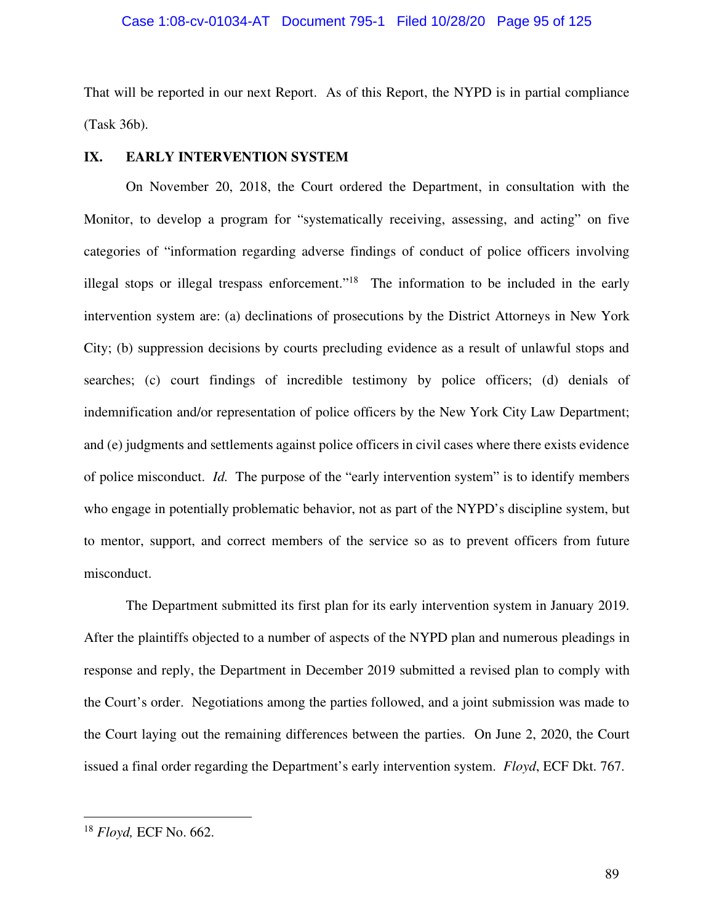# Case 1:08-cv-01034-AT Document 795-1 Filed 10/28/20 Page 95 of 125

That will be reported in our next Report. As of this Report, the NYPD is in partial compliance (Task 36b).

# **IX. EARLY INTERVENTION SYSTEM**

On November 20, 2018, the Court ordered the Department, in consultation with the Monitor, to develop a program for "systematically receiving, assessing, and acting" on five categories of "information regarding adverse findings of conduct of police officers involving illegal stops or illegal trespass enforcement."<sup>18</sup> The information to be included in the early intervention system are: (a) declinations of prosecutions by the District Attorneys in New York City; (b) suppression decisions by courts precluding evidence as a result of unlawful stops and searches; (c) court findings of incredible testimony by police officers; (d) denials of indemnification and/or representation of police officers by the New York City Law Department; and (e) judgments and settlements against police officers in civil cases where there exists evidence of police misconduct. *Id.* The purpose of the "early intervention system" is to identify members who engage in potentially problematic behavior, not as part of the NYPD's discipline system, but to mentor, support, and correct members of the service so as to prevent officers from future misconduct.

The Department submitted its first plan for its early intervention system in January 2019. After the plaintiffs objected to a number of aspects of the NYPD plan and numerous pleadings in response and reply, the Department in December 2019 submitted a revised plan to comply with the Court's order. Negotiations among the parties followed, and a joint submission was made to the Court laying out the remaining differences between the parties. On June 2, 2020, the Court issued a final order regarding the Department's early intervention system. *Floyd*, ECF Dkt. 767.

<sup>18</sup> *Floyd,* ECF No. 662.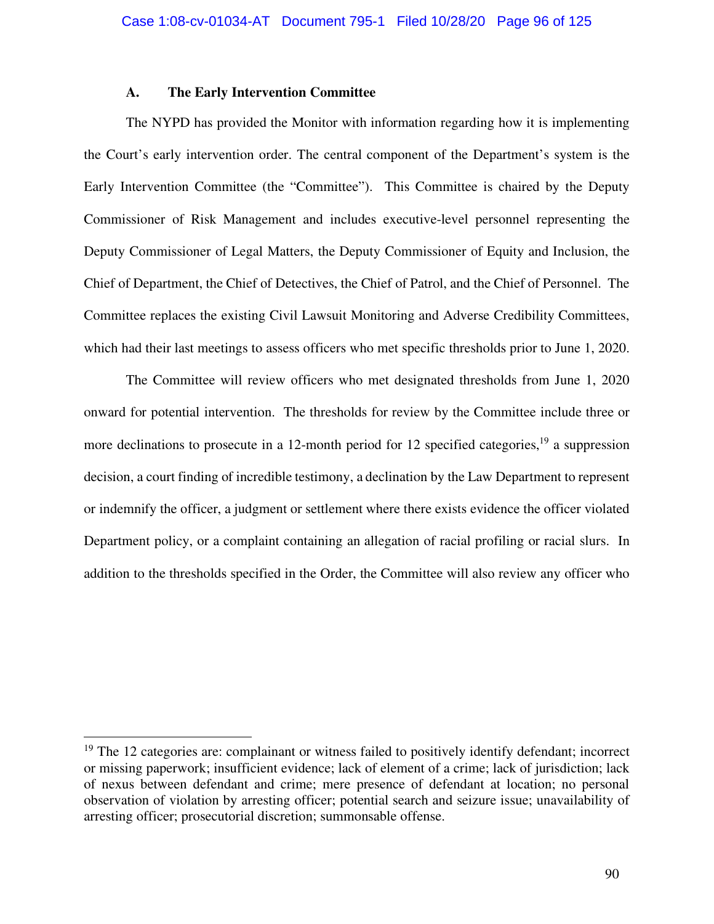### **A. The Early Intervention Committee**

The NYPD has provided the Monitor with information regarding how it is implementing the Court's early intervention order. The central component of the Department's system is the Early Intervention Committee (the "Committee"). This Committee is chaired by the Deputy Commissioner of Risk Management and includes executive-level personnel representing the Deputy Commissioner of Legal Matters, the Deputy Commissioner of Equity and Inclusion, the Chief of Department, the Chief of Detectives, the Chief of Patrol, and the Chief of Personnel. The Committee replaces the existing Civil Lawsuit Monitoring and Adverse Credibility Committees, which had their last meetings to assess officers who met specific thresholds prior to June 1, 2020.

The Committee will review officers who met designated thresholds from June 1, 2020 onward for potential intervention. The thresholds for review by the Committee include three or more declinations to prosecute in a 12-month period for 12 specified categories,<sup>19</sup> a suppression decision, a court finding of incredible testimony, a declination by the Law Department to represent or indemnify the officer, a judgment or settlement where there exists evidence the officer violated Department policy, or a complaint containing an allegation of racial profiling or racial slurs. In addition to the thresholds specified in the Order, the Committee will also review any officer who

 $19$  The 12 categories are: complainant or witness failed to positively identify defendant; incorrect or missing paperwork; insufficient evidence; lack of element of a crime; lack of jurisdiction; lack of nexus between defendant and crime; mere presence of defendant at location; no personal observation of violation by arresting officer; potential search and seizure issue; unavailability of arresting officer; prosecutorial discretion; summonsable offense.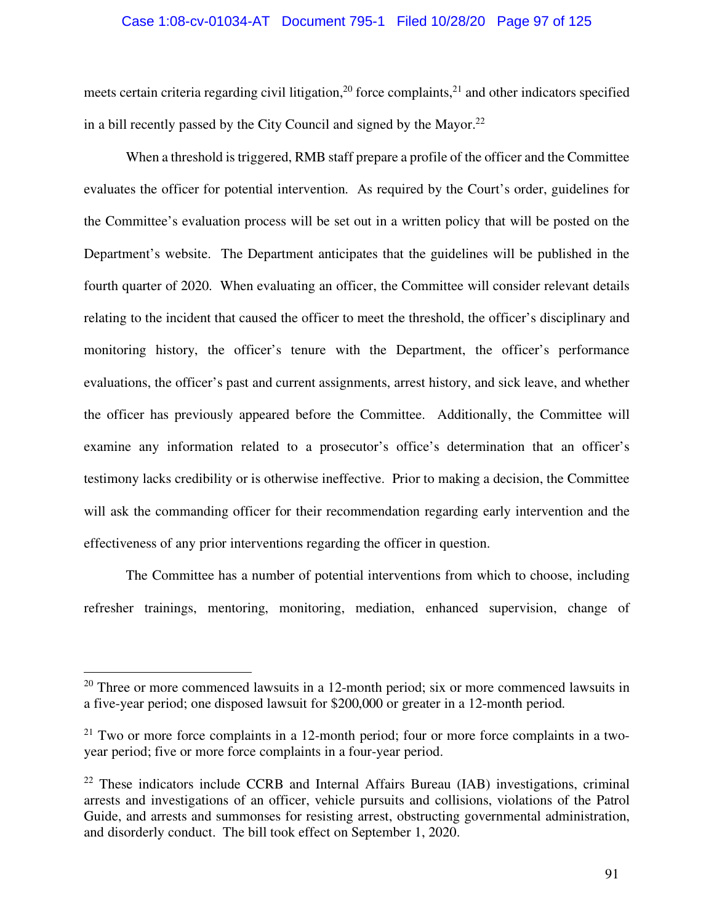### Case 1:08-cv-01034-AT Document 795-1 Filed 10/28/20 Page 97 of 125

meets certain criteria regarding civil litigation,<sup>20</sup> force complaints,<sup>21</sup> and other indicators specified in a bill recently passed by the City Council and signed by the Mayor.<sup>22</sup>

When a threshold is triggered, RMB staff prepare a profile of the officer and the Committee evaluates the officer for potential intervention. As required by the Court's order, guidelines for the Committee's evaluation process will be set out in a written policy that will be posted on the Department's website. The Department anticipates that the guidelines will be published in the fourth quarter of 2020. When evaluating an officer, the Committee will consider relevant details relating to the incident that caused the officer to meet the threshold, the officer's disciplinary and monitoring history, the officer's tenure with the Department, the officer's performance evaluations, the officer's past and current assignments, arrest history, and sick leave, and whether the officer has previously appeared before the Committee. Additionally, the Committee will examine any information related to a prosecutor's office's determination that an officer's testimony lacks credibility or is otherwise ineffective. Prior to making a decision, the Committee will ask the commanding officer for their recommendation regarding early intervention and the effectiveness of any prior interventions regarding the officer in question.

The Committee has a number of potential interventions from which to choose, including refresher trainings, mentoring, monitoring, mediation, enhanced supervision, change of

 $20$  Three or more commenced lawsuits in a 12-month period; six or more commenced lawsuits in a five-year period; one disposed lawsuit for \$200,000 or greater in a 12-month period.

 $21$  Two or more force complaints in a 12-month period; four or more force complaints in a twoyear period; five or more force complaints in a four-year period.

 $22$  These indicators include CCRB and Internal Affairs Bureau (IAB) investigations, criminal arrests and investigations of an officer, vehicle pursuits and collisions, violations of the Patrol Guide, and arrests and summonses for resisting arrest, obstructing governmental administration, and disorderly conduct. The bill took effect on September 1, 2020.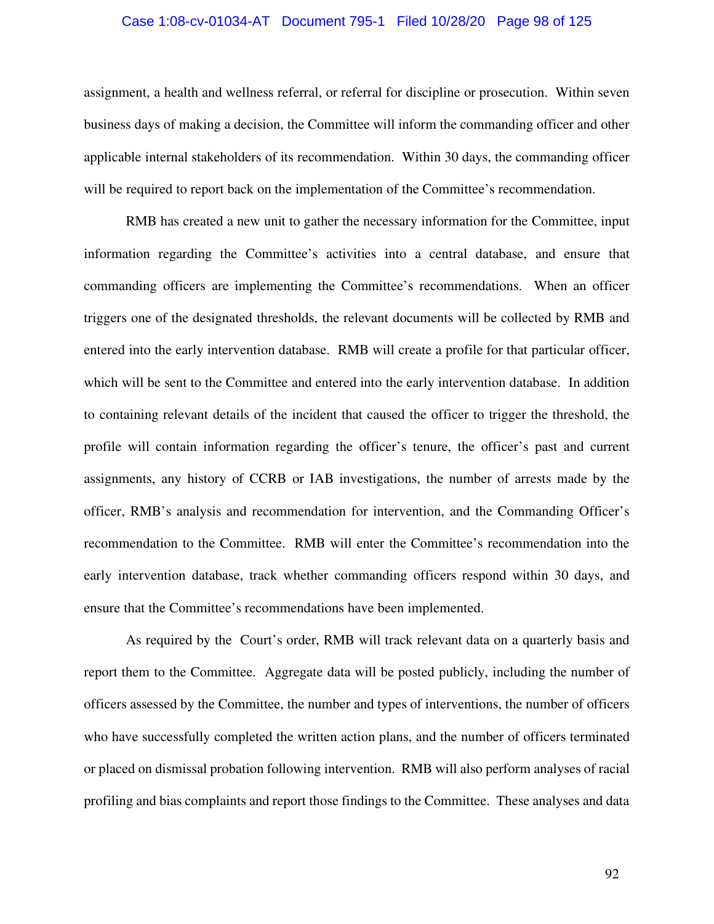### Case 1:08-cv-01034-AT Document 795-1 Filed 10/28/20 Page 98 of 125

assignment, a health and wellness referral, or referral for discipline or prosecution. Within seven business days of making a decision, the Committee will inform the commanding officer and other applicable internal stakeholders of its recommendation. Within 30 days, the commanding officer will be required to report back on the implementation of the Committee's recommendation.

RMB has created a new unit to gather the necessary information for the Committee, input information regarding the Committee's activities into a central database, and ensure that commanding officers are implementing the Committee's recommendations. When an officer triggers one of the designated thresholds, the relevant documents will be collected by RMB and entered into the early intervention database. RMB will create a profile for that particular officer, which will be sent to the Committee and entered into the early intervention database. In addition to containing relevant details of the incident that caused the officer to trigger the threshold, the profile will contain information regarding the officer's tenure, the officer's past and current assignments, any history of CCRB or IAB investigations, the number of arrests made by the officer, RMB's analysis and recommendation for intervention, and the Commanding Officer's recommendation to the Committee. RMB will enter the Committee's recommendation into the early intervention database, track whether commanding officers respond within 30 days, and ensure that the Committee's recommendations have been implemented.

As required by the Court's order, RMB will track relevant data on a quarterly basis and report them to the Committee. Aggregate data will be posted publicly, including the number of officers assessed by the Committee, the number and types of interventions, the number of officers who have successfully completed the written action plans, and the number of officers terminated or placed on dismissal probation following intervention. RMB will also perform analyses of racial profiling and bias complaints and report those findings to the Committee. These analyses and data

92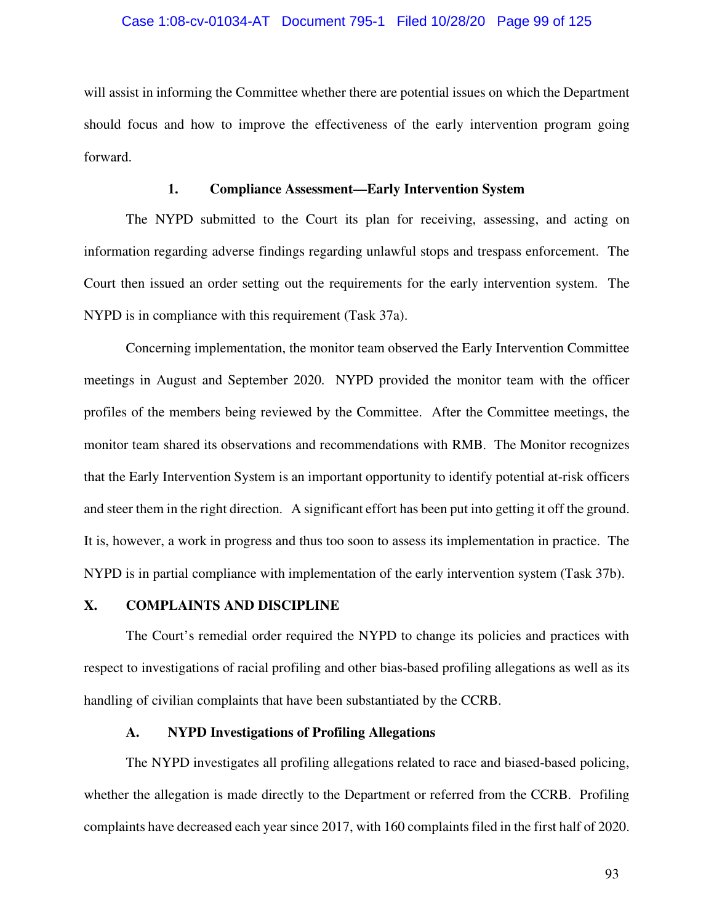### Case 1:08-cv-01034-AT Document 795-1 Filed 10/28/20 Page 99 of 125

will assist in informing the Committee whether there are potential issues on which the Department should focus and how to improve the effectiveness of the early intervention program going forward.

### **1. Compliance Assessment—Early Intervention System**

The NYPD submitted to the Court its plan for receiving, assessing, and acting on information regarding adverse findings regarding unlawful stops and trespass enforcement. The Court then issued an order setting out the requirements for the early intervention system. The NYPD is in compliance with this requirement (Task 37a).

Concerning implementation, the monitor team observed the Early Intervention Committee meetings in August and September 2020. NYPD provided the monitor team with the officer profiles of the members being reviewed by the Committee. After the Committee meetings, the monitor team shared its observations and recommendations with RMB. The Monitor recognizes that the Early Intervention System is an important opportunity to identify potential at-risk officers and steer them in the right direction. A significant effort has been put into getting it off the ground. It is, however, a work in progress and thus too soon to assess its implementation in practice. The NYPD is in partial compliance with implementation of the early intervention system (Task 37b).

# **X. COMPLAINTS AND DISCIPLINE**

The Court's remedial order required the NYPD to change its policies and practices with respect to investigations of racial profiling and other bias-based profiling allegations as well as its handling of civilian complaints that have been substantiated by the CCRB.

# **A. NYPD Investigations of Profiling Allegations**

The NYPD investigates all profiling allegations related to race and biased-based policing, whether the allegation is made directly to the Department or referred from the CCRB. Profiling complaints have decreased each year since 2017, with 160 complaints filed in the first half of 2020.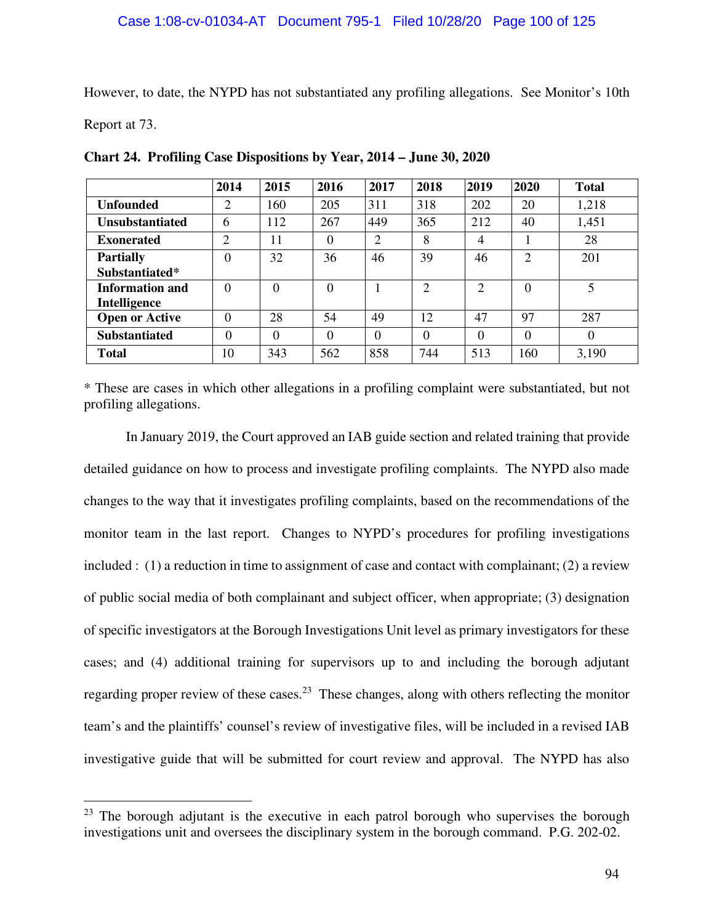However, to date, the NYPD has not substantiated any profiling allegations. See Monitor's 10th

Report at 73.

|                        | 2014           | 2015     | 2016     | 2017           | 2018           | 2019                        | 2020           | <b>Total</b> |
|------------------------|----------------|----------|----------|----------------|----------------|-----------------------------|----------------|--------------|
| <b>Unfounded</b>       | $\overline{2}$ | 160      | 205      | 311            | 318            | 202                         | 20             | 1,218        |
| <b>Unsubstantiated</b> | 6              | 112      | 267      | 449            | 365            | 212                         | 40             | 1,451        |
| <b>Exonerated</b>      | ↑              | 11       | 0        | $\overline{2}$ | 8              | 4                           |                | 28           |
| <b>Partially</b>       | $\theta$       | 32       | 36       | 46             | 39             | 46                          | $\overline{2}$ | 201          |
| Substantiated*         |                |          |          |                |                |                             |                |              |
| Information and        | $\Omega$       | $\Omega$ | $\Omega$ |                | $\overline{2}$ | $\mathcal{D}_{\mathcal{L}}$ | $\theta$       | 5            |
| Intelligence           |                |          |          |                |                |                             |                |              |
| <b>Open or Active</b>  | $\Omega$       | 28       | 54       | 49             | 12             | 47                          | 97             | 287          |
| <b>Substantiated</b>   | $\Omega$       | $\Omega$ | 0        | $\theta$       | 0              | 0                           | $\Omega$       | $\theta$     |
| Total                  | 10             | 343      | 562      | 858            | 744            | 513                         | 160            | 3,190        |

**Chart 24. Profiling Case Dispositions by Year, 2014 – June 30, 2020** 

\* These are cases in which other allegations in a profiling complaint were substantiated, but not profiling allegations.

In January 2019, the Court approved an IAB guide section and related training that provide detailed guidance on how to process and investigate profiling complaints. The NYPD also made changes to the way that it investigates profiling complaints, based on the recommendations of the monitor team in the last report. Changes to NYPD's procedures for profiling investigations included : (1) a reduction in time to assignment of case and contact with complainant; (2) a review of public social media of both complainant and subject officer, when appropriate; (3) designation of specific investigators at the Borough Investigations Unit level as primary investigators for these cases; and (4) additional training for supervisors up to and including the borough adjutant regarding proper review of these cases.<sup>23</sup> These changes, along with others reflecting the monitor team's and the plaintiffs' counsel's review of investigative files, will be included in a revised IAB investigative guide that will be submitted for court review and approval. The NYPD has also

 $23$  The borough adjutant is the executive in each patrol borough who supervises the borough investigations unit and oversees the disciplinary system in the borough command. P.G. 202-02.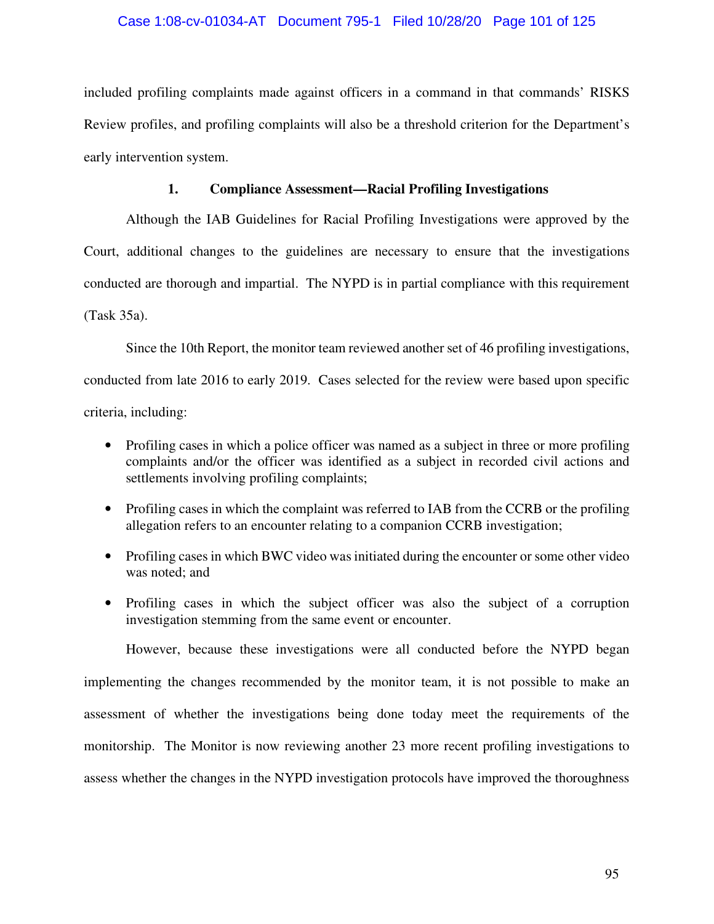# Case 1:08-cv-01034-AT Document 795-1 Filed 10/28/20 Page 101 of 125

included profiling complaints made against officers in a command in that commands' RISKS Review profiles, and profiling complaints will also be a threshold criterion for the Department's early intervention system.

# **1. Compliance Assessment—Racial Profiling Investigations**

Although the IAB Guidelines for Racial Profiling Investigations were approved by the Court, additional changes to the guidelines are necessary to ensure that the investigations conducted are thorough and impartial. The NYPD is in partial compliance with this requirement (Task 35a).

Since the 10th Report, the monitor team reviewed another set of 46 profiling investigations, conducted from late 2016 to early 2019. Cases selected for the review were based upon specific criteria, including:

- Profiling cases in which a police officer was named as a subject in three or more profiling complaints and/or the officer was identified as a subject in recorded civil actions and settlements involving profiling complaints;
- Profiling cases in which the complaint was referred to IAB from the CCRB or the profiling allegation refers to an encounter relating to a companion CCRB investigation;
- Profiling cases in which BWC video was initiated during the encounter or some other video was noted; and
- Profiling cases in which the subject officer was also the subject of a corruption investigation stemming from the same event or encounter.

However, because these investigations were all conducted before the NYPD began implementing the changes recommended by the monitor team, it is not possible to make an assessment of whether the investigations being done today meet the requirements of the monitorship. The Monitor is now reviewing another 23 more recent profiling investigations to assess whether the changes in the NYPD investigation protocols have improved the thoroughness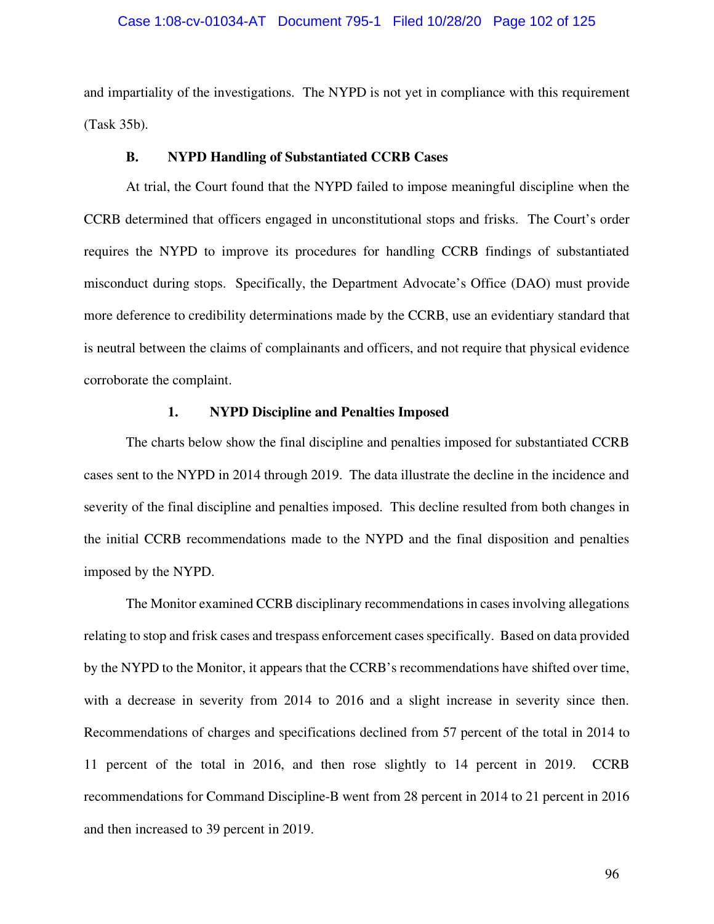### Case 1:08-cv-01034-AT Document 795-1 Filed 10/28/20 Page 102 of 125

and impartiality of the investigations. The NYPD is not yet in compliance with this requirement (Task 35b).

#### **B. NYPD Handling of Substantiated CCRB Cases**

At trial, the Court found that the NYPD failed to impose meaningful discipline when the CCRB determined that officers engaged in unconstitutional stops and frisks. The Court's order requires the NYPD to improve its procedures for handling CCRB findings of substantiated misconduct during stops. Specifically, the Department Advocate's Office (DAO) must provide more deference to credibility determinations made by the CCRB, use an evidentiary standard that is neutral between the claims of complainants and officers, and not require that physical evidence corroborate the complaint.

# **1. NYPD Discipline and Penalties Imposed**

The charts below show the final discipline and penalties imposed for substantiated CCRB cases sent to the NYPD in 2014 through 2019. The data illustrate the decline in the incidence and severity of the final discipline and penalties imposed. This decline resulted from both changes in the initial CCRB recommendations made to the NYPD and the final disposition and penalties imposed by the NYPD.

The Monitor examined CCRB disciplinary recommendations in cases involving allegations relating to stop and frisk cases and trespass enforcement cases specifically. Based on data provided by the NYPD to the Monitor, it appears that the CCRB's recommendations have shifted over time, with a decrease in severity from 2014 to 2016 and a slight increase in severity since then. Recommendations of charges and specifications declined from 57 percent of the total in 2014 to 11 percent of the total in 2016, and then rose slightly to 14 percent in 2019. CCRB recommendations for Command Discipline-B went from 28 percent in 2014 to 21 percent in 2016 and then increased to 39 percent in 2019.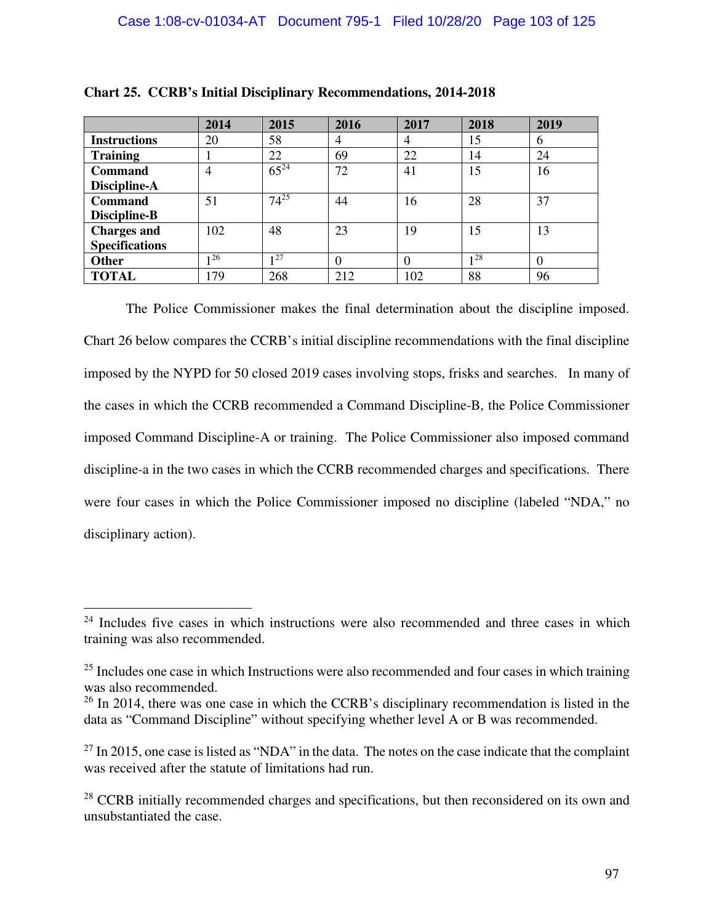|                       | 2014 | 2015      | 2016           | 2017 | 2018 | 2019     |
|-----------------------|------|-----------|----------------|------|------|----------|
| <b>Instructions</b>   | 20   | 58        | $\overline{4}$ | 4    | 15   | 6        |
| <b>Training</b>       |      | 22        | 69             | 22   | 14   | 24       |
| <b>Command</b>        | 4    | $65^{24}$ | 72             | 41   | 15   | 16       |
| Discipline-A          |      |           |                |      |      |          |
| <b>Command</b>        | 51   | $74^{25}$ | 44             | 16   | 28   | 37       |
| Discipline-B          |      |           |                |      |      |          |
| <b>Charges and</b>    | 102  | 48        | 23             | 19   | 15   | 13       |
| <b>Specifications</b> |      |           |                |      |      |          |
| <b>Other</b>          | 126  | 127       |                |      | 128  | $\theta$ |
| <b>TOTAL</b>          | 179  | 268       | 212            | 102  | 88   | 96       |

**Chart 25. CCRB's Initial Disciplinary Recommendations, 2014-2018**

The Police Commissioner makes the final determination about the discipline imposed. Chart 26 below compares the CCRB's initial discipline recommendations with the final discipline imposed by the NYPD for 50 closed 2019 cases involving stops, frisks and searches. In many of the cases in which the CCRB recommended a Command Discipline-B, the Police Commissioner imposed Command Discipline-A or training. The Police Commissioner also imposed command discipline-a in the two cases in which the CCRB recommended charges and specifications. There were four cases in which the Police Commissioner imposed no discipline (labeled "NDA," no disciplinary action).

 $24$  Includes five cases in which instructions were also recommended and three cases in which training was also recommended.

 $25$  Includes one case in which Instructions were also recommended and four cases in which training was also recommended.

 $26$  In 2014, there was one case in which the CCRB's disciplinary recommendation is listed in the data as "Command Discipline" without specifying whether level A or B was recommended.

 $^{27}$  In 2015, one case is listed as "NDA" in the data. The notes on the case indicate that the complaint was received after the statute of limitations had run.

<sup>&</sup>lt;sup>28</sup> CCRB initially recommended charges and specifications, but then reconsidered on its own and unsubstantiated the case.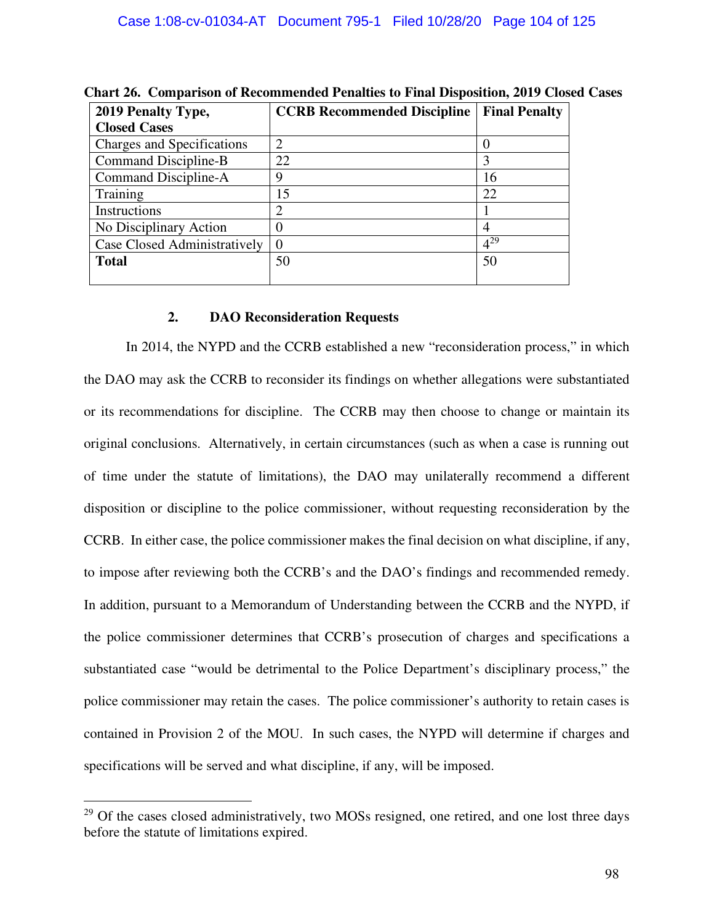| 2019 Penalty Type,           | <b>CCRB Recommended Discipline</b> | <b>Final Penalty</b> |
|------------------------------|------------------------------------|----------------------|
| <b>Closed Cases</b>          |                                    |                      |
| Charges and Specifications   | $\overline{2}$                     |                      |
| Command Discipline-B         | 22                                 |                      |
| Command Discipline-A         | g                                  | 16                   |
| Training                     | 15                                 | 22                   |
| Instructions                 | 2                                  |                      |
| No Disciplinary Action       |                                    | $\overline{4}$       |
| Case Closed Administratively | 0                                  | $4^{29}$             |
| <b>Total</b>                 | 50                                 | 50                   |
|                              |                                    |                      |

**Chart 26. Comparison of Recommended Penalties to Final Disposition, 2019 Closed Cases** 

# **2. DAO Reconsideration Requests**

In 2014, the NYPD and the CCRB established a new "reconsideration process," in which the DAO may ask the CCRB to reconsider its findings on whether allegations were substantiated or its recommendations for discipline. The CCRB may then choose to change or maintain its original conclusions. Alternatively, in certain circumstances (such as when a case is running out of time under the statute of limitations), the DAO may unilaterally recommend a different disposition or discipline to the police commissioner, without requesting reconsideration by the CCRB. In either case, the police commissioner makes the final decision on what discipline, if any, to impose after reviewing both the CCRB's and the DAO's findings and recommended remedy. In addition, pursuant to a Memorandum of Understanding between the CCRB and the NYPD, if the police commissioner determines that CCRB's prosecution of charges and specifications a substantiated case "would be detrimental to the Police Department's disciplinary process," the police commissioner may retain the cases. The police commissioner's authority to retain cases is contained in Provision 2 of the MOU. In such cases, the NYPD will determine if charges and specifications will be served and what discipline, if any, will be imposed.

<sup>&</sup>lt;sup>29</sup> Of the cases closed administratively, two MOSs resigned, one retired, and one lost three days before the statute of limitations expired.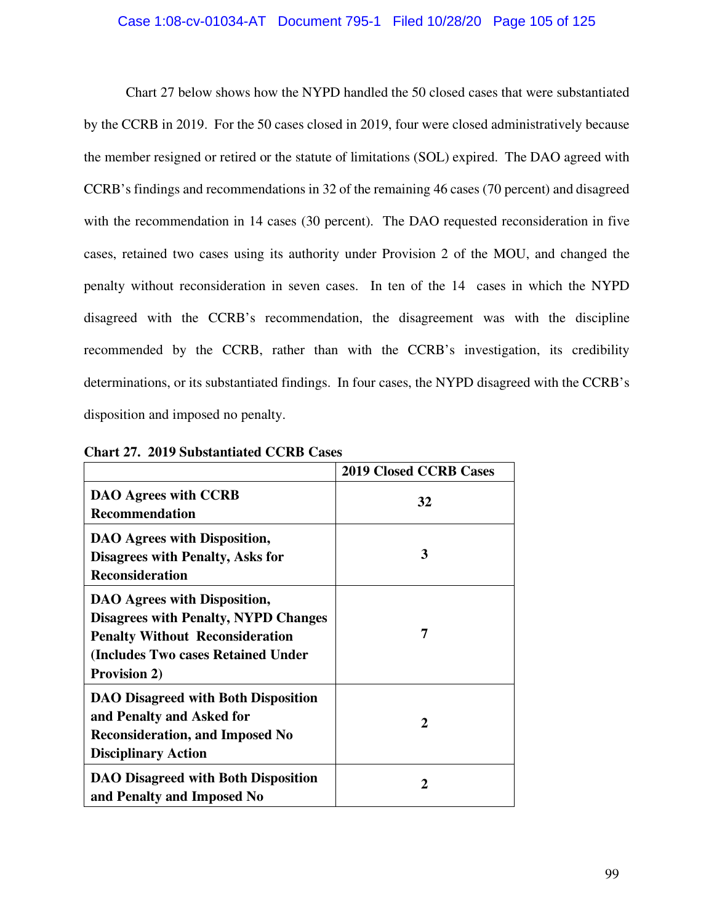### Case 1:08-cv-01034-AT Document 795-1 Filed 10/28/20 Page 105 of 125

Chart 27 below shows how the NYPD handled the 50 closed cases that were substantiated by the CCRB in 2019. For the 50 cases closed in 2019, four were closed administratively because the member resigned or retired or the statute of limitations (SOL) expired. The DAO agreed with CCRB's findings and recommendations in 32 of the remaining 46 cases (70 percent) and disagreed with the recommendation in 14 cases (30 percent). The DAO requested reconsideration in five cases, retained two cases using its authority under Provision 2 of the MOU, and changed the penalty without reconsideration in seven cases. In ten of the 14 cases in which the NYPD disagreed with the CCRB's recommendation, the disagreement was with the discipline recommended by the CCRB, rather than with the CCRB's investigation, its credibility determinations, or its substantiated findings. In four cases, the NYPD disagreed with the CCRB's disposition and imposed no penalty.

|                                                                                                                                                                                    | <b>2019 Closed CCRB Cases</b> |
|------------------------------------------------------------------------------------------------------------------------------------------------------------------------------------|-------------------------------|
| <b>DAO Agrees with CCRB</b><br><b>Recommendation</b>                                                                                                                               | 32                            |
| DAO Agrees with Disposition,<br><b>Disagrees with Penalty, Asks for</b><br><b>Reconsideration</b>                                                                                  | 3                             |
| DAO Agrees with Disposition,<br><b>Disagrees with Penalty, NYPD Changes</b><br><b>Penalty Without Reconsideration</b><br>(Includes Two cases Retained Under<br><b>Provision 2)</b> | 7                             |
| DAO Disagreed with Both Disposition<br>and Penalty and Asked for<br><b>Reconsideration, and Imposed No</b><br><b>Disciplinary Action</b>                                           | 2                             |
| <b>DAO Disagreed with Both Disposition</b><br>and Penalty and Imposed No                                                                                                           | 2                             |

**Chart 27. 2019 Substantiated CCRB Cases**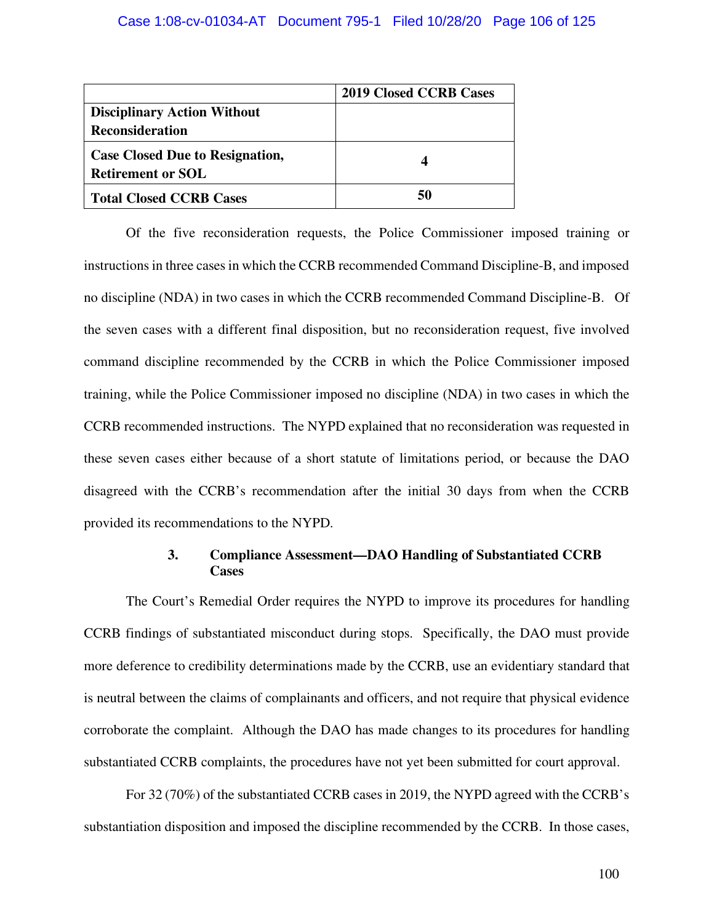|                                                                    | <b>2019 Closed CCRB Cases</b> |
|--------------------------------------------------------------------|-------------------------------|
| <b>Disciplinary Action Without</b>                                 |                               |
| <b>Reconsideration</b>                                             |                               |
| <b>Case Closed Due to Resignation,</b><br><b>Retirement or SOL</b> |                               |
| <b>Total Closed CCRB Cases</b>                                     | 50                            |

Of the five reconsideration requests, the Police Commissioner imposed training or instructions in three cases in which the CCRB recommended Command Discipline-B, and imposed no discipline (NDA) in two cases in which the CCRB recommended Command Discipline-B. Of the seven cases with a different final disposition, but no reconsideration request, five involved command discipline recommended by the CCRB in which the Police Commissioner imposed training, while the Police Commissioner imposed no discipline (NDA) in two cases in which the CCRB recommended instructions. The NYPD explained that no reconsideration was requested in these seven cases either because of a short statute of limitations period, or because the DAO disagreed with the CCRB's recommendation after the initial 30 days from when the CCRB provided its recommendations to the NYPD.

#### **3. Compliance Assessment—DAO Handling of Substantiated CCRB Cases**

The Court's Remedial Order requires the NYPD to improve its procedures for handling CCRB findings of substantiated misconduct during stops. Specifically, the DAO must provide more deference to credibility determinations made by the CCRB, use an evidentiary standard that is neutral between the claims of complainants and officers, and not require that physical evidence corroborate the complaint. Although the DAO has made changes to its procedures for handling substantiated CCRB complaints, the procedures have not yet been submitted for court approval.

For 32 (70%) of the substantiated CCRB cases in 2019, the NYPD agreed with the CCRB's substantiation disposition and imposed the discipline recommended by the CCRB. In those cases,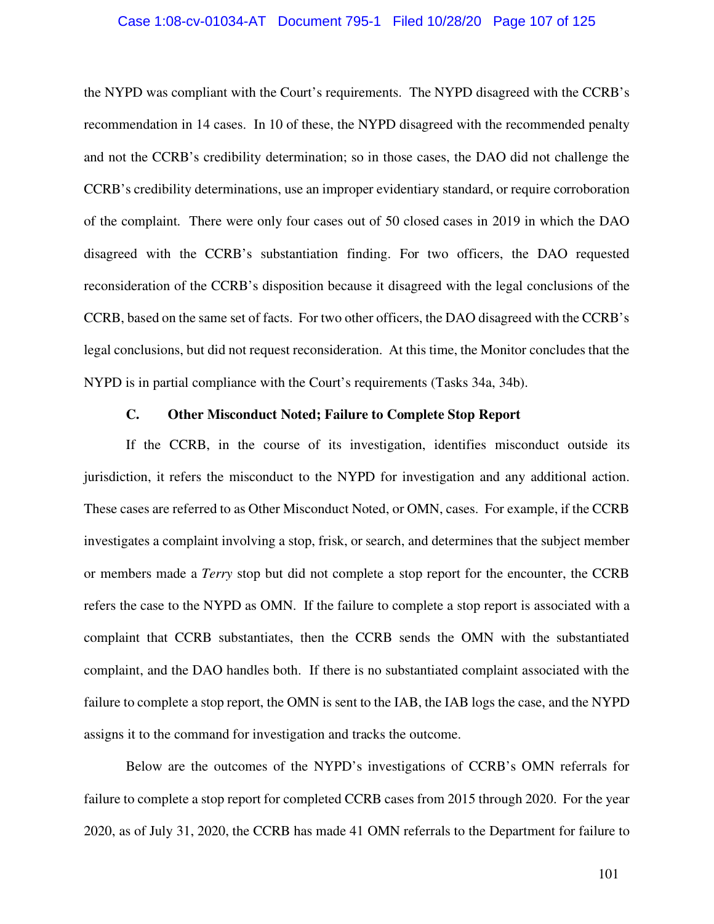#### Case 1:08-cv-01034-AT Document 795-1 Filed 10/28/20 Page 107 of 125

the NYPD was compliant with the Court's requirements. The NYPD disagreed with the CCRB's recommendation in 14 cases. In 10 of these, the NYPD disagreed with the recommended penalty and not the CCRB's credibility determination; so in those cases, the DAO did not challenge the CCRB's credibility determinations, use an improper evidentiary standard, or require corroboration of the complaint. There were only four cases out of 50 closed cases in 2019 in which the DAO disagreed with the CCRB's substantiation finding. For two officers, the DAO requested reconsideration of the CCRB's disposition because it disagreed with the legal conclusions of the CCRB, based on the same set of facts. For two other officers, the DAO disagreed with the CCRB's legal conclusions, but did not request reconsideration. At this time, the Monitor concludes that the NYPD is in partial compliance with the Court's requirements (Tasks 34a, 34b).

#### **C. Other Misconduct Noted; Failure to Complete Stop Report**

If the CCRB, in the course of its investigation, identifies misconduct outside its jurisdiction, it refers the misconduct to the NYPD for investigation and any additional action. These cases are referred to as Other Misconduct Noted, or OMN, cases. For example, if the CCRB investigates a complaint involving a stop, frisk, or search, and determines that the subject member or members made a *Terry* stop but did not complete a stop report for the encounter, the CCRB refers the case to the NYPD as OMN. If the failure to complete a stop report is associated with a complaint that CCRB substantiates, then the CCRB sends the OMN with the substantiated complaint, and the DAO handles both. If there is no substantiated complaint associated with the failure to complete a stop report, the OMN is sent to the IAB, the IAB logs the case, and the NYPD assigns it to the command for investigation and tracks the outcome.

Below are the outcomes of the NYPD's investigations of CCRB's OMN referrals for failure to complete a stop report for completed CCRB cases from 2015 through 2020. For the year 2020, as of July 31, 2020, the CCRB has made 41 OMN referrals to the Department for failure to

101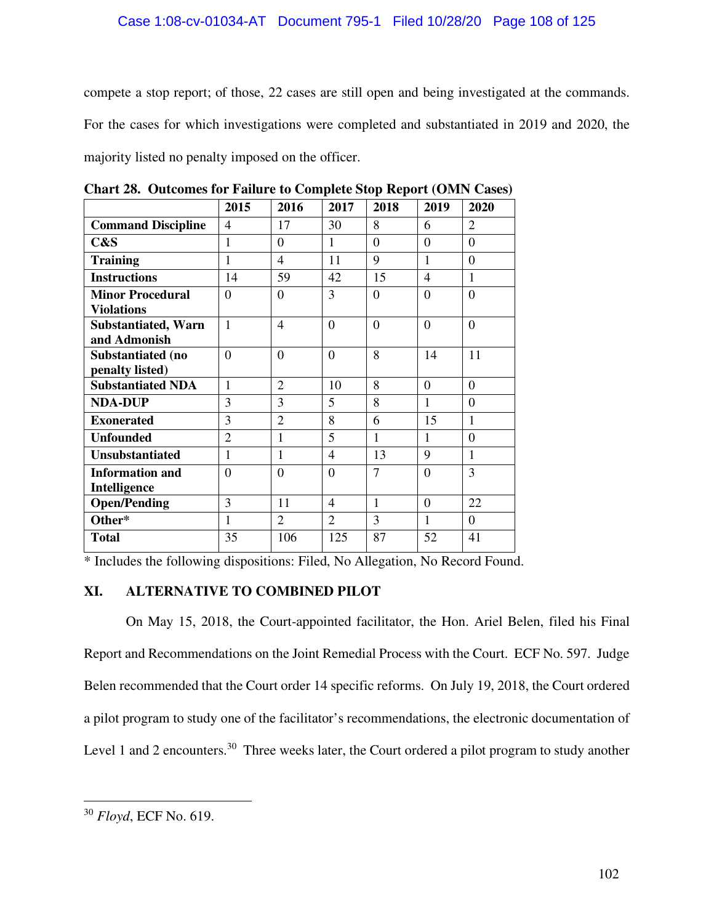#### Case 1:08-cv-01034-AT Document 795-1 Filed 10/28/20 Page 108 of 125

compete a stop report; of those, 22 cases are still open and being investigated at the commands. For the cases for which investigations were completed and substantiated in 2019 and 2020, the majority listed no penalty imposed on the officer.

|                            | 2015           | 2016                     | 2017           | 2018           | 2019           | 2020           |
|----------------------------|----------------|--------------------------|----------------|----------------|----------------|----------------|
| <b>Command Discipline</b>  | 4              | 17                       | 30             | 8              | 6              | $\overline{2}$ |
| C&S                        | 1              | $\overline{0}$           | 1              | $\overline{0}$ | $\overline{0}$ | $\overline{0}$ |
| <b>Training</b>            | 1              | $\overline{\mathcal{A}}$ | 11             | 9              | 1              | $\Omega$       |
| <b>Instructions</b>        | 14             | 59                       | 42             | 15             | 4              | $\mathbf{1}$   |
| <b>Minor Procedural</b>    | $\Omega$       | $\overline{0}$           | 3              | $\overline{0}$ | $\overline{0}$ | $\overline{0}$ |
| <b>Violations</b>          |                |                          |                |                |                |                |
| <b>Substantiated, Warn</b> | 1              | 4                        | $\Omega$       | $\Omega$       | $\Omega$       | $\Omega$       |
| and Admonish               |                |                          |                |                |                |                |
| Substantiated (no          | $\theta$       | $\overline{0}$           | $\theta$       | 8              | 14             | 11             |
| penalty listed)            |                |                          |                |                |                |                |
| <b>Substantiated NDA</b>   | 1              | $\overline{2}$           | 10             | 8              | $\Omega$       | $\Omega$       |
| <b>NDA-DUP</b>             | 3              | 3                        | 5              | 8              | 1              | $\theta$       |
| <b>Exonerated</b>          | 3              | $\overline{2}$           | 8              | 6              | 15             | 1              |
| <b>Unfounded</b>           | $\overline{2}$ | $\mathbf{1}$             | 5              | $\mathbf{1}$   | $\mathbf{1}$   | $\overline{0}$ |
| <b>Unsubstantiated</b>     | 1              | $\mathbf{1}$             | $\overline{4}$ | 13             | 9              | $\mathbf{1}$   |
| <b>Information and</b>     | $\theta$       | $\overline{0}$           | $\Omega$       | $\overline{7}$ | $\overline{0}$ | 3              |
| Intelligence               |                |                          |                |                |                |                |
| <b>Open/Pending</b>        | 3              | 11                       | $\overline{4}$ | $\mathbf{1}$   | $\Omega$       | 22             |
| Other*                     | 1              | $\overline{2}$           | $\overline{2}$ | 3              | $\mathbf{1}$   | $\Omega$       |
| <b>Total</b>               | 35             | 106                      | 125            | 87             | 52             | 41             |

**Chart 28. Outcomes for Failure to Complete Stop Report (OMN Cases)** 

\* Includes the following dispositions: Filed, No Allegation, No Record Found.

#### **XI. ALTERNATIVE TO COMBINED PILOT**

On May 15, 2018, the Court-appointed facilitator, the Hon. Ariel Belen, filed his Final Report and Recommendations on the Joint Remedial Process with the Court. ECF No. 597. Judge Belen recommended that the Court order 14 specific reforms. On July 19, 2018, the Court ordered a pilot program to study one of the facilitator's recommendations, the electronic documentation of Level 1 and 2 encounters.<sup>30</sup> Three weeks later, the Court ordered a pilot program to study another

<sup>30</sup> *Floyd*, ECF No. 619.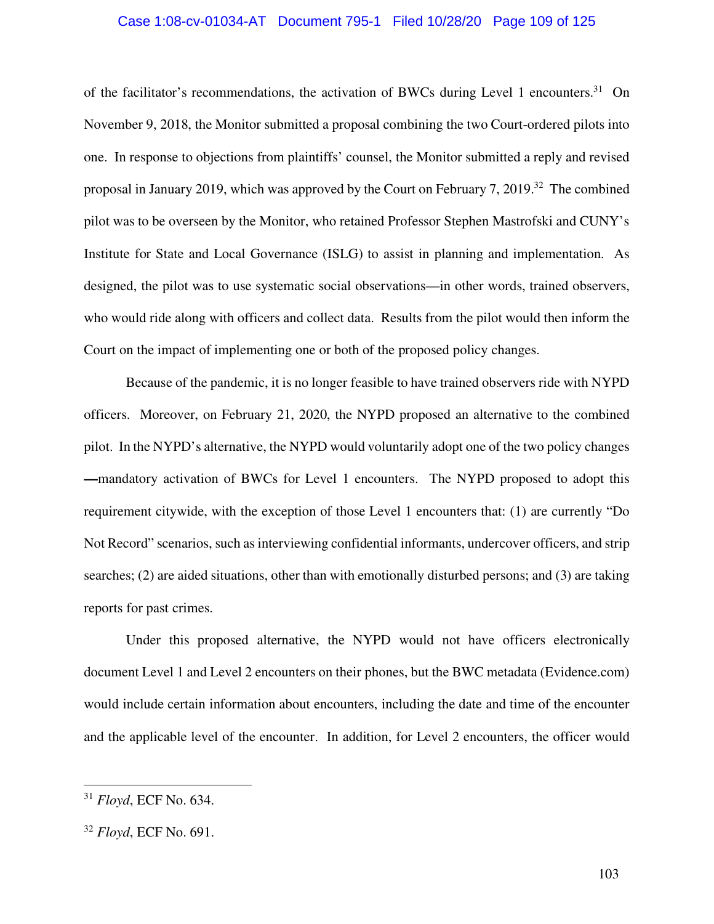#### Case 1:08-cv-01034-AT Document 795-1 Filed 10/28/20 Page 109 of 125

of the facilitator's recommendations, the activation of BWCs during Level 1 encounters.<sup>31</sup> On November 9, 2018, the Monitor submitted a proposal combining the two Court-ordered pilots into one. In response to objections from plaintiffs' counsel, the Monitor submitted a reply and revised proposal in January 2019, which was approved by the Court on February 7, 2019.<sup>32</sup> The combined pilot was to be overseen by the Monitor, who retained Professor Stephen Mastrofski and CUNY's Institute for State and Local Governance (ISLG) to assist in planning and implementation. As designed, the pilot was to use systematic social observations—in other words, trained observers, who would ride along with officers and collect data. Results from the pilot would then inform the Court on the impact of implementing one or both of the proposed policy changes.

Because of the pandemic, it is no longer feasible to have trained observers ride with NYPD officers. Moreover, on February 21, 2020, the NYPD proposed an alternative to the combined pilot. In the NYPD's alternative, the NYPD would voluntarily adopt one of the two policy changes **—**mandatory activation of BWCs for Level 1 encounters. The NYPD proposed to adopt this requirement citywide, with the exception of those Level 1 encounters that: (1) are currently "Do Not Record" scenarios, such as interviewing confidential informants, undercover officers, and strip searches; (2) are aided situations, other than with emotionally disturbed persons; and (3) are taking reports for past crimes.

Under this proposed alternative, the NYPD would not have officers electronically document Level 1 and Level 2 encounters on their phones, but the BWC metadata (Evidence.com) would include certain information about encounters, including the date and time of the encounter and the applicable level of the encounter. In addition, for Level 2 encounters, the officer would

<sup>31</sup> *Floyd*, ECF No. 634.

<sup>32</sup> *Floyd*, ECF No. 691.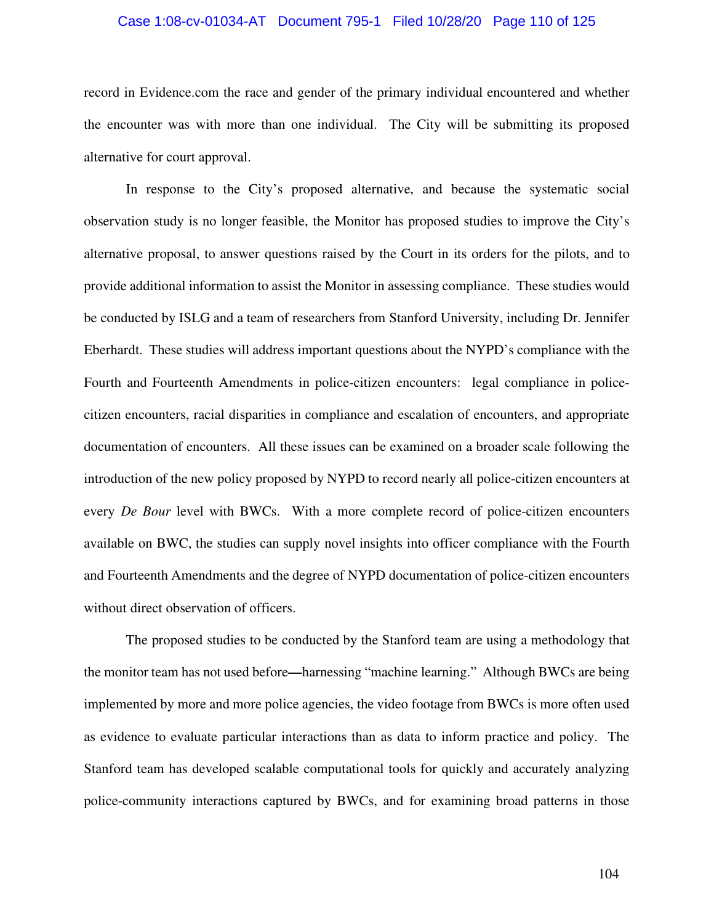#### Case 1:08-cv-01034-AT Document 795-1 Filed 10/28/20 Page 110 of 125

record in Evidence.com the race and gender of the primary individual encountered and whether the encounter was with more than one individual. The City will be submitting its proposed alternative for court approval.

In response to the City's proposed alternative, and because the systematic social observation study is no longer feasible, the Monitor has proposed studies to improve the City's alternative proposal, to answer questions raised by the Court in its orders for the pilots, and to provide additional information to assist the Monitor in assessing compliance. These studies would be conducted by ISLG and a team of researchers from Stanford University, including Dr. Jennifer Eberhardt. These studies will address important questions about the NYPD's compliance with the Fourth and Fourteenth Amendments in police-citizen encounters: legal compliance in policecitizen encounters, racial disparities in compliance and escalation of encounters, and appropriate documentation of encounters. All these issues can be examined on a broader scale following the introduction of the new policy proposed by NYPD to record nearly all police-citizen encounters at every *De Bour* level with BWCs. With a more complete record of police-citizen encounters available on BWC, the studies can supply novel insights into officer compliance with the Fourth and Fourteenth Amendments and the degree of NYPD documentation of police-citizen encounters without direct observation of officers.

The proposed studies to be conducted by the Stanford team are using a methodology that the monitor team has not used before**—**harnessing "machine learning." Although BWCs are being implemented by more and more police agencies, the video footage from BWCs is more often used as evidence to evaluate particular interactions than as data to inform practice and policy. The Stanford team has developed scalable computational tools for quickly and accurately analyzing police-community interactions captured by BWCs, and for examining broad patterns in those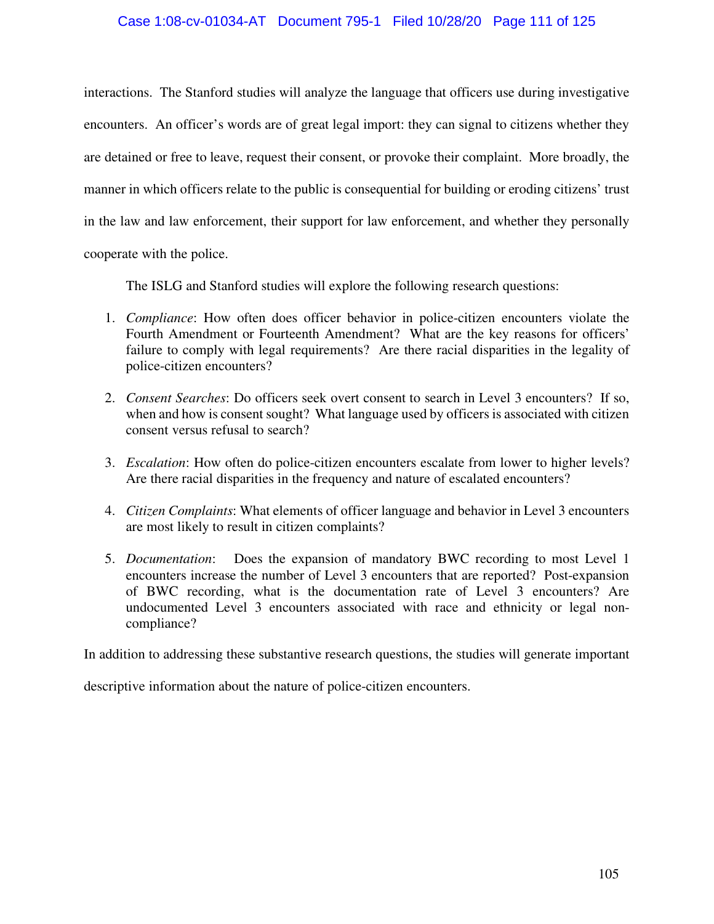#### Case 1:08-cv-01034-AT Document 795-1 Filed 10/28/20 Page 111 of 125

interactions. The Stanford studies will analyze the language that officers use during investigative encounters. An officer's words are of great legal import: they can signal to citizens whether they are detained or free to leave, request their consent, or provoke their complaint. More broadly, the manner in which officers relate to the public is consequential for building or eroding citizens' trust in the law and law enforcement, their support for law enforcement, and whether they personally

cooperate with the police.

The ISLG and Stanford studies will explore the following research questions:

- 1. *Compliance*: How often does officer behavior in police-citizen encounters violate the Fourth Amendment or Fourteenth Amendment? What are the key reasons for officers' failure to comply with legal requirements? Are there racial disparities in the legality of police-citizen encounters?
- 2. *Consent Searches*: Do officers seek overt consent to search in Level 3 encounters? If so, when and how is consent sought? What language used by officers is associated with citizen consent versus refusal to search?
- 3. *Escalation*: How often do police-citizen encounters escalate from lower to higher levels? Are there racial disparities in the frequency and nature of escalated encounters?
- 4. *Citizen Complaints*: What elements of officer language and behavior in Level 3 encounters are most likely to result in citizen complaints?
- 5. *Documentation*: Does the expansion of mandatory BWC recording to most Level 1 encounters increase the number of Level 3 encounters that are reported? Post-expansion of BWC recording, what is the documentation rate of Level 3 encounters? Are undocumented Level 3 encounters associated with race and ethnicity or legal noncompliance?

In addition to addressing these substantive research questions, the studies will generate important

descriptive information about the nature of police-citizen encounters.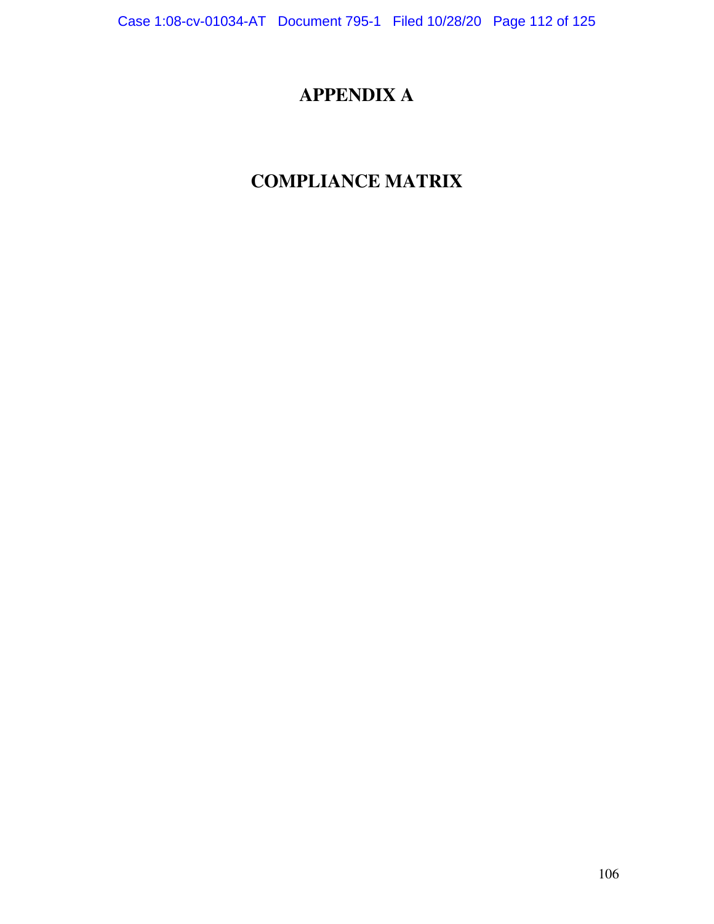# **APPENDIX A**

# **COMPLIANCE MATRIX**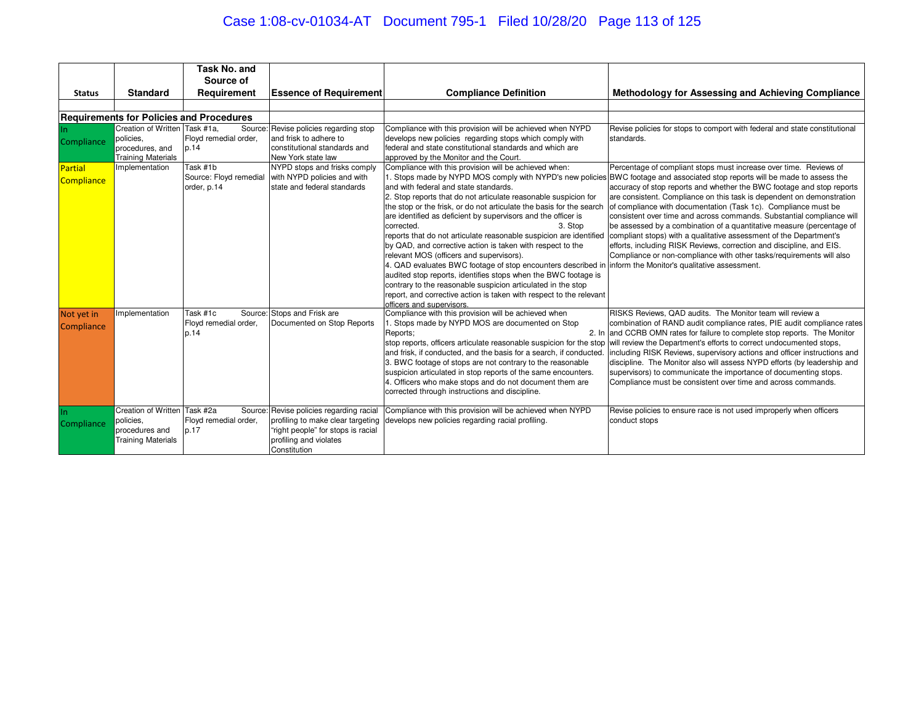# Case 1:08-cv-01034-AT Document 795-1 Filed 10/28/20 Page 113 of 125

|                                            |                                                                                                              | <b>Task No. and</b>                                                                |                                                                                                                                                                                                                      |                                                                                                                                                                                                                                                                                                                                                                                                                                                                                                                                                                                                                             |                                                                                                                                                                                                                                                                                                                                                                                                                                                                                                                                                                                                                                                          |
|--------------------------------------------|--------------------------------------------------------------------------------------------------------------|------------------------------------------------------------------------------------|----------------------------------------------------------------------------------------------------------------------------------------------------------------------------------------------------------------------|-----------------------------------------------------------------------------------------------------------------------------------------------------------------------------------------------------------------------------------------------------------------------------------------------------------------------------------------------------------------------------------------------------------------------------------------------------------------------------------------------------------------------------------------------------------------------------------------------------------------------------|----------------------------------------------------------------------------------------------------------------------------------------------------------------------------------------------------------------------------------------------------------------------------------------------------------------------------------------------------------------------------------------------------------------------------------------------------------------------------------------------------------------------------------------------------------------------------------------------------------------------------------------------------------|
|                                            |                                                                                                              | Source of                                                                          |                                                                                                                                                                                                                      |                                                                                                                                                                                                                                                                                                                                                                                                                                                                                                                                                                                                                             |                                                                                                                                                                                                                                                                                                                                                                                                                                                                                                                                                                                                                                                          |
| <b>Status</b>                              | <b>Standard</b>                                                                                              | Requirement                                                                        | <b>Essence of Requirement</b>                                                                                                                                                                                        | <b>Compliance Definition</b>                                                                                                                                                                                                                                                                                                                                                                                                                                                                                                                                                                                                | Methodology for Assessing and Achieving Compliance                                                                                                                                                                                                                                                                                                                                                                                                                                                                                                                                                                                                       |
|                                            |                                                                                                              |                                                                                    |                                                                                                                                                                                                                      |                                                                                                                                                                                                                                                                                                                                                                                                                                                                                                                                                                                                                             |                                                                                                                                                                                                                                                                                                                                                                                                                                                                                                                                                                                                                                                          |
|                                            |                                                                                                              | <b>Requirements for Policies and Procedures</b>                                    |                                                                                                                                                                                                                      |                                                                                                                                                                                                                                                                                                                                                                                                                                                                                                                                                                                                                             |                                                                                                                                                                                                                                                                                                                                                                                                                                                                                                                                                                                                                                                          |
| Compliance<br><b>Partial</b><br>Compliance | Creation of Written Task #1a.<br>policies.<br>procedures, and<br><b>Training Materials</b><br>Implementation | Floyd remedial order,<br>p.14<br>Task #1b<br>Source: Floyd remedial<br>order, p.14 | Source: Revise policies regarding stop<br>and frisk to adhere to<br>constitutional standards and<br>New York state law<br>NYPD stops and frisks comply<br>with NYPD policies and with<br>state and federal standards | Compliance with this provision will be achieved when NYPD<br>develops new policies regarding stops which comply with<br>federal and state constitutional standards and which are<br>approved by the Monitor and the Court.<br>Compliance with this provision will be achieved when:<br>and with federal and state standards.<br>2. Stop reports that do not articulate reasonable suspicion for                                                                                                                                                                                                                             | Revise policies for stops to comport with federal and state constitutional<br>standards.<br>Percentage of compliant stops must increase over time. Reviews of<br>1. Stops made by NYPD MOS comply with NYPD's new policies BWC footage and associated stop reports will be made to assess the<br>accuracy of stop reports and whether the BWC footage and stop reports<br>are consistent. Compliance on this task is dependent on demonstration                                                                                                                                                                                                          |
|                                            |                                                                                                              |                                                                                    |                                                                                                                                                                                                                      | the stop or the frisk, or do not articulate the basis for the search<br>are identified as deficient by supervisors and the officer is<br>corrected.<br>3. Stop<br>by QAD, and corrective action is taken with respect to the<br>relevant MOS (officers and supervisors).<br>4. QAD evaluates BWC footage of stop encounters described in inform the Monitor's qualitative assessment.<br>audited stop reports, identifies stops when the BWC footage is<br>contrary to the reasonable suspicion articulated in the stop<br>report, and corrective action is taken with respect to the relevant<br>officers and supervisors. | of compliance with documentation (Task 1c). Compliance must be<br>consistent over time and across commands. Substantial compliance will<br>be assessed by a combination of a quantitative measure (percentage of<br>reports that do not articulate reasonable suspicion are identified compliant stops) with a qualitative assessment of the Department's<br>efforts, including RISK Reviews, correction and discipline, and EIS.<br>Compliance or non-compliance with other tasks/requirements will also                                                                                                                                                |
| Not yet in<br>Compliance                   | Implementation                                                                                               | Task #1c<br>Floyd remedial order,<br>p.14                                          | Source: Stops and Frisk are<br>Documented on Stop Reports                                                                                                                                                            | Compliance with this provision will be achieved when<br>I. Stops made by NYPD MOS are documented on Stop<br>Reports:<br>and frisk, if conducted, and the basis for a search, if conducted.<br>3. BWC footage of stops are not contrary to the reasonable<br>suspicion articulated in stop reports of the same encounters.<br>. Officers who make stops and do not document them are<br>corrected through instructions and discipline.                                                                                                                                                                                       | RISKS Reviews, QAD audits. The Monitor team will review a<br>combination of RAND audit compliance rates, PIE audit compliance rates<br>2. In and CCRB OMN rates for failure to complete stop reports. The Monitor<br>stop reports, officers articulate reasonable suspicion for the stop will review the Department's efforts to correct undocumented stops,<br>including RISK Reviews, supervisory actions and officer instructions and<br>discipline. The Monitor also will assess NYPD efforts (by leadership and<br>supervisors) to communicate the importance of documenting stops.<br>Compliance must be consistent over time and across commands. |
| Compliance                                 | Creation of Written<br>policies.<br>procedures and<br><b>Training Materials</b>                              | Task #2a<br>Floyd remedial order,<br>p.17                                          | Source: Revise policies regarding racial<br>profiling to make clear targeting<br>"right people" for stops is racial<br>profiling and violates<br>Constitution                                                        | Compliance with this provision will be achieved when NYPD<br>develops new policies regarding racial profiling.                                                                                                                                                                                                                                                                                                                                                                                                                                                                                                              | Revise policies to ensure race is not used improperly when officers<br>conduct stops                                                                                                                                                                                                                                                                                                                                                                                                                                                                                                                                                                     |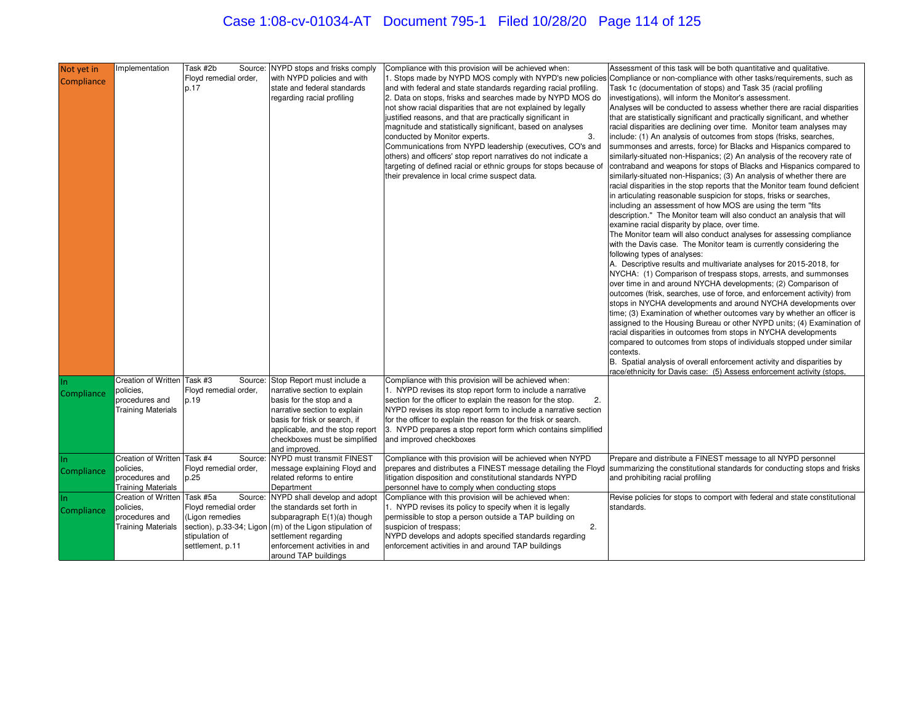# Case 1:08-cv-01034-AT Document 795-1 Filed 10/28/20 Page 114 of 125

| Not yet in | mplementation                               | Task #2b<br>Source:           | NYPD stops and frisks comply                                                            | Compliance with this provision will be achieved when:                                                                            | Assessment of this task will be both quantitative and qualitative.                                                                                                                              |
|------------|---------------------------------------------|-------------------------------|-----------------------------------------------------------------------------------------|----------------------------------------------------------------------------------------------------------------------------------|-------------------------------------------------------------------------------------------------------------------------------------------------------------------------------------------------|
| Compliance |                                             | Floyd remedial order,<br>p.17 | with NYPD policies and with<br>state and federal standards                              | and with federal and state standards regarding racial profiling.                                                                 | 1. Stops made by NYPD MOS comply with NYPD's new policies Compliance or non-compliance with other tasks/requirements, such as<br>Task 1c (documentation of stops) and Task 35 (racial profiling |
|            |                                             |                               | regarding racial profiling                                                              | 2. Data on stops, frisks and searches made by NYPD MOS do                                                                        | investigations), will inform the Monitor's assessment.                                                                                                                                          |
|            |                                             |                               |                                                                                         | not show racial disparities that are not explained by legally                                                                    | Analyses will be conducted to assess whether there are racial disparities                                                                                                                       |
|            |                                             |                               |                                                                                         | justified reasons, and that are practically significant in                                                                       | that are statistically significant and practically significant, and whether                                                                                                                     |
|            |                                             |                               |                                                                                         | magnitude and statistically significant, based on analyses                                                                       | racial disparities are declining over time. Monitor team analyses may                                                                                                                           |
|            |                                             |                               |                                                                                         | 3.<br>conducted by Monitor experts.<br>Communications from NYPD leadership (executives, CO's and                                 | include: (1) An analysis of outcomes from stops (frisks, searches,<br>summonses and arrests, force) for Blacks and Hispanics compared to                                                        |
|            |                                             |                               |                                                                                         | others) and officers' stop report narratives do not indicate a                                                                   | similarly-situated non-Hispanics; (2) An analysis of the recovery rate of                                                                                                                       |
|            |                                             |                               |                                                                                         | targeting of defined racial or ethnic groups for stops because of                                                                | contraband and weapons for stops of Blacks and Hispanics compared to                                                                                                                            |
|            |                                             |                               |                                                                                         | their prevalence in local crime suspect data.                                                                                    | similarly-situated non-Hispanics; (3) An analysis of whether there are<br>racial disparities in the stop reports that the Monitor team found deficient                                          |
|            |                                             |                               |                                                                                         |                                                                                                                                  | in articulating reasonable suspicion for stops, frisks or searches,                                                                                                                             |
|            |                                             |                               |                                                                                         |                                                                                                                                  | including an assessment of how MOS are using the term "fits"                                                                                                                                    |
|            |                                             |                               |                                                                                         |                                                                                                                                  | description." The Monitor team will also conduct an analysis that will                                                                                                                          |
|            |                                             |                               |                                                                                         |                                                                                                                                  | examine racial disparity by place, over time.<br>The Monitor team will also conduct analyses for assessing compliance                                                                           |
|            |                                             |                               |                                                                                         |                                                                                                                                  | with the Davis case. The Monitor team is currently considering the                                                                                                                              |
|            |                                             |                               |                                                                                         |                                                                                                                                  | following types of analyses:                                                                                                                                                                    |
|            |                                             |                               |                                                                                         |                                                                                                                                  | A. Descriptive results and multivariate analyses for 2015-2018, for                                                                                                                             |
|            |                                             |                               |                                                                                         |                                                                                                                                  | NYCHA: (1) Comparison of trespass stops, arrests, and summonses<br>over time in and around NYCHA developments; (2) Comparison of                                                                |
|            |                                             |                               |                                                                                         |                                                                                                                                  | outcomes (frisk, searches, use of force, and enforcement activity) from                                                                                                                         |
|            |                                             |                               |                                                                                         |                                                                                                                                  | stops in NYCHA developments and around NYCHA developments over                                                                                                                                  |
|            |                                             |                               |                                                                                         |                                                                                                                                  | time; (3) Examination of whether outcomes vary by whether an officer is<br>assigned to the Housing Bureau or other NYPD units; (4) Examination of                                               |
|            |                                             |                               |                                                                                         |                                                                                                                                  | racial disparities in outcomes from stops in NYCHA developments                                                                                                                                 |
|            |                                             |                               |                                                                                         |                                                                                                                                  | compared to outcomes from stops of individuals stopped under similar                                                                                                                            |
|            |                                             |                               |                                                                                         |                                                                                                                                  | contexts.<br>B. Spatial analysis of overall enforcement activity and disparities by                                                                                                             |
|            |                                             |                               |                                                                                         |                                                                                                                                  | race/ethnicity for Davis case: (5) Assess enforcement activity (stops,                                                                                                                          |
| In.        | Creation of Written                         | Task #3<br>Source:            | Stop Report must include a                                                              | Compliance with this provision will be achieved when:                                                                            |                                                                                                                                                                                                 |
| Compliance | policies,<br>procedures and                 | Floyd remedial order,<br>p.19 | narrative section to explain<br>basis for the stop and a                                | 1. NYPD revises its stop report form to include a narrative<br>section for the officer to explain the reason for the stop.<br>2. |                                                                                                                                                                                                 |
|            | <b>Training Materials</b>                   |                               | narrative section to explain                                                            | NYPD revises its stop report form to include a narrative section                                                                 |                                                                                                                                                                                                 |
|            |                                             |                               | basis for frisk or search, if                                                           | for the officer to explain the reason for the frisk or search.                                                                   |                                                                                                                                                                                                 |
|            |                                             |                               | applicable, and the stop report<br>checkboxes must be simplified                        | 3. NYPD prepares a stop report form which contains simplified<br>and improved checkboxes                                         |                                                                                                                                                                                                 |
|            |                                             |                               | and improved.                                                                           |                                                                                                                                  |                                                                                                                                                                                                 |
|            | Creation of Written                         | Task #4<br>Source:            | NYPD must transmit FINEST                                                               | Compliance with this provision will be achieved when NYPD                                                                        | Prepare and distribute a FINEST message to all NYPD personnel                                                                                                                                   |
| Compliance | policies,                                   | Floyd remedial order,         | message explaining Floyd and<br>related reforms to entire                               |                                                                                                                                  | prepares and distributes a FINEST message detailing the Floyd Summarizing the constitutional standards for conducting stops and frisks                                                          |
|            | procedures and<br><b>Training Materials</b> | p.25                          | Department                                                                              | itigation disposition and constitutional standards NYPD<br>personnel have to comply when conducting stops                        | and prohibiting racial profiling                                                                                                                                                                |
|            | <b>Creation of Written</b>                  | Task #5a<br>Source:           | NYPD shall develop and adopt                                                            | Compliance with this provision will be achieved when:                                                                            | Revise policies for stops to comport with federal and state constitutional                                                                                                                      |
| Compliance | policies,                                   | Floyd remedial order          | the standards set forth in                                                              | 1. NYPD revises its policy to specify when it is legally                                                                         | standards.                                                                                                                                                                                      |
|            | procedures and<br><b>Training Materials</b> | (Ligon remedies               | subparagraph E(1)(a) though<br>section), p.33-34; Ligon (m) of the Ligon stipulation of | permissible to stop a person outside a TAP building on<br>2.<br>suspicion of trespass;                                           |                                                                                                                                                                                                 |
|            |                                             | stipulation of                | settlement regarding                                                                    | NYPD develops and adopts specified standards regarding                                                                           |                                                                                                                                                                                                 |
|            |                                             | settlement, p.11              | enforcement activities in and                                                           | enforcement activities in and around TAP buildings                                                                               |                                                                                                                                                                                                 |
|            |                                             |                               | around TAP buildings                                                                    |                                                                                                                                  |                                                                                                                                                                                                 |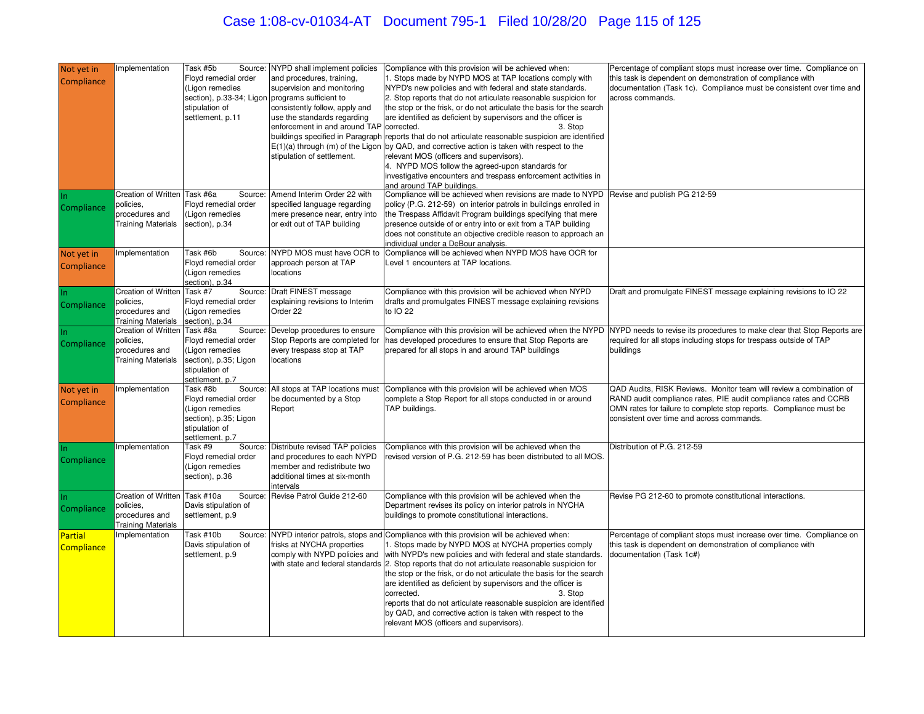# Case 1:08-cv-01034-AT Document 795-1 Filed 10/28/20 Page 115 of 125

| Not yet in<br>Compliance     | mplementation                                                                            | Task #5b<br>Source:<br>Floyd remedial order<br>(Ligon remedies<br>section), p.33-34; Ligon<br>stipulation of<br>settlement, p.11 | NYPD shall implement policies<br>and procedures, training,<br>supervision and monitoring<br>programs sufficient to<br>consistently follow, apply and<br>use the standards regarding<br>enforcement in and around TAP corrected.<br>stipulation of settlement. | Compliance with this provision will be achieved when:<br>1. Stops made by NYPD MOS at TAP locations comply with<br>NYPD's new policies and with federal and state standards.<br>2. Stop reports that do not articulate reasonable suspicion for<br>the stop or the frisk, or do not articulate the basis for the search<br>are identified as deficient by supervisors and the officer is<br>3. Stop<br>buildings specified in Paragraph reports that do not articulate reasonable suspicion are identified<br>$E(1)(a)$ through (m) of the Ligon by QAD, and corrective action is taken with respect to the<br>relevant MOS (officers and supervisors).<br>4. NYPD MOS follow the agreed-upon standards for<br>investigative encounters and trespass enforcement activities in<br>and around TAP buildings. | Percentage of compliant stops must increase over time. Compliance on<br>this task is dependent on demonstration of compliance with<br>documentation (Task 1c). Compliance must be consistent over time and<br>across commands.                             |
|------------------------------|------------------------------------------------------------------------------------------|----------------------------------------------------------------------------------------------------------------------------------|---------------------------------------------------------------------------------------------------------------------------------------------------------------------------------------------------------------------------------------------------------------|-------------------------------------------------------------------------------------------------------------------------------------------------------------------------------------------------------------------------------------------------------------------------------------------------------------------------------------------------------------------------------------------------------------------------------------------------------------------------------------------------------------------------------------------------------------------------------------------------------------------------------------------------------------------------------------------------------------------------------------------------------------------------------------------------------------|------------------------------------------------------------------------------------------------------------------------------------------------------------------------------------------------------------------------------------------------------------|
| Compliance                   | Creation of Written Task #6a<br>policies.<br>procedures and<br><b>Training Materials</b> | Source:<br>Floyd remedial order<br>(Ligon remedies<br>section), p.34                                                             | Amend Interim Order 22 with<br>specified language regarding<br>mere presence near, entry into<br>or exit out of TAP building                                                                                                                                  | Compliance will be achieved when revisions are made to NYPD Revise and publish PG 212-59<br>policy (P.G. 212-59) on interior patrols in buildings enrolled in<br>the Trespass Affidavit Program buildings specifying that mere<br>presence outside of or entry into or exit from a TAP building<br>does not constitute an objective credible reason to approach an<br>ndividual under a DeBour analysis.                                                                                                                                                                                                                                                                                                                                                                                                    |                                                                                                                                                                                                                                                            |
| Not yet in<br>Compliance     | Implementation                                                                           | Task #6b<br>Source:<br>Floyd remedial order<br>(Ligon remedies<br>section), p.34                                                 | NYPD MOS must have OCR to<br>approach person at TAP<br>locations                                                                                                                                                                                              | Compliance will be achieved when NYPD MOS have OCR for<br>Level 1 encounters at TAP locations.                                                                                                                                                                                                                                                                                                                                                                                                                                                                                                                                                                                                                                                                                                              |                                                                                                                                                                                                                                                            |
| Compliance                   | <b>Creation of Written</b><br>policies.<br>procedures and<br><b>Training Materials</b>   | Task #7<br>Source:<br>Floyd remedial order<br>(Ligon remedies<br>section), p.34                                                  | Draft FINEST message<br>explaining revisions to Interim<br>Order 22                                                                                                                                                                                           | Compliance with this provision will be achieved when NYPD<br>drafts and promulgates FINEST message explaining revisions<br>to IO 22                                                                                                                                                                                                                                                                                                                                                                                                                                                                                                                                                                                                                                                                         | Draft and promulgate FINEST message explaining revisions to IO 22                                                                                                                                                                                          |
| Compliance                   | <b>Creation of Written</b><br>policies,<br>procedures and<br><b>Training Materials</b>   | Task #8a<br>Source<br>Floyd remedial order<br>(Ligon remedies<br>section), p.35; Ligon<br>stipulation of<br>settlement, p.7      | Develop procedures to ensure<br>Stop Reports are completed for<br>every trespass stop at TAP<br>locations                                                                                                                                                     | Compliance with this provision will be achieved when the NYPD<br>has developed procedures to ensure that Stop Reports are<br>prepared for all stops in and around TAP buildings                                                                                                                                                                                                                                                                                                                                                                                                                                                                                                                                                                                                                             | NYPD needs to revise its procedures to make clear that Stop Reports are<br>required for all stops including stops for trespass outside of TAP<br>buildings                                                                                                 |
| Not yet in<br>Compliance     | Implementation                                                                           | Task #8b<br>Source:<br>Floyd remedial order<br>(Ligon remedies<br>section), p.35; Ligon<br>stipulation of<br>settlement, p.7     | All stops at TAP locations must<br>be documented by a Stop<br>Report                                                                                                                                                                                          | Compliance with this provision will be achieved when MOS<br>complete a Stop Report for all stops conducted in or around<br>TAP buildings.                                                                                                                                                                                                                                                                                                                                                                                                                                                                                                                                                                                                                                                                   | QAD Audits, RISK Reviews. Monitor team will review a combination of<br>RAND audit compliance rates, PIE audit compliance rates and CCRB<br>OMN rates for failure to complete stop reports. Compliance must be<br>consistent over time and across commands. |
| In.<br>Compliance            | Implementation                                                                           | Task #9<br>Source:<br>Floyd remedial order<br>(Ligon remedies<br>section), p.36                                                  | Distribute revised TAP policies<br>and procedures to each NYPD<br>member and redistribute two<br>additional times at six-month<br>intervals                                                                                                                   | Compliance with this provision will be achieved when the<br>revised version of P.G. 212-59 has been distributed to all MOS.                                                                                                                                                                                                                                                                                                                                                                                                                                                                                                                                                                                                                                                                                 | Distribution of P.G. 212-59                                                                                                                                                                                                                                |
| Compliance                   | <b>Creation of Written</b><br>policies,<br>procedures and<br><b>Training Materials</b>   | Task #10a<br>Source:<br>Davis stipulation of<br>settlement, p.9                                                                  | Revise Patrol Guide 212-60                                                                                                                                                                                                                                    | Compliance with this provision will be achieved when the<br>Department revises its policy on interior patrols in NYCHA<br>buildings to promote constitutional interactions.                                                                                                                                                                                                                                                                                                                                                                                                                                                                                                                                                                                                                                 | Revise PG 212-60 to promote constitutional interactions.                                                                                                                                                                                                   |
| <b>Partial</b><br>Compliance | Implementation                                                                           | Task #10b<br>Source:<br>Davis stipulation of<br>settlement, p.9                                                                  | frisks at NYCHA properties<br>comply with NYPD policies and                                                                                                                                                                                                   | NYPD interior patrols, stops and Compliance with this provision will be achieved when:<br>. Stops made by NYPD MOS at NYCHA properties comply<br>with NYPD's new policies and with federal and state standards.<br>with state and federal standards 2. Stop reports that do not articulate reasonable suspicion for<br>the stop or the frisk, or do not articulate the basis for the search<br>are identified as deficient by supervisors and the officer is<br>corrected.<br>3. Stop<br>reports that do not articulate reasonable suspicion are identified<br>by QAD, and corrective action is taken with respect to the<br>relevant MOS (officers and supervisors).                                                                                                                                       | Percentage of compliant stops must increase over time. Compliance on<br>this task is dependent on demonstration of compliance with<br>documentation (Task 1c#)                                                                                             |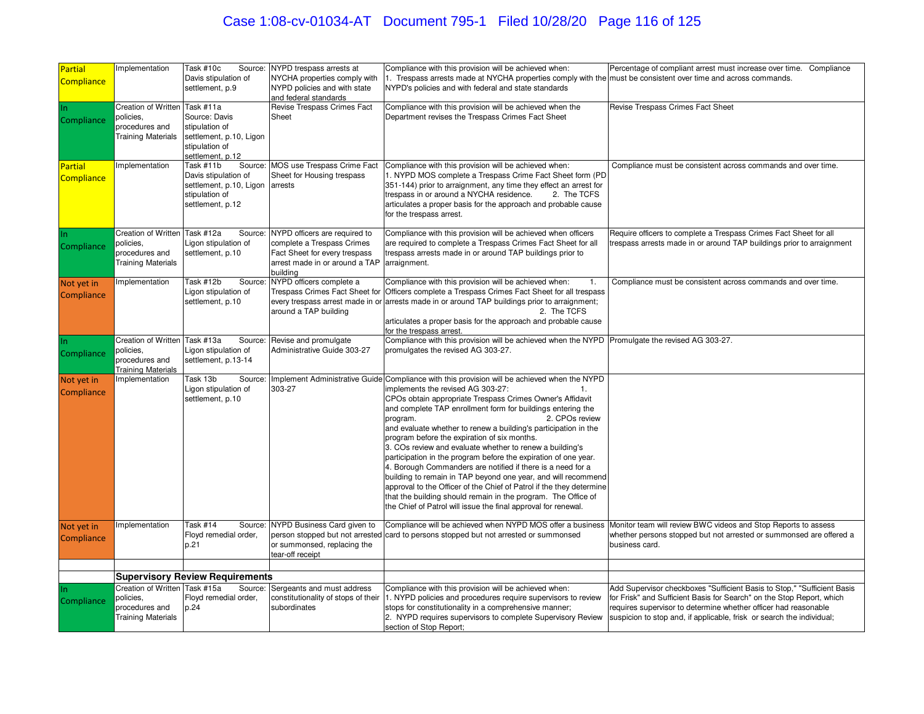# Case 1:08-cv-01034-AT Document 795-1 Filed 10/28/20 Page 116 of 125

| Partial<br><b>Compliance</b> | Implementation                                                                            | Task #10c<br>Source:<br>Davis stipulation of<br>settlement, p.9                                               | NYPD trespass arrests at<br>NYCHA properties comply with<br>NYPD policies and with state<br>and federal standards                          | Compliance with this provision will be achieved when:<br>1. Trespass arrests made at NYCHA properties comply with the must be consistent over time and across commands.<br>NYPD's policies and with federal and state standards                                                                                                                                                                                                                                                                                                                                                                                                                                                                                                                                                                                                                                                                            | Percentage of compliant arrest must increase over time. Compliance                                                                                                                                                |
|------------------------------|-------------------------------------------------------------------------------------------|---------------------------------------------------------------------------------------------------------------|--------------------------------------------------------------------------------------------------------------------------------------------|------------------------------------------------------------------------------------------------------------------------------------------------------------------------------------------------------------------------------------------------------------------------------------------------------------------------------------------------------------------------------------------------------------------------------------------------------------------------------------------------------------------------------------------------------------------------------------------------------------------------------------------------------------------------------------------------------------------------------------------------------------------------------------------------------------------------------------------------------------------------------------------------------------|-------------------------------------------------------------------------------------------------------------------------------------------------------------------------------------------------------------------|
| In.<br>Compliance            | Creation of Written Task #11a<br>policies,<br>procedures and<br><b>Training Materials</b> | Source: Davis<br>stipulation of<br>settlement, p.10, Ligon<br>stipulation of<br>settlement, p.12              | Revise Trespass Crimes Fact<br>Sheet                                                                                                       | Compliance with this provision will be achieved when the<br>Department revises the Trespass Crimes Fact Sheet                                                                                                                                                                                                                                                                                                                                                                                                                                                                                                                                                                                                                                                                                                                                                                                              | Revise Trespass Crimes Fact Sheet                                                                                                                                                                                 |
| Partial<br>Compliance        | Implementation                                                                            | Source:<br>Task #11b<br>Davis stipulation of<br>settlement, p.10, Ligon<br>stipulation of<br>settlement, p.12 | MOS use Trespass Crime Fact<br>Sheet for Housing trespass<br>arrests                                                                       | Compliance with this provision will be achieved when:<br>1. NYPD MOS complete a Trespass Crime Fact Sheet form (PD<br>351-144) prior to arraignment, any time they effect an arrest for<br>trespass in or around a NYCHA residence.<br>2. The TCFS<br>articulates a proper basis for the approach and probable cause<br>for the trespass arrest.                                                                                                                                                                                                                                                                                                                                                                                                                                                                                                                                                           | Compliance must be consistent across commands and over time.                                                                                                                                                      |
| Compliance                   | <b>Creation of Written</b><br>policies,<br>procedures and<br><b>Training Materials</b>    | Task #12a<br>Source:<br>Ligon stipulation of<br>settlement, p.10                                              | NYPD officers are required to<br>complete a Trespass Crimes<br>Fact Sheet for every trespass<br>arrest made in or around a TAP<br>building | Compliance with this provision will be achieved when officers<br>are required to complete a Trespass Crimes Fact Sheet for all<br>trespass arrests made in or around TAP buildings prior to<br>arraignment.                                                                                                                                                                                                                                                                                                                                                                                                                                                                                                                                                                                                                                                                                                | Require officers to complete a Trespass Crimes Fact Sheet for all<br>respass arrests made in or around TAP buildings prior to arraignment                                                                         |
| Not yet in<br>Compliance     | Implementation                                                                            | Task #12b<br>Source:<br>Ligon stipulation of<br>settlement, p.10                                              | NYPD officers complete a<br>Trespass Crimes Fact Sheet for<br>around a TAP building                                                        | Compliance with this provision will be achieved when:<br>$\mathbf{1}$ .<br>Officers complete a Trespass Crimes Fact Sheet for all trespass<br>every trespass arrest made in or arrests made in or around TAP buildings prior to arraignment;<br>2. The TCFS<br>articulates a proper basis for the approach and probable cause<br>for the trespass arrest.                                                                                                                                                                                                                                                                                                                                                                                                                                                                                                                                                  | Compliance must be consistent across commands and over time.                                                                                                                                                      |
| Compliance                   | Creation of Written<br>policies,<br>procedures and<br><b>Training Materials</b>           | Task #13a<br>Ligon stipulation of<br>settlement, p.13-14                                                      | Source: Revise and promulgate<br>Administrative Guide 303-27                                                                               | Compliance with this provision will be achieved when the NYPD Promulgate the revised AG 303-27.<br>promulgates the revised AG 303-27.                                                                                                                                                                                                                                                                                                                                                                                                                                                                                                                                                                                                                                                                                                                                                                      |                                                                                                                                                                                                                   |
| Not yet in<br>Compliance     | Implementation                                                                            | Task 13b<br>Source:<br>Ligon stipulation of<br>settlement, p.10                                               | 303-27                                                                                                                                     | Implement Administrative Guide Compliance with this provision will be achieved when the NYPD<br>implements the revised AG 303-27:<br>1 <sub>1</sub><br>CPOs obtain appropriate Trespass Crimes Owner's Affidavit<br>and complete TAP enrollment form for buildings entering the<br>2. CPOs review<br>program.<br>and evaluate whether to renew a building's participation in the<br>program before the expiration of six months.<br>3. COs review and evaluate whether to renew a building's<br>participation in the program before the expiration of one year.<br>4. Borough Commanders are notified if there is a need for a<br>building to remain in TAP beyond one year, and will recommend<br>approval to the Officer of the Chief of Patrol if the they determine<br>that the building should remain in the program. The Office of<br>the Chief of Patrol will issue the final approval for renewal. |                                                                                                                                                                                                                   |
| Not yet in<br>Compliance     | Implementation                                                                            | Task #14<br>Source:<br>Floyd remedial order,<br>p.21                                                          | NYPD Business Card given to<br>or summonsed, replacing the<br>tear-off receipt                                                             | Compliance will be achieved when NYPD MOS offer a business<br>person stopped but not arrested card to persons stopped but not arrested or summonsed                                                                                                                                                                                                                                                                                                                                                                                                                                                                                                                                                                                                                                                                                                                                                        | Monitor team will review BWC videos and Stop Reports to assess<br>whether persons stopped but not arrested or summonsed are offered a<br>business card.                                                           |
|                              |                                                                                           |                                                                                                               |                                                                                                                                            |                                                                                                                                                                                                                                                                                                                                                                                                                                                                                                                                                                                                                                                                                                                                                                                                                                                                                                            |                                                                                                                                                                                                                   |
| In.                          | Creation of Written Task #15a                                                             | <b>Supervisory Review Requirements</b><br>Source:                                                             | Sergeants and must address                                                                                                                 | Compliance with this provision will be achieved when:                                                                                                                                                                                                                                                                                                                                                                                                                                                                                                                                                                                                                                                                                                                                                                                                                                                      | Add Supervisor checkboxes "Sufficient Basis to Stop," "Sufficient Basis                                                                                                                                           |
| Compliance                   | policies,<br>procedures and<br><b>Training Materials</b>                                  | Floyd remedial order,<br>p.24                                                                                 | constitutionality of stops of their<br>subordinates                                                                                        | 1. NYPD policies and procedures require supervisors to review<br>stops for constitutionality in a comprehensive manner;<br>2. NYPD requires supervisors to complete Supervisory Review<br>section of Stop Report;                                                                                                                                                                                                                                                                                                                                                                                                                                                                                                                                                                                                                                                                                          | for Frisk" and Sufficient Basis for Search" on the Stop Report, which<br>requires supervisor to determine whether officer had reasonable<br>suspicion to stop and, if applicable, frisk or search the individual; |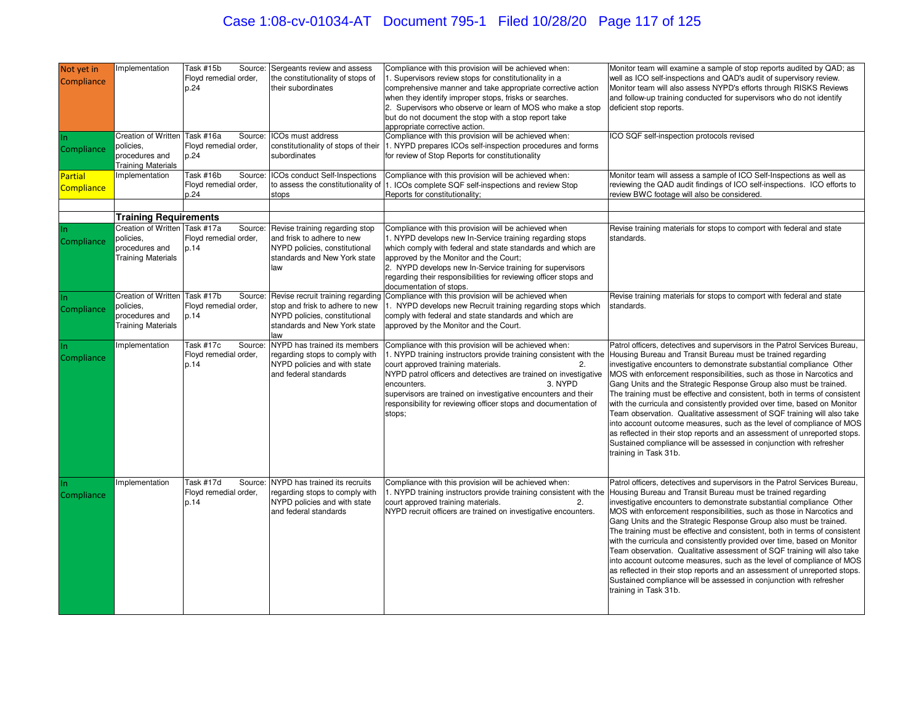# Case 1:08-cv-01034-AT Document 795-1 Filed 10/28/20 Page 117 of 125

| Not yet in<br>Compliance            | mplementation                                                                             | Task #15b<br>Source:<br>Floyd remedial order,<br>p.24               | Sergeants review and assess<br>the constitutionality of stops of<br>their subordinates                                                       | Compliance with this provision will be achieved when:<br>1. Supervisors review stops for constitutionality in a<br>comprehensive manner and take appropriate corrective action<br>when they identify improper stops, frisks or searches.<br>2. Supervisors who observe or learn of MOS who make a stop<br>but do not document the stop with a stop report take<br>appropriate corrective action.                   | Monitor team will examine a sample of stop reports audited by QAD; as<br>well as ICO self-inspections and QAD's audit of supervisory review.<br>Monitor team will also assess NYPD's efforts through RISKS Reviews<br>and follow-up training conducted for supervisors who do not identify<br>deficient stop reports.                                                                                                                                                                                                                                                                                                                                                                                                                                                                                                                                      |
|-------------------------------------|-------------------------------------------------------------------------------------------|---------------------------------------------------------------------|----------------------------------------------------------------------------------------------------------------------------------------------|--------------------------------------------------------------------------------------------------------------------------------------------------------------------------------------------------------------------------------------------------------------------------------------------------------------------------------------------------------------------------------------------------------------------|------------------------------------------------------------------------------------------------------------------------------------------------------------------------------------------------------------------------------------------------------------------------------------------------------------------------------------------------------------------------------------------------------------------------------------------------------------------------------------------------------------------------------------------------------------------------------------------------------------------------------------------------------------------------------------------------------------------------------------------------------------------------------------------------------------------------------------------------------------|
| In.<br>Compliance                   | Creation of Written<br>policies,<br>procedures and<br><b>Training Materials</b>           | Task #16a<br>Source:<br>Floyd remedial order,<br>p.24               | ICOs must address<br>constitutionality of stops of their<br>subordinates                                                                     | Compliance with this provision will be achieved when:<br>1. NYPD prepares ICOs self-inspection procedures and forms<br>for review of Stop Reports for constitutionality                                                                                                                                                                                                                                            | ICO SQF self-inspection protocols revised                                                                                                                                                                                                                                                                                                                                                                                                                                                                                                                                                                                                                                                                                                                                                                                                                  |
| <b>Partial</b><br><b>Compliance</b> | mplementation                                                                             | Task #16b<br>Source:<br>Floyd remedial order,<br>p.24               | ICOs conduct Self-Inspections<br>to assess the constitutionality of<br>stops                                                                 | Compliance with this provision will be achieved when:<br>1. ICOs complete SQF self-inspections and review Stop<br>Reports for constitutionality;                                                                                                                                                                                                                                                                   | Monitor team will assess a sample of ICO Self-Inspections as well as<br>reviewing the QAD audit findings of ICO self-inspections. ICO efforts to<br>review BWC footage will also be considered.                                                                                                                                                                                                                                                                                                                                                                                                                                                                                                                                                                                                                                                            |
|                                     | <b>Training Requirements</b>                                                              |                                                                     |                                                                                                                                              |                                                                                                                                                                                                                                                                                                                                                                                                                    |                                                                                                                                                                                                                                                                                                                                                                                                                                                                                                                                                                                                                                                                                                                                                                                                                                                            |
| Compliance                          | Creation of Written Task #17a<br>policies,<br>procedures and<br><b>Training Materials</b> | Source:<br>Floyd remedial order,<br>p.14                            | Revise training regarding stop<br>and frisk to adhere to new<br>NYPD policies, constitutional<br>standards and New York state<br>law         | Compliance with this provision will be achieved when<br>1. NYPD develops new In-Service training regarding stops<br>which comply with federal and state standards and which are<br>approved by the Monitor and the Court;<br>2. NYPD develops new In-Service training for supervisors<br>regarding their responsibilities for reviewing officer stops and<br>documentation of stops.                               | Revise training materials for stops to comport with federal and state<br>standards.                                                                                                                                                                                                                                                                                                                                                                                                                                                                                                                                                                                                                                                                                                                                                                        |
| Compliance                          | Creation of Written<br>policies.<br>procedures and<br><b>Training Materials</b>           | Task #17 $\overline{b}$<br>Source:<br>Floyd remedial order,<br>p.14 | Revise recruit training regarding<br>stop and frisk to adhere to new<br>NYPD policies, constitutional<br>standards and New York state<br>law | Compliance with this provision will be achieved when<br>1. NYPD develops new Recruit training regarding stops which<br>comply with federal and state standards and which are<br>approved by the Monitor and the Court.                                                                                                                                                                                             | Revise training materials for stops to comport with federal and state<br>standards.                                                                                                                                                                                                                                                                                                                                                                                                                                                                                                                                                                                                                                                                                                                                                                        |
| Compliance                          | mplementation                                                                             | Task #17c<br>Source:<br>Floyd remedial order,<br>p.14               | NYPD has trained its members<br>regarding stops to comply with<br>NYPD policies and with state<br>and federal standards                      | Compliance with this provision will be achieved when:<br>1. NYPD training instructors provide training consistent with the<br>court approved training materials.<br>2.<br>NYPD patrol officers and detectives are trained on investigative<br>encounters.<br>3. NYPD<br>supervisors are trained on investigative encounters and their<br>responsibility for reviewing officer stops and documentation of<br>stops; | Patrol officers, detectives and supervisors in the Patrol Services Bureau,<br>Housing Bureau and Transit Bureau must be trained regarding<br>investigative encounters to demonstrate substantial compliance Other<br>MOS with enforcement responsibilities, such as those in Narcotics and<br>Gang Units and the Strategic Response Group also must be trained.<br>The training must be effective and consistent, both in terms of consistent<br>with the curricula and consistently provided over time, based on Monitor<br>Team observation. Qualitative assessment of SQF training will also take<br>into account outcome measures, such as the level of compliance of MOS<br>as reflected in their stop reports and an assessment of unreported stops.<br>Sustained compliance will be assessed in conjunction with refresher<br>training in Task 31b. |
| Compliance                          | mplementation                                                                             | Task #17d<br>Source<br>Floyd remedial order,<br>p.14                | NYPD has trained its recruits<br>regarding stops to comply with<br>NYPD policies and with state<br>and federal standards                     | Compliance with this provision will be achieved when:<br>1. NYPD training instructors provide training consistent with the<br>court approved training materials.<br>2.<br>NYPD recruit officers are trained on investigative encounters.                                                                                                                                                                           | Patrol officers, detectives and supervisors in the Patrol Services Bureau,<br>Housing Bureau and Transit Bureau must be trained regarding<br>investigative encounters to demonstrate substantial compliance Other<br>MOS with enforcement responsibilities, such as those in Narcotics and<br>Gang Units and the Strategic Response Group also must be trained.<br>The training must be effective and consistent, both in terms of consistent<br>with the curricula and consistently provided over time, based on Monitor<br>Team observation. Qualitative assessment of SQF training will also take<br>into account outcome measures, such as the level of compliance of MOS<br>as reflected in their stop reports and an assessment of unreported stops.<br>Sustained compliance will be assessed in conjunction with refresher<br>training in Task 31b. |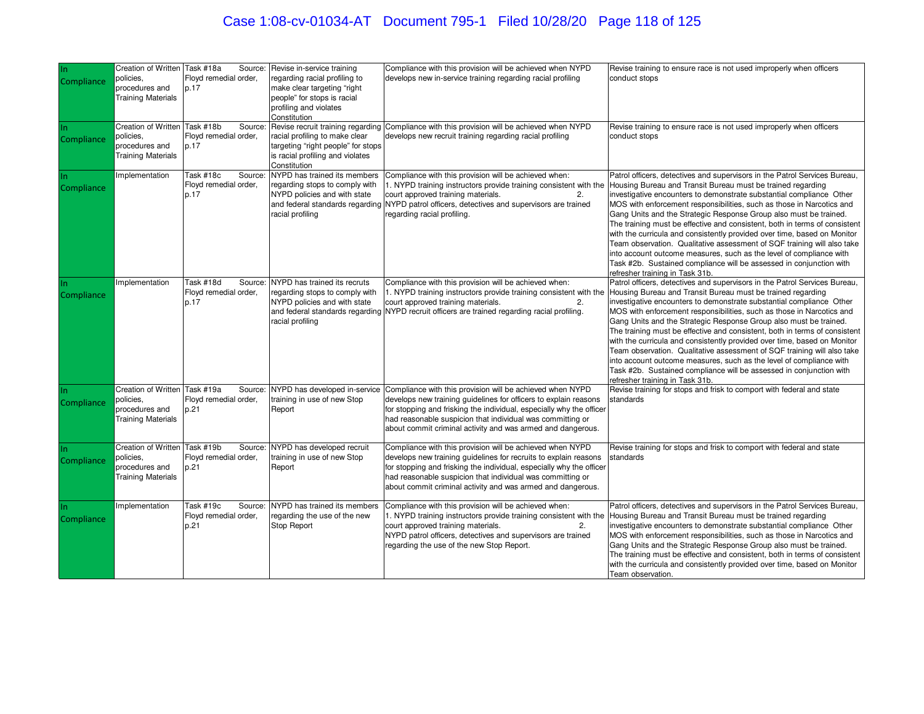# Case 1:08-cv-01034-AT Document 795-1 Filed 10/28/20 Page 118 of 125

| In<br>Compliance  | Creation of Written Task #18a<br>policies.<br>procedures and<br><b>Training Materials</b> | Source:<br>Floyd remedial order,<br>p.17              | Revise in-service training<br>regarding racial profiling to<br>make clear targeting "right<br>people" for stops is racial<br>profiling and violates<br>Constitution | Compliance with this provision will be achieved when NYPD<br>develops new in-service training regarding racial profiling                                                                                                                                                                                                           | Revise training to ensure race is not used improperly when officers<br>conduct stops                                                                                                                                                                                                                                                                                                                                                                                                                                                                                                                                                                                                                                                                                                  |
|-------------------|-------------------------------------------------------------------------------------------|-------------------------------------------------------|---------------------------------------------------------------------------------------------------------------------------------------------------------------------|------------------------------------------------------------------------------------------------------------------------------------------------------------------------------------------------------------------------------------------------------------------------------------------------------------------------------------|---------------------------------------------------------------------------------------------------------------------------------------------------------------------------------------------------------------------------------------------------------------------------------------------------------------------------------------------------------------------------------------------------------------------------------------------------------------------------------------------------------------------------------------------------------------------------------------------------------------------------------------------------------------------------------------------------------------------------------------------------------------------------------------|
| <b>Compliance</b> | <b>Creation of Written</b><br>policies,<br>procedures and<br><b>Training Materials</b>    | Task #18b<br>Source:<br>Floyd remedial order,<br>p.17 | racial profiling to make clear<br>targeting "right people" for stops<br>is racial profiling and violates<br>Constitution                                            | Revise recruit training regarding Compliance with this provision will be achieved when NYPD<br>develops new recruit training regarding racial profiling                                                                                                                                                                            | Revise training to ensure race is not used improperly when officers<br>conduct stops                                                                                                                                                                                                                                                                                                                                                                                                                                                                                                                                                                                                                                                                                                  |
| Compliance        | mplementation                                                                             | Task #18c<br>Source:<br>Floyd remedial order,<br>p.17 | NYPD has trained its members<br>regarding stops to comply with<br>NYPD policies and with state<br>racial profiling                                                  | Compliance with this provision will be achieved when:<br>1. NYPD training instructors provide training consistent with the<br>court approved training materials.<br>2.<br>and federal standards regarding NYPD patrol officers, detectives and supervisors are trained<br>regarding racial profiling.                              | Patrol officers, detectives and supervisors in the Patrol Services Bureau,<br>Housing Bureau and Transit Bureau must be trained regarding<br>investigative encounters to demonstrate substantial compliance Other<br>MOS with enforcement responsibilities, such as those in Narcotics and<br>Gang Units and the Strategic Response Group also must be trained.<br>The training must be effective and consistent, both in terms of consistent<br>with the curricula and consistently provided over time, based on Monitor<br>Team observation. Qualitative assessment of SQF training will also take<br>into account outcome measures, such as the level of compliance with<br>Task #2b. Sustained compliance will be assessed in conjunction with<br>refresher training in Task 31b. |
| In.<br>Compliance | mplementation                                                                             | Task #18d<br>Source:<br>Floyd remedial order,<br>p.17 | NYPD has trained its recruts<br>regarding stops to comply with<br>NYPD policies and with state<br>racial profiling                                                  | Compliance with this provision will be achieved when:<br>1. NYPD training instructors provide training consistent with the<br>court approved training materials.<br>2.<br>and federal standards regarding NYPD recruit officers are trained regarding racial profiling.                                                            | Patrol officers, detectives and supervisors in the Patrol Services Bureau,<br>Housing Bureau and Transit Bureau must be trained regarding<br>investigative encounters to demonstrate substantial compliance Other<br>MOS with enforcement responsibilities, such as those in Narcotics and<br>Gang Units and the Strategic Response Group also must be trained.<br>The training must be effective and consistent, both in terms of consistent<br>with the curricula and consistently provided over time, based on Monitor<br>Team observation. Qualitative assessment of SQF training will also take<br>into account outcome measures, such as the level of compliance with<br>Task #2b. Sustained compliance will be assessed in conjunction with<br>refresher training in Task 31b. |
| Compliance        | Creation of Written<br>policies,<br>procedures and<br><b>Training Materials</b>           | Task #19a<br>Source:<br>Floyd remedial order,<br>p.21 | NYPD has developed in-service<br>training in use of new Stop<br>Report                                                                                              | Compliance with this provision will be achieved when NYPD<br>develops new training guidelines for officers to explain reasons<br>for stopping and frisking the individual, especially why the officer<br>had reasonable suspicion that individual was committing or<br>about commit criminal activity and was armed and dangerous. | Revise training for stops and frisk to comport with federal and state<br>standards                                                                                                                                                                                                                                                                                                                                                                                                                                                                                                                                                                                                                                                                                                    |
| <b>Compliance</b> | Creation of Written<br>policies,<br>procedures and<br><b>Training Materials</b>           | Task #19b<br>Source:<br>Floyd remedial order,<br>p.21 | NYPD has developed recruit<br>training in use of new Stop<br>Report                                                                                                 | Compliance with this provision will be achieved when NYPD<br>develops new training guidelines for recruits to explain reasons<br>for stopping and frisking the individual, especially why the officer<br>had reasonable suspicion that individual was committing or<br>about commit criminal activity and was armed and dangerous. | Revise training for stops and frisk to comport with federal and state<br>standards                                                                                                                                                                                                                                                                                                                                                                                                                                                                                                                                                                                                                                                                                                    |
| Compliance        | mplementation                                                                             | Task #19c<br>Source:<br>Floyd remedial order,<br>p.21 | NYPD has trained its members<br>regarding the use of the new<br>Stop Report                                                                                         | Compliance with this provision will be achieved when:<br>1. NYPD training instructors provide training consistent with the<br>court approved training materials.<br>2.<br>NYPD patrol officers, detectives and supervisors are trained<br>regarding the use of the new Stop Report.                                                | Patrol officers, detectives and supervisors in the Patrol Services Bureau,<br>Housing Bureau and Transit Bureau must be trained regarding<br>investigative encounters to demonstrate substantial compliance Other<br>MOS with enforcement responsibilities, such as those in Narcotics and<br>Gang Units and the Strategic Response Group also must be trained.<br>The training must be effective and consistent, both in terms of consistent<br>with the curricula and consistently provided over time, based on Monitor<br>Team observation.                                                                                                                                                                                                                                        |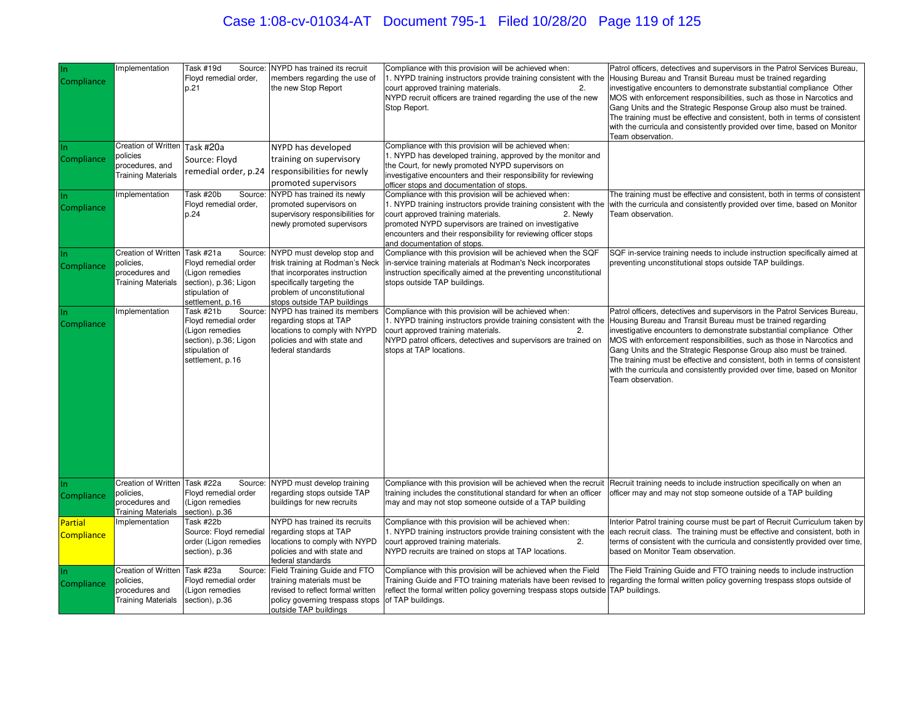# Case 1:08-cv-01034-AT Document 795-1 Filed 10/28/20 Page 119 of 125

| Compliance                   | Implementation                                                                         | Task #19d<br>Source:<br>Floyd remedial order,<br>p.21                                                                          | NYPD has trained its recruit<br>members regarding the use of<br>the new Stop Report                                                                                                        | Compliance with this provision will be achieved when:<br>1. NYPD training instructors provide training consistent with the Housing Bureau and Transit Bureau must be trained regarding<br>court approved training materials.<br>2.<br>NYPD recruit officers are trained regarding the use of the new<br>Stop Report.                     | Patrol officers, detectives and supervisors in the Patrol Services Bureau,<br>investigative encounters to demonstrate substantial compliance Other<br>MOS with enforcement responsibilities, such as those in Narcotics and<br>Gang Units and the Strategic Response Group also must be trained.<br>The training must be effective and consistent, both in terms of consistent<br>with the curricula and consistently provided over time, based on Monitor<br>Team observation.                                                                                                                                 |
|------------------------------|----------------------------------------------------------------------------------------|--------------------------------------------------------------------------------------------------------------------------------|--------------------------------------------------------------------------------------------------------------------------------------------------------------------------------------------|------------------------------------------------------------------------------------------------------------------------------------------------------------------------------------------------------------------------------------------------------------------------------------------------------------------------------------------|-----------------------------------------------------------------------------------------------------------------------------------------------------------------------------------------------------------------------------------------------------------------------------------------------------------------------------------------------------------------------------------------------------------------------------------------------------------------------------------------------------------------------------------------------------------------------------------------------------------------|
| Compliance                   | Creation of Written<br>policies<br>procedures, and<br><b>Training Materials</b>        | Task #20a<br>Source: Floyd<br>remedial order, p.24                                                                             | NYPD has developed<br>training on supervisory<br>responsibilities for newly<br>promoted supervisors                                                                                        | Compliance with this provision will be achieved when:<br>1. NYPD has developed training, approved by the monitor and<br>the Court, for newly promoted NYPD supervisors on<br>nvestigative encounters and their responsibility for reviewing<br>officer stops and documentation of stops.                                                 |                                                                                                                                                                                                                                                                                                                                                                                                                                                                                                                                                                                                                 |
| Compliance                   | Implementation                                                                         | Task #20b<br>Source:<br>Floyd remedial order,<br>p.24                                                                          | NYPD has trained its newly<br>promoted supervisors on<br>supervisory responsibilities for<br>newly promoted supervisors                                                                    | Compliance with this provision will be achieved when:<br>1. NYPD training instructors provide training consistent with the<br>court approved training materials.<br>2. Newly<br>promoted NYPD supervisors are trained on investigative<br>encounters and their responsibility for reviewing officer stops<br>and documentation of stops. | The training must be effective and consistent, both in terms of consistent<br>with the curricula and consistently provided over time, based on Monitor<br>Team observation.                                                                                                                                                                                                                                                                                                                                                                                                                                     |
| Compliance                   | Creation of Written<br>policies,<br>procedures and<br><b>Training Materials</b>        | Task #21a<br>Source:<br>Floyd remedial order<br>Ligon remedies<br>section), p.36; Ligon<br>stipulation of<br>settlement, p.16  | NYPD must develop stop and<br>frisk training at Rodman's Neck<br>that incorporates instruction<br>specifically targeting the<br>problem of unconstitutional<br>stops outside TAP buildings | Compliance with this provision will be achieved when the SQF<br>in-service training materials at Rodman's Neck incorporates<br>instruction specifically aimed at the preventing unconstitutional<br>stops outside TAP buildings.                                                                                                         | SQF in-service training needs to include instruction specifically aimed at<br>preventing unconstitutional stops outside TAP buildings.                                                                                                                                                                                                                                                                                                                                                                                                                                                                          |
| Compliance                   | Implementation                                                                         | Task #21b<br>Source:<br>Floyd remedial order<br>(Ligon remedies<br>section), p.36; Ligon<br>stipulation of<br>settlement, p.16 | NYPD has trained its members<br>regarding stops at TAP<br>locations to comply with NYPD<br>policies and with state and<br>federal standards                                                | Compliance with this provision will be achieved when:<br>court approved training materials.<br>2.<br>NYPD patrol officers, detectives and supervisors are trained on<br>stops at TAP locations.                                                                                                                                          | Patrol officers, detectives and supervisors in the Patrol Services Bureau,<br>. NYPD training instructors provide training consistent with the Housing Bureau and Transit Bureau must be trained regarding<br>investigative encounters to demonstrate substantial compliance Other<br>MOS with enforcement responsibilities, such as those in Narcotics and<br>Gang Units and the Strategic Response Group also must be trained.<br>The training must be effective and consistent, both in terms of consistent<br>with the curricula and consistently provided over time, based on Monitor<br>Team observation. |
| Compliance                   | Creation of Written<br>policies,<br>procedures and<br><b>Training Materials</b>        | Task $#22a$<br>Source:<br>Floyd remedial order<br>(Ligon remedies<br>section), p.36                                            | NYPD must develop training<br>regarding stops outside TAP<br>buildings for new recruits                                                                                                    | training includes the constitutional standard for when an officer<br>may and may not stop someone outside of a TAP building                                                                                                                                                                                                              | Compliance with this provision will be achieved when the recruit   Recruit training needs to include instruction specifically on when an<br>officer may and may not stop someone outside of a TAP building                                                                                                                                                                                                                                                                                                                                                                                                      |
| <b>Partial</b><br>Compliance | Implementation                                                                         | Task #22b<br>Source: Floyd remedial<br>order (Ligon remedies<br>section), p.36                                                 | NYPD has trained its recruits<br>regarding stops at TAP<br>locations to comply with NYPD<br>policies and with state and<br>federal standards                                               | Compliance with this provision will be achieved when:<br>court approved training materials.<br>2.<br>NYPD recruits are trained on stops at TAP locations.                                                                                                                                                                                | Interior Patrol training course must be part of Recruit Curriculum taken by<br>L. NYPD training instructors provide training consistent with the each recruit class. The training must be effective and consistent, both in<br>terms of consistent with the curricula and consistently provided over time,<br>based on Monitor Team observation.                                                                                                                                                                                                                                                                |
| Compliance                   | <b>Creation of Written</b><br>policies,<br>procedures and<br><b>Training Materials</b> | Task #23a<br>Source:<br>Floyd remedial order<br>(Ligon remedies<br>section), p.36                                              | Field Training Guide and FTO<br>training materials must be<br>revised to reflect formal written<br>policy governing trespass stops<br>outside TAP buildings                                | Compliance with this provision will be achieved when the Field<br>reflect the formal written policy governing trespass stops outside TAP buildings.<br>of TAP buildings.                                                                                                                                                                 | The Field Training Guide and FTO training needs to include instruction<br>Training Guide and FTO training materials have been revised to regarding the formal written policy governing trespass stops outside of                                                                                                                                                                                                                                                                                                                                                                                                |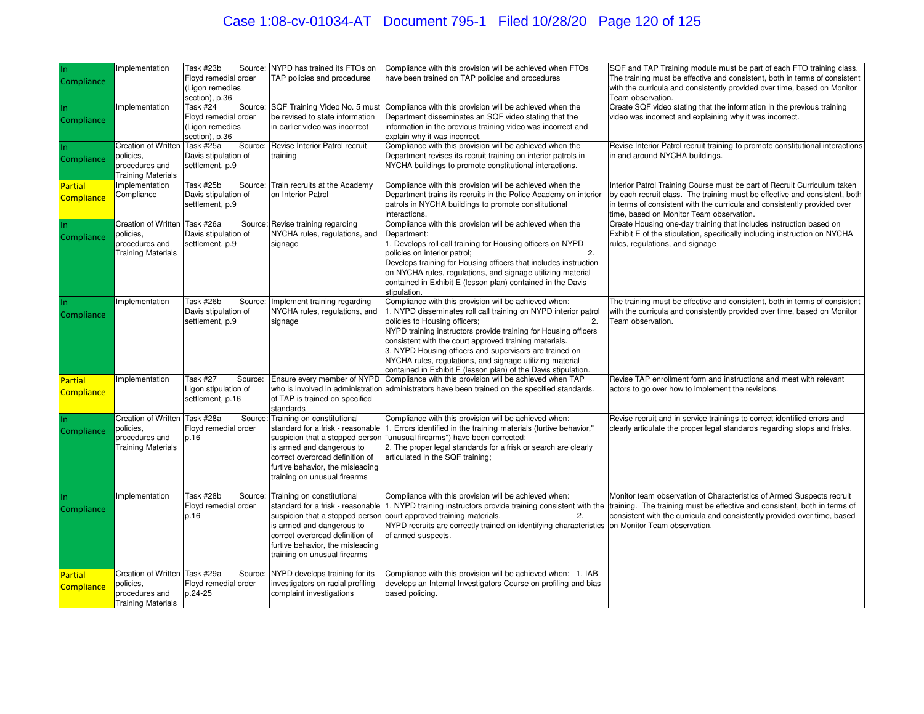# Case 1:08-cv-01034-AT Document 795-1 Filed 10/28/20 Page 120 of 125

| In<br>Compliance             | Implementation                                                                         | Task #23b<br>Floyd remedial order<br>(Ligon remedies<br>section), p.36          | Source: NYPD has trained its FTOs on<br>TAP policies and procedures                                                                                                                                                                    | Compliance with this provision will be achieved when FTOs<br>have been trained on TAP policies and procedures                                                                                                                                                                                                                                                                                                                                                                                     | SQF and TAP Training module must be part of each FTO training class.<br>The training must be effective and consistent, both in terms of consistent<br>with the curricula and consistently provided over time, based on Monitor<br>Team observation.                                              |
|------------------------------|----------------------------------------------------------------------------------------|---------------------------------------------------------------------------------|----------------------------------------------------------------------------------------------------------------------------------------------------------------------------------------------------------------------------------------|---------------------------------------------------------------------------------------------------------------------------------------------------------------------------------------------------------------------------------------------------------------------------------------------------------------------------------------------------------------------------------------------------------------------------------------------------------------------------------------------------|--------------------------------------------------------------------------------------------------------------------------------------------------------------------------------------------------------------------------------------------------------------------------------------------------|
| Compliance                   | Implementation                                                                         | Task #24<br>Source:<br>Floyd remedial order<br>Ligon remedies<br>section), p.36 | SQF Training Video No. 5 must<br>be revised to state information<br>in earlier video was incorrect                                                                                                                                     | Compliance with this provision will be achieved when the<br>Department disseminates an SQF video stating that the<br>nformation in the previous training video was incorrect and<br>explain why it was incorrect.                                                                                                                                                                                                                                                                                 | Create SQF video stating that the information in the previous training<br>video was incorrect and explaining why it was incorrect.                                                                                                                                                               |
| Compliance                   | Creation of Written<br>policies.<br>procedures and<br>Training Materials               | Task #25a<br>Source:<br>Davis stipulation of<br>settlement, p.9                 | Revise Interior Patrol recruit<br>training                                                                                                                                                                                             | Compliance with this provision will be achieved when the<br>Department revises its recruit training on interior patrols in<br>NYCHA buildings to promote constitutional interactions.                                                                                                                                                                                                                                                                                                             | Revise Interior Patrol recruit training to promote constitutional interactions<br>in and around NYCHA buildings.                                                                                                                                                                                 |
| Partial<br><b>Compliance</b> | Implementation<br>Compliance                                                           | Task #25b<br>Davis stipulation of<br>settlement, p.9                            | Source: Train recruits at the Academy<br>on Interior Patrol                                                                                                                                                                            | Compliance with this provision will be achieved when the<br>Department trains its recruits in the Police Academy on interior<br>patrols in NYCHA buildings to promote constitutional<br>nteractions.                                                                                                                                                                                                                                                                                              | Interior Patrol Training Course must be part of Recruit Curriculum taken<br>by each recruit class. The training must be effective and consistent, both<br>in terms of consistent with the curricula and consistently provided over<br>time, based on Monitor Team observation.                   |
| Compliance                   | Creation of Written<br>policies,<br>procedures and<br><b>Training Materials</b>        | Task #26a<br>Davis stipulation of<br>settlement, p.9                            | Source: Revise training regarding<br>NYCHA rules, regulations, and<br>signage                                                                                                                                                          | Compliance with this provision will be achieved when the<br>Department:<br>I. Develops roll call training for Housing officers on NYPD<br>policies on interior patrol;<br>2.<br>Develops training for Housing officers that includes instruction<br>on NYCHA rules, regulations, and signage utilizing material<br>contained in Exhibit E (lesson plan) contained in the Davis<br>stipulation.                                                                                                    | Create Housing one-day training that includes instruction based on<br>Exhibit E of the stipulation, specifically including instruction on NYCHA<br>rules, regulations, and signage                                                                                                               |
| In.<br>Compliance            | Implementation                                                                         | Task #26b<br>Source:<br>Davis stipulation of<br>settlement, p.9                 | Implement training regarding<br>NYCHA rules, regulations, and<br>signage                                                                                                                                                               | Compliance with this provision will be achieved when:<br>1. NYPD disseminates roll call training on NYPD interior patrol<br>policies to Housing officers;<br>$\overline{2}$<br>NYPD training instructors provide training for Housing officers<br>consistent with the court approved training materials.<br>3. NYPD Housing officers and supervisors are trained on<br>NYCHA rules, regulations, and signage utilizing material<br>contained in Exhibit E (lesson plan) of the Davis stipulation. | The training must be effective and consistent, both in terms of consistent<br>with the curricula and consistently provided over time, based on Monitor<br>Team observation.                                                                                                                      |
| Partial<br><b>Compliance</b> | Implementation                                                                         | <b>Task #27</b><br>Source:<br>Ligon stipulation of<br>settlement, p.16          | Ensure every member of NYPD<br>of TAP is trained on specified<br>standards                                                                                                                                                             | Compliance with this provision will be achieved when TAP<br>who is involved in administration administrators have been trained on the specified standards.                                                                                                                                                                                                                                                                                                                                        | Revise TAP enrollment form and instructions and meet with relevant<br>actors to go over how to implement the revisions.                                                                                                                                                                          |
| Compliance                   | <b>Creation of Written</b><br>policies,<br>procedures and<br><b>Training Materials</b> | Task #28a<br>Source<br>Floyd remedial order<br>p.16                             | Training on constitutional<br>suspicion that a stopped person<br>is armed and dangerous to<br>correct overbroad definition of<br>furtive behavior, the misleading<br>training on unusual firearms                                      | Compliance with this provision will be achieved when:<br>standard for a frisk - reasonable 1. Errors identified in the training materials (furtive behavior,"<br>"unusual firearms") have been corrected;<br>2. The proper legal standards for a frisk or search are clearly<br>articulated in the SQF training;                                                                                                                                                                                  | Revise recruit and in-service trainings to correct identified errors and<br>clearly articulate the proper legal standards regarding stops and frisks.                                                                                                                                            |
| Compliance                   | Implementation                                                                         | Task #28b<br>Source:<br>Floyd remedial order<br>p.16                            | Training on constitutional<br>standard for a frisk - reasonable<br>suspicion that a stopped person<br>is armed and dangerous to<br>correct overbroad definition of<br>furtive behavior, the misleading<br>training on unusual firearms | Compliance with this provision will be achieved when:<br>court approved training materials.<br>2.<br>NYPD recruits are correctly trained on identifying characteristics on Monitor Team observation.<br>of armed suspects.                                                                                                                                                                                                                                                                        | Monitor team observation of Characteristics of Armed Suspects recruit<br>1. NYPD training instructors provide training consistent with the training. The training must be effective and consistent, both in terms of<br>consistent with the curricula and consistently provided over time, based |
| Partial<br><b>Compliance</b> | Creation of Written<br>policies,<br>procedures and<br><b>Training Materials</b>        | Task #29a<br>Source:<br>Floyd remedial order<br>p.24-25                         | NYPD develops training for its<br>investigators on racial profiling<br>complaint investigations                                                                                                                                        | Compliance with this provision will be achieved when: 1. IAB<br>develops an Internal Investigators Course on profiling and bias-<br>based policing.                                                                                                                                                                                                                                                                                                                                               |                                                                                                                                                                                                                                                                                                  |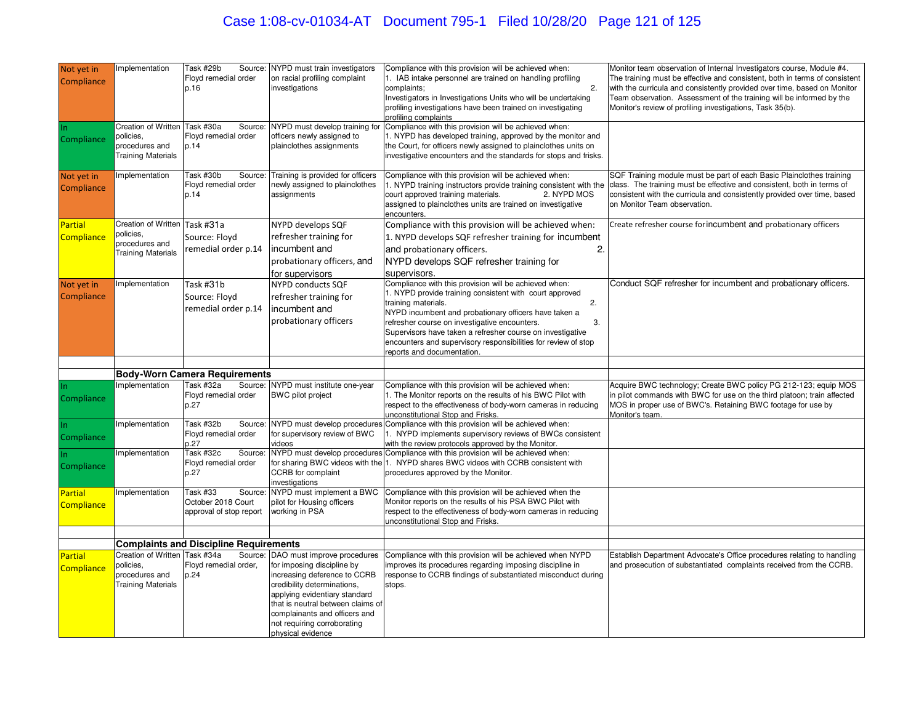# Case 1:08-cv-01034-AT Document 795-1 Filed 10/28/20 Page 121 of 125

| Not yet in<br>Compliance            | mplementation                                                                          | Task #29b<br>Source:<br>Floyd remedial order<br>p.16                  | NYPD must train investigators<br>on racial profiling complaint<br>investigations                                                                                                                                                                     | Compliance with this provision will be achieved when:<br>1. IAB intake personnel are trained on handling profiling<br>$\overline{2}$<br>complaints;<br>Investigators in Investigations Units who will be undertaking<br>profiling investigations have been trained on investigating<br>profiling complaints                                                                                                                 | Monitor team observation of Internal Investigators course, Module #4.<br>The training must be effective and consistent, both in terms of consistent<br>with the curricula and consistently provided over time, based on Monitor<br>Team observation. Assessment of the training will be informed by the<br>Monitor's review of profiling investigations, Task 35(b). |
|-------------------------------------|----------------------------------------------------------------------------------------|-----------------------------------------------------------------------|------------------------------------------------------------------------------------------------------------------------------------------------------------------------------------------------------------------------------------------------------|-----------------------------------------------------------------------------------------------------------------------------------------------------------------------------------------------------------------------------------------------------------------------------------------------------------------------------------------------------------------------------------------------------------------------------|----------------------------------------------------------------------------------------------------------------------------------------------------------------------------------------------------------------------------------------------------------------------------------------------------------------------------------------------------------------------|
| In.<br>Compliance                   | Creation of Written<br>policies,<br>procedures and<br><b>Training Materials</b>        | Task #30a<br>Source:<br>Floyd remedial order<br>p.14                  | NYPD must develop training for<br>officers newly assigned to<br>plainclothes assignments                                                                                                                                                             | Compliance with this provision will be achieved when:<br>1. NYPD has developed training, approved by the monitor and<br>the Court, for officers newly assigned to plainclothes units on<br>investigative encounters and the standards for stops and frisks.                                                                                                                                                                 |                                                                                                                                                                                                                                                                                                                                                                      |
| Not yet in<br>Compliance            | <b>Implementation</b>                                                                  | Task #30b<br>Source:<br>Floyd remedial order<br>p.14                  | Training is provided for officers<br>newly assigned to plainclothes<br>assignments                                                                                                                                                                   | Compliance with this provision will be achieved when:<br>court approved training materials.<br>2. NYPD MOS<br>assigned to plainclothes units are trained on investigative<br>encounters.                                                                                                                                                                                                                                    | SQF Training module must be part of each Basic Plainclothes training<br>1. NYPD training instructors provide training consistent with the class. The training must be effective and consistent, both in terms of<br>consistent with the curricula and consistently provided over time, based<br>on Monitor Team observation.                                         |
| <b>Partial</b><br>Compliance        | <b>Creation of Written</b><br>oolicies,<br>procedures and<br><b>Training Materials</b> | Task #31a<br>Source: Floyd<br>remedial order p.14                     | NYPD develops SQF<br>refresher training for<br>incumbent and<br>probationary officers, and<br>for supervisors                                                                                                                                        | Compliance with this provision will be achieved when:<br>1. NYPD develops SQF refresher training for incumbent<br>2.<br>and probationary officers.<br>NYPD develops SQF refresher training for<br>supervisors.                                                                                                                                                                                                              | Create refresher course for incumbent and probationary officers                                                                                                                                                                                                                                                                                                      |
| Not yet in<br>Compliance            | mplementation                                                                          | Task #31b<br>Source: Floyd<br>remedial order p.14                     | <b>NYPD conducts SQF</b><br>refresher training for<br>incumbent and<br>probationary officers                                                                                                                                                         | Compliance with this provision will be achieved when:<br>1. NYPD provide training consistent with court approved<br>training materials.<br>2.<br>NYPD incumbent and probationary officers have taken a<br>refresher course on investigative encounters.<br>3.<br>Supervisors have taken a refresher course on investigative<br>encounters and supervisory responsibilities for review of stop<br>reports and documentation. | Conduct SQF refresher for incumbent and probationary officers.                                                                                                                                                                                                                                                                                                       |
|                                     |                                                                                        |                                                                       |                                                                                                                                                                                                                                                      |                                                                                                                                                                                                                                                                                                                                                                                                                             |                                                                                                                                                                                                                                                                                                                                                                      |
|                                     |                                                                                        | <b>Body-Worn Camera Requirements</b>                                  |                                                                                                                                                                                                                                                      |                                                                                                                                                                                                                                                                                                                                                                                                                             |                                                                                                                                                                                                                                                                                                                                                                      |
| In.<br>Compliance                   | mplementation                                                                          | Task #32a<br>Source:<br>Floyd remedial order<br>p.27                  | NYPD must institute one-year<br><b>BWC</b> pilot project                                                                                                                                                                                             | Compliance with this provision will be achieved when:<br>1. The Monitor reports on the results of his BWC Pilot with<br>respect to the effectiveness of body-worn cameras in reducing<br>unconstitutional Stop and Frisks.                                                                                                                                                                                                  | Acquire BWC technology; Create BWC policy PG 212-123; equip MOS<br>in pilot commands with BWC for use on the third platoon; train affected<br>MOS in proper use of BWC's. Retaining BWC footage for use by<br>Monitor's team.                                                                                                                                        |
| In.<br>Compliance                   | mplementation                                                                          | Task #32b<br>Source:<br>Floyd remedial order<br>p.27                  | for supervisory review of BWC<br>videos                                                                                                                                                                                                              | NYPD must develop procedures Compliance with this provision will be achieved when:<br>1. NYPD implements supervisory reviews of BWCs consistent<br>with the review protocols approved by the Monitor.                                                                                                                                                                                                                       |                                                                                                                                                                                                                                                                                                                                                                      |
| Compliance                          | mplementation                                                                          | Task #32c<br>Source<br>Floyd remedial order<br>p.27                   | CCRB for complaint<br>investigations                                                                                                                                                                                                                 | NYPD must develop procedures Compliance with this provision will be achieved when:<br>for sharing BWC videos with the 1. NYPD shares BWC videos with CCRB consistent with<br>procedures approved by the Monitor.                                                                                                                                                                                                            |                                                                                                                                                                                                                                                                                                                                                                      |
| <b>Partial</b><br><b>Compliance</b> | mplementation                                                                          | Task #33<br>Source<br>October 2018 Court<br>approval of stop report   | NYPD must implement a BWC<br>pilot for Housing officers<br>working in PSA                                                                                                                                                                            | Compliance with this provision will be achieved when the<br>Monitor reports on the results of his PSA BWC Pilot with<br>respect to the effectiveness of body-worn cameras in reducing<br>unconstitutional Stop and Frisks.                                                                                                                                                                                                  |                                                                                                                                                                                                                                                                                                                                                                      |
|                                     |                                                                                        |                                                                       |                                                                                                                                                                                                                                                      |                                                                                                                                                                                                                                                                                                                                                                                                                             |                                                                                                                                                                                                                                                                                                                                                                      |
|                                     | <b>Creation of Written</b>                                                             | <b>Complaints and Discipline Requirements</b><br>Task #34a<br>Source: | DAO must improve procedures                                                                                                                                                                                                                          | Compliance with this provision will be achieved when NYPD                                                                                                                                                                                                                                                                                                                                                                   | Establish Department Advocate's Office procedures relating to handling                                                                                                                                                                                                                                                                                               |
| <b>Partial</b><br>Compliance        | oolicies,<br>procedures and<br><b>Training Materials</b>                               | Floyd remedial order,<br>p.24                                         | for imposing discipline by<br>increasing deference to CCRB<br>credibility determinations,<br>applying evidentiary standard<br>that is neutral between claims of<br>complainants and officers and<br>not requiring corroborating<br>physical evidence | mproves its procedures regarding imposing discipline in<br>response to CCRB findings of substantiated misconduct during<br>stops.                                                                                                                                                                                                                                                                                           | and prosecution of substantiated complaints received from the CCRB.                                                                                                                                                                                                                                                                                                  |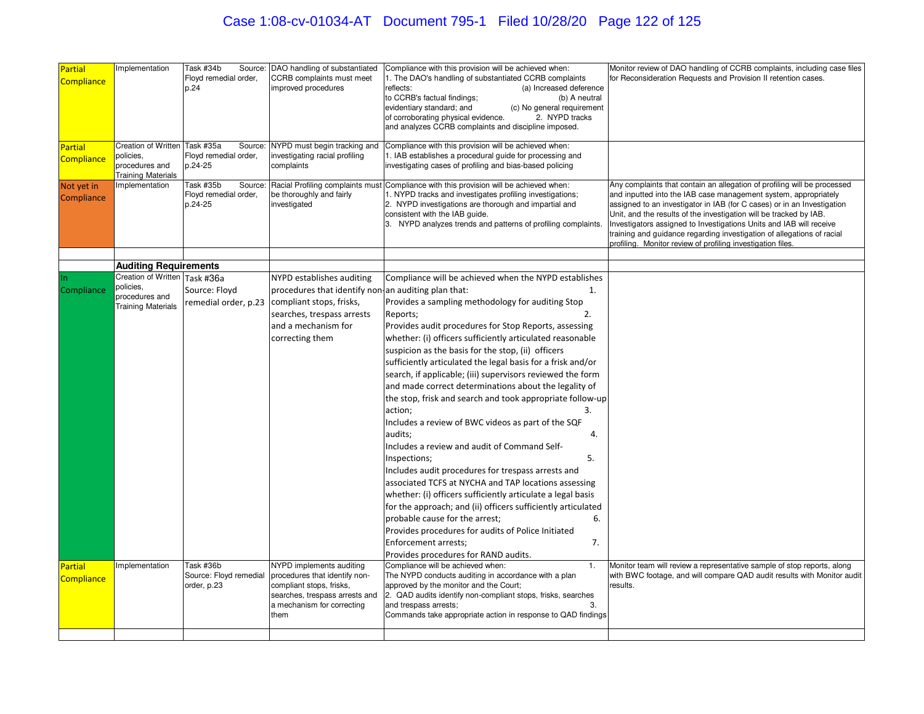| Partial<br><b>Compliance</b>        | mplementation                                                                             | Task #34b<br>Floyd remedial order,<br>p.24               | Source: DAO handling of substantiated<br>CCRB complaints must meet<br>improved procedures                                                                                    | Compliance with this provision will be achieved when:<br>1. The DAO's handling of substantiated CCRB complaints<br>reflects:<br>(a) Increased deference<br>to CCRB's factual findings;<br>(b) A neutral<br>evidentiary standard; and<br>(c) No general requirement<br>2. NYPD tracks<br>of corroborating physical evidence.<br>and analyzes CCRB complaints and discipline imposed.                                                                                                                                                                                                                                                                                                                                                                                                                                                                                                                                                                                                                               | Monitor review of DAO handling of CCRB complaints, including case files<br>for Reconsideration Requests and Provision II retention cases.                                                                                                                                                                                                                                                                                                                                                                    |
|-------------------------------------|-------------------------------------------------------------------------------------------|----------------------------------------------------------|------------------------------------------------------------------------------------------------------------------------------------------------------------------------------|-------------------------------------------------------------------------------------------------------------------------------------------------------------------------------------------------------------------------------------------------------------------------------------------------------------------------------------------------------------------------------------------------------------------------------------------------------------------------------------------------------------------------------------------------------------------------------------------------------------------------------------------------------------------------------------------------------------------------------------------------------------------------------------------------------------------------------------------------------------------------------------------------------------------------------------------------------------------------------------------------------------------|--------------------------------------------------------------------------------------------------------------------------------------------------------------------------------------------------------------------------------------------------------------------------------------------------------------------------------------------------------------------------------------------------------------------------------------------------------------------------------------------------------------|
| <b>Partial</b><br><b>Compliance</b> | Creation of Written Task #35a<br>policies,<br>procedures and<br><b>Training Materials</b> | Source:<br>Floyd remedial order,<br>p.24-25              | investigating racial profiling<br>complaints                                                                                                                                 | NYPD must begin tracking and Compliance with this provision will be achieved when:<br>1. IAB establishes a procedural guide for processing and<br>investigating cases of profiling and bias-based policing                                                                                                                                                                                                                                                                                                                                                                                                                                                                                                                                                                                                                                                                                                                                                                                                        |                                                                                                                                                                                                                                                                                                                                                                                                                                                                                                              |
| Not yet in<br>Compliance            | Implementation                                                                            | Task #35b<br>Source:<br>Floyd remedial order,<br>p.24-25 | be thoroughly and fairly<br>investigated                                                                                                                                     | Racial Profiling complaints must Compliance with this provision will be achieved when:<br>1. NYPD tracks and investigates profiling investigations;<br>2. NYPD investigations are thorough and impartial and<br>consistent with the IAB guide.<br>3. NYPD analyzes trends and patterns of profiling complaints.                                                                                                                                                                                                                                                                                                                                                                                                                                                                                                                                                                                                                                                                                                   | Any complaints that contain an allegation of profiling will be processed<br>and inputted into the IAB case management system, appropriately<br>assigned to an investigator in IAB (for C cases) or in an Investigation<br>Unit, and the results of the investigation will be tracked by IAB.<br>Investigators assigned to Investigations Units and IAB will receive<br>training and guidance regarding investigation of allegations of racial<br>profiling. Monitor review of profiling investigation files. |
|                                     |                                                                                           |                                                          |                                                                                                                                                                              |                                                                                                                                                                                                                                                                                                                                                                                                                                                                                                                                                                                                                                                                                                                                                                                                                                                                                                                                                                                                                   |                                                                                                                                                                                                                                                                                                                                                                                                                                                                                                              |
|                                     | <b>Auditing Requirements</b><br>Creation of Written Task #36a                             |                                                          | NYPD establishes auditing                                                                                                                                                    | Compliance will be achieved when the NYPD establishes                                                                                                                                                                                                                                                                                                                                                                                                                                                                                                                                                                                                                                                                                                                                                                                                                                                                                                                                                             |                                                                                                                                                                                                                                                                                                                                                                                                                                                                                                              |
| Compliance                          | policies,<br>procedures and<br><b>Training Materials</b>                                  | Source: Floyd                                            | procedures that identify non an auditing plan that:<br>remedial order, p.23 compliant stops, frisks,<br>searches, trespass arrests<br>and a mechanism for<br>correcting them | 1.<br>Provides a sampling methodology for auditing Stop<br>Reports;<br>2.<br>Provides audit procedures for Stop Reports, assessing<br>whether: (i) officers sufficiently articulated reasonable<br>suspicion as the basis for the stop, (ii) officers<br>sufficiently articulated the legal basis for a frisk and/or<br>search, if applicable; (iii) supervisors reviewed the form<br>and made correct determinations about the legality of<br>the stop, frisk and search and took appropriate follow-up<br>action;<br>3.<br>Includes a review of BWC videos as part of the SQF<br>audits;<br>4.<br>Includes a review and audit of Command Self-<br>Inspections;<br>5.<br>Includes audit procedures for trespass arrests and<br>associated TCFS at NYCHA and TAP locations assessing<br>whether: (i) officers sufficiently articulate a legal basis<br>for the approach; and (ii) officers sufficiently articulated<br>probable cause for the arrest;<br>6.<br>Provides procedures for audits of Police Initiated |                                                                                                                                                                                                                                                                                                                                                                                                                                                                                                              |
| Partial<br>Compliance               | mplementation                                                                             | Task #36b<br>Source: Floyd remedial<br>order, p.23       | NYPD implements auditing<br>procedures that identify non-<br>compliant stops, frisks,<br>searches, trespass arrests and<br>a mechanism for correcting<br>them                | 7.<br>Enforcement arrests;<br>Provides procedures for RAND audits.<br>Compliance will be achieved when:<br>1.<br>The NYPD conducts auditing in accordance with a plan<br>approved by the monitor and the Court;<br>2. QAD audits identify non-compliant stops, frisks, searches<br>and trespass arrests;<br>3.<br>Commands take appropriate action in response to QAD findings                                                                                                                                                                                                                                                                                                                                                                                                                                                                                                                                                                                                                                    | Monitor team will review a representative sample of stop reports, along<br>with BWC footage, and will compare QAD audit results with Monitor audit<br>results.                                                                                                                                                                                                                                                                                                                                               |
|                                     |                                                                                           |                                                          |                                                                                                                                                                              |                                                                                                                                                                                                                                                                                                                                                                                                                                                                                                                                                                                                                                                                                                                                                                                                                                                                                                                                                                                                                   |                                                                                                                                                                                                                                                                                                                                                                                                                                                                                                              |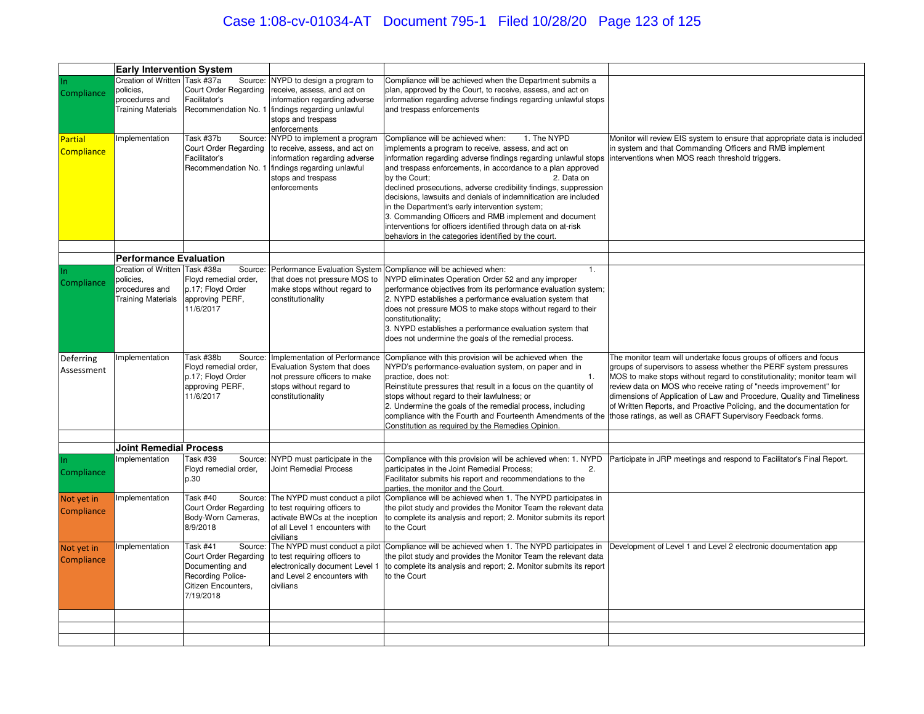# Case 1:08-cv-01034-AT Document 795-1 Filed 10/28/20 Page 123 of 125

|                   | <b>Early Intervention System</b>                               |                                      |                                                          |                                                                                                                         |                                                                                                                                              |
|-------------------|----------------------------------------------------------------|--------------------------------------|----------------------------------------------------------|-------------------------------------------------------------------------------------------------------------------------|----------------------------------------------------------------------------------------------------------------------------------------------|
|                   | Creation of Written Task #37a                                  | Source:                              | NYPD to design a program to                              | Compliance will be achieved when the Department submits a                                                               |                                                                                                                                              |
|                   | policies,                                                      | Court Order Regarding                | receive, assess, and act on                              | plan, approved by the Court, to receive, assess, and act on                                                             |                                                                                                                                              |
| Compliance        | procedures and                                                 | Facilitator's                        | information regarding adverse                            | information regarding adverse findings regarding unlawful stops                                                         |                                                                                                                                              |
|                   | <b>Training Materials</b>                                      | Recommendation No. 1                 | findings regarding unlawful                              | and trespass enforcements                                                                                               |                                                                                                                                              |
|                   |                                                                |                                      | stops and trespass                                       |                                                                                                                         |                                                                                                                                              |
|                   |                                                                |                                      | enforcements                                             |                                                                                                                         |                                                                                                                                              |
| <b>Partial</b>    | mplementation                                                  | Task #37b<br>Source:                 | NYPD to implement a program                              | Compliance will be achieved when:<br>1. The NYPD                                                                        | Monitor will review EIS system to ensure that appropriate data is included                                                                   |
| <b>Compliance</b> |                                                                | Court Order Regarding                | to receive, assess, and act on                           | mplements a program to receive, assess, and act on                                                                      | in system and that Commanding Officers and RMB implement                                                                                     |
|                   |                                                                | Facilitator's                        | information regarding adverse                            | nformation regarding adverse findings regarding unlawful stops  interventions when MOS reach threshold triggers.        |                                                                                                                                              |
|                   |                                                                | Recommendation No. 1                 | findings regarding unlawful                              | and trespass enforcements, in accordance to a plan approved                                                             |                                                                                                                                              |
|                   |                                                                |                                      | stops and trespass                                       | by the Court:<br>2. Data on                                                                                             |                                                                                                                                              |
|                   |                                                                |                                      | enforcements                                             | declined prosecutions, adverse credibility findings, suppression                                                        |                                                                                                                                              |
|                   |                                                                |                                      |                                                          | decisions, lawsuits and denials of indemnification are included                                                         |                                                                                                                                              |
|                   |                                                                |                                      |                                                          | in the Department's early intervention system;                                                                          |                                                                                                                                              |
|                   |                                                                |                                      |                                                          | 3. Commanding Officers and RMB implement and document                                                                   |                                                                                                                                              |
|                   |                                                                |                                      |                                                          | interventions for officers identified through data on at-risk                                                           |                                                                                                                                              |
|                   |                                                                |                                      |                                                          | behaviors in the categories identified by the court.                                                                    |                                                                                                                                              |
|                   |                                                                |                                      |                                                          |                                                                                                                         |                                                                                                                                              |
|                   | <b>Performance Evaluation</b><br>Creation of Written Task #38a | Source:                              |                                                          | 1.<br>Performance Evaluation System Compliance will be achieved when:                                                   |                                                                                                                                              |
|                   | policies,                                                      | Floyd remedial order,                | that does not pressure MOS to                            | NYPD eliminates Operation Order 52 and any improper                                                                     |                                                                                                                                              |
| Compliance        | procedures and                                                 | p.17; Floyd Order                    | make stops without regard to                             | performance objectives from its performance evaluation system;                                                          |                                                                                                                                              |
|                   | <b>Training Materials</b>                                      | approving PERF,                      | constitutionality                                        | 2. NYPD establishes a performance evaluation system that                                                                |                                                                                                                                              |
|                   |                                                                | 11/6/2017                            |                                                          | does not pressure MOS to make stops without regard to their                                                             |                                                                                                                                              |
|                   |                                                                |                                      |                                                          | constitutionality:                                                                                                      |                                                                                                                                              |
|                   |                                                                |                                      |                                                          | 3. NYPD establishes a performance evaluation system that                                                                |                                                                                                                                              |
|                   |                                                                |                                      |                                                          | does not undermine the goals of the remedial process.                                                                   |                                                                                                                                              |
|                   | mplementation                                                  | Task #38b<br>Source:                 |                                                          | Implementation of Performance Compliance with this provision will be achieved when the                                  | The monitor team will undertake focus groups of officers and focus                                                                           |
| Deferring         |                                                                | Floyd remedial order,                |                                                          |                                                                                                                         |                                                                                                                                              |
|                   |                                                                |                                      |                                                          |                                                                                                                         |                                                                                                                                              |
| Assessment        |                                                                |                                      | Evaluation System that does                              | NYPD's performance-evaluation system, on paper and in<br>practice, does not:<br>$\mathbf{1}$ .                          | groups of supervisors to assess whether the PERF system pressures                                                                            |
|                   |                                                                | p.17; Floyd Order<br>approving PERF, | not pressure officers to make<br>stops without regard to | Reinstitute pressures that result in a focus on the quantity of                                                         | MOS to make stops without regard to constitutionality; monitor team will<br>review data on MOS who receive rating of "needs improvement" for |
|                   |                                                                | 11/6/2017                            | constitutionality                                        | stops without regard to their lawfulness; or                                                                            | dimensions of Application of Law and Procedure, Quality and Timeliness                                                                       |
|                   |                                                                |                                      |                                                          | 2. Undermine the goals of the remedial process, including                                                               | of Written Reports, and Proactive Policing, and the documentation for                                                                        |
|                   |                                                                |                                      |                                                          | compliance with the Fourth and Fourteenth Amendments of the those ratings, as well as CRAFT Supervisory Feedback forms. |                                                                                                                                              |
|                   |                                                                |                                      |                                                          | Constitution as required by the Remedies Opinion.                                                                       |                                                                                                                                              |
|                   |                                                                |                                      |                                                          |                                                                                                                         |                                                                                                                                              |
|                   | <b>Joint Remedial Process</b>                                  |                                      |                                                          |                                                                                                                         |                                                                                                                                              |
| In.               | mplementation                                                  | Task #39<br>Source:                  | NYPD must participate in the                             | Compliance with this provision will be achieved when: 1. NYPD<br>2.                                                     | Participate in JRP meetings and respond to Facilitator's Final Report.                                                                       |
| Compliance        |                                                                | Floyd remedial order,<br>p.30        | <b>Joint Remedial Process</b>                            | participates in the Joint Remedial Process;<br>Facilitator submits his report and recommendations to the                |                                                                                                                                              |
|                   |                                                                |                                      |                                                          | parties, the monitor and the Court.                                                                                     |                                                                                                                                              |
| Not yet in        | mplementation                                                  | <b>Task #40</b><br>Source:           | The NYPD must conduct a pilot                            | Compliance will be achieved when 1. The NYPD participates in                                                            |                                                                                                                                              |
|                   |                                                                | Court Order Regarding                | to test requiring officers to                            | the pilot study and provides the Monitor Team the relevant data                                                         |                                                                                                                                              |
| Compliance        |                                                                | Body-Worn Cameras,                   | activate BWCs at the inception                           | to complete its analysis and report; 2. Monitor submits its report                                                      |                                                                                                                                              |
|                   |                                                                | 8/9/2018                             | of all Level 1 encounters with                           | to the Court                                                                                                            |                                                                                                                                              |
|                   |                                                                |                                      | civilians                                                |                                                                                                                         |                                                                                                                                              |
| Not yet in        | mplementation                                                  | Task #41<br>Source:                  | The NYPD must conduct a pilot                            | Compliance will be achieved when 1. The NYPD participates in                                                            | Development of Level 1 and Level 2 electronic documentation app                                                                              |
| Compliance        |                                                                | Court Order Regarding                | to test requiring officers to                            | the pilot study and provides the Monitor Team the relevant data                                                         |                                                                                                                                              |
|                   |                                                                | Documenting and                      | electronically document Level 1                          | to complete its analysis and report; 2. Monitor submits its report                                                      |                                                                                                                                              |
|                   |                                                                | Recording Police-                    | and Level 2 encounters with                              | to the Court                                                                                                            |                                                                                                                                              |
|                   |                                                                | Citizen Encounters,<br>7/19/2018     | civilians                                                |                                                                                                                         |                                                                                                                                              |
|                   |                                                                |                                      |                                                          |                                                                                                                         |                                                                                                                                              |
|                   |                                                                |                                      |                                                          |                                                                                                                         |                                                                                                                                              |
|                   |                                                                |                                      |                                                          |                                                                                                                         |                                                                                                                                              |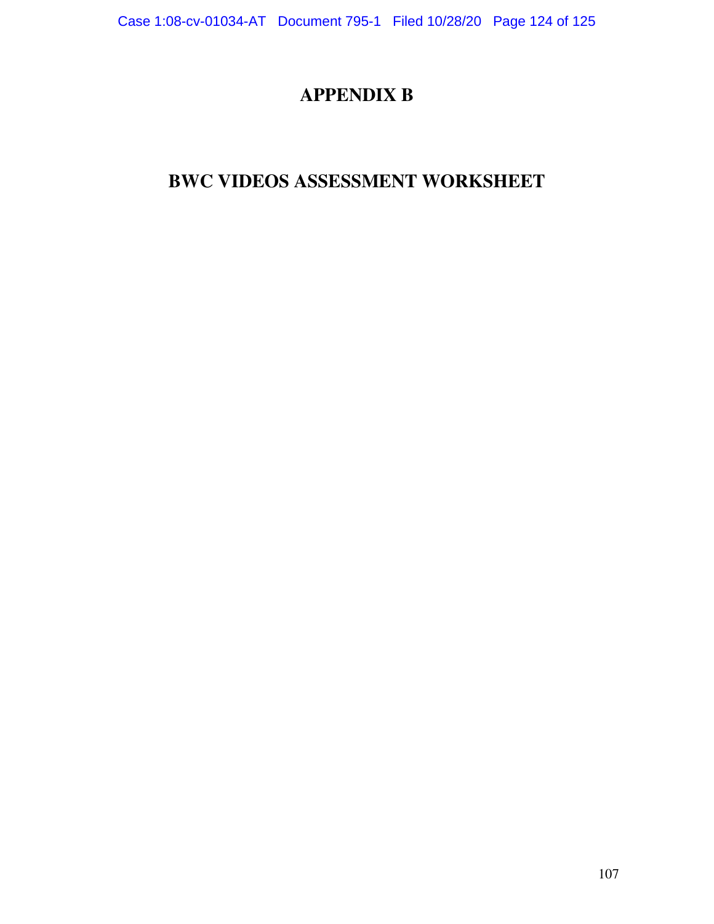#### **APPENDIX B**

# **BWC VIDEOS ASSESSMENT WORKSHEET**